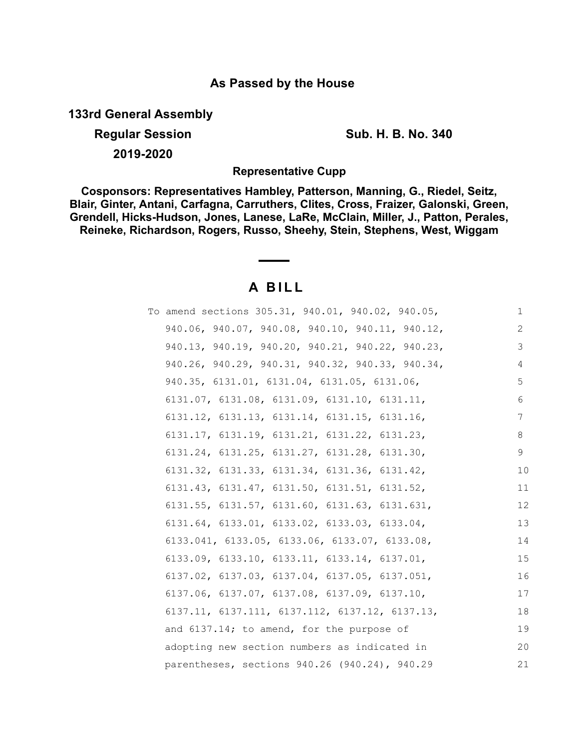## **As Passed by the House**

**133rd General Assembly**

**Regular Session Sub. H. B. No. 340 2019-2020**

**Representative Cupp**

**Cosponsors: Representatives Hambley, Patterson, Manning, G., Riedel, Seitz, Blair, Ginter, Antani, Carfagna, Carruthers, Clites, Cross, Fraizer, Galonski, Green, Grendell, Hicks-Hudson, Jones, Lanese, LaRe, McClain, Miller, J., Patton, Perales, Reineke, Richardson, Rogers, Russo, Sheehy, Stein, Stephens, West, Wiggam**

## **A B I L L**

| To amend sections 305.31, 940.01, 940.02, 940.05,           | $\mathbf 1$ |
|-------------------------------------------------------------|-------------|
| 940.06, 940.07, 940.08, 940.10, 940.11, 940.12,             | 2           |
| 940.13, 940.19, 940.20, 940.21, 940.22, 940.23,             | 3           |
| 940.26, 940.29, 940.31, 940.32, 940.33, 940.34,             | 4           |
| 940.35, 6131.01, 6131.04, 6131.05, 6131.06,                 | 5           |
| 6131.07, 6131.08, 6131.09, 6131.10, 6131.11,                | 6           |
| $6131.12$ , $6131.13$ , $6131.14$ , $6131.15$ , $6131.16$ , | 7           |
| 6131.17, 6131.19, 6131.21, 6131.22, 6131.23,                | 8           |
| 6131.24, 6131.25, 6131.27, 6131.28, 6131.30,                | 9           |
| $6131.32, 6131.33, 6131.34, 6131.36, 6131.42,$              | 10          |
| $6131.43, 6131.47, 6131.50, 6131.51, 6131.52,$              | 11          |
| 6131.55, 6131.57, 6131.60, 6131.63, 6131.631,               | 12          |
| 6131.64, 6133.01, 6133.02, 6133.03, 6133.04,                | 13          |
| 6133.041, 6133.05, 6133.06, 6133.07, 6133.08,               | 14          |
| 6133.09, 6133.10, 6133.11, 6133.14, 6137.01,                | 15          |
| 6137.02, 6137.03, 6137.04, 6137.05, 6137.051,               | 16          |
| $6137.06$ , $6137.07$ , $6137.08$ , $6137.09$ , $6137.10$ , | 17          |
| $6137.11, 6137.111, 6137.112, 6137.12, 6137.13,$            | 18          |
| and 6137.14; to amend, for the purpose of                   | 19          |
| adopting new section numbers as indicated in                | 20          |
| parentheses, sections 940.26 (940.24), 940.29               | 21          |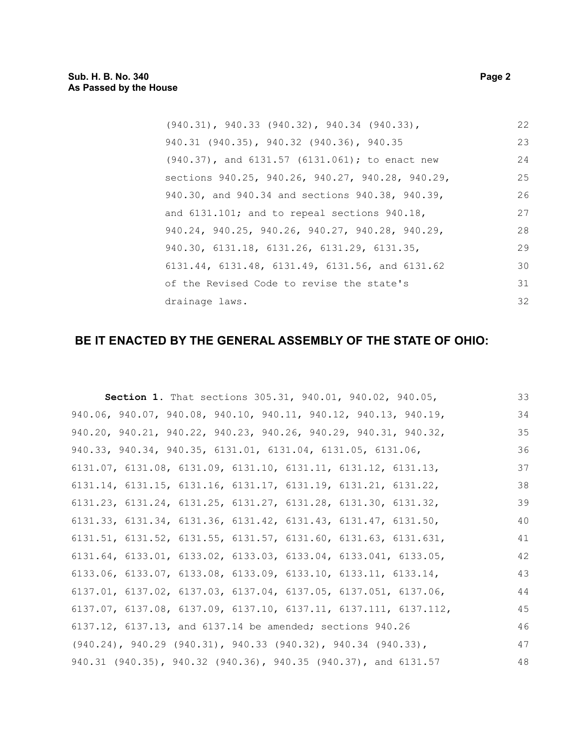| $(940.31)$ , 940.33 $(940.32)$ , 940.34 $(940.33)$ ,   | 22 |
|--------------------------------------------------------|----|
| 940.31 (940.35), 940.32 (940.36), 940.35               | 23 |
| $(940.37)$ , and $6131.57$ $(6131.061)$ ; to enact new | 24 |
| sections 940.25, 940.26, 940.27, 940.28, 940.29,       | 25 |
| 940.30, and 940.34 and sections 940.38, 940.39,        | 26 |
| and $6131.101$ ; and to repeal sections $940.18$ ,     | 27 |
| 940.24, 940.25, 940.26, 940.27, 940.28, 940.29,        | 28 |
| 940.30, 6131.18, 6131.26, 6131.29, 6131.35,            | 29 |
| 6131.44, 6131.48, 6131.49, 6131.56, and 6131.62        | 30 |
| of the Revised Code to revise the state's              | 31 |
| drainage laws.                                         | 32 |

# **BE IT ENACTED BY THE GENERAL ASSEMBLY OF THE STATE OF OHIO:**

| Section 1. That sections 305.31, 940.01, 940.02, 940.05,                            | 33 |
|-------------------------------------------------------------------------------------|----|
| 940.06, 940.07, 940.08, 940.10, 940.11, 940.12, 940.13, 940.19,                     | 34 |
| 940.20, 940.21, 940.22, 940.23, 940.26, 940.29, 940.31, 940.32,                     | 35 |
| 940.33, 940.34, 940.35, 6131.01, 6131.04, 6131.05, 6131.06,                         | 36 |
| $6131.07$ , $6131.08$ , $6131.09$ , $6131.10$ , $6131.11$ , $6131.12$ , $6131.13$ , | 37 |
| 6131.14, 6131.15, 6131.16, 6131.17, 6131.19, 6131.21, 6131.22,                      | 38 |
| $6131.23$ , $6131.24$ , $6131.25$ , $6131.27$ , $6131.28$ , $6131.30$ , $6131.32$ , | 39 |
| 6131.33, 6131.34, 6131.36, 6131.42, 6131.43, 6131.47, 6131.50,                      | 40 |
| 6131.51, 6131.52, 6131.55, 6131.57, 6131.60, 6131.63, 6131.631,                     | 41 |
| $6131.64, 6133.01, 6133.02, 6133.03, 6133.04, 6133.041, 6133.05,$                   | 42 |
| $6133.06$ , $6133.07$ , $6133.08$ , $6133.09$ , $6133.10$ , $6133.11$ , $6133.14$ , | 43 |
| 6137.01, 6137.02, 6137.03, 6137.04, 6137.05, 6137.051, 6137.06,                     | 44 |
| 6137.07, 6137.08, 6137.09, 6137.10, 6137.11, 6137.111, 6137.112,                    | 45 |
| 6137.12, 6137.13, and 6137.14 be amended; sections 940.26                           | 46 |
| $(940.24)$ , $940.29$ $(940.31)$ , $940.33$ $(940.32)$ , $940.34$ $(940.33)$ ,      | 47 |
| 940.31 (940.35), 940.32 (940.36), 940.35 (940.37), and 6131.57                      | 48 |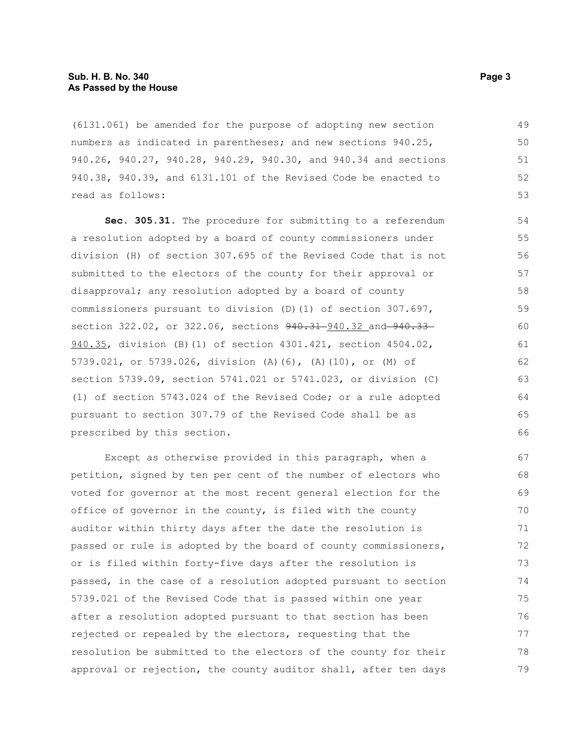(6131.061) be amended for the purpose of adopting new section numbers as indicated in parentheses; and new sections 940.25, 940.26, 940.27, 940.28, 940.29, 940.30, and 940.34 and sections 940.38, 940.39, and 6131.101 of the Revised Code be enacted to read as follows: 49 50 51 52 53

**Sec. 305.31.** The procedure for submitting to a referendum a resolution adopted by a board of county commissioners under division (H) of section 307.695 of the Revised Code that is not submitted to the electors of the county for their approval or disapproval; any resolution adopted by a board of county commissioners pursuant to division (D)(1) of section 307.697, section 322.02, or 322.06, sections  $940.31 - 940.32$  and  $940.33$ 940.35, division (B)(1) of section 4301.421, section 4504.02, 5739.021, or 5739.026, division (A)(6), (A)(10), or (M) of section 5739.09, section 5741.021 or 5741.023, or division (C) (1) of section 5743.024 of the Revised Code; or a rule adopted pursuant to section 307.79 of the Revised Code shall be as prescribed by this section.

Except as otherwise provided in this paragraph, when a petition, signed by ten per cent of the number of electors who voted for governor at the most recent general election for the office of governor in the county, is filed with the county auditor within thirty days after the date the resolution is passed or rule is adopted by the board of county commissioners, or is filed within forty-five days after the resolution is passed, in the case of a resolution adopted pursuant to section 5739.021 of the Revised Code that is passed within one year after a resolution adopted pursuant to that section has been rejected or repealed by the electors, requesting that the resolution be submitted to the electors of the county for their approval or rejection, the county auditor shall, after ten days 67 68 69 70 71 72 73 74 75 76 77 78 79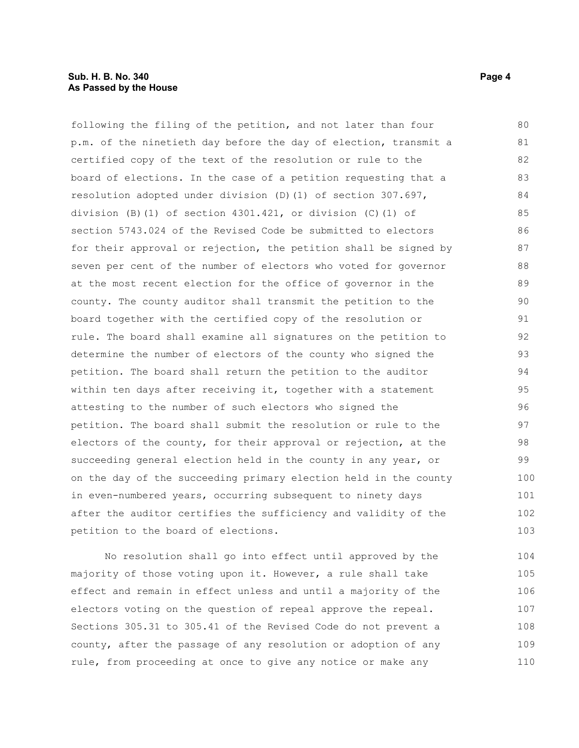following the filing of the petition, and not later than four p.m. of the ninetieth day before the day of election, transmit a certified copy of the text of the resolution or rule to the board of elections. In the case of a petition requesting that a resolution adopted under division (D)(1) of section 307.697, division (B)(1) of section 4301.421, or division (C)(1) of section 5743.024 of the Revised Code be submitted to electors for their approval or rejection, the petition shall be signed by seven per cent of the number of electors who voted for governor at the most recent election for the office of governor in the county. The county auditor shall transmit the petition to the board together with the certified copy of the resolution or rule. The board shall examine all signatures on the petition to determine the number of electors of the county who signed the petition. The board shall return the petition to the auditor within ten days after receiving it, together with a statement attesting to the number of such electors who signed the petition. The board shall submit the resolution or rule to the electors of the county, for their approval or rejection, at the succeeding general election held in the county in any year, or on the day of the succeeding primary election held in the county in even-numbered years, occurring subsequent to ninety days after the auditor certifies the sufficiency and validity of the petition to the board of elections. 80 81 82 83 84 85 86 87 88 89 90 91 92 93 94 95 96 97 98 99 100 101 102 103

No resolution shall go into effect until approved by the majority of those voting upon it. However, a rule shall take effect and remain in effect unless and until a majority of the electors voting on the question of repeal approve the repeal. Sections 305.31 to 305.41 of the Revised Code do not prevent a county, after the passage of any resolution or adoption of any rule, from proceeding at once to give any notice or make any 104 105 106 107 108 109 110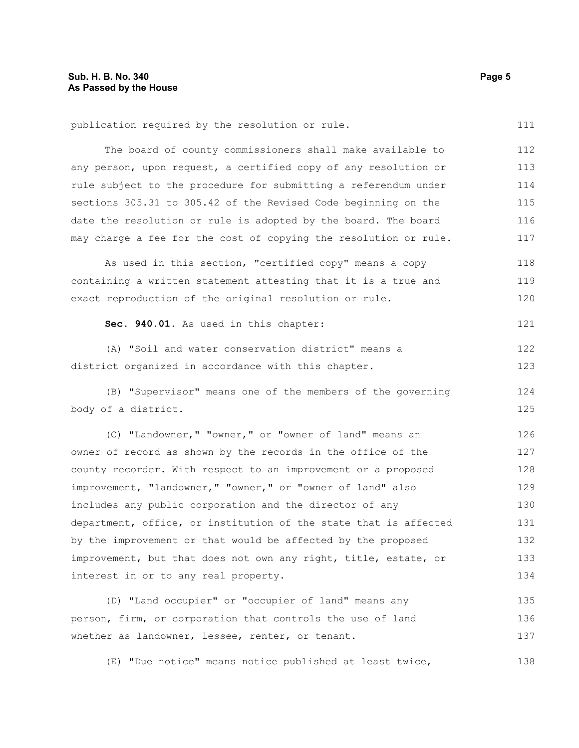| publication required by the resolution or rule.                  | 111 |
|------------------------------------------------------------------|-----|
| The board of county commissioners shall make available to        | 112 |
| any person, upon request, a certified copy of any resolution or  | 113 |
| rule subject to the procedure for submitting a referendum under  | 114 |
| sections 305.31 to 305.42 of the Revised Code beginning on the   | 115 |
| date the resolution or rule is adopted by the board. The board   | 116 |
| may charge a fee for the cost of copying the resolution or rule. | 117 |
| As used in this section, "certified copy" means a copy           | 118 |
| containing a written statement attesting that it is a true and   | 119 |
| exact reproduction of the original resolution or rule.           | 120 |
| Sec. 940.01. As used in this chapter:                            | 121 |
| (A) "Soil and water conservation district" means a               | 122 |
| district organized in accordance with this chapter.              | 123 |
| (B) "Supervisor" means one of the members of the governing       | 124 |
| body of a district.                                              | 125 |
| (C) "Landowner," "owner," or "owner of land" means an            | 126 |
| owner of record as shown by the records in the office of the     | 127 |
| county recorder. With respect to an improvement or a proposed    | 128 |
| improvement, "landowner," "owner," or "owner of land" also       | 129 |
| includes any public corporation and the director of any          | 130 |
| department, office, or institution of the state that is affected | 131 |
| by the improvement or that would be affected by the proposed     | 132 |
| improvement, but that does not own any right, title, estate, or  | 133 |
| interest in or to any real property.                             | 134 |
|                                                                  |     |

(D) "Land occupier" or "occupier of land" means any person, firm, or corporation that controls the use of land whether as landowner, lessee, renter, or tenant. 135 136 137

(E) "Due notice" means notice published at least twice, 138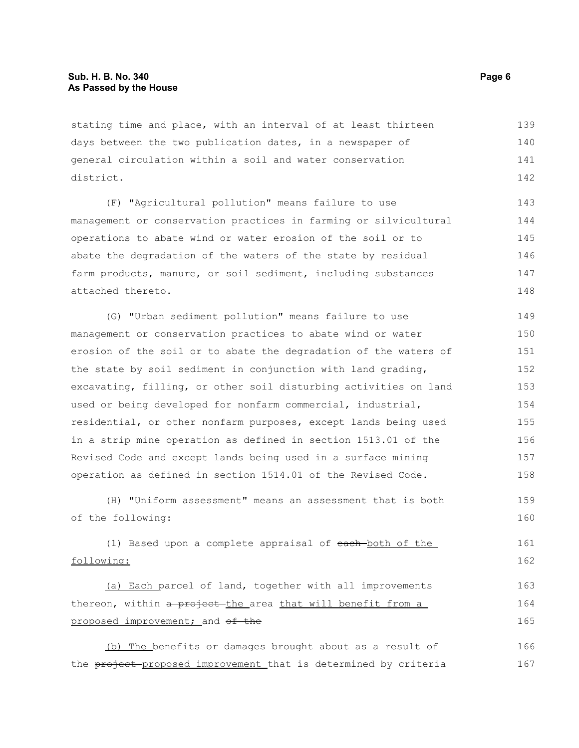stating time and place, with an interval of at least thirteen days between the two publication dates, in a newspaper of general circulation within a soil and water conservation district. 139 140 141 142

(F) "Agricultural pollution" means failure to use management or conservation practices in farming or silvicultural operations to abate wind or water erosion of the soil or to abate the degradation of the waters of the state by residual farm products, manure, or soil sediment, including substances attached thereto. 143 144 145 146 147 148

(G) "Urban sediment pollution" means failure to use management or conservation practices to abate wind or water erosion of the soil or to abate the degradation of the waters of the state by soil sediment in conjunction with land grading, excavating, filling, or other soil disturbing activities on land used or being developed for nonfarm commercial, industrial, residential, or other nonfarm purposes, except lands being used in a strip mine operation as defined in section 1513.01 of the Revised Code and except lands being used in a surface mining operation as defined in section 1514.01 of the Revised Code. 149 150 151 152 153 154 155 156 157 158

(H) "Uniform assessment" means an assessment that is both of the following: 159 160

(1) Based upon a complete appraisal of each both of the following: 161 162

(a) Each parcel of land, together with all improvements thereon, within a project the area that will benefit from a proposed improvement; and of the 163 164 165

(b) The benefits or damages brought about as a result of the project-proposed improvement that is determined by criteria 166 167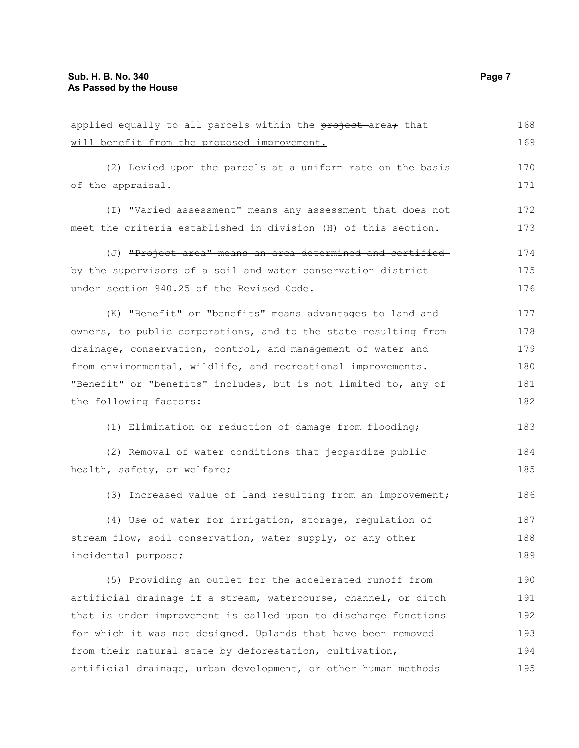| applied equally to all parcels within the project area, that         | 168 |
|----------------------------------------------------------------------|-----|
| will benefit from the proposed improvement.                          | 169 |
| (2) Levied upon the parcels at a uniform rate on the basis           | 170 |
| of the appraisal.                                                    | 171 |
| (I) "Varied assessment" means any assessment that does not           | 172 |
| meet the criteria established in division (H) of this section.       | 173 |
| (J) <del>"Project area" means an area determined and certified</del> | 174 |
| by the supervisors of a soil and water conservation district         | 175 |
| under section 940.25 of the Revised Code.                            | 176 |
| (K)-"Benefit" or "benefits" means advantages to land and             | 177 |
| owners, to public corporations, and to the state resulting from      | 178 |
| drainage, conservation, control, and management of water and         | 179 |
| from environmental, wildlife, and recreational improvements.         | 180 |
| "Benefit" or "benefits" includes, but is not limited to, any of      | 181 |
| the following factors:                                               |     |
| (1) Elimination or reduction of damage from flooding;                | 183 |
| (2) Removal of water conditions that jeopardize public               | 184 |
| health, safety, or welfare;                                          | 185 |
| (3) Increased value of land resulting from an improvement;           | 186 |
| (4) Use of water for irrigation, storage, regulation of              | 187 |
| stream flow, soil conservation, water supply, or any other           | 188 |
| incidental purpose;                                                  | 189 |
| (5) Providing an outlet for the accelerated runoff from              | 190 |
| artificial drainage if a stream, watercourse, channel, or ditch      | 191 |
| that is under improvement is called upon to discharge functions      | 192 |
| for which it was not designed. Uplands that have been removed        | 193 |
| from their natural state by deforestation, cultivation,              | 194 |

artificial drainage, urban development, or other human methods 195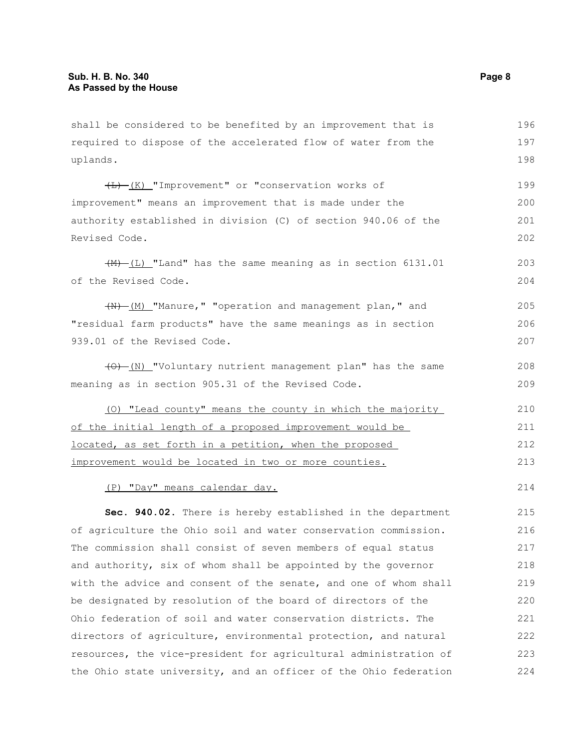shall be considered to be benefited by an improvement that is required to dispose of the accelerated flow of water from the uplands. 196 197 198

 $\overline{(L) - (K)}$  "Improvement" or "conservation works of improvement" means an improvement that is made under the authority established in division (C) of section 940.06 of the Revised Code. 199 200 201 202

 $(\frac{M}{L})$  "Land" has the same meaning as in section 6131.01 of the Revised Code. 203 204

 $(W)$  (M) "Manure," "operation and management plan," and "residual farm products" have the same meanings as in section 939.01 of the Revised Code. 205 206 207

(O) (N) "Voluntary nutrient management plan" has the same meaning as in section 905.31 of the Revised Code.

(O) "Lead county" means the county in which the majority of the initial length of a proposed improvement would be located, as set forth in a petition, when the proposed improvement would be located in two or more counties. 210 211 212 213

(P) "Day" means calendar day.

**Sec. 940.02.** There is hereby established in the department of agriculture the Ohio soil and water conservation commission. The commission shall consist of seven members of equal status and authority, six of whom shall be appointed by the governor with the advice and consent of the senate, and one of whom shall be designated by resolution of the board of directors of the Ohio federation of soil and water conservation districts. The directors of agriculture, environmental protection, and natural resources, the vice-president for agricultural administration of the Ohio state university, and an officer of the Ohio federation 215 216 217 218 219 220 221 222 223 224

214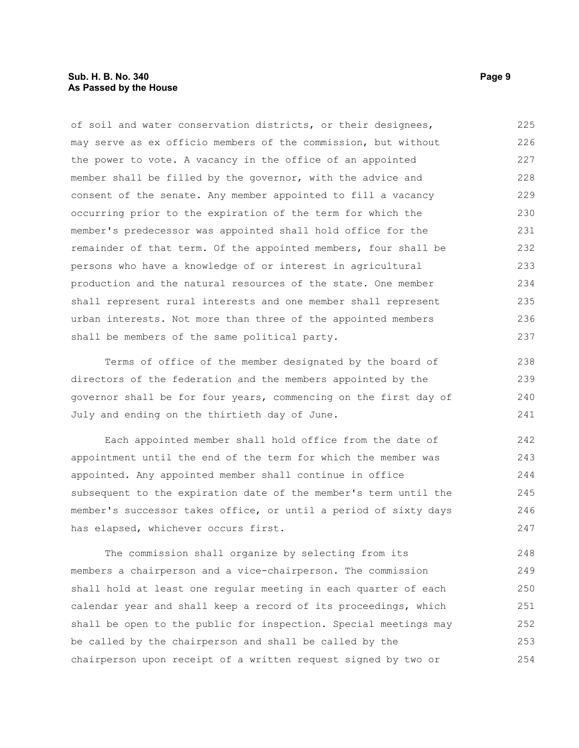## **Sub. H. B. No. 340 Page 9 As Passed by the House**

of soil and water conservation districts, or their designees, may serve as ex officio members of the commission, but without the power to vote. A vacancy in the office of an appointed member shall be filled by the governor, with the advice and consent of the senate. Any member appointed to fill a vacancy occurring prior to the expiration of the term for which the member's predecessor was appointed shall hold office for the remainder of that term. Of the appointed members, four shall be persons who have a knowledge of or interest in agricultural production and the natural resources of the state. One member shall represent rural interests and one member shall represent urban interests. Not more than three of the appointed members shall be members of the same political party. 225 226 227 228 229 230 231 232 233 234 235 236 237

Terms of office of the member designated by the board of directors of the federation and the members appointed by the governor shall be for four years, commencing on the first day of July and ending on the thirtieth day of June.

Each appointed member shall hold office from the date of appointment until the end of the term for which the member was appointed. Any appointed member shall continue in office subsequent to the expiration date of the member's term until the member's successor takes office, or until a period of sixty days has elapsed, whichever occurs first. 242 243 244 245 246 247

The commission shall organize by selecting from its members a chairperson and a vice-chairperson. The commission shall hold at least one regular meeting in each quarter of each calendar year and shall keep a record of its proceedings, which shall be open to the public for inspection. Special meetings may be called by the chairperson and shall be called by the chairperson upon receipt of a written request signed by two or 248 249 250 251 252 253 254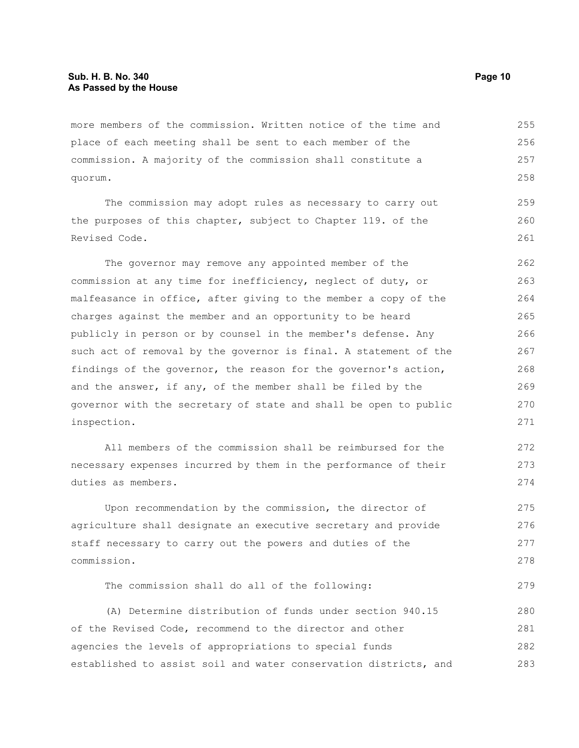more members of the commission. Written notice of the time and place of each meeting shall be sent to each member of the commission. A majority of the commission shall constitute a quorum. 255 256 257 258

The commission may adopt rules as necessary to carry out the purposes of this chapter, subject to Chapter 119. of the Revised Code. 259 260 261

The governor may remove any appointed member of the commission at any time for inefficiency, neglect of duty, or malfeasance in office, after giving to the member a copy of the charges against the member and an opportunity to be heard publicly in person or by counsel in the member's defense. Any such act of removal by the governor is final. A statement of the findings of the governor, the reason for the governor's action, and the answer, if any, of the member shall be filed by the governor with the secretary of state and shall be open to public inspection. 262 263 264 265 266 267 268 269 270 271

All members of the commission shall be reimbursed for the necessary expenses incurred by them in the performance of their duties as members.

Upon recommendation by the commission, the director of agriculture shall designate an executive secretary and provide staff necessary to carry out the powers and duties of the commission. 275 276 277 278

The commission shall do all of the following:

(A) Determine distribution of funds under section 940.15 of the Revised Code, recommend to the director and other agencies the levels of appropriations to special funds established to assist soil and water conservation districts, and 280 281 282 283

272 273 274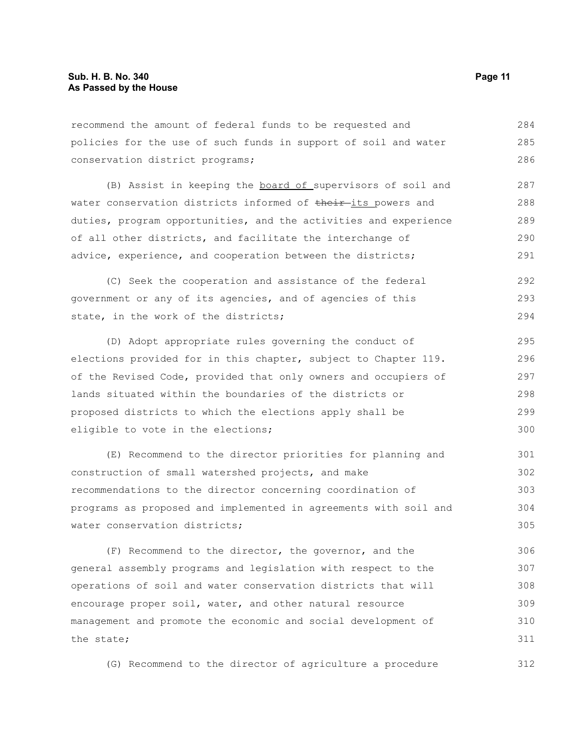recommend the amount of federal funds to be requested and policies for the use of such funds in support of soil and water conservation district programs; 284 285 286

(B) Assist in keeping the board of supervisors of soil and water conservation districts informed of their-its powers and duties, program opportunities, and the activities and experience of all other districts, and facilitate the interchange of advice, experience, and cooperation between the districts; 287 288 289 290 291

(C) Seek the cooperation and assistance of the federal government or any of its agencies, and of agencies of this state, in the work of the districts; 292 293 294

(D) Adopt appropriate rules governing the conduct of elections provided for in this chapter, subject to Chapter 119. of the Revised Code, provided that only owners and occupiers of lands situated within the boundaries of the districts or proposed districts to which the elections apply shall be eligible to vote in the elections; 295 296 297 298 299 300

(E) Recommend to the director priorities for planning and construction of small watershed projects, and make recommendations to the director concerning coordination of programs as proposed and implemented in agreements with soil and water conservation districts; 301 302 303 304 305

(F) Recommend to the director, the governor, and the general assembly programs and legislation with respect to the operations of soil and water conservation districts that will encourage proper soil, water, and other natural resource management and promote the economic and social development of the state; 306 307 308 309 310 311

(G) Recommend to the director of agriculture a procedure 312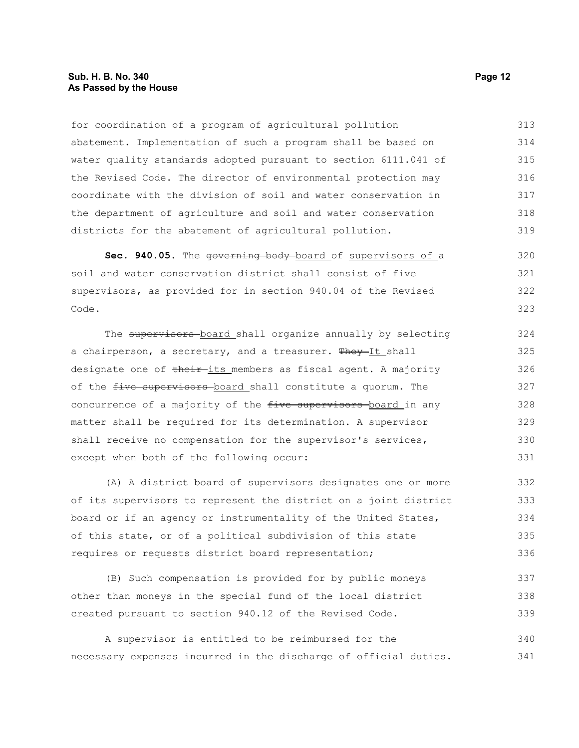## **Sub. H. B. No. 340 Page 12 As Passed by the House**

for coordination of a program of agricultural pollution abatement. Implementation of such a program shall be based on water quality standards adopted pursuant to section 6111.041 of the Revised Code. The director of environmental protection may coordinate with the division of soil and water conservation in the department of agriculture and soil and water conservation districts for the abatement of agricultural pollution. 313 314 315 316 317 318 319

Sec. 940.05. The <del>governing body</del>-board of supervisors of a soil and water conservation district shall consist of five supervisors, as provided for in section 940.04 of the Revised Code. 320 321 322 323

The supervisors-board shall organize annually by selecting a chairperson, a secretary, and a treasurer. They It shall designate one of their-its members as fiscal agent. A majority of the five supervisors board shall constitute a quorum. The concurrence of a majority of the five supervisors board in any matter shall be required for its determination. A supervisor shall receive no compensation for the supervisor's services, except when both of the following occur: 324 325 326 327 328 329 330 331

(A) A district board of supervisors designates one or more of its supervisors to represent the district on a joint district board or if an agency or instrumentality of the United States, of this state, or of a political subdivision of this state requires or requests district board representation; 332 333 334 335 336

(B) Such compensation is provided for by public moneys other than moneys in the special fund of the local district created pursuant to section 940.12 of the Revised Code. 337 338 339

A supervisor is entitled to be reimbursed for the necessary expenses incurred in the discharge of official duties. 340 341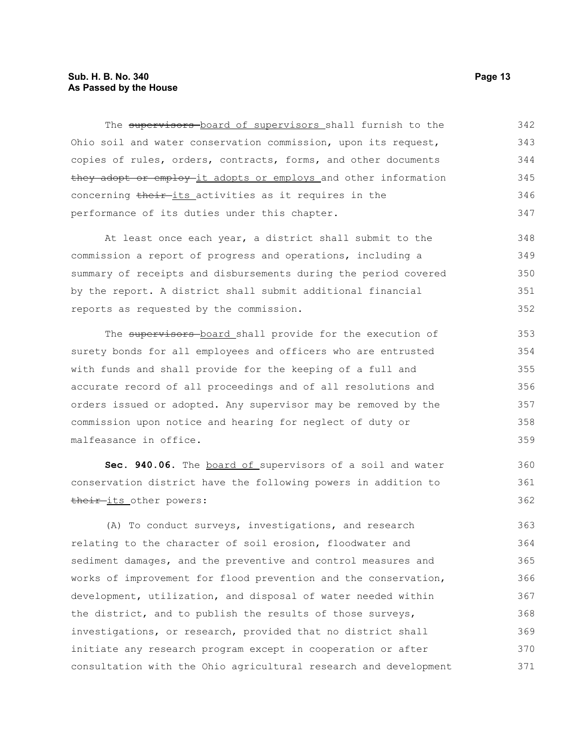## **Sub. H. B. No. 340 Page 13 As Passed by the House**

The supervisors board of supervisors shall furnish to the Ohio soil and water conservation commission, upon its request, copies of rules, orders, contracts, forms, and other documents they adopt or employ it adopts or employs and other information concerning their-its activities as it requires in the performance of its duties under this chapter. 342 343 344 345 346 347

At least once each year, a district shall submit to the commission a report of progress and operations, including a summary of receipts and disbursements during the period covered by the report. A district shall submit additional financial reports as requested by the commission.

The supervisors board shall provide for the execution of surety bonds for all employees and officers who are entrusted with funds and shall provide for the keeping of a full and accurate record of all proceedings and of all resolutions and orders issued or adopted. Any supervisor may be removed by the commission upon notice and hearing for neglect of duty or malfeasance in office.

Sec. 940.06. The board of supervisors of a soil and water conservation district have the following powers in addition to their-its other powers:

(A) To conduct surveys, investigations, and research relating to the character of soil erosion, floodwater and sediment damages, and the preventive and control measures and works of improvement for flood prevention and the conservation, development, utilization, and disposal of water needed within the district, and to publish the results of those surveys, investigations, or research, provided that no district shall initiate any research program except in cooperation or after consultation with the Ohio agricultural research and development 363 364 365 366 367 368 369 370 371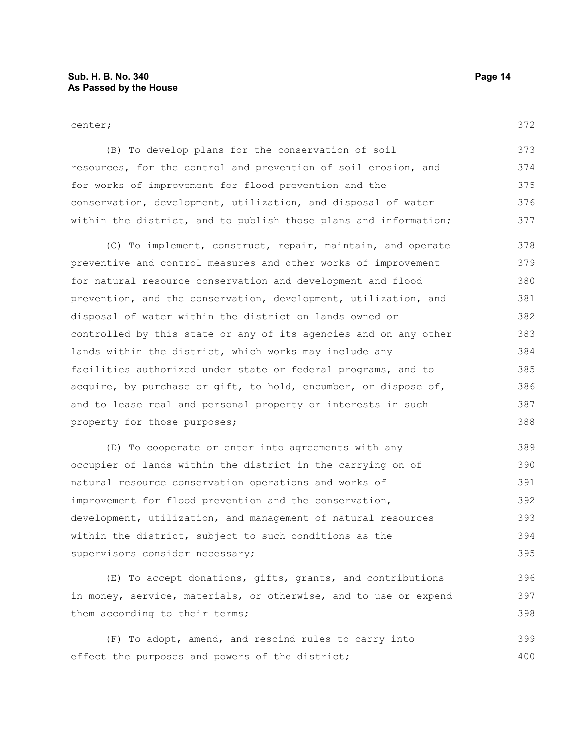#### center;

372

(B) To develop plans for the conservation of soil resources, for the control and prevention of soil erosion, and for works of improvement for flood prevention and the conservation, development, utilization, and disposal of water within the district, and to publish those plans and information; 373 374 375 376 377

(C) To implement, construct, repair, maintain, and operate preventive and control measures and other works of improvement for natural resource conservation and development and flood prevention, and the conservation, development, utilization, and disposal of water within the district on lands owned or controlled by this state or any of its agencies and on any other lands within the district, which works may include any facilities authorized under state or federal programs, and to acquire, by purchase or gift, to hold, encumber, or dispose of, and to lease real and personal property or interests in such property for those purposes; 378 379 380 381 382 383 384 385 386 387 388

(D) To cooperate or enter into agreements with any occupier of lands within the district in the carrying on of natural resource conservation operations and works of improvement for flood prevention and the conservation, development, utilization, and management of natural resources within the district, subject to such conditions as the supervisors consider necessary; 389 390 391 392 393 394 395

(E) To accept donations, gifts, grants, and contributions in money, service, materials, or otherwise, and to use or expend them according to their terms; 396 397 398

(F) To adopt, amend, and rescind rules to carry into effect the purposes and powers of the district; 399 400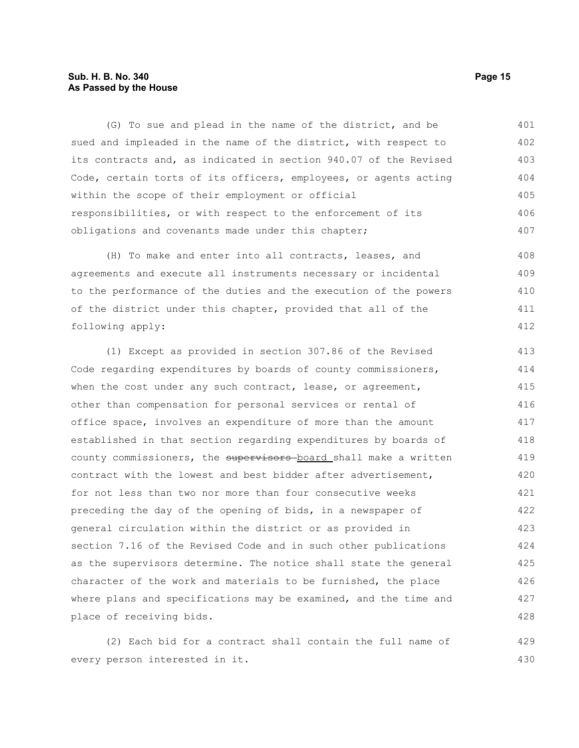## **Sub. H. B. No. 340 Page 15 As Passed by the House**

(G) To sue and plead in the name of the district, and be sued and impleaded in the name of the district, with respect to its contracts and, as indicated in section 940.07 of the Revised Code, certain torts of its officers, employees, or agents acting within the scope of their employment or official responsibilities, or with respect to the enforcement of its obligations and covenants made under this chapter; 401 402 403 404 405 406 407

(H) To make and enter into all contracts, leases, and agreements and execute all instruments necessary or incidental to the performance of the duties and the execution of the powers of the district under this chapter, provided that all of the following apply: 408 409 410 411 412

(1) Except as provided in section 307.86 of the Revised Code regarding expenditures by boards of county commissioners, when the cost under any such contract, lease, or agreement, other than compensation for personal services or rental of office space, involves an expenditure of more than the amount established in that section regarding expenditures by boards of county commissioners, the supervisors-board shall make a written contract with the lowest and best bidder after advertisement, for not less than two nor more than four consecutive weeks preceding the day of the opening of bids, in a newspaper of general circulation within the district or as provided in section 7.16 of the Revised Code and in such other publications as the supervisors determine. The notice shall state the general character of the work and materials to be furnished, the place where plans and specifications may be examined, and the time and place of receiving bids. 413 414 415 416 417 418 419 420 421 422 423 424 425 426 427 428

(2) Each bid for a contract shall contain the full name of every person interested in it. 429 430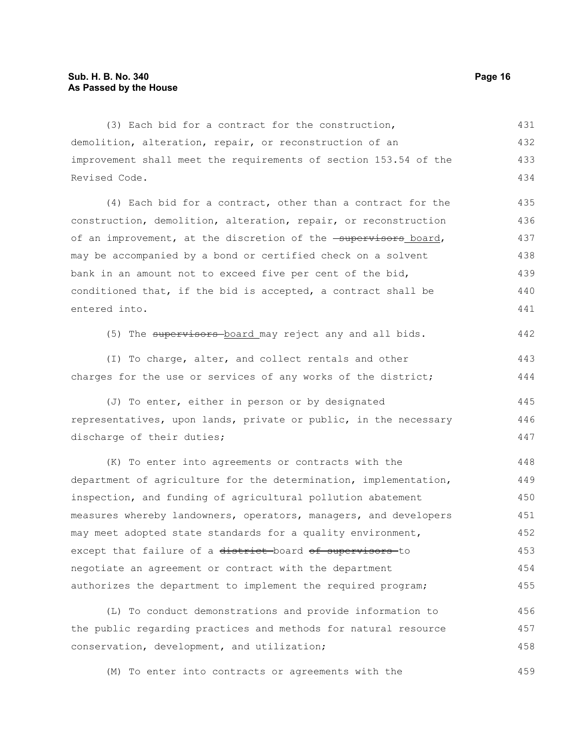(3) Each bid for a contract for the construction, demolition, alteration, repair, or reconstruction of an improvement shall meet the requirements of section 153.54 of the Revised Code. 431 432 433 434

(4) Each bid for a contract, other than a contract for the construction, demolition, alteration, repair, or reconstruction of an improvement, at the discretion of the **supervisors** board, may be accompanied by a bond or certified check on a solvent bank in an amount not to exceed five per cent of the bid, conditioned that, if the bid is accepted, a contract shall be entered into. 435 436 437 438 439 440 441

(5) The supervisors board may reject any and all bids. 442

(I) To charge, alter, and collect rentals and other charges for the use or services of any works of the district; 443 444

(J) To enter, either in person or by designated representatives, upon lands, private or public, in the necessary discharge of their duties; 445 446 447

(K) To enter into agreements or contracts with the department of agriculture for the determination, implementation, inspection, and funding of agricultural pollution abatement measures whereby landowners, operators, managers, and developers may meet adopted state standards for a quality environment, except that failure of a district-board of supervisors-to negotiate an agreement or contract with the department authorizes the department to implement the required program; 448 449 450 451 452 453 454 455

(L) To conduct demonstrations and provide information to the public regarding practices and methods for natural resource conservation, development, and utilization; 456 457 458

(M) To enter into contracts or agreements with the 459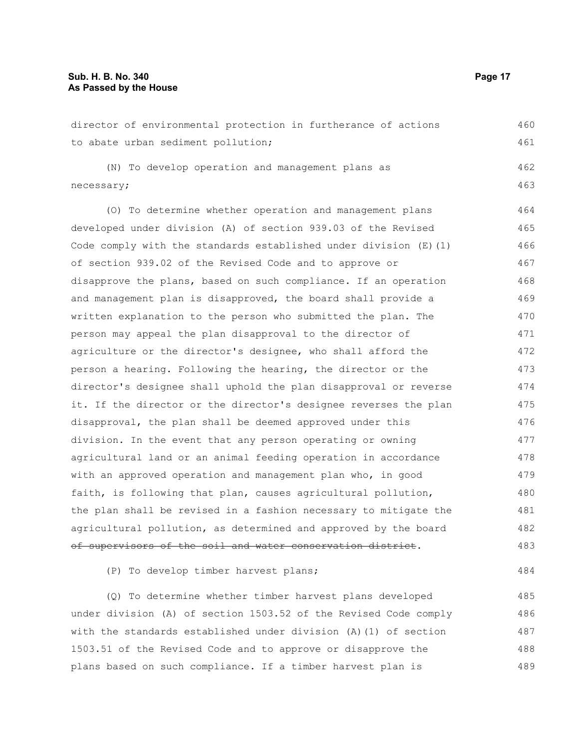director of environmental protection in furtherance of actions to abate urban sediment pollution; (N) To develop operation and management plans as necessary; (O) To determine whether operation and management plans developed under division (A) of section 939.03 of the Revised Code comply with the standards established under division  $(E)$  (1) of section 939.02 of the Revised Code and to approve or disapprove the plans, based on such compliance. If an operation and management plan is disapproved, the board shall provide a written explanation to the person who submitted the plan. The person may appeal the plan disapproval to the director of agriculture or the director's designee, who shall afford the person a hearing. Following the hearing, the director or the director's designee shall uphold the plan disapproval or reverse it. If the director or the director's designee reverses the plan disapproval, the plan shall be deemed approved under this division. In the event that any person operating or owning agricultural land or an animal feeding operation in accordance with an approved operation and management plan who, in good faith, is following that plan, causes agricultural pollution, the plan shall be revised in a fashion necessary to mitigate the agricultural pollution, as determined and approved by the board of supervisors of the soil and water conservation district. (P) To develop timber harvest plans; (Q) To determine whether timber harvest plans developed under division (A) of section 1503.52 of the Revised Code comply 460 461 462 463 464 465 466 467 468 469 470 471 472 473 474 475 476 477 478 479 480 481 482 483 484 485 486

with the standards established under division (A)(1) of section 1503.51 of the Revised Code and to approve or disapprove the plans based on such compliance. If a timber harvest plan is 487 488 489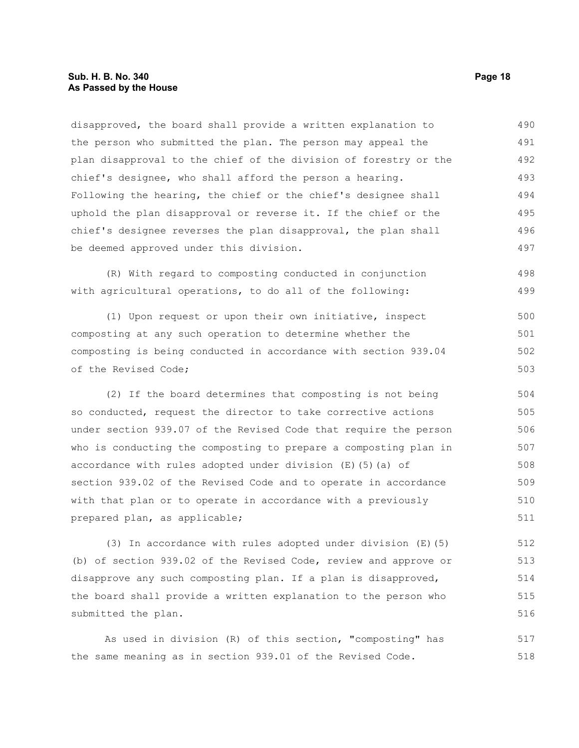disapproved, the board shall provide a written explanation to the person who submitted the plan. The person may appeal the plan disapproval to the chief of the division of forestry or the chief's designee, who shall afford the person a hearing. Following the hearing, the chief or the chief's designee shall uphold the plan disapproval or reverse it. If the chief or the chief's designee reverses the plan disapproval, the plan shall be deemed approved under this division. 490 491 492 493 494 495 496 497

(R) With regard to composting conducted in conjunction with agricultural operations, to do all of the following: 498 499

(1) Upon request or upon their own initiative, inspect composting at any such operation to determine whether the composting is being conducted in accordance with section 939.04 of the Revised Code; 500 501 502 503

(2) If the board determines that composting is not being so conducted, request the director to take corrective actions under section 939.07 of the Revised Code that require the person who is conducting the composting to prepare a composting plan in accordance with rules adopted under division (E)(5)(a) of section 939.02 of the Revised Code and to operate in accordance with that plan or to operate in accordance with a previously prepared plan, as applicable; 504 505 506 507 508 509 510 511

(3) In accordance with rules adopted under division (E)(5) (b) of section 939.02 of the Revised Code, review and approve or disapprove any such composting plan. If a plan is disapproved, the board shall provide a written explanation to the person who submitted the plan. 512 513 514 515 516

As used in division (R) of this section, "composting" has the same meaning as in section 939.01 of the Revised Code. 517 518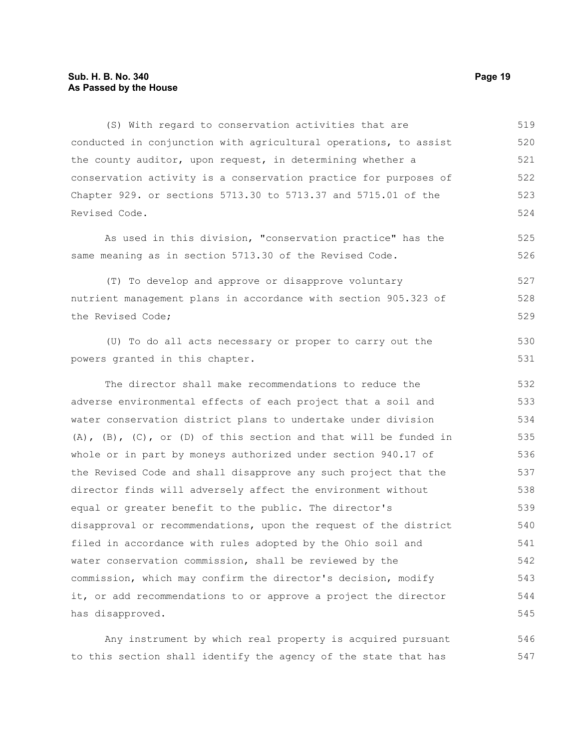## **Sub. H. B. No. 340 Page 19 As Passed by the House**

(S) With regard to conservation activities that are conducted in conjunction with agricultural operations, to assist the county auditor, upon request, in determining whether a conservation activity is a conservation practice for purposes of Chapter 929. or sections 5713.30 to 5713.37 and 5715.01 of the Revised Code. 519 520 521 522 523 524

As used in this division, "conservation practice" has the same meaning as in section 5713.30 of the Revised Code.

(T) To develop and approve or disapprove voluntary nutrient management plans in accordance with section 905.323 of the Revised Code; 527 528 529

(U) To do all acts necessary or proper to carry out the powers granted in this chapter.

The director shall make recommendations to reduce the adverse environmental effects of each project that a soil and water conservation district plans to undertake under division (A),  $(B)$ ,  $(C)$ , or  $(D)$  of this section and that will be funded in whole or in part by moneys authorized under section 940.17 of the Revised Code and shall disapprove any such project that the director finds will adversely affect the environment without equal or greater benefit to the public. The director's disapproval or recommendations, upon the request of the district filed in accordance with rules adopted by the Ohio soil and water conservation commission, shall be reviewed by the commission, which may confirm the director's decision, modify it, or add recommendations to or approve a project the director has disapproved. 532 533 534 535 536 537 538 539 540 541 542 543 544 545

Any instrument by which real property is acquired pursuant to this section shall identify the agency of the state that has 546 547

525 526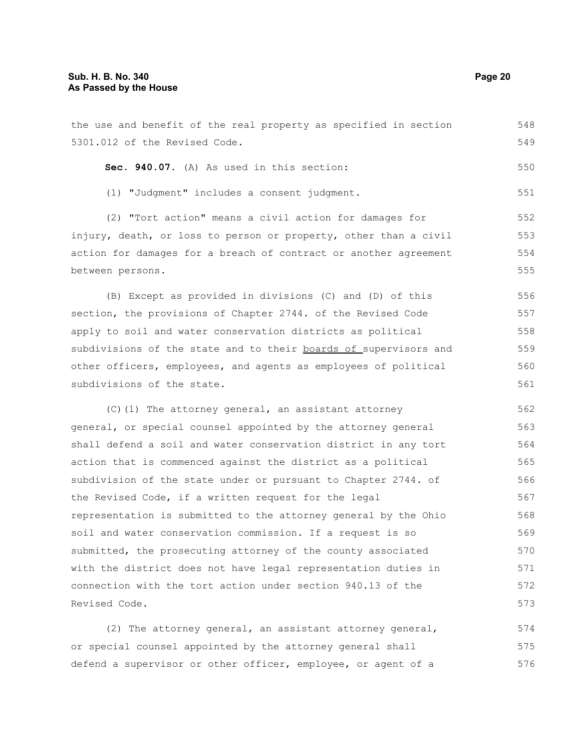5301.012 of the Revised Code. **Sec. 940.07.** (A) As used in this section: (1) "Judgment" includes a consent judgment. (2) "Tort action" means a civil action for damages for injury, death, or loss to person or property, other than a civil action for damages for a breach of contract or another agreement between persons. (B) Except as provided in divisions (C) and (D) of this section, the provisions of Chapter 2744. of the Revised Code apply to soil and water conservation districts as political subdivisions of the state and to their boards of supervisors and other officers, employees, and agents as employees of political subdivisions of the state. (C)(1) The attorney general, an assistant attorney general, or special counsel appointed by the attorney general shall defend a soil and water conservation district in any tort action that is commenced against the district as a political subdivision of the state under or pursuant to Chapter 2744. of the Revised Code, if a written request for the legal representation is submitted to the attorney general by the Ohio soil and water conservation commission. If a request is so submitted, the prosecuting attorney of the county associated with the district does not have legal representation duties in connection with the tort action under section 940.13 of the 549 550 551 552 553 554 555 556 557 558 559 560 561 562 563 564 565 566 567 568 569 570 571 572

the use and benefit of the real property as specified in section

Revised Code.

(2) The attorney general, an assistant attorney general, or special counsel appointed by the attorney general shall defend a supervisor or other officer, employee, or agent of a 574 575 576

548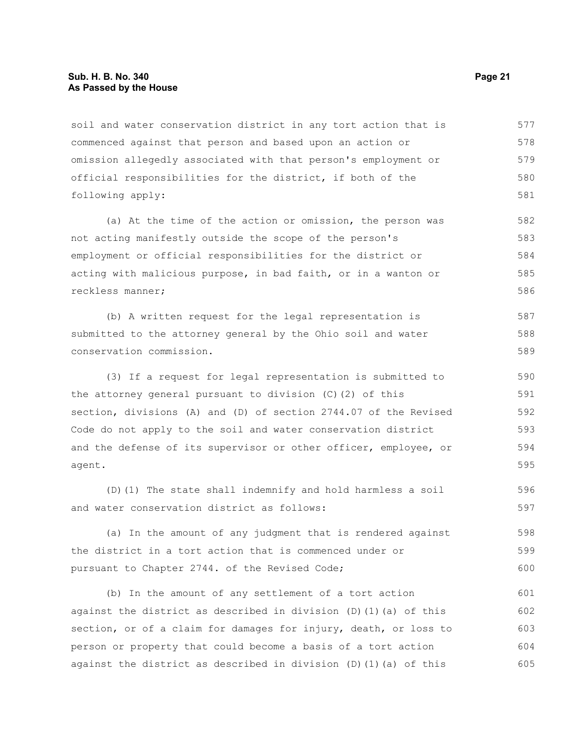## **Sub. H. B. No. 340 Page 21 As Passed by the House**

soil and water conservation district in any tort action that is commenced against that person and based upon an action or omission allegedly associated with that person's employment or official responsibilities for the district, if both of the following apply: 577 578 579 580 581

(a) At the time of the action or omission, the person was not acting manifestly outside the scope of the person's employment or official responsibilities for the district or acting with malicious purpose, in bad faith, or in a wanton or reckless manner; 582 583 584 585 586

(b) A written request for the legal representation is submitted to the attorney general by the Ohio soil and water conservation commission. 587 588 589

(3) If a request for legal representation is submitted to the attorney general pursuant to division (C)(2) of this section, divisions (A) and (D) of section 2744.07 of the Revised Code do not apply to the soil and water conservation district and the defense of its supervisor or other officer, employee, or agent. 590 591 592 593 594 595

(D)(1) The state shall indemnify and hold harmless a soil and water conservation district as follows: 596 597

(a) In the amount of any judgment that is rendered against the district in a tort action that is commenced under or pursuant to Chapter 2744. of the Revised Code; 598 599 600

(b) In the amount of any settlement of a tort action against the district as described in division (D)(1)(a) of this section, or of a claim for damages for injury, death, or loss to person or property that could become a basis of a tort action against the district as described in division (D)(1)(a) of this 601 602 603 604 605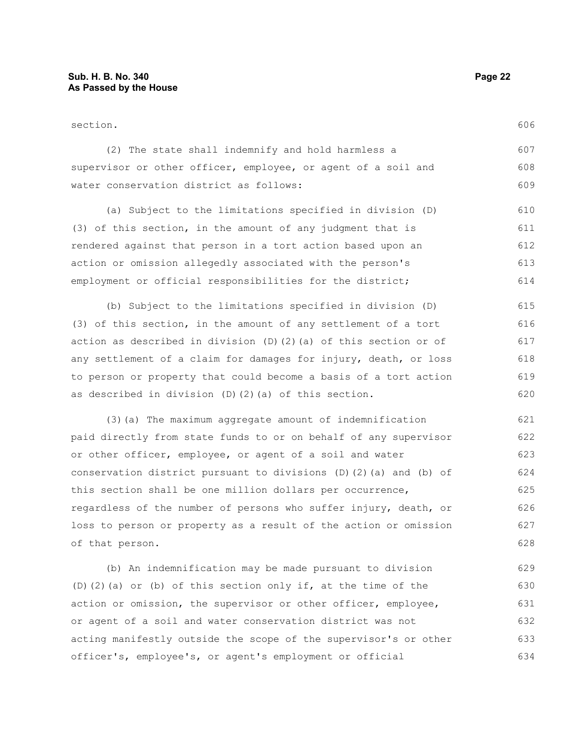| (2) The state shall indemnify and hold harmless a             | 607 |
|---------------------------------------------------------------|-----|
| supervisor or other officer, employee, or agent of a soil and | 608 |
| water conservation district as follows:                       | 609 |

(a) Subject to the limitations specified in division (D) (3) of this section, in the amount of any judgment that is rendered against that person in a tort action based upon an action or omission allegedly associated with the person's employment or official responsibilities for the district; 610 611 612 613 614

(b) Subject to the limitations specified in division (D) (3) of this section, in the amount of any settlement of a tort action as described in division (D)(2)(a) of this section or of any settlement of a claim for damages for injury, death, or loss to person or property that could become a basis of a tort action as described in division (D)(2)(a) of this section. 615 616 617 618 619 620

(3)(a) The maximum aggregate amount of indemnification paid directly from state funds to or on behalf of any supervisor or other officer, employee, or agent of a soil and water conservation district pursuant to divisions (D)(2)(a) and (b) of this section shall be one million dollars per occurrence, regardless of the number of persons who suffer injury, death, or loss to person or property as a result of the action or omission of that person. 621 622 623 624 625 626 627 628

(b) An indemnification may be made pursuant to division (D)(2)(a) or (b) of this section only if, at the time of the action or omission, the supervisor or other officer, employee, or agent of a soil and water conservation district was not acting manifestly outside the scope of the supervisor's or other officer's, employee's, or agent's employment or official 629 630 631 632 633 634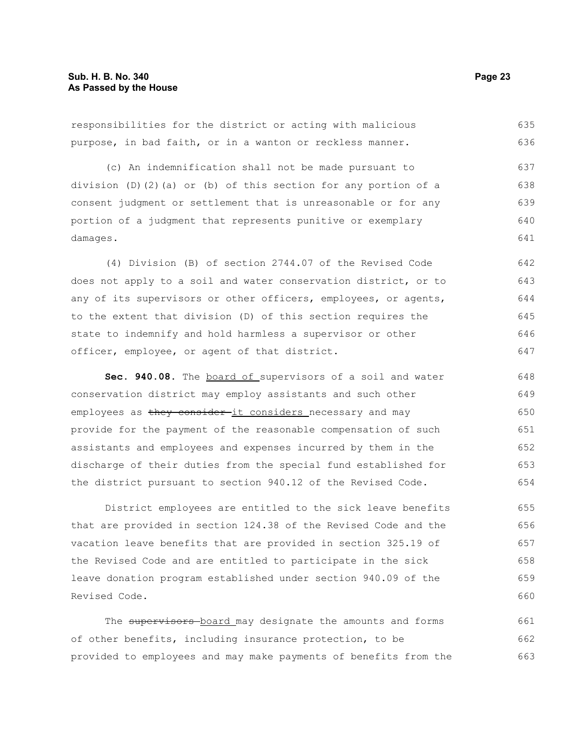responsibilities for the district or acting with malicious purpose, in bad faith, or in a wanton or reckless manner. (c) An indemnification shall not be made pursuant to division (D)(2)(a) or (b) of this section for any portion of a consent judgment or settlement that is unreasonable or for any portion of a judgment that represents punitive or exemplary damages. (4) Division (B) of section 2744.07 of the Revised Code does not apply to a soil and water conservation district, or to any of its supervisors or other officers, employees, or agents, to the extent that division (D) of this section requires the state to indemnify and hold harmless a supervisor or other officer, employee, or agent of that district. Sec. 940.08. The **board of** supervisors of a soil and water 635 636 637 638 639 640 641 642 643 644 645 646 647 648

conservation district may employ assistants and such other employees as they consider-it considers necessary and may provide for the payment of the reasonable compensation of such assistants and employees and expenses incurred by them in the discharge of their duties from the special fund established for the district pursuant to section 940.12 of the Revised Code. 649 650 651 652 653 654

District employees are entitled to the sick leave benefits that are provided in section 124.38 of the Revised Code and the vacation leave benefits that are provided in section 325.19 of the Revised Code and are entitled to participate in the sick leave donation program established under section 940.09 of the Revised Code. 655 656 657 658 659 660

The supervisors-board may designate the amounts and forms of other benefits, including insurance protection, to be provided to employees and may make payments of benefits from the 661 662 663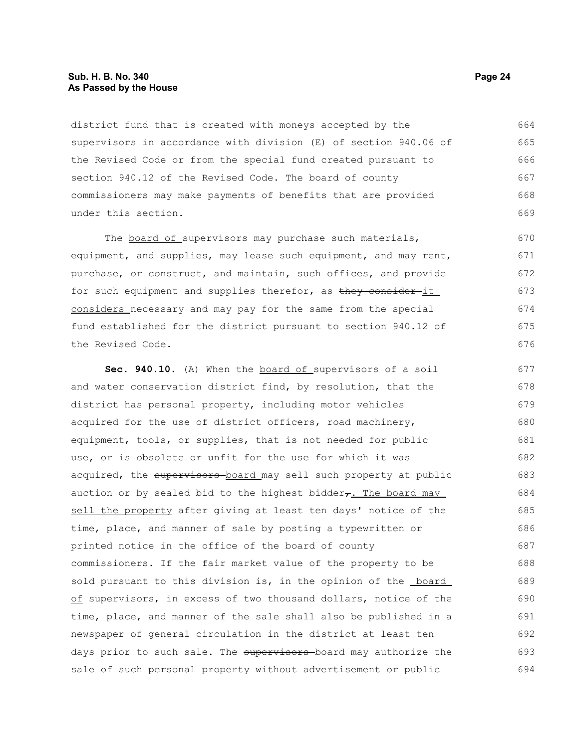## **Sub. H. B. No. 340 Page 24 As Passed by the House**

district fund that is created with moneys accepted by the supervisors in accordance with division (E) of section 940.06 of the Revised Code or from the special fund created pursuant to section 940.12 of the Revised Code. The board of county commissioners may make payments of benefits that are provided under this section. 664 665 666 667 668 669

The board of supervisors may purchase such materials, equipment, and supplies, may lease such equipment, and may rent, purchase, or construct, and maintain, such offices, and provide for such equipment and supplies therefor, as they consider it considers necessary and may pay for the same from the special fund established for the district pursuant to section 940.12 of the Revised Code. 671

**Sec. 940.10.** (A) When the board of supervisors of a soil and water conservation district find, by resolution, that the district has personal property, including motor vehicles acquired for the use of district officers, road machinery, equipment, tools, or supplies, that is not needed for public use, or is obsolete or unfit for the use for which it was acquired, the supervisors board may sell such property at public auction or by sealed bid to the highest bidder $\tau$ . The board may sell the property after giving at least ten days' notice of the time, place, and manner of sale by posting a typewritten or printed notice in the office of the board of county commissioners. If the fair market value of the property to be sold pursuant to this division is, in the opinion of the **board** of supervisors, in excess of two thousand dollars, notice of the time, place, and manner of the sale shall also be published in a newspaper of general circulation in the district at least ten days prior to such sale. The supervisors board may authorize the sale of such personal property without advertisement or public 677 678 679 680 681 682 683 684 685 686 687 688 689 690 691 692 693 694

670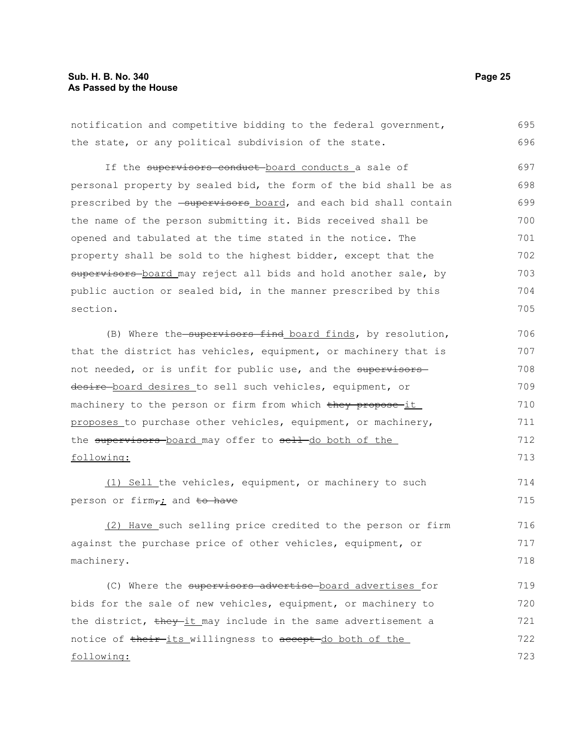notification and competitive bidding to the federal government, the state, or any political subdivision of the state. If the supervisors conduct-board conducts a sale of personal property by sealed bid, the form of the bid shall be as prescribed by the -supervisors board, and each bid shall contain the name of the person submitting it. Bids received shall be opened and tabulated at the time stated in the notice. The property shall be sold to the highest bidder, except that the supervisors board may reject all bids and hold another sale, by public auction or sealed bid, in the manner prescribed by this section. (B) Where the supervisors find board finds, by resolution, that the district has vehicles, equipment, or machinery that is not needed, or is unfit for public use, and the supervisors desire board desires to sell such vehicles, equipment, or machinery to the person or firm from which they propose-it proposes to purchase other vehicles, equipment, or machinery, the supervisors-board may offer to sell-do both of the 695 696 697 698 699 700 701 702 703 704 705 706 707 708 709 710 711 712

following:

(1) Sell the vehicles, equipment, or machinery to such person or firm $\tau$ ; and to have

(2) Have such selling price credited to the person or firm against the purchase price of other vehicles, equipment, or machinery.

(C) Where the supervisors advertise board advertises for bids for the sale of new vehicles, equipment, or machinery to the district, they it may include in the same advertisement a notice of their-its willingness to accept-do both of the following: 719 720 721 722 723

713

714 715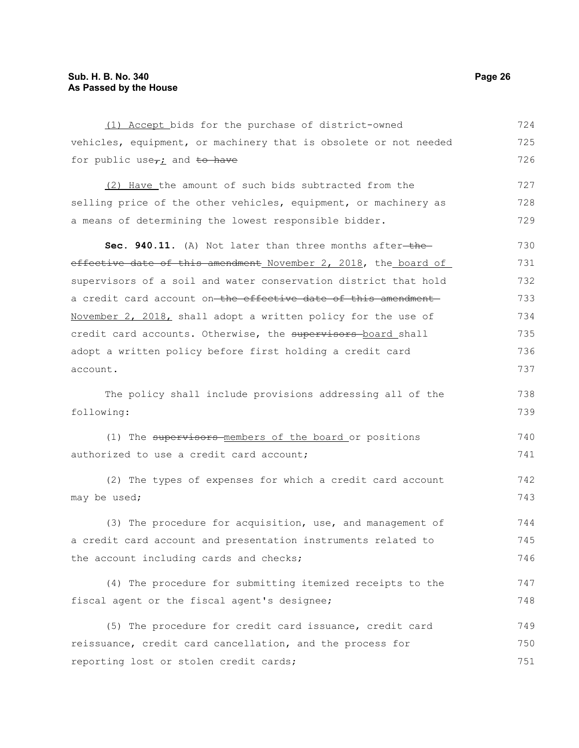| (1) Accept bids for the purchase of district-owned               | 724 |
|------------------------------------------------------------------|-----|
| vehicles, equipment, or machinery that is obsolete or not needed | 725 |
| for public use $\tau_i$ and to have                              | 726 |
| (2) Have the amount of such bids subtracted from the             | 727 |
| selling price of the other vehicles, equipment, or machinery as  | 728 |
| a means of determining the lowest responsible bidder.            | 729 |
|                                                                  |     |
| Sec. 940.11. (A) Not later than three months after-the-          | 730 |
| effective date of this amendment November 2, 2018, the board of  | 731 |
| supervisors of a soil and water conservation district that hold  | 732 |
| a credit card account on the effective date of this amendment    | 733 |
| November 2, 2018, shall adopt a written policy for the use of    | 734 |
| credit card accounts. Otherwise, the supervisors-board shall     | 735 |
| adopt a written policy before first holding a credit card        | 736 |
| account.                                                         | 737 |
| The policy shall include provisions addressing all of the        | 738 |
| following:                                                       | 739 |
|                                                                  |     |
| (1) The supervisors-members of the board or positions            | 740 |
| authorized to use a credit card account;                         | 741 |
| (2) The types of expenses for which a credit card account        | 742 |
| may be used;                                                     | 743 |
| (3) The procedure for acquisition, use, and management of        | 744 |
| a credit card account and presentation instruments related to    | 745 |
| the account including cards and checks;                          | 746 |
| (4) The procedure for submitting itemized receipts to the        | 747 |
| fiscal agent or the fiscal agent's designee;                     | 748 |
|                                                                  |     |
| (5) The procedure for credit card issuance, credit card          | 749 |
| reissuance, credit card cancellation, and the process for        | 750 |
| reporting lost or stolen credit cards;                           | 751 |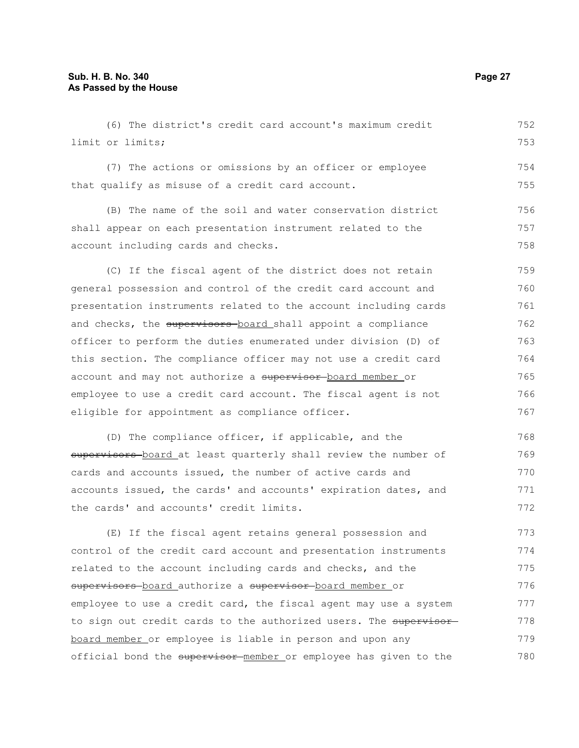| (6) The district's credit card account's maximum credit          | 752 |
|------------------------------------------------------------------|-----|
| limit or limits;                                                 | 753 |
| (7) The actions or omissions by an officer or employee           | 754 |
| that qualify as misuse of a credit card account.                 | 755 |
| (B) The name of the soil and water conservation district         | 756 |
| shall appear on each presentation instrument related to the      | 757 |
| account including cards and checks.                              | 758 |
| (C) If the fiscal agent of the district does not retain          | 759 |
| general possession and control of the credit card account and    | 760 |
| presentation instruments related to the account including cards  | 761 |
| and checks, the supervisors-board shall appoint a compliance     | 762 |
| officer to perform the duties enumerated under division (D) of   | 763 |
| this section. The compliance officer may not use a credit card   | 764 |
| account and may not authorize a supervisor board member or       | 765 |
| employee to use a credit card account. The fiscal agent is not   | 766 |
| eligible for appointment as compliance officer.                  | 767 |
| (D) The compliance officer, if applicable, and the               | 768 |
| supervisors board at least quarterly shall review the number of  | 769 |
| cards and accounts issued, the number of active cards and        | 770 |
| accounts issued, the cards' and accounts' expiration dates, and  | 771 |
| the cards' and accounts' credit limits.                          | 772 |
| (E) If the fiscal agent retains general possession and           | 773 |
| control of the credit card account and presentation instruments  | 774 |
| related to the account including cards and checks, and the       | 775 |
| supervisors board authorize a supervisor board member or         | 776 |
| employee to use a credit card, the fiscal agent may use a system | 777 |
| to sign out credit cards to the authorized users. The supervisor | 778 |
| board member or employee is liable in person and upon any        | 779 |
| official bond the supervisor member or employee has given to the | 780 |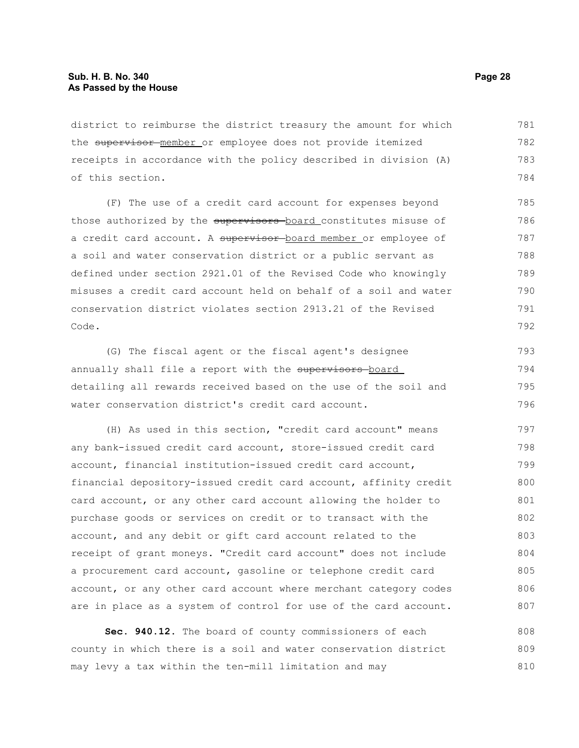district to reimburse the district treasury the amount for which the supervisor member or employee does not provide itemized receipts in accordance with the policy described in division (A) of this section. 781 782 783 784

(F) The use of a credit card account for expenses beyond those authorized by the supervisors board constitutes misuse of a credit card account. A supervisor board member or employee of a soil and water conservation district or a public servant as defined under section 2921.01 of the Revised Code who knowingly misuses a credit card account held on behalf of a soil and water conservation district violates section 2913.21 of the Revised Code.

(G) The fiscal agent or the fiscal agent's designee annually shall file a report with the supervisors board detailing all rewards received based on the use of the soil and water conservation district's credit card account. 793 794 795 796

(H) As used in this section, "credit card account" means any bank-issued credit card account, store-issued credit card account, financial institution-issued credit card account, financial depository-issued credit card account, affinity credit card account, or any other card account allowing the holder to purchase goods or services on credit or to transact with the account, and any debit or gift card account related to the receipt of grant moneys. "Credit card account" does not include a procurement card account, gasoline or telephone credit card account, or any other card account where merchant category codes are in place as a system of control for use of the card account. 797 798 799 800 801 802 803 804 805 806 807

**Sec. 940.12.** The board of county commissioners of each county in which there is a soil and water conservation district may levy a tax within the ten-mill limitation and may 808 809 810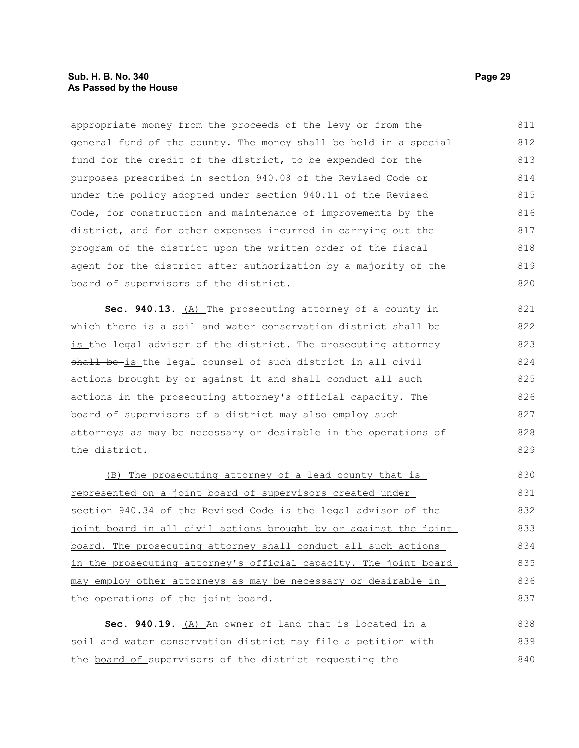appropriate money from the proceeds of the levy or from the general fund of the county. The money shall be held in a special fund for the credit of the district, to be expended for the purposes prescribed in section 940.08 of the Revised Code or under the policy adopted under section 940.11 of the Revised Code, for construction and maintenance of improvements by the district, and for other expenses incurred in carrying out the program of the district upon the written order of the fiscal agent for the district after authorization by a majority of the board of supervisors of the district. 811 812 813 814 815 816 817 818 819 820

**Sec. 940.13.** (A) The prosecuting attorney of a county in which there is a soil and water conservation district shall beis the legal adviser of the district. The prosecuting attorney shall be-is the legal counsel of such district in all civil actions brought by or against it and shall conduct all such actions in the prosecuting attorney's official capacity. The board of supervisors of a district may also employ such attorneys as may be necessary or desirable in the operations of the district. 821 822 823 824 825 826 827 828 829

(B) The prosecuting attorney of a lead county that is represented on a joint board of supervisors created under section 940.34 of the Revised Code is the legal advisor of the joint board in all civil actions brought by or against the joint board. The prosecuting attorney shall conduct all such actions in the prosecuting attorney's official capacity. The joint board may employ other attorneys as may be necessary or desirable in the operations of the joint board. 830 831 832 833 834 835 836 837

Sec. 940.19. (A) An owner of land that is located in a soil and water conservation district may file a petition with the board of supervisors of the district requesting the 838 839 840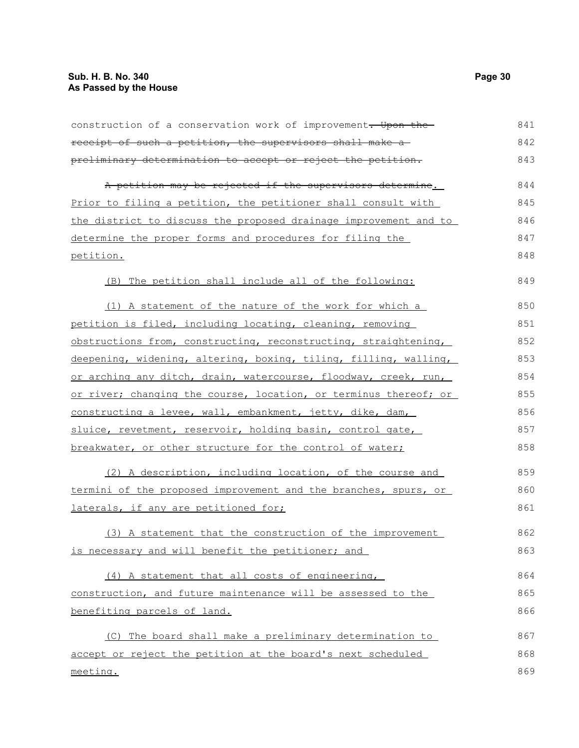| construction of a conservation work of improvement. Upon the     | 841 |
|------------------------------------------------------------------|-----|
| receipt of such a petition, the supervisors shall make a         | 842 |
| preliminary determination to accept or reject the petition.      | 843 |
| A petition may be rejected if the supervisors determine.         | 844 |
| Prior to filing a petition, the petitioner shall consult with    | 845 |
| the district to discuss the proposed drainage improvement and to | 846 |
| determine the proper forms and procedures for filing the         | 847 |
| petition.                                                        | 848 |
| (B) The petition shall include all of the following:             | 849 |
| (1) A statement of the nature of the work for which a            | 850 |
| petition is filed, including locating, cleaning, removing        | 851 |
| obstructions from, constructing, reconstructing, straightening,  | 852 |
| deepening, widening, altering, boxing, tiling, filling, walling, | 853 |
| or arching any ditch, drain, watercourse, floodway, creek, run,  | 854 |
| or river; changing the course, location, or terminus thereof; or | 855 |
| constructing a levee, wall, embankment, jetty, dike, dam,        | 856 |
| sluice, revetment, reservoir, holding basin, control gate,       | 857 |
| breakwater, or other structure for the control of water;         | 858 |
| (2) A description, including location, of the course and         | 859 |
| termini of the proposed improvement and the branches, spurs, or  | 860 |
| laterals, if any are petitioned for;                             | 861 |
| (3) A statement that the construction of the improvement         | 862 |
| is necessary and will benefit the petitioner; and                | 863 |
| (4) A statement that all costs of engineering,                   | 864 |
| construction, and future maintenance will be assessed to the     | 865 |
| benefiting parcels of land.                                      | 866 |
| (C) The board shall make a preliminary determination to          | 867 |
| accept or reject the petition at the board's next scheduled      | 868 |
| meeting.                                                         | 869 |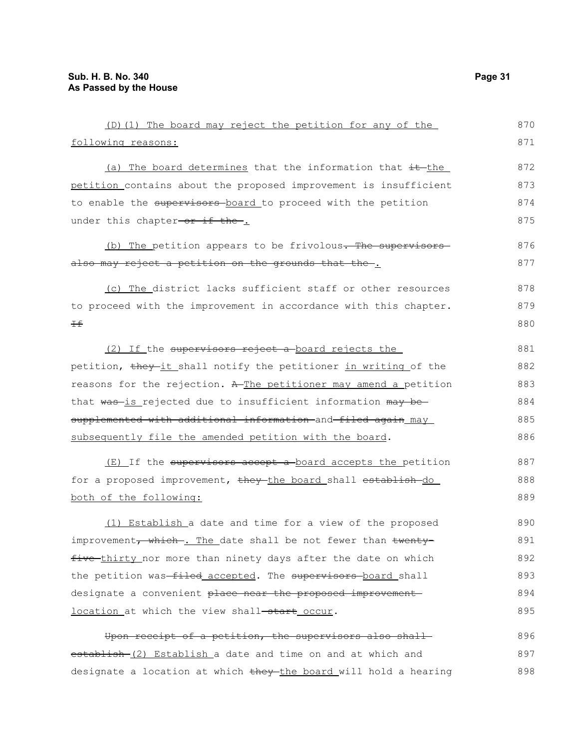following reasons:

| $(D)$ (1) The board may reject the petition for any of the           |
|----------------------------------------------------------------------|
| ving reasons:                                                        |
| (a) The board determines that the information that $\pm\text{-}$ the |
|                                                                      |

petition contains about the proposed improvement is insufficient to enable the supervisors board to proceed with the petition under this chapter-or if the. 873 874 875 876

(b) The petition appears to be frivolous. The supervisorsalso may reject a petition on the grounds that the . 877

(c) The district lacks sufficient staff or other resources to proceed with the improvement in accordance with this chapter.  $\pm$ 878 879 880

(2) If the supervisors reject a board rejects the petition, they it shall notify the petitioner in writing of the reasons for the rejection. A The petitioner may amend a petition that was-is rejected due to insufficient information may besupplemented with additional information and filed again may subsequently file the amended petition with the board. 881 882 883 884 885 886

(E) If the supervisors accept a board accepts the petition for a proposed improvement, they the board shall establish do both of the following: 887 888 889

(1) Establish a date and time for a view of the proposed improvement, which . The date shall be not fewer than twentyfive thirty nor more than ninety days after the date on which the petition was-filed accepted. The supervisors-board shall designate a convenient place near the proposed improvement location at which the view shall-start occur. 890 891 892 893 894 895

Upon receipt of a petition, the supervisors also shallestablish (2) Establish a date and time on and at which and designate a location at which they the board will hold a hearing 896 897 898

870 871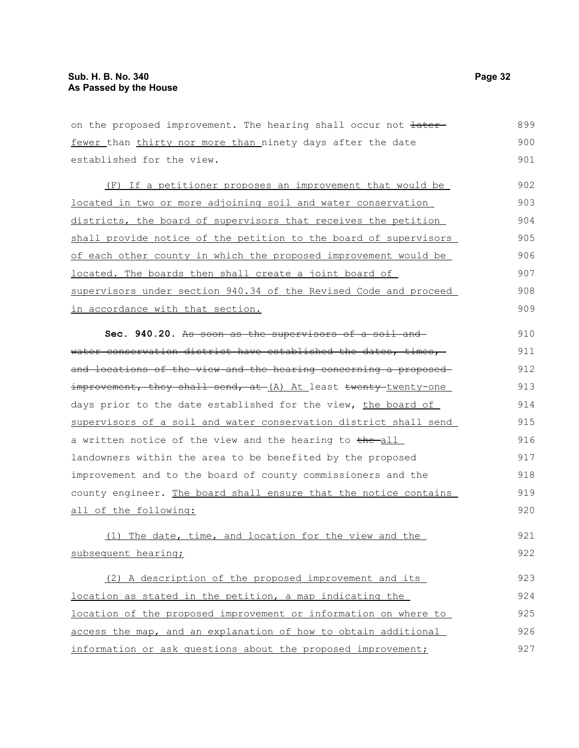on the proposed improvement. The hearing shall occur not  $\frac{1}{1}$ fewer than thirty nor more than ninety days after the date established for the view. (F) If a petitioner proposes an improvement that would be located in two or more adjoining soil and water conservation districts, the board of supervisors that receives the petition shall provide notice of the petition to the board of supervisors of each other county in which the proposed improvement would be located. The boards then shall create a joint board of supervisors under section 940.34 of the Revised Code and proceed in accordance with that section. **Sec. 940.20.** As soon as the supervisors of a soil and water conservation district have established the dates, times, and locations of the view and the hearing concerning a proposedimprovement, they shall send, at (A) At least twenty twenty-one days prior to the date established for the view, the board of supervisors of a soil and water conservation district shall send a written notice of the view and the hearing to the-all landowners within the area to be benefited by the proposed improvement and to the board of county commissioners and the county engineer. The board shall ensure that the notice contains all of the following: (1) The date, time, and location for the view and the subsequent hearing; (2) A description of the proposed improvement and its location as stated in the petition, a map indicating the location of the proposed improvement or information on where to 899 900 901 902 903 904 905 906 907 908 909 910 911 912 913 914 915 916 917 918 919 920 921 922 923 924 925

access the map, and an explanation of how to obtain additional information or ask questions about the proposed improvement; 926 927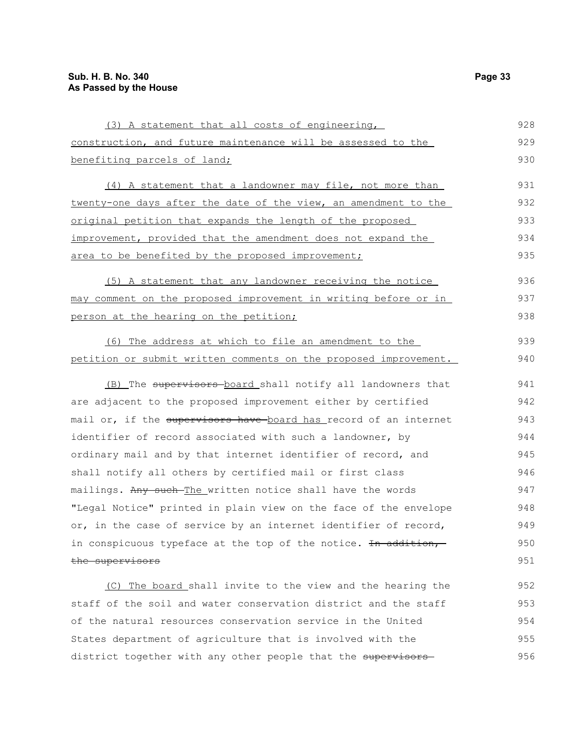| (3) A statement that all costs of engineering,                   | 928 |
|------------------------------------------------------------------|-----|
| construction, and future maintenance will be assessed to the     | 929 |
| benefiting parcels of land;                                      | 930 |
| (4) A statement that a landowner may file, not more than         | 931 |
| twenty-one days after the date of the view, an amendment to the  | 932 |
| original petition that expands the length of the proposed        | 933 |
| improvement, provided that the amendment does not expand the     | 934 |
| area to be benefited by the proposed improvement;                | 935 |
| (5) A statement that any landowner receiving the notice          | 936 |
| may comment on the proposed improvement in writing before or in  | 937 |
| person at the hearing on the petition;                           | 938 |
| (6) The address at which to file an amendment to the             | 939 |
| petition or submit written comments on the proposed improvement. | 940 |
| (B) The supervisors board shall notify all landowners that       | 941 |
| are adjacent to the proposed improvement either by certified     | 942 |
| mail or, if the supervisors have board has record of an internet | 943 |
| identifier of record associated with such a landowner, by        | 944 |
| ordinary mail and by that internet identifier of record, and     | 945 |
| shall notify all others by certified mail or first class         | 946 |
| mailings. Any such-The written notice shall have the words       | 947 |
| "Legal Notice" printed in plain view on the face of the envelope | 948 |
| or, in the case of service by an internet identifier of record,  | 949 |
| in conspicuous typeface at the top of the notice. In addition,   | 950 |
| the supervisors                                                  | 951 |
| (C) The board shall invite to the view and the hearing the       | 952 |
| staff of the soil and water conservation district and the staff  | 953 |
| of the natural resources conservation service in the United      | 954 |
| States department of agriculture that is involved with the       | 955 |

district together with any other people that the supervisors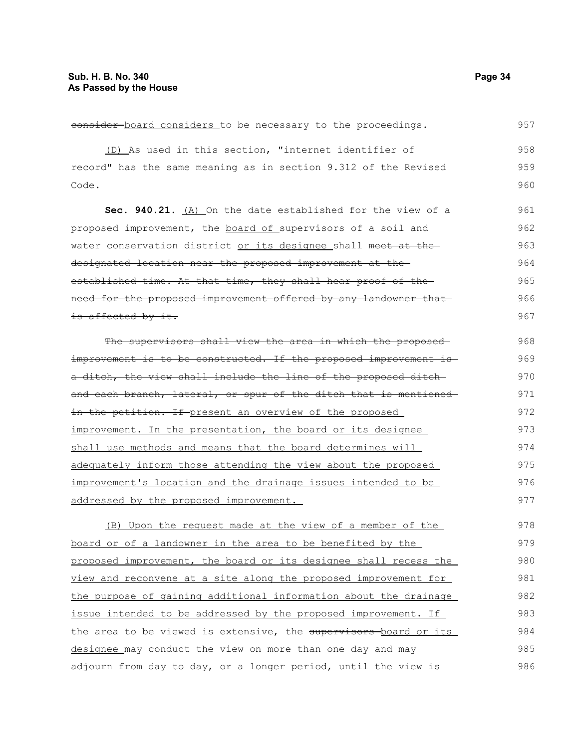consider board considers to be necessary to the proceedings. (D) As used in this section, "internet identifier of record" has the same meaning as in section 9.312 of the Revised Code. **Sec. 940.21.** (A) On the date established for the view of a proposed improvement, the board of supervisors of a soil and water conservation district or its designee shall meet at the designated location near the proposed improvement at the established time. At that time, they shall hear proof of the need for the proposed improvement offered by any landowner that is affected by it. The supervisors shall view the area in which the proposed improvement is to be constructed. If the proposed improvement is a ditch, the view shall include the line of the proposed ditch and each branch, lateral, or spur of the ditch that is mentioned in the petition. If present an overview of the proposed improvement. In the presentation, the board or its designee shall use methods and means that the board determines will adequately inform those attending the view about the proposed improvement's location and the drainage issues intended to be addressed by the proposed improvement. (B) Upon the request made at the view of a member of the board or of a landowner in the area to be benefited by the proposed improvement, the board or its designee shall recess the view and reconvene at a site along the proposed improvement for the purpose of gaining additional information about the drainage issue intended to be addressed by the proposed improvement. If the area to be viewed is extensive, the supervisors board or its designee may conduct the view on more than one day and may adjourn from day to day, or a longer period, until the view is 957 958 959 960 961 962 963 964 965 966 967 968 969 970 971 972 973 974 975 976 977 978 979 980 981 982 983 984 985 986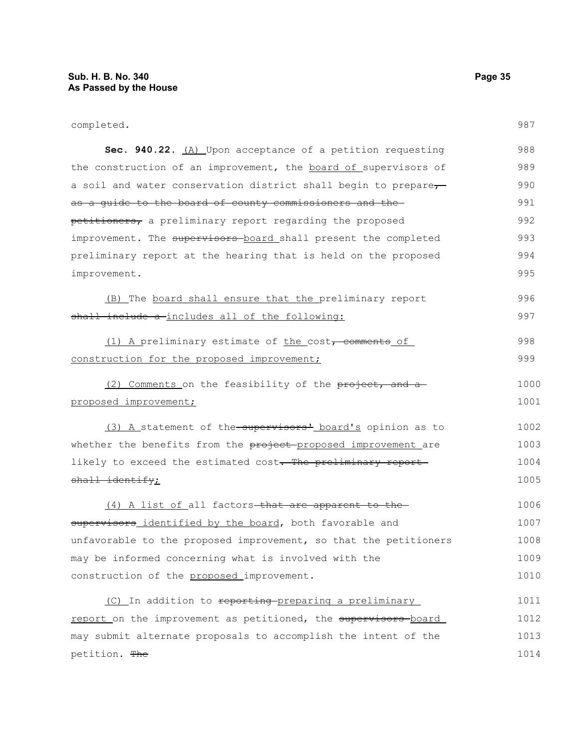| completed.                                                       | 987  |
|------------------------------------------------------------------|------|
| Sec. 940.22. (A) Upon acceptance of a petition requesting        | 988  |
| the construction of an improvement, the board of supervisors of  | 989  |
| a soil and water conservation district shall begin to prepare-   | 990  |
| as a guide to the board of county commissioners and the          | 991  |
| petitioners, a preliminary report regarding the proposed         | 992  |
| improvement. The supervisors board shall present the completed   | 993  |
| preliminary report at the hearing that is held on the proposed   | 994  |
| improvement.                                                     | 995  |
| (B) The board shall ensure that the preliminary report           | 996  |
| shall include a includes all of the following:                   | 997  |
| (1) A preliminary estimate of the cost, comments of              | 998  |
| construction for the proposed improvement;                       | 999  |
| (2) Comments on the feasibility of the project, and a-           | 1000 |
| proposed improvement;                                            | 1001 |
| (3) A statement of the supervisors' board's opinion as to        | 1002 |
| whether the benefits from the project proposed improvement are   | 1003 |
| likely to exceed the estimated cost. The preliminary report      | 1004 |
| $shall-identify;$                                                | 1005 |
| (4) A list of all factors-that are apparent to the-              | 1006 |
| supervisors identified by the board, both favorable and          | 1007 |
| unfavorable to the proposed improvement, so that the petitioners | 1008 |
| may be informed concerning what is involved with the             | 1009 |
| construction of the proposed improvement.                        | 1010 |
| (C) In addition to reporting preparing a preliminary             | 1011 |
|                                                                  |      |

report on the improvement as petitioned, the supervisors board may submit alternate proposals to accomplish the intent of the petition. The 1012 1013 1014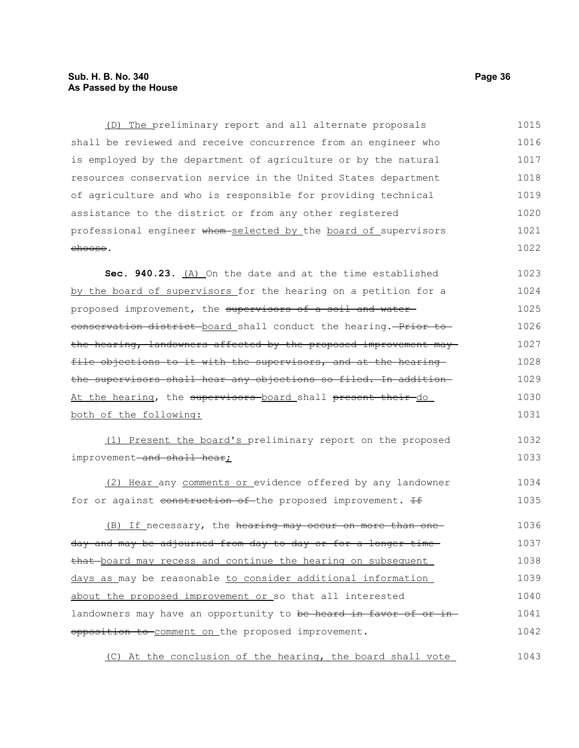## **Sub. H. B. No. 340 Page 36 As Passed by the House**

(D) The preliminary report and all alternate proposals shall be reviewed and receive concurrence from an engineer who is employed by the department of agriculture or by the natural resources conservation service in the United States department of agriculture and who is responsible for providing technical assistance to the district or from any other registered professional engineer whom selected by the board of supervisors choose. 1015 1016 1017 1018 1019 1020 1021 1022

**Sec. 940.23.** (A) On the date and at the time established by the board of supervisors for the hearing on a petition for a proposed improvement, the supervisors of a soil and watereonservation district board shall conduct the hearing. Prior to the hearing, landowners affected by the proposed improvement may file objections to it with the supervisors, and at the hearingthe supervisors shall hear any objections so filed. In addition At the hearing, the supervisors board shall present their do both of the following: 1023 1024 1025 1026 1027 1028 1029 1030 1031

(1) Present the board's preliminary report on the proposed improvement-and shall hear; 1032 1033

(2) Hear any comments or evidence offered by any landowner for or against construction of the proposed improvement. If 1034 1035

(B) If necessary, the hearing may occur on more than one day and may be adjourned from day to day or for a longer time that board may recess and continue the hearing on subsequent days as may be reasonable to consider additional information about the proposed improvement or so that all interested landowners may have an opportunity to be heard in favor of or inopposition to comment on the proposed improvement. 1036 1037 1038 1039 1040 1041 1042

(C) At the conclusion of the hearing, the board shall vote 1043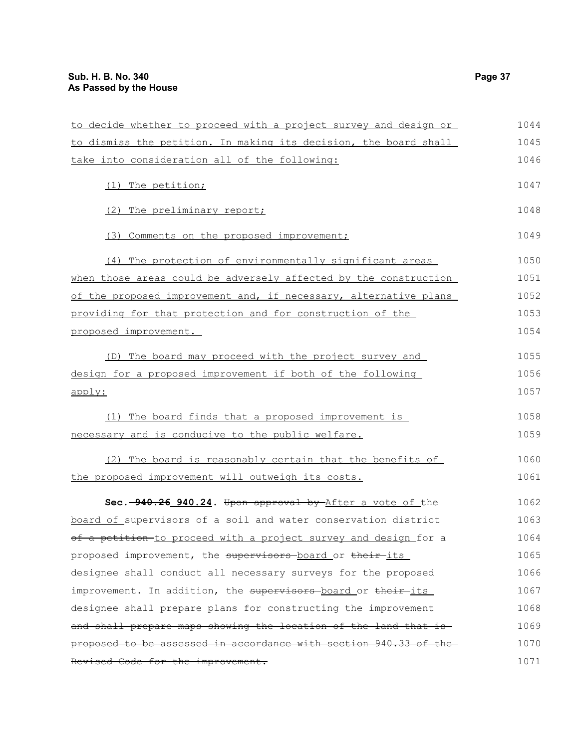| to decide whether to proceed with a project survey and design or | 1044 |
|------------------------------------------------------------------|------|
| to dismiss the petition. In making its decision, the board shall | 1045 |
| take into consideration all of the following:                    | 1046 |
| (1) The petition;                                                | 1047 |
| (2) The preliminary report;                                      | 1048 |
| (3) Comments on the proposed improvement;                        | 1049 |
| (4) The protection of environmentally significant areas          | 1050 |
| when those areas could be adversely affected by the construction | 1051 |
| of the proposed improvement and, if necessary, alternative plans | 1052 |
| providing for that protection and for construction of the        | 1053 |
| proposed improvement.                                            | 1054 |
| (D) The board may proceed with the project survey and            | 1055 |
| design for a proposed improvement if both of the following       | 1056 |
| apply:                                                           | 1057 |
| (1) The board finds that a proposed improvement is               | 1058 |
| necessary and is conducive to the public welfare.                | 1059 |
| (2) The board is reasonably certain that the benefits of         | 1060 |
| the proposed improvement will outweigh its costs.                | 1061 |
| Sec. -940.26 940.24. Upon approval by After a vote of the        | 1062 |
| board of supervisors of a soil and water conservation district   | 1063 |
| of a petition-to proceed with a project survey and design for a  | 1064 |
| proposed improvement, the supervisors board or their its         | 1065 |
| designee shall conduct all necessary surveys for the proposed    | 1066 |
| improvement. In addition, the supervisors board or their its     | 1067 |
| designee shall prepare plans for constructing the improvement    | 1068 |
| and shall prepare maps showing the location of the land that is  | 1069 |
| proposed to be assessed in accordance with section 940.33 of the | 1070 |
| Revised Code for the improvement.                                | 1071 |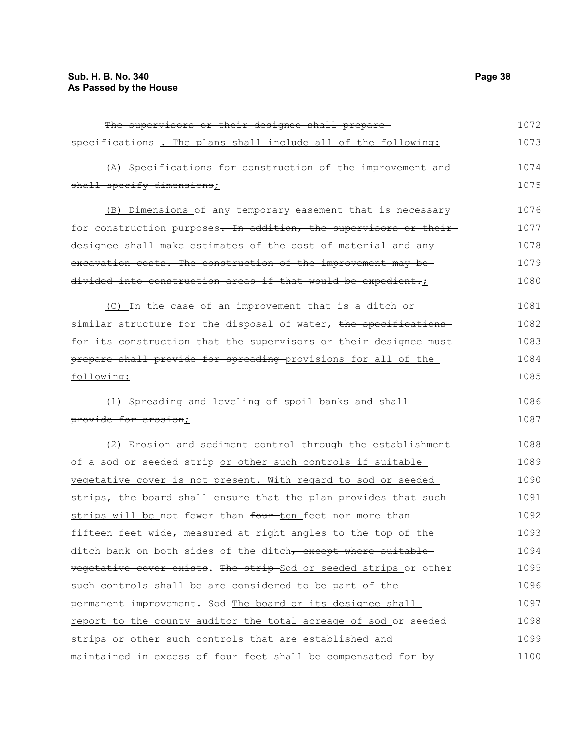| The supervisors or their designee shall prepare-                         | 1072 |
|--------------------------------------------------------------------------|------|
| specifications-. The plans shall include all of the following:           | 1073 |
| (A) Specifications for construction of the improvement-and-              | 1074 |
| shall specify dimensions;                                                | 1075 |
| (B) Dimensions of any temporary easement that is necessary               | 1076 |
| for construction purposes. In addition, the supervisors or their         | 1077 |
| designee shall make estimates of the cost of material and any            | 1078 |
| excavation costs. The construction of the improvement may be-            | 1079 |
| divided into construction areas if that would be expedient.;             | 1080 |
| (C) In the case of an improvement that is a ditch or                     | 1081 |
| similar structure for the disposal of water, the specifications-         | 1082 |
| for its construction that the supervisors or their designee must-        | 1083 |
| prepare shall provide for spreading provisions for all of the            | 1084 |
| following:                                                               | 1085 |
| (1) Spreading and leveling of spoil banks-and shall-                     | 1086 |
| provide for erosion;                                                     | 1087 |
| (2) Erosion and sediment control through the establishment               | 1088 |
| of a sod or seeded strip or other such controls if suitable              | 1089 |
| vegetative cover is not present. With regard to sod or seeded            | 1090 |
| strips, the board shall ensure that the plan provides that such          | 1091 |
| strips will be not fewer than four-ten feet nor more than                | 1092 |
| fifteen feet wide, measured at right angles to the top of the            | 1093 |
| ditch bank on both sides of the ditch <del>, except where suitable</del> | 1094 |
| vegetative cover exists. The strip Sod or seeded strips or other         | 1095 |
| such controls shall be are considered to be part of the                  | 1096 |
| permanent improvement. Sod-The board or its designee shall               | 1097 |
| report to the county auditor the total acreage of sod or seeded          | 1098 |
| strips or other such controls that are established and                   | 1099 |
| maintained in excess of four feet shall be compensated for by-           | 1100 |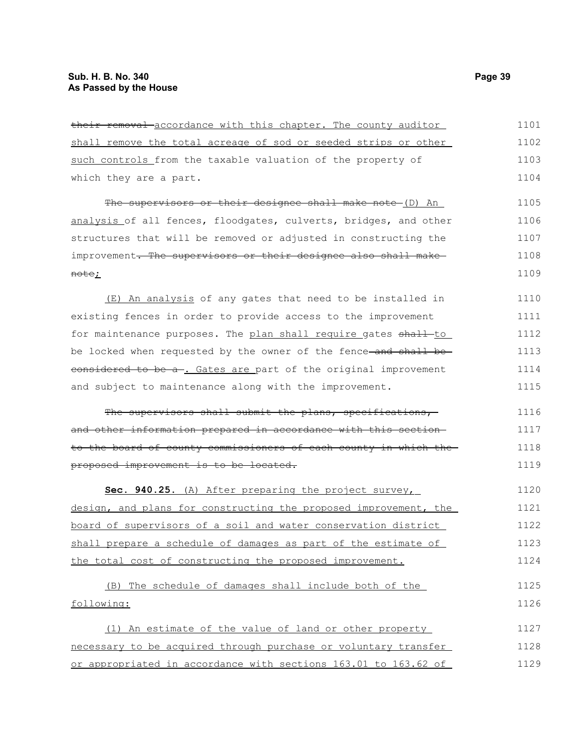| their removal accordance with this chapter. The county auditor   | 1101 |
|------------------------------------------------------------------|------|
| shall remove the total acreage of sod or seeded strips or other  | 1102 |
| such controls from the taxable valuation of the property of      | 1103 |
| which they are a part.                                           | 1104 |
| The supervisors or their designee shall make note (D) An         | 1105 |
| analysis of all fences, floodgates, culverts, bridges, and other | 1106 |
| structures that will be removed or adjusted in constructing the  | 1107 |
| improvement. The supervisors or their designee also shall make   | 1108 |
| <del>note</del> ;                                                | 1109 |
| (E) An analysis of any gates that need to be installed in        | 1110 |
| existing fences in order to provide access to the improvement    | 1111 |
| for maintenance purposes. The plan shall require gates shall-to  | 1112 |
| be locked when requested by the owner of the fence-and shall be- | 1113 |
| considered to be a-. Gates are part of the original improvement  | 1114 |
| and subject to maintenance along with the improvement.           | 1115 |
| The supervisors shall submit the plans, specifications,          | 1116 |
| and other information prepared in accordance with this section-  | 1117 |
| to the board of county commissioners of each county in which the | 1118 |
| proposed improvement is to be located.                           | 1119 |
| Sec. 940.25. (A) After preparing the project survey,             | 1120 |
| design, and plans for constructing the proposed improvement, the | 1121 |
| board of supervisors of a soil and water conservation district   | 1122 |
| shall prepare a schedule of damages as part of the estimate of   | 1123 |
| the total cost of constructing the proposed improvement.         | 1124 |
| (B) The schedule of damages shall include both of the            | 1125 |
| following:                                                       | 1126 |
| (1) An estimate of the value of land or other property           | 1127 |
| necessary to be acquired through purchase or voluntary transfer  | 1128 |
| or appropriated in accordance with sections 163.01 to 163.62 of  | 1129 |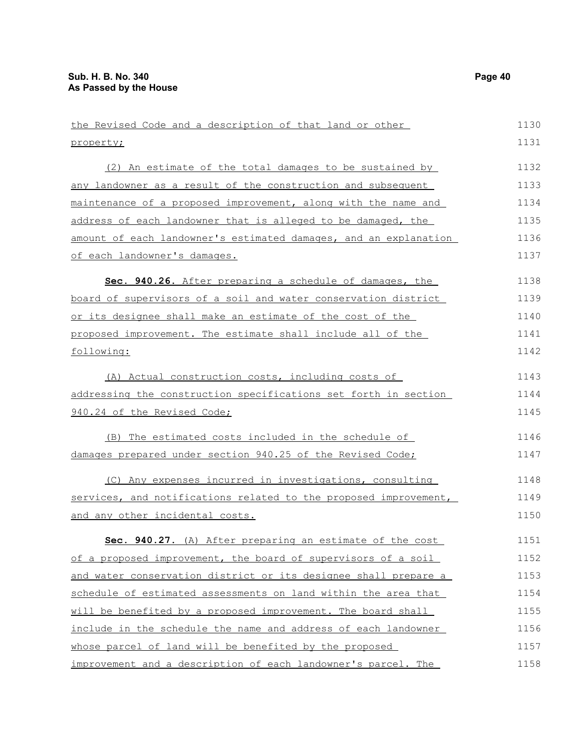the Revised Code and a description of that land or other property; (2) An estimate of the total damages to be sustained by any landowner as a result of the construction and subsequent maintenance of a proposed improvement, along with the name and address of each landowner that is alleged to be damaged, the amount of each landowner's estimated damages, and an explanation of each landowner's damages. **Sec. 940.26.** After preparing a schedule of damages, the board of supervisors of a soil and water conservation district or its designee shall make an estimate of the cost of the proposed improvement. The estimate shall include all of the following: (A) Actual construction costs, including costs of addressing the construction specifications set forth in section 940.24 of the Revised Code; (B) The estimated costs included in the schedule of damages prepared under section 940.25 of the Revised Code; (C) Any expenses incurred in investigations, consulting services, and notifications related to the proposed improvement, and any other incidental costs. **Sec. 940.27.** (A) After preparing an estimate of the cost of a proposed improvement, the board of supervisors of a soil and water conservation district or its designee shall prepare a schedule of estimated assessments on land within the area that will be benefited by a proposed improvement. The board shall include in the schedule the name and address of each landowner whose parcel of land will be benefited by the proposed improvement and a description of each landowner's parcel. The 1130 1131 1132 1133 1134 1135 1136 1137 1138 1139 1140 1141 1142 1143 1144 1145 1146 1147 1148 1149 1150 1151 1152 1153 1154 1155 1156 1157 1158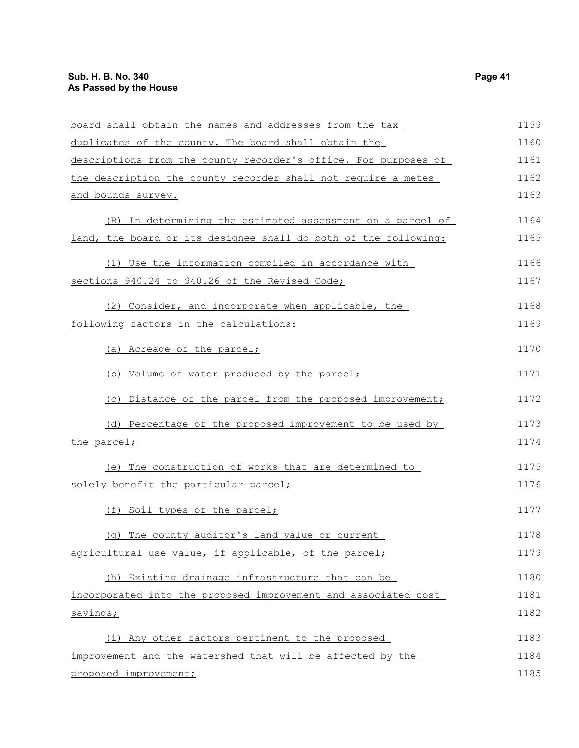| board shall obtain the names and addresses from the tax         | 1159 |
|-----------------------------------------------------------------|------|
| duplicates of the county. The board shall obtain the            | 1160 |
| descriptions from the county recorder's office. For purposes of | 1161 |
| the description the county recorder shall not require a metes   | 1162 |
| and bounds survey.                                              | 1163 |
| (B) In determining the estimated assessment on a parcel of      | 1164 |
| land, the board or its designee shall do both of the following: | 1165 |
| (1) Use the information compiled in accordance with             | 1166 |
| sections 940.24 to 940.26 of the Revised Code;                  | 1167 |
| (2) Consider, and incorporate when applicable, the              | 1168 |
| following factors in the calculations:                          | 1169 |
| (a) Acreage of the parcel;                                      | 1170 |
| (b) Volume of water produced by the parcel;                     | 1171 |
| (c) Distance of the parcel from the proposed improvement;       | 1172 |
| (d) Percentage of the proposed improvement to be used by        | 1173 |
| the parcel;                                                     | 1174 |
| (e) The construction of works that are determined to            | 1175 |
| solely benefit the particular parcel;                           | 1176 |
| (f) Soil types of the parcel;                                   | 1177 |
| (g) The county auditor's land value or current                  | 1178 |
| agricultural use value, if applicable, of the parcel;           | 1179 |
| (h) Existing drainage infrastructure that can be                | 1180 |
| incorporated into the proposed improvement and associated cost  | 1181 |
| savings;                                                        | 1182 |
| (i) Any other factors pertinent to the proposed                 | 1183 |
| improvement and the watershed that will be affected by the      | 1184 |
| proposed improvement;                                           | 1185 |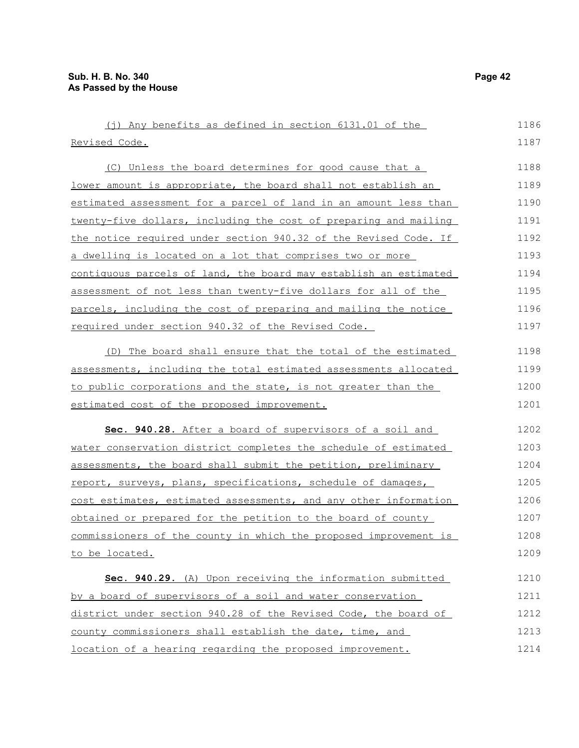| (j) Any benefits as defined in section 6131.01 of the                | 1186 |
|----------------------------------------------------------------------|------|
| Revised Code.                                                        | 1187 |
| (C) Unless the board determines for good cause that a                | 1188 |
| <u>lower amount is appropriate, the board shall not establish an</u> | 1189 |
| estimated assessment for a parcel of land in an amount less than     | 1190 |
| twenty-five dollars, including the cost of preparing and mailing     | 1191 |
| the notice required under section 940.32 of the Revised Code. If     | 1192 |
| <u>a dwelling is located on a lot that comprises two or more</u>     | 1193 |
| contiquous parcels of land, the board may establish an estimated     | 1194 |
| assessment of not less than twenty-five dollars for all of the       | 1195 |
| parcels, including the cost of preparing and mailing the notice      | 1196 |
| required under section 940.32 of the Revised Code.                   | 1197 |
| (D) The board shall ensure that the total of the estimated           | 1198 |
| assessments, including the total estimated assessments allocated     | 1199 |
| to public corporations and the state, is not greater than the        | 1200 |
| estimated cost of the proposed improvement.                          | 1201 |
| Sec. 940.28. After a board of supervisors of a soil and              | 1202 |
| water conservation district completes the schedule of estimated      | 1203 |
| assessments, the board shall submit the petition, preliminary        | 1204 |
| report, surveys, plans, specifications, schedule of damages,         | 1205 |
| cost estimates, estimated assessments, and any other information     | 1206 |
| obtained or prepared for the petition to the board of county         | 1207 |
| commissioners of the county in which the proposed improvement is     | 1208 |
| to be located.                                                       | 1209 |
| Sec. 940.29. (A) Upon receiving the information submitted            | 1210 |
| by a board of supervisors of a soil and water conservation           | 1211 |
| district under section 940.28 of the Revised Code, the board of      | 1212 |
| county commissioners shall establish the date, time, and             | 1213 |
| location of a hearing regarding the proposed improvement.            | 1214 |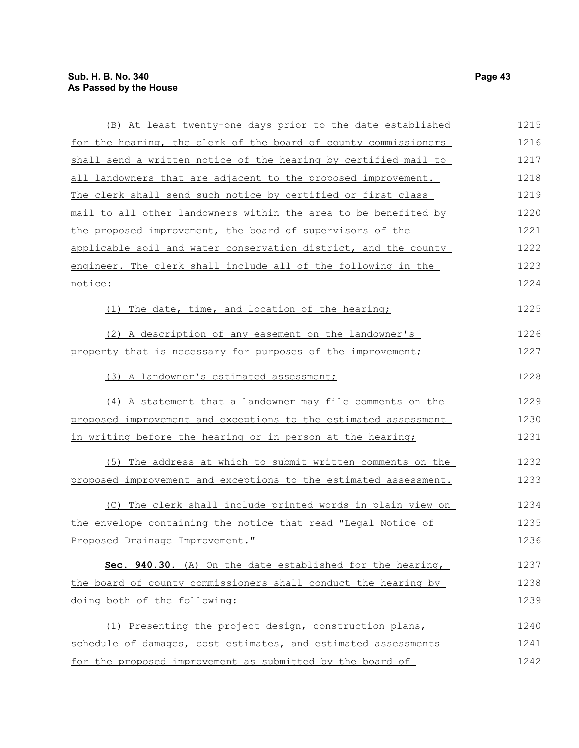| (B) At least twenty-one days prior to the date established       | 1215 |
|------------------------------------------------------------------|------|
| for the hearing, the clerk of the board of county commissioners  | 1216 |
| shall send a written notice of the hearing by certified mail to  | 1217 |
| all landowners that are adjacent to the proposed improvement.    | 1218 |
| The clerk shall send such notice by certified or first class     | 1219 |
| mail to all other landowners within the area to be benefited by  | 1220 |
| the proposed improvement, the board of supervisors of the        | 1221 |
| applicable soil and water conservation district, and the county  | 1222 |
| engineer. The clerk shall include all of the following in the    | 1223 |
| notice:                                                          | 1224 |
| (1) The date, time, and location of the hearing;                 | 1225 |
| (2) A description of any easement on the landowner's             | 1226 |
| property that is necessary for purposes of the improvement;      | 1227 |
| (3) A landowner's estimated assessment;                          | 1228 |
| (4) A statement that a landowner may file comments on the        | 1229 |
| proposed improvement and exceptions to the estimated assessment  | 1230 |
| in writing before the hearing or in person at the hearing;       | 1231 |
| (5) The address at which to submit written comments on the       | 1232 |
| proposed improvement and exceptions to the estimated assessment. | 1233 |
| (C) The clerk shall include printed words in plain view on       | 1234 |
| the envelope containing the notice that read "Legal Notice of    | 1235 |
| Proposed Drainage Improvement."                                  | 1236 |
| Sec. 940.30. (A) On the date established for the hearing,        | 1237 |
| the board of county commissioners shall conduct the hearing by   | 1238 |
| doing both of the following:                                     | 1239 |
| (1) Presenting the project design, construction plans,           | 1240 |
| schedule of damages, cost estimates, and estimated assessments   | 1241 |
| for the proposed improvement as submitted by the board of        | 1242 |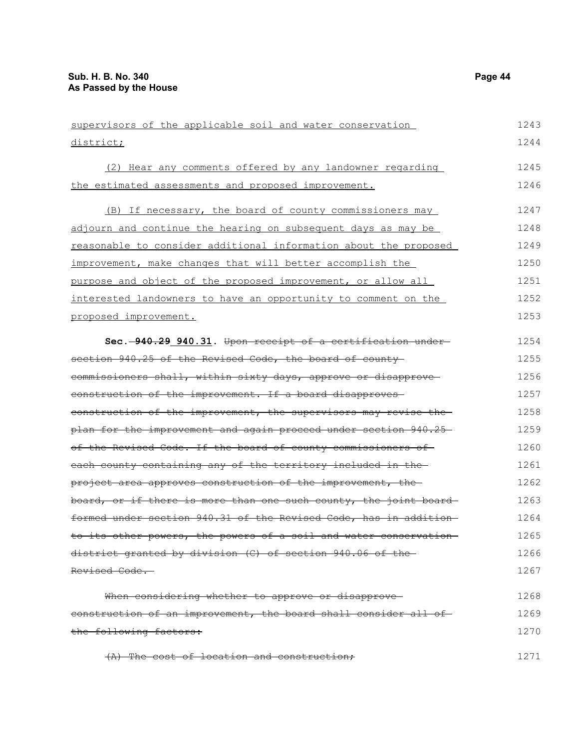| supervisors of the applicable soil and water conservation         | 1243 |
|-------------------------------------------------------------------|------|
| district;                                                         | 1244 |
| (2) Hear any comments offered by any landowner regarding          | 1245 |
| the estimated assessments and proposed improvement.               | 1246 |
| (B) If necessary, the board of county commissioners may           | 1247 |
| adjourn and continue the hearing on subsequent days as may be     | 1248 |
| reasonable to consider additional information about the proposed  | 1249 |
| improvement, make changes that will better accomplish the         | 1250 |
| purpose and object of the proposed improvement, or allow all      | 1251 |
| interested landowners to have an opportunity to comment on the    | 1252 |
| proposed improvement.                                             | 1253 |
| Sec. -940.29 940.31. Upon receipt of a certification under-       | 1254 |
| section 940.25 of the Revised Code, the board of county           | 1255 |
| commissioners shall, within sixty days, approve or disapprove-    | 1256 |
| construction of the improvement. If a board disapproves-          | 1257 |
| construction of the improvement, the supervisors may revise the   | 1258 |
| plan for the improvement and again proceed under section 940.25   | 1259 |
| of the Revised Code. If the board of county commissioners of      | 1260 |
| each county containing any of the territory included in the       | 1261 |
| project area approves construction of the improvement, the        | 1262 |
| board, or if there is more than one such county, the joint board  | 1263 |
| formed under section 940.31 of the Revised Code, has in addition- | 1264 |
| to its other powers, the powers of a soil and water conservation- | 1265 |
| district granted by division (C) of section 940.06 of the         | 1266 |
| Revised Code.                                                     | 1267 |
| When considering whether to approve or disapprove-                | 1268 |
| construction of an improvement, the board shall consider all of-  | 1269 |
| the following factors:                                            | 1270 |
| (A) The cost of location and construction:                        | 1271 |

(A) The cost of location and construction;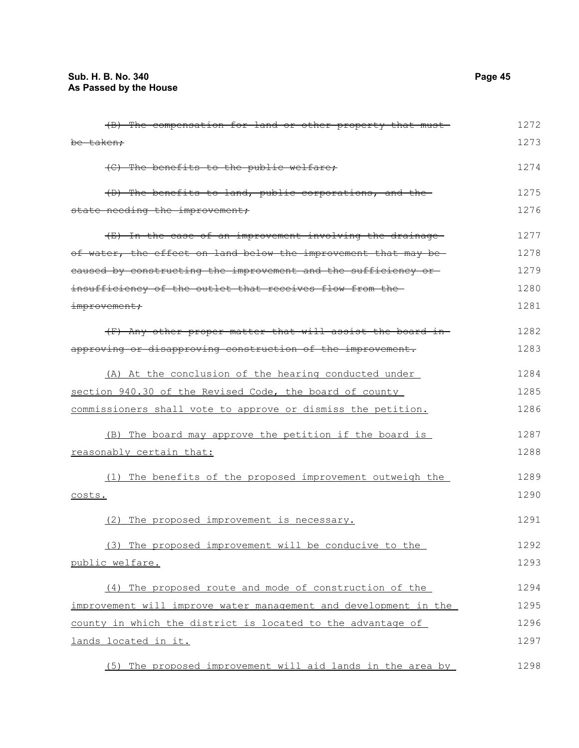| (B) The compensation for land or other property that must-       | 1272 |
|------------------------------------------------------------------|------|
| be taken;                                                        | 1273 |
| (C) The benefits to the public welfare;                          | 1274 |
| (D) The benefits to land, public corporations, and the           | 1275 |
| state needing the improvement;                                   | 1276 |
| (E) In the case of an improvement involving the drainage         | 1277 |
| of water, the effect on land below the improvement that may be-  | 1278 |
| eaused by constructing the improvement and the sufficiency or-   | 1279 |
| insufficiency of the outlet that receives flow from the-         | 1280 |
| improvement;                                                     | 1281 |
| (F) Any other proper matter that will assist the board in-       | 1282 |
| approving or disapproving construction of the improvement.       | 1283 |
| (A) At the conclusion of the hearing conducted under             | 1284 |
| section 940.30 of the Revised Code, the board of county          | 1285 |
| commissioners shall vote to approve or dismiss the petition.     | 1286 |
| (B) The board may approve the petition if the board is           | 1287 |
| reasonably certain that:                                         | 1288 |
| (1) The benefits of the proposed improvement outweigh the        | 1289 |
| costs.                                                           | 1290 |
| (2) The proposed improvement is necessary.                       | 1291 |
| (3) The proposed improvement will be conducive to the            | 1292 |
| public welfare.                                                  | 1293 |
| (4) The proposed route and mode of construction of the           | 1294 |
| improvement will improve water management and development in the | 1295 |
| county in which the district is located to the advantage of      | 1296 |
| lands located in it.                                             | 1297 |
| (5) The proposed improvement will aid lands in the area by       | 1298 |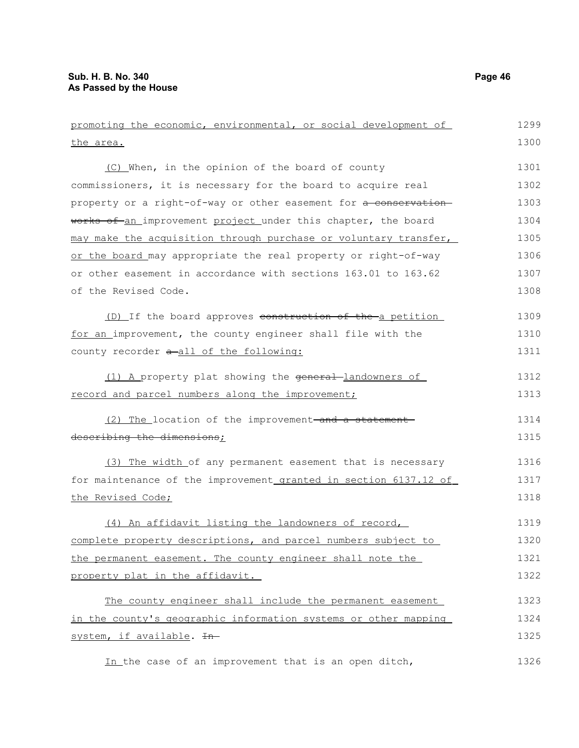| promoting the economic, environmental, or social development of  | 1299 |
|------------------------------------------------------------------|------|
| <u>the area.</u>                                                 | 1300 |
| (C) When, in the opinion of the board of county                  | 1301 |
| commissioners, it is necessary for the board to acquire real     | 1302 |
| property or a right-of-way or other easement for a conservation- | 1303 |
| works of an improvement project under this chapter, the board    | 1304 |
| may make the acquisition through purchase or voluntary transfer, | 1305 |
| or the board may appropriate the real property or right-of-way   | 1306 |
| or other easement in accordance with sections 163.01 to 163.62   | 1307 |
| of the Revised Code.                                             | 1308 |
| (D) If the board approves construction of the a petition         | 1309 |
| for an improvement, the county engineer shall file with the      | 1310 |
| county recorder a-all of the following:                          | 1311 |
| (1) A property plat showing the general-landowners of            | 1312 |
| record and parcel numbers along the improvement;                 | 1313 |
| (2) The location of the improvement-and a statement-             | 1314 |
| describing the dimensions;                                       | 1315 |
| (3) The width of any permanent easement that is necessary        | 1316 |
| for maintenance of the improvement granted in section 6137.12 of | 1317 |
| the Revised Code;                                                | 1318 |
| (4) An affidavit listing the landowners of record,               | 1319 |
| complete property descriptions, and parcel numbers subject to    | 1320 |
| the permanent easement. The county engineer shall note the       | 1321 |
| property plat in the affidavit.                                  | 1322 |
| The county engineer shall include the permanent easement         | 1323 |
| in the county's geographic information systems or other mapping  | 1324 |
| system, if available. In-                                        | 1325 |
| In the case of an improvement that is an open ditch,             | 1326 |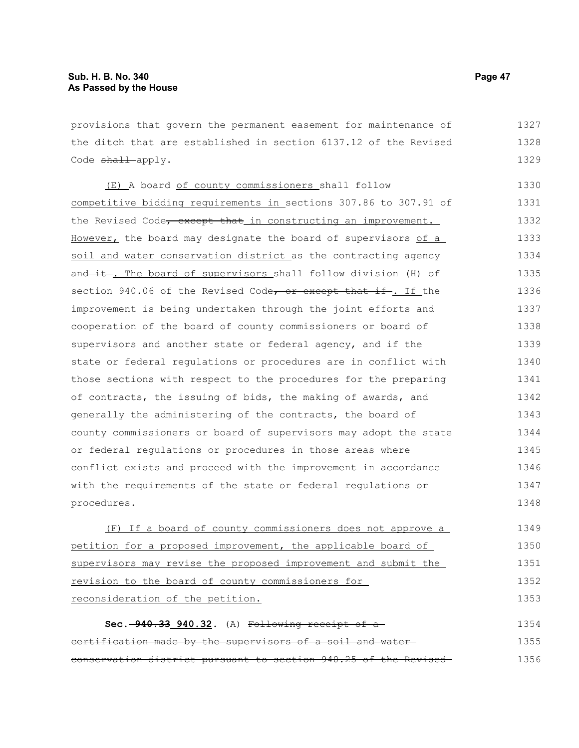provisions that govern the permanent easement for maintenance of the ditch that are established in section 6137.12 of the Revised Code shall apply. 1327 1328 1329

(E) A board of county commissioners shall follow competitive bidding requirements in sections 307.86 to 307.91 of the Revised Code, except that in constructing an improvement. However, the board may designate the board of supervisors of a soil and water conservation district as the contracting agency and it. The board of supervisors shall follow division (H) of section 940.06 of the Revised Code, or except that if. If the improvement is being undertaken through the joint efforts and cooperation of the board of county commissioners or board of supervisors and another state or federal agency, and if the state or federal regulations or procedures are in conflict with those sections with respect to the procedures for the preparing of contracts, the issuing of bids, the making of awards, and generally the administering of the contracts, the board of county commissioners or board of supervisors may adopt the state or federal regulations or procedures in those areas where conflict exists and proceed with the improvement in accordance with the requirements of the state or federal regulations or procedures. 1330 1331 1332 1333 1334 1335 1336 1337 1338 1339 1340 1341 1342 1343 1344 1345 1346 1347 1348

(F) If a board of county commissioners does not approve a petition for a proposed improvement, the applicable board of supervisors may revise the proposed improvement and submit the revision to the board of county commissioners for reconsideration of the petition. 1349 1350 1351 1352 1353

**Sec. 940.33 940.32.** (A) Following receipt of a certification made by the supervisors of a soil and water conservation district pursuant to section 940.25 of the Revised 1354 1355 1356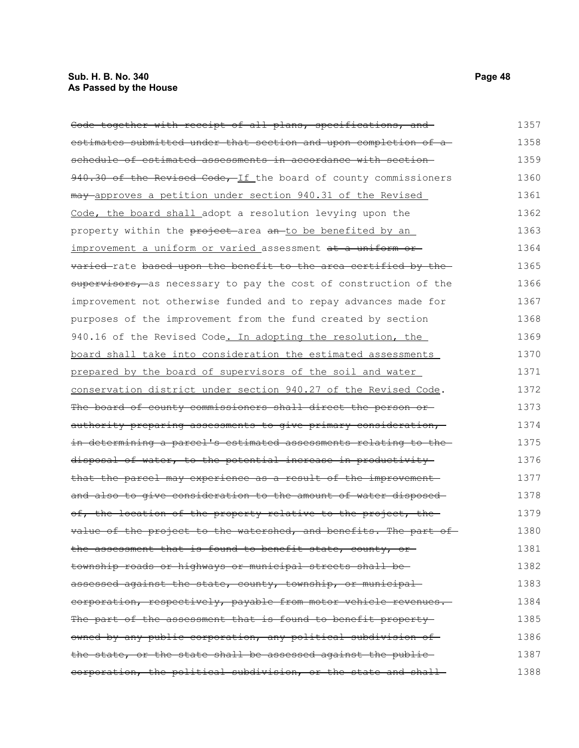| Code together with receipt of all plans, specifications, and     | 1357 |
|------------------------------------------------------------------|------|
| estimates submitted under that section and upon completion of a- | 1358 |
| schedule of estimated assessments in accordance with section-    | 1359 |
| 940.30 of the Revised Code, If the board of county commissioners | 1360 |
| may approves a petition under section 940.31 of the Revised      | 1361 |
| Code, the board shall adopt a resolution levying upon the        | 1362 |
| property within the project area an to be benefited by an        | 1363 |
| improvement a uniform or varied assessment at a uniform or       | 1364 |
| varied-rate based upon the benefit to the area certified by the- | 1365 |
| supervisors, as necessary to pay the cost of construction of the | 1366 |
| improvement not otherwise funded and to repay advances made for  | 1367 |
| purposes of the improvement from the fund created by section     | 1368 |
| 940.16 of the Revised Code. In adopting the resolution, the      | 1369 |
| board shall take into consideration the estimated assessments    | 1370 |
| prepared by the board of supervisors of the soil and water       | 1371 |
| conservation district under section 940.27 of the Revised Code.  | 1372 |
| The board of county commissioners shall direct the person or     | 1373 |
| authority preparing assessments to give primary consideration,   | 1374 |
| in determining a parcel's estimated assessments relating to the- | 1375 |
| disposal of water, to the potential increase in productivity     | 1376 |
| that the parcel may experience as a result of the improvement    | 1377 |
| and also to give consideration to the amount of water disposed-  | 1378 |
| of, the location of the property relative to the project, the    | 1379 |
| value of the project to the watershed, and benefits. The part of | 1380 |
| the assessment that is found to benefit state, county, or-       | 1381 |
| township roads or highways or municipal streets shall be-        | 1382 |
| assessed against the state, county, township, or municipal-      | 1383 |
| corporation, respectively, payable from motor vehicle revenues.  | 1384 |
| The part of the assessment that is found to benefit property     | 1385 |
| owned by any public corporation, any political subdivision of    | 1386 |
| the state, or the state shall be assessed against the public-    | 1387 |
| eorporation, the political subdivision, or the state and shall-  | 1388 |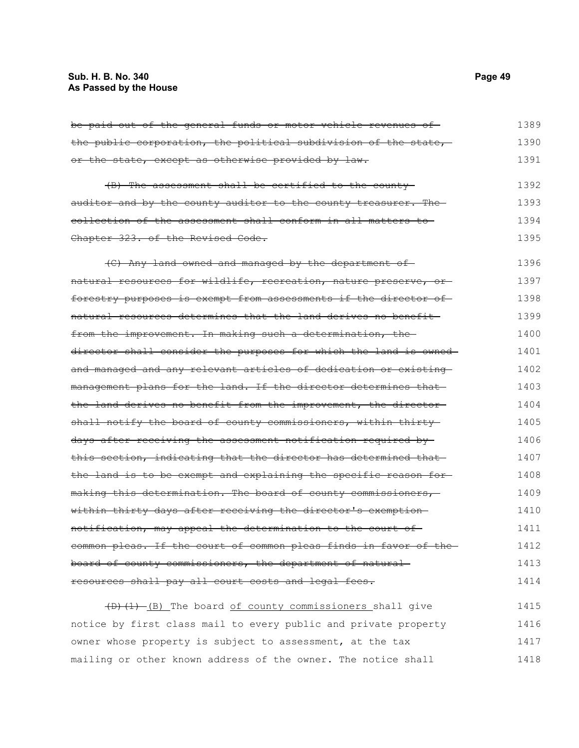## **Sub. H. B. No. 340 Page 49 As Passed by the House**

| be paid out of the general funds or motor vehicle revenues of-          | 1389 |
|-------------------------------------------------------------------------|------|
| the public corporation, the political subdivision of the state,         | 1390 |
| or the state, except as otherwise provided by law.                      | 1391 |
| (B) The assessment shall be certified to the county                     | 1392 |
| <u>auditor and by the county auditor to the county treasurer. The-</u>  | 1393 |
| collection of the assessment shall conform in all matters to            | 1394 |
| <del>Chapter 323. of the Revised Code.</del>                            | 1395 |
| (C) Any land owned and managed by the department of                     | 1396 |
| natural resources for wildlife, recreation, nature preserve, or-        | 1397 |
| forestry purposes is exempt from assessments if the director of         | 1398 |
| <u>natural resources determines that the land derives no benefit—</u>   | 1399 |
| from the improvement. In making such a determination, the               | 1400 |
| director shall consider the purposes for which the land is owned-       | 1401 |
| and managed and any relevant articles of dedication or existing-        | 1402 |
| management plans for the land. If the director determines that-         | 1403 |
| the land derives no benefit from the improvement, the director-         | 1404 |
| shall notify the board of county commissioners, within thirty-          | 1405 |
| days after receiving the assessment notification required by-           | 1406 |
| this section, indicating that the director has determined that          | 1407 |
| <u>the land is to be exempt and explaining the specific reason for-</u> | 1408 |
| making this determination. The board of county commissioners,           | 1409 |
| within thirty days after receiving the director's exemption-            | 1410 |
| notification, may appeal the determination to the court of -            | 1411 |
| common pleas. If the court of common pleas finds in favor of the-       | 1412 |
| <del>board of county commissioners, the department of natural-</del>    | 1413 |
| <del>resources shall pay all court costs and legal fees.</del>          | 1414 |
| $(D)$ $(D)$ $(D)$ The board of county commissioners shall give          | 1415 |

(D)(1) (B) The board of county commissioners shall give notice by first class mail to every public and private property 1416 owner whose property is subject to assessment, at the tax mailing or other known address of the owner. The notice shall 1417 1418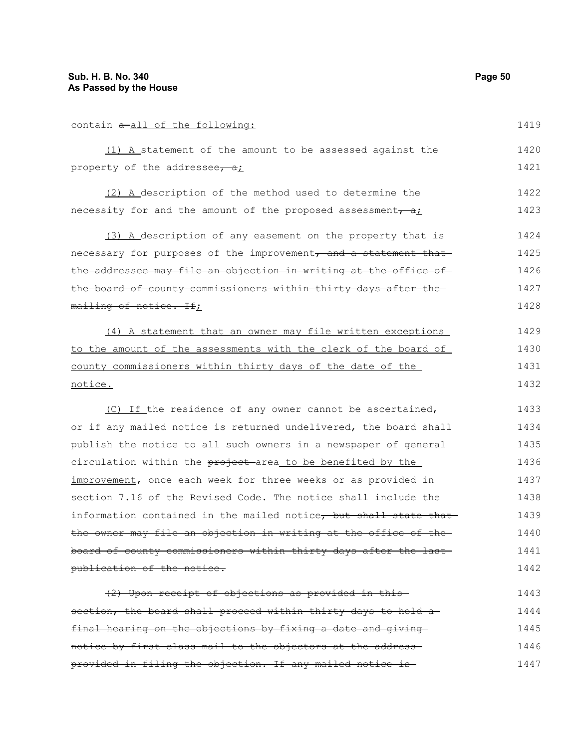| contain a all of the following:                                  | 1419 |
|------------------------------------------------------------------|------|
| (1) A statement of the amount to be assessed against the         | 1420 |
| property of the addressee, $\frac{1}{2}$ ;                       | 1421 |
| (2) A description of the method used to determine the            | 1422 |
| necessity for and the amount of the proposed assessment $\tau a$ | 1423 |
| (3) A description of any easement on the property that is        | 1424 |
| necessary for purposes of the improvement, and a statement that  | 1425 |
| the addressee may file an objection in writing at the office of  | 1426 |
| the board of county commissioners within thirty days after the   | 1427 |
| mailing of notice. If;                                           | 1428 |
| (4) A statement that an owner may file written exceptions        | 1429 |
| to the amount of the assessments with the clerk of the board of  | 1430 |
| county commissioners within thirty days of the date of the       | 1431 |
| notice.                                                          | 1432 |
| (C) If the residence of any owner cannot be ascertained,         | 1433 |
| or if any mailed notice is returned undelivered, the board shall | 1434 |
| publish the notice to all such owners in a newspaper of general  | 1435 |
| circulation within the project-area_to be benefited by the       | 1436 |
| improvement, once each week for three weeks or as provided in    | 1437 |
| section 7.16 of the Revised Code. The notice shall include the   | 1438 |
| information contained in the mailed notice, but shall state that | 1439 |
| the owner may file an objection in writing at the office of the- | 1440 |
| board of county commissioners within thirty days after the last- | 1441 |
| publication of the notice.                                       | 1442 |
| (2) Upon receipt of objections as provided in this               | 1443 |
| section, the board shall proceed within thirty days to hold a-   | 1444 |
| final hearing on the objections by fixing a date and giving      | 1445 |
| notice by first class mail to the objectors at the address-      | 1446 |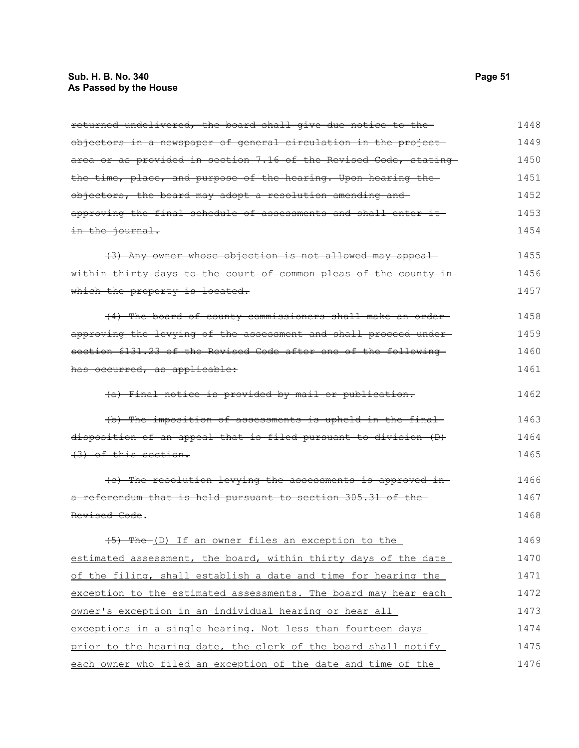# **Sub. H. B. No. 340 Page 51 As Passed by the House**

| returned undelivered, the board shall give due notice to the      | 1448 |
|-------------------------------------------------------------------|------|
| objectors in a newspaper of general circulation in the project    | 1449 |
| area or as provided in section 7.16 of the Revised Code, stating  | 1450 |
| the time, place, and purpose of the hearing. Upon hearing the     | 1451 |
| objectors, the board may adopt a resolution amending and          | 1452 |
| approving the final schedule of assessments and shall enter it-   | 1453 |
| in the journal.                                                   | 1454 |
| (3) Any owner whose objection is not allowed may appeal           | 1455 |
| within thirty days to the court of common pleas of the county in- | 1456 |
| which the property is located.                                    | 1457 |
| (4) The board of county commissioners shall make an order-        | 1458 |
| approving the levying of the assessment and shall proceed under-  | 1459 |
| section 6131.23 of the Revised Code after one of the following    | 1460 |
| has occurred, as applicable:                                      | 1461 |
| (a) Final notice is provided by mail or publication.              | 1462 |
| (b) The imposition of assessments is upheld in the final          | 1463 |
| disposition of an appeal that is filed pursuant to division (D)   | 1464 |
| $(3)$ of this section.                                            | 1465 |
| (e) The resolution levying the assessments is approved in-        | 1466 |
| a referendum that is held pursuant to section 305.31 of the       | 1467 |
| Revised Code.                                                     | 1468 |
| (5) The (D) If an owner files an exception to the                 | 1469 |
| estimated assessment, the board, within thirty days of the date   | 1470 |
| of the filing, shall establish a date and time for hearing the    | 1471 |
| exception to the estimated assessments. The board may hear each   | 1472 |
| owner's exception in an individual hearing or hear all            | 1473 |
| exceptions in a single hearing. Not less than fourteen days       | 1474 |
| prior to the hearing date, the clerk of the board shall notify    | 1475 |
| each owner who filed an exception of the date and time of the     | 1476 |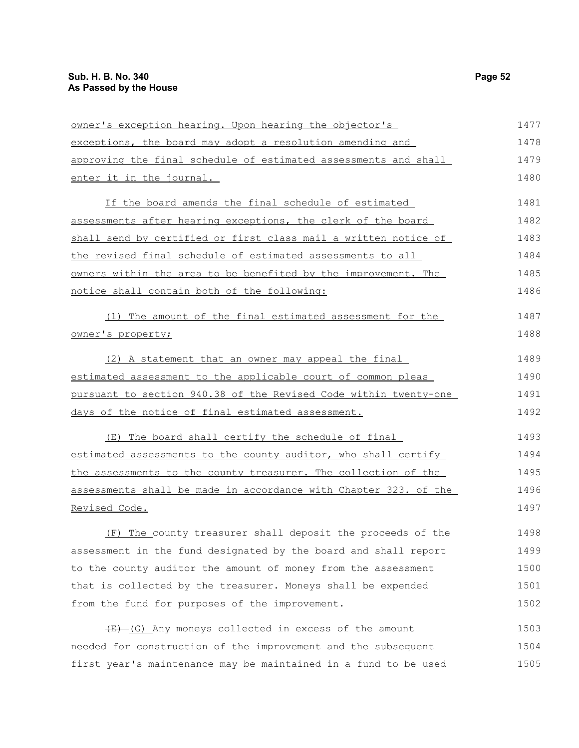| owner's exception hearing. Upon hearing the objector's           | 1477 |
|------------------------------------------------------------------|------|
| exceptions, the board may adopt a resolution amending and        | 1478 |
| approving the final schedule of estimated assessments and shall  | 1479 |
| enter it in the journal.                                         | 1480 |
| If the board amends the final schedule of estimated              | 1481 |
| assessments after hearing exceptions, the clerk of the board     | 1482 |
| shall send by certified or first class mail a written notice of  | 1483 |
| the revised final schedule of estimated assessments to all       | 1484 |
| owners within the area to be benefited by the improvement. The   | 1485 |
| notice shall contain both of the following:                      | 1486 |
| (1) The amount of the final estimated assessment for the         | 1487 |
| owner's property;                                                | 1488 |
| (2) A statement that an owner may appeal the final               | 1489 |
| estimated assessment to the applicable court of common pleas     | 1490 |
| pursuant to section 940.38 of the Revised Code within twenty-one | 1491 |
| <u>days of the notice of final estimated assessment.</u>         | 1492 |
| (E) The board shall certify the schedule of final                | 1493 |
| estimated assessments to the county auditor, who shall certify   | 1494 |
| the assessments to the county treasurer. The collection of the   | 1495 |
| assessments shall be made in accordance with Chapter 323. of the | 1496 |
| <u>Revised Code.</u>                                             | 1497 |
| (F) The county treasurer shall deposit the proceeds of the       | 1498 |
| assessment in the fund designated by the board and shall report  | 1499 |
| to the county auditor the amount of money from the assessment    | 1500 |
| that is collected by the treasurer. Moneys shall be expended     | 1501 |
| from the fund for purposes of the improvement.                   | 1502 |
| $(E)$ (G) Any moneys collected in excess of the amount           | 1503 |
| needed for construction of the improvement and the subsequent    | 1504 |
| first year's maintenance may be maintained in a fund to be used  | 1505 |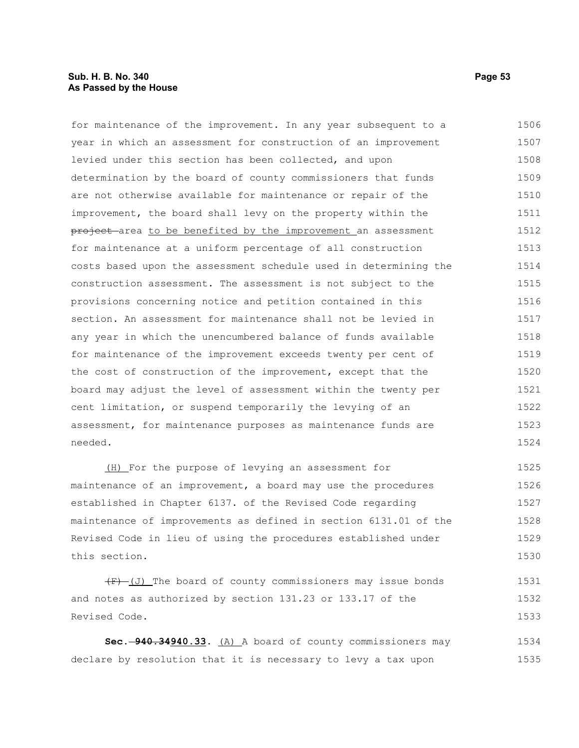### **Sub. H. B. No. 340 Page 53 As Passed by the House**

| for maintenance of the improvement. In any year subsequent to a  | 1506 |
|------------------------------------------------------------------|------|
| year in which an assessment for construction of an improvement   | 1507 |
| levied under this section has been collected, and upon           | 1508 |
| determination by the board of county commissioners that funds    | 1509 |
| are not otherwise available for maintenance or repair of the     | 1510 |
| improvement, the board shall levy on the property within the     | 1511 |
| project area to be benefited by the improvement an assessment    | 1512 |
| for maintenance at a uniform percentage of all construction      | 1513 |
| costs based upon the assessment schedule used in determining the | 1514 |
| construction assessment. The assessment is not subject to the    | 1515 |
| provisions concerning notice and petition contained in this      | 1516 |
| section. An assessment for maintenance shall not be levied in    | 1517 |
| any year in which the unencumbered balance of funds available    | 1518 |
| for maintenance of the improvement exceeds twenty per cent of    | 1519 |
| the cost of construction of the improvement, except that the     | 1520 |
| board may adjust the level of assessment within the twenty per   | 1521 |
| cent limitation, or suspend temporarily the levying of an        | 1522 |
| assessment, for maintenance purposes as maintenance funds are    | 1523 |
| needed.                                                          | 1524 |
| (H) For the purpose of levying an assessment for                 | 1525 |

maintenance of an improvement, a board may use the procedures established in Chapter 6137. of the Revised Code regarding maintenance of improvements as defined in section 6131.01 of the Revised Code in lieu of using the procedures established under this section. 1526 1527 1528 1529 1530

 $(F)$  (J) The board of county commissioners may issue bonds and notes as authorized by section 131.23 or 133.17 of the Revised Code. 1531 1532 1533

**Sec. 940.34940.33.** (A) A board of county commissioners may declare by resolution that it is necessary to levy a tax upon 1534 1535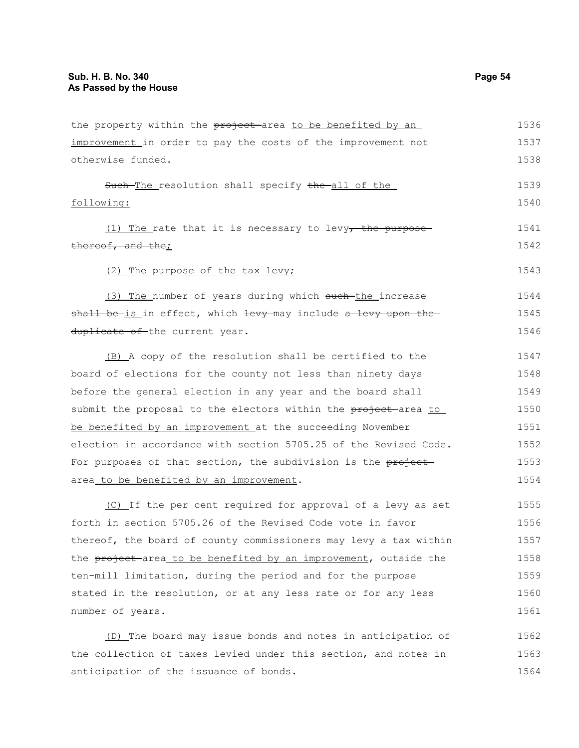| the property within the project-area to be benefited by an                                                                                                                                                                                                                                                                                                                                                                                                                                                                                                                                  | 1536 |
|---------------------------------------------------------------------------------------------------------------------------------------------------------------------------------------------------------------------------------------------------------------------------------------------------------------------------------------------------------------------------------------------------------------------------------------------------------------------------------------------------------------------------------------------------------------------------------------------|------|
| improvement in order to pay the costs of the improvement not                                                                                                                                                                                                                                                                                                                                                                                                                                                                                                                                | 1537 |
| otherwise funded.                                                                                                                                                                                                                                                                                                                                                                                                                                                                                                                                                                           | 1538 |
| Such The resolution shall specify the all of the                                                                                                                                                                                                                                                                                                                                                                                                                                                                                                                                            | 1539 |
| following:                                                                                                                                                                                                                                                                                                                                                                                                                                                                                                                                                                                  | 1540 |
| $(1)$ The rate that it is necessary to levy, the purpose-                                                                                                                                                                                                                                                                                                                                                                                                                                                                                                                                   | 1541 |
| thereof, and the;                                                                                                                                                                                                                                                                                                                                                                                                                                                                                                                                                                           | 1542 |
| (2) The purpose of the tax levy;                                                                                                                                                                                                                                                                                                                                                                                                                                                                                                                                                            | 1543 |
| (3) The number of years during which such-the increase                                                                                                                                                                                                                                                                                                                                                                                                                                                                                                                                      | 1544 |
| shall be is in effect, which levy may include a levy upon the                                                                                                                                                                                                                                                                                                                                                                                                                                                                                                                               | 1545 |
| duplicate of the current year.                                                                                                                                                                                                                                                                                                                                                                                                                                                                                                                                                              | 1546 |
| (B) A copy of the resolution shall be certified to the                                                                                                                                                                                                                                                                                                                                                                                                                                                                                                                                      | 1547 |
| board of elections for the county not less than ninety days                                                                                                                                                                                                                                                                                                                                                                                                                                                                                                                                 | 1548 |
| before the general election in any year and the board shall                                                                                                                                                                                                                                                                                                                                                                                                                                                                                                                                 | 1549 |
| submit the proposal to the electors within the project area to                                                                                                                                                                                                                                                                                                                                                                                                                                                                                                                              | 1550 |
| be benefited by an improvement at the succeeding November                                                                                                                                                                                                                                                                                                                                                                                                                                                                                                                                   | 1551 |
| election in accordance with section 5705.25 of the Revised Code.                                                                                                                                                                                                                                                                                                                                                                                                                                                                                                                            | 1552 |
| For purposes of that section, the subdivision is the project<br>area_to be benefited by an improvement.<br>(C) If the per cent required for approval of a levy as set<br>forth in section 5705.26 of the Revised Code vote in favor<br>thereof, the board of county commissioners may levy a tax within<br>the project area to be benefited by an improvement, outside the<br>ten-mill limitation, during the period and for the purpose<br>stated in the resolution, or at any less rate or for any less<br>number of years.<br>(D) The board may issue bonds and notes in anticipation of | 1553 |
|                                                                                                                                                                                                                                                                                                                                                                                                                                                                                                                                                                                             | 1554 |
|                                                                                                                                                                                                                                                                                                                                                                                                                                                                                                                                                                                             | 1555 |
|                                                                                                                                                                                                                                                                                                                                                                                                                                                                                                                                                                                             | 1556 |
|                                                                                                                                                                                                                                                                                                                                                                                                                                                                                                                                                                                             | 1557 |
|                                                                                                                                                                                                                                                                                                                                                                                                                                                                                                                                                                                             | 1558 |
|                                                                                                                                                                                                                                                                                                                                                                                                                                                                                                                                                                                             | 1559 |
|                                                                                                                                                                                                                                                                                                                                                                                                                                                                                                                                                                                             | 1560 |
|                                                                                                                                                                                                                                                                                                                                                                                                                                                                                                                                                                                             | 1561 |
|                                                                                                                                                                                                                                                                                                                                                                                                                                                                                                                                                                                             | 1562 |
| the collection of taxes levied under this section, and notes in                                                                                                                                                                                                                                                                                                                                                                                                                                                                                                                             | 1563 |
| anticipation of the issuance of bonds.                                                                                                                                                                                                                                                                                                                                                                                                                                                                                                                                                      | 1564 |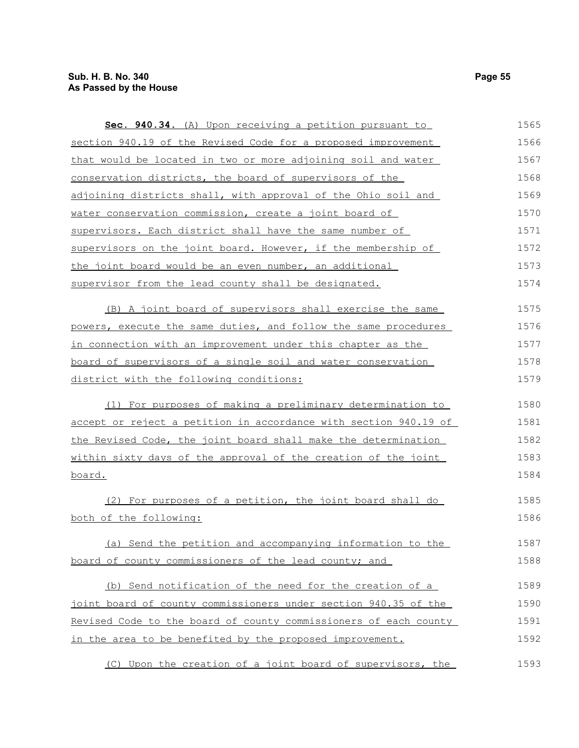| Sec. 940.34. (A) Upon receiving a petition pursuant to                 | 1565 |
|------------------------------------------------------------------------|------|
| section 940.19 of the Revised Code for a proposed improvement          | 1566 |
| that would be located in two or more adjoining soil and water          | 1567 |
| conservation districts, the board of supervisors of the                | 1568 |
| adjoining districts shall, with approval of the Ohio soil and          | 1569 |
| water conservation commission, create a joint board of                 | 1570 |
| supervisors. Each district shall have the same number of               | 1571 |
| supervisors on the joint board. However, if the membership of          | 1572 |
| <u>the joint board would be an even number, an additional</u>          | 1573 |
| supervisor from the lead county shall be designated.                   | 1574 |
| (B) A joint board of supervisors shall exercise the same               | 1575 |
| powers, execute the same duties, and follow the same procedures        | 1576 |
| <u>in connection with an improvement under this chapter as the</u>     | 1577 |
| board of supervisors of a single soil and water conservation           | 1578 |
| district with the following conditions:                                | 1579 |
| (1) For purposes of making a preliminary determination to              | 1580 |
| accept or reject a petition in accordance with section 940.19 of       | 1581 |
| the Revised Code, the joint board shall make the determination         | 1582 |
| <u>within sixty days of the approval of the creation of the joint </u> | 1583 |
| <u>board.</u>                                                          | 1584 |
| (2) For purposes of a petition, the joint board shall do               | 1585 |
| both of the following:                                                 | 1586 |
| (a) Send the petition and accompanying information to the              | 1587 |
| board of county commissioners of the lead county; and                  | 1588 |
| (b) Send notification of the need for the creation of a                | 1589 |
| joint board of county commissioners under section 940.35 of the        | 1590 |
| Revised Code to the board of county commissioners of each county       | 1591 |
| in the area to be benefited by the proposed improvement.               | 1592 |
| (C) Upon the creation of a joint board of supervisors, the             | 1593 |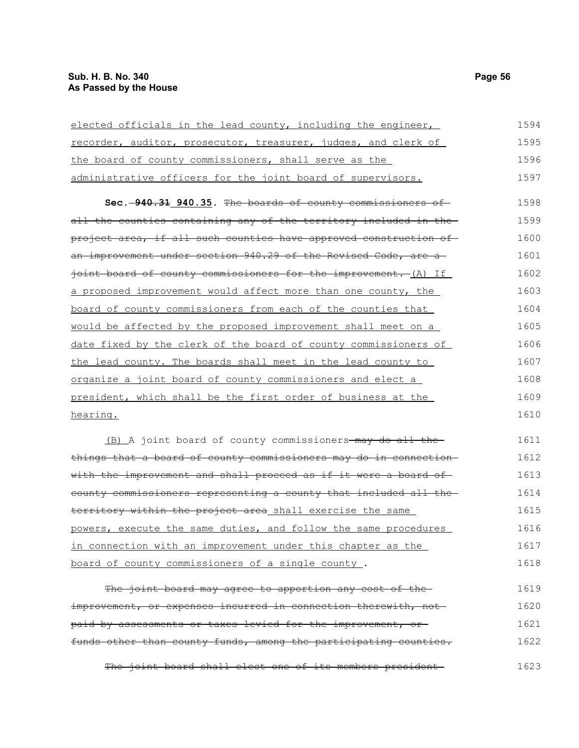| elected officials in the lead county, including the engineer,              | 1594 |
|----------------------------------------------------------------------------|------|
| recorder, auditor, prosecutor, treasurer, judges, and clerk of             | 1595 |
| the board of county commissioners, shall serve as the                      | 1596 |
| administrative officers for the joint board of supervisors.                | 1597 |
| Sec. -940.31 940.35. The boards of county commissioners of                 | 1598 |
| all the counties containing any of the territory included in the           | 1599 |
| project area, if all such counties have approved construction of           | 1600 |
| <del>an improvement under section 940.29 of the Revised Code, are a</del>  | 1601 |
| joint board of county commissioners for the improvement. (A) If            | 1602 |
| a proposed improvement would affect more than one county, the              | 1603 |
| board of county commissioners from each of the counties that               | 1604 |
| would be affected by the proposed improvement shall meet on a              | 1605 |
| date fixed by the clerk of the board of county commissioners of            | 1606 |
| the lead county. The boards shall meet in the lead county to               | 1607 |
| organize a joint board of county commissioners and elect a                 | 1608 |
| president, which shall be the first order of business at the               | 1609 |
| hearing.                                                                   | 1610 |
| (B) A joint board of county commissioners-may do all the-                  | 1611 |
| $\pm$ bings $\pm$ bat a board of sounty sommissioners may do in sonnestion | 1612 |

things that a board of county commissioners may do in connection with the improvement and shall proceed as if it were a board ofcounty commissioners representing a county that included all the territory within the project area shall exercise the same powers, execute the same duties, and follow the same procedures in connection with an improvement under this chapter as the board of county commissioners of a single county . 1612 1613 1614 1615 1616 1617 1618

The joint board may agree to apportion any cost of the improvement, or expenses incurred in connection therewith, notpaid by assessments or taxes levied for the improvement, or funds other than county funds, among the participating counties. 1619 1620 1621 1622

The joint board shall elect one of its members president 1623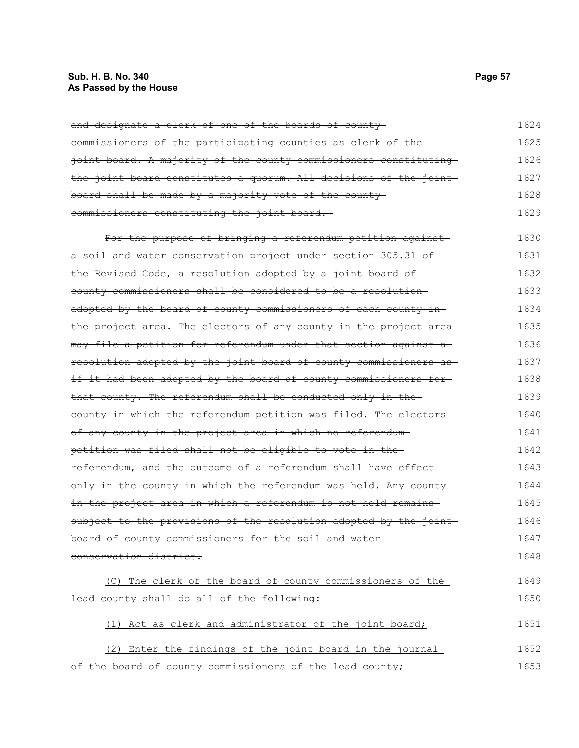# **Sub. H. B. No. 340 Page 57 As Passed by the House**

| and designate a clerk of one of the boards of county-             | 1624 |
|-------------------------------------------------------------------|------|
| commissioners of the participating counties as clerk of the       | 1625 |
| joint board. A majority of the county commissioners constituting  | 1626 |
| the joint board constitutes a quorum. All decisions of the joint  | 1627 |
| board shall be made by a majority vote of the county-             | 1628 |
| commissioners constituting the joint board.                       | 1629 |
| For the purpose of bringing a referendum petition against         | 1630 |
| a soil and water conservation project under section 305.31 of     | 1631 |
| the Revised Code, a resolution adopted by a joint board of        | 1632 |
| county commissioners shall be considered to be a resolution-      | 1633 |
| adopted by the board of county commissioners of each county in-   | 1634 |
| the project area. The electors of any county in the project area- | 1635 |
| may file a petition for referendum under that section against a-  | 1636 |
| resolution adopted by the joint board of county commissioners as  | 1637 |
| if it had been adopted by the board of county commissioners for-  | 1638 |
| that county. The referendum shall be conducted only in the        | 1639 |
| county in which the referendum petition was filed. The electors-  | 1640 |
| of any county in the project area in which no referendum-         | 1641 |
| petition was filed shall not be eligible to vote in the           | 1642 |
| referendum, and the outcome of a referendum shall have effect-    | 1643 |
| only in the county in which the referendum was held. Any county   | 1644 |
| in the project area in which a referendum is not held remains     | 1645 |
| subject to the provisions of the resolution adopted by the joint  | 1646 |
| board of county commissioners for the soil and water-             | 1647 |
| conservation district.                                            | 1648 |
| (C) The clerk of the board of county commissioners of the         | 1649 |
| lead county shall do all of the following:                        | 1650 |
| (1) Act as clerk and administrator of the joint board;            | 1651 |
| (2) Enter the findings of the joint board in the journal          | 1652 |
| of the board of county commissioners of the lead county;          | 1653 |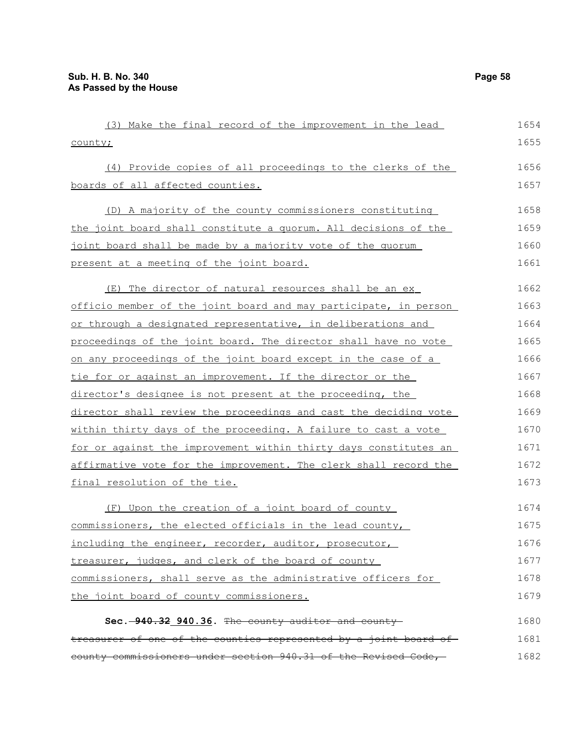| (3) Make the final record of the improvement in the lead         | 1654 |
|------------------------------------------------------------------|------|
| county;                                                          | 1655 |
| (4) Provide copies of all proceedings to the clerks of the       | 1656 |
| boards of all affected counties.                                 | 1657 |
| (D) A majority of the county commissioners constituting          | 1658 |
| the joint board shall constitute a quorum. All decisions of the  | 1659 |
| joint board shall be made by a majority vote of the quorum       | 1660 |
| present at a meeting of the joint board.                         | 1661 |
| (E) The director of natural resources shall be an ex             | 1662 |
| officio member of the joint board and may participate, in person | 1663 |
| or through a designated representative, in deliberations and     | 1664 |
| proceedings of the joint board. The director shall have no vote  | 1665 |
| on any proceedings of the joint board except in the case of a    | 1666 |
| tie for or against an improvement. If the director or the        | 1667 |
| director's designee is not present at the proceeding, the        | 1668 |
| director shall review the proceedings and cast the deciding vote | 1669 |
| within thirty days of the proceeding. A failure to cast a vote   | 1670 |
| for or against the improvement within thirty days constitutes an | 1671 |
| affirmative vote for the improvement. The clerk shall record the | 1672 |
| final resolution of the tie.                                     | 1673 |
| (F) Upon the creation of a joint board of county                 | 1674 |
| commissioners, the elected officials in the lead county,         | 1675 |
| including the engineer, recorder, auditor, prosecutor,           | 1676 |
| treasurer, judges, and clerk of the board of county              | 1677 |
| commissioners, shall serve as the administrative officers for    | 1678 |
| the joint board of county commissioners.                         | 1679 |
| Sec. -940.32 940.36. The county auditor and county-              | 1680 |
| treasurer of one of the counties represented by a joint board of | 1681 |
| county commissioners under section 940.31 of the Revised Code,-  | 1682 |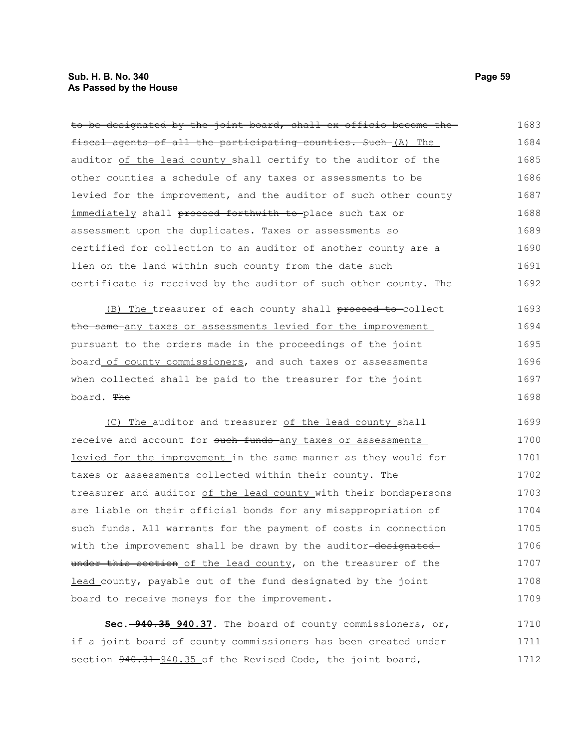## **Sub. H. B. No. 340 Page 59 As Passed by the House**

| to be designated by the joint board, shall ex officio become the | 1683 |
|------------------------------------------------------------------|------|
| fiscal agents of all the participating counties. Such (A) The    | 1684 |
| auditor of the lead county shall certify to the auditor of the   | 1685 |
| other counties a schedule of any taxes or assessments to be      | 1686 |
| levied for the improvement, and the auditor of such other county | 1687 |
| immediately shall proceed forthwith to place such tax or         | 1688 |
| assessment upon the duplicates. Taxes or assessments so          | 1689 |
| certified for collection to an auditor of another county are a   | 1690 |
| lien on the land within such county from the date such           | 1691 |
| certificate is received by the auditor of such other county. The | 1692 |
| (B) The treasurer of each county shall proceed to collect        | 1693 |
| the same any taxes or assessments levied for the improvement     | 1694 |
| pursuant to the orders made in the proceedings of the joint      | 1695 |
| board of county commissioners, and such taxes or assessments     | 1696 |
| when collected shall be paid to the treasurer for the joint      | 1697 |
| board. The                                                       | 1698 |
| (C) The auditor and treasurer of the lead county shall           | 1699 |
| receive and account for such funds any taxes or assessments      | 1700 |
| levied for the improvement in the same manner as they would for  | 1701 |
| taxes or assessments collected within their county. The          | 1702 |
| treasurer and auditor of the lead county with their bondspersons | 1703 |
| are liable on their official bonds for any misappropriation of   | 1704 |
| such funds. All warrants for the payment of costs in connection  | 1705 |
| with the improvement shall be drawn by the auditor-designated-   | 1706 |
| under this section of the lead county, on the treasurer of the   | 1707 |
| lead county, payable out of the fund designated by the joint     | 1708 |

**Sec. 940.35 940.37.** The board of county commissioners, or, if a joint board of county commissioners has been created under section  $940.31 - 940.35$  of the Revised Code, the joint board, 1710 1711 1712

board to receive moneys for the improvement.

1709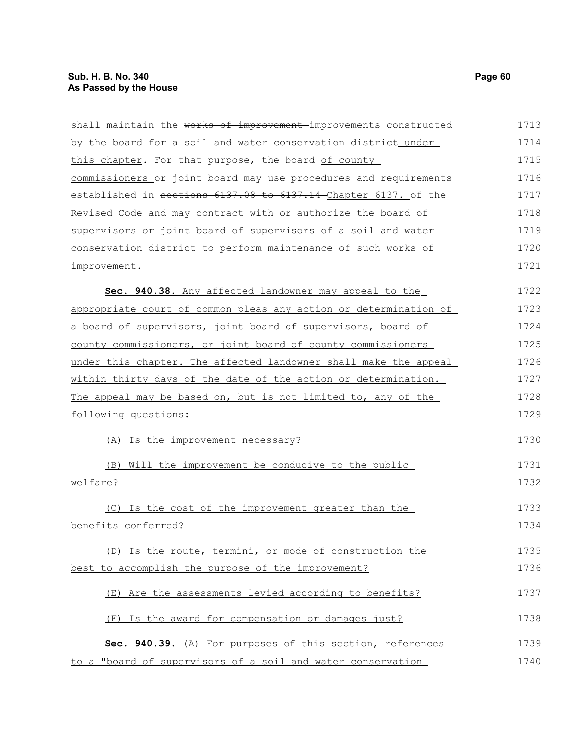| shall maintain the works of improvement-improvements constructed | 1713 |
|------------------------------------------------------------------|------|
| by the board for a soil and water conservation district under    | 1714 |
| this chapter. For that purpose, the board of county              | 1715 |
| commissioners or joint board may use procedures and requirements | 1716 |
| established in sections 6137.08 to 6137.14 Chapter 6137. of the  | 1717 |
| Revised Code and may contract with or authorize the board of     | 1718 |
| supervisors or joint board of supervisors of a soil and water    | 1719 |
| conservation district to perform maintenance of such works of    | 1720 |
| improvement.                                                     | 1721 |
| Sec. 940.38. Any affected landowner may appeal to the            | 1722 |
| appropriate court of common pleas any action or determination of | 1723 |
| a board of supervisors, joint board of supervisors, board of     | 1724 |
| county commissioners, or joint board of county commissioners     | 1725 |
| under this chapter. The affected landowner shall make the appeal | 1726 |
| within thirty days of the date of the action or determination.   | 1727 |
| The appeal may be based on, but is not limited to, any of the    | 1728 |
| following questions:                                             | 1729 |
| (A) Is the improvement necessary?                                | 1730 |
| (B) Will the improvement be conducive to the public              | 1731 |
| welfare?                                                         | 1732 |
| (C) Is the cost of the improvement greater than the              | 1733 |
| benefits conferred?                                              | 1734 |
| (D) Is the route, termini, or mode of construction the           | 1735 |
| best to accomplish the purpose of the improvement?               | 1736 |
| (E) Are the assessments levied according to benefits?            | 1737 |
| (F) Is the award for compensation or damages just?               | 1738 |
| Sec. 940.39. (A) For purposes of this section, references        | 1739 |
| to a "board of supervisors of a soil and water conservation      | 1740 |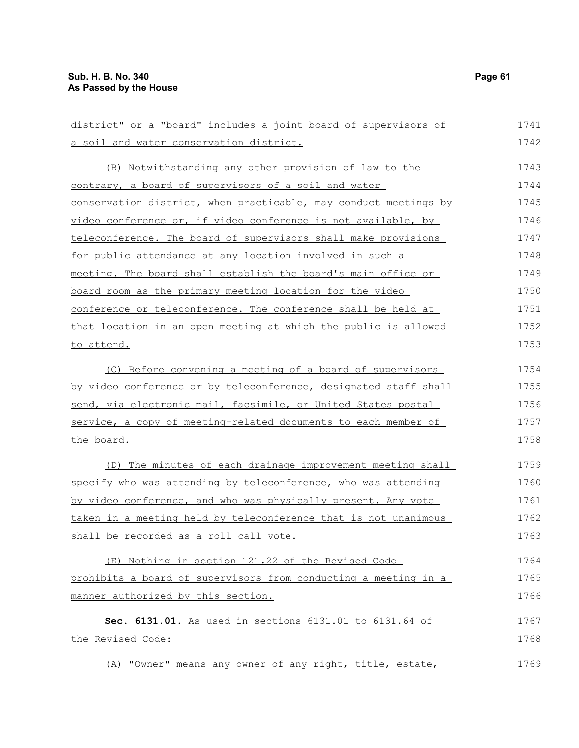| district" or a "board" includes a joint board of supervisors of  | 1741 |
|------------------------------------------------------------------|------|
| a soil and water conservation district.                          | 1742 |
| (B) Notwithstanding any other provision of law to the            | 1743 |
| contrary, a board of supervisors of a soil and water             | 1744 |
| conservation district, when practicable, may conduct meetings by | 1745 |
| video conference or, if video conference is not available, by    | 1746 |
| teleconference. The board of supervisors shall make provisions   | 1747 |
| for public attendance at any location involved in such a         | 1748 |
| meeting. The board shall establish the board's main office or    | 1749 |
| board room as the primary meeting location for the video         | 1750 |
| conference or teleconference. The conference shall be held at    | 1751 |
| that location in an open meeting at which the public is allowed  | 1752 |
| to attend.                                                       | 1753 |
| (C) Before convening a meeting of a board of supervisors         | 1754 |
| by video conference or by teleconference, designated staff shall | 1755 |
| send, via electronic mail, facsimile, or United States postal    | 1756 |
| service, a copy of meeting-related documents to each member of   | 1757 |
| the board.                                                       | 1758 |
| (D) The minutes of each drainage improvement meeting shall       | 1759 |
| specify who was attending by teleconference, who was attending   | 1760 |
| by video conference, and who was physically present. Any vote    | 1761 |
| taken in a meeting held by teleconference that is not unanimous  | 1762 |
| shall be recorded as a roll call vote.                           | 1763 |
| (E) Nothing in section 121.22 of the Revised Code                | 1764 |
| prohibits a board of supervisors from conducting a meeting in a  | 1765 |
| manner authorized by this section.                               | 1766 |
| Sec. 6131.01. As used in sections 6131.01 to 6131.64 of          | 1767 |
| the Revised Code:                                                | 1768 |
| (A) "Owner" means any owner of any right, title, estate,         | 1769 |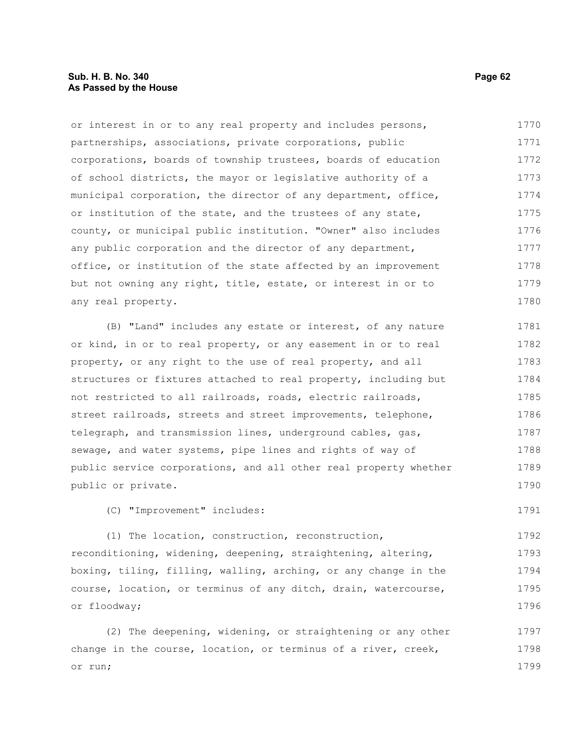### **Sub. H. B. No. 340 Page 62 As Passed by the House**

or interest in or to any real property and includes persons, partnerships, associations, private corporations, public corporations, boards of township trustees, boards of education of school districts, the mayor or legislative authority of a municipal corporation, the director of any department, office, or institution of the state, and the trustees of any state, county, or municipal public institution. "Owner" also includes any public corporation and the director of any department, office, or institution of the state affected by an improvement but not owning any right, title, estate, or interest in or to any real property. 1770 1771 1772 1773 1774 1775 1776 1777 1778 1779 1780

(B) "Land" includes any estate or interest, of any nature or kind, in or to real property, or any easement in or to real property, or any right to the use of real property, and all structures or fixtures attached to real property, including but not restricted to all railroads, roads, electric railroads, street railroads, streets and street improvements, telephone, telegraph, and transmission lines, underground cables, gas, sewage, and water systems, pipe lines and rights of way of public service corporations, and all other real property whether public or private. 1781 1782 1783 1784 1785 1786 1787 1788 1789 1790

(C) "Improvement" includes:

(1) The location, construction, reconstruction, reconditioning, widening, deepening, straightening, altering, boxing, tiling, filling, walling, arching, or any change in the course, location, or terminus of any ditch, drain, watercourse, or floodway; 1792 1793 1794 1795 1796

(2) The deepening, widening, or straightening or any other change in the course, location, or terminus of a river, creek, or run; 1797 1798 1799

1791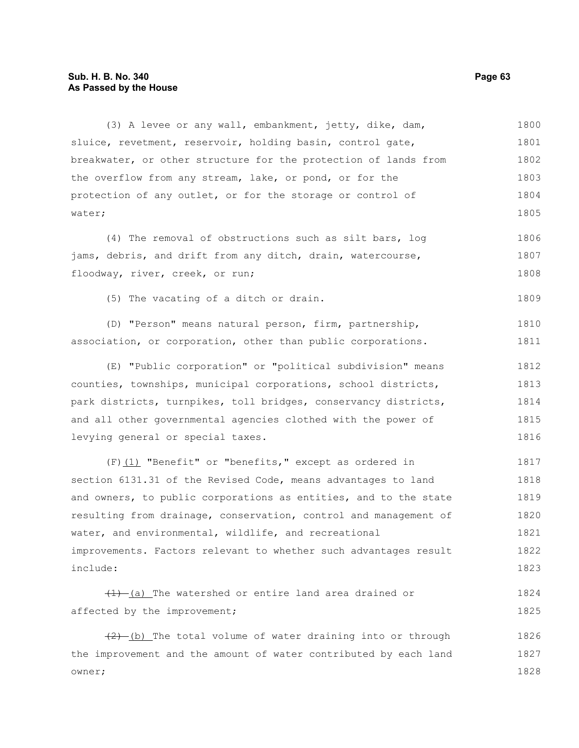### **Sub. H. B. No. 340 Page 63 As Passed by the House**

(3) A levee or any wall, embankment, jetty, dike, dam, sluice, revetment, reservoir, holding basin, control gate, breakwater, or other structure for the protection of lands from the overflow from any stream, lake, or pond, or for the protection of any outlet, or for the storage or control of water; 1800 1801 1802 1803 1804 1805

(4) The removal of obstructions such as silt bars, log jams, debris, and drift from any ditch, drain, watercourse, floodway, river, creek, or run; 1806 1807 1808

(5) The vacating of a ditch or drain. 1809

(D) "Person" means natural person, firm, partnership, association, or corporation, other than public corporations. 1810 1811

(E) "Public corporation" or "political subdivision" means counties, townships, municipal corporations, school districts, park districts, turnpikes, toll bridges, conservancy districts, and all other governmental agencies clothed with the power of levying general or special taxes. 1812 1813 1814 1815 1816

(F)(1) "Benefit" or "benefits," except as ordered in section 6131.31 of the Revised Code, means advantages to land and owners, to public corporations as entities, and to the state resulting from drainage, conservation, control and management of water, and environmental, wildlife, and recreational improvements. Factors relevant to whether such advantages result include: 1817 1818 1819 1820 1821 1822 1823

 $(1)$  (a) The watershed or entire land area drained or affected by the improvement; 1824 1825

 $(2)$  (b) The total volume of water draining into or through the improvement and the amount of water contributed by each land owner; 1826 1827 1828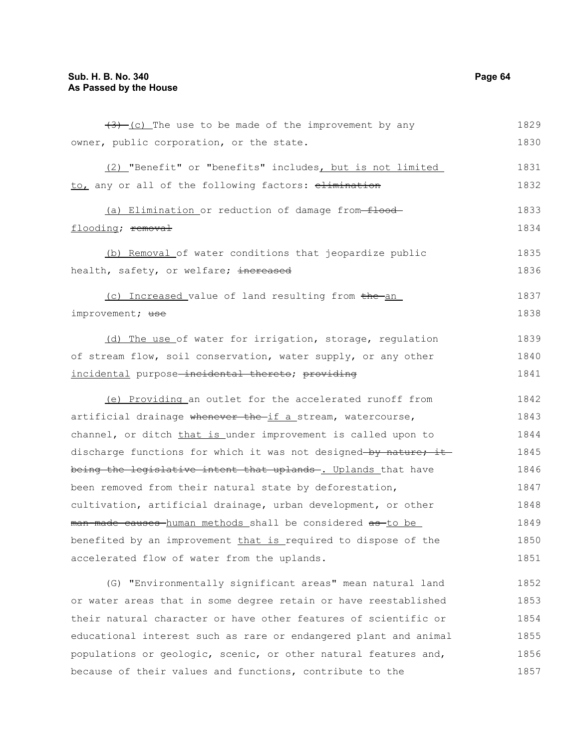| $(3)$ (c) The use to be made of the improvement by any                             | 1829 |
|------------------------------------------------------------------------------------|------|
| owner, public corporation, or the state.                                           | 1830 |
| (2) "Benefit" or "benefits" includes, but is not limited                           | 1831 |
| to, any or all of the following factors: elimination                               | 1832 |
| (a) Elimination or reduction of damage from-flood-                                 | 1833 |
| flooding; removal                                                                  | 1834 |
| (b) Removal of water conditions that jeopardize public                             | 1835 |
| health, safety, or welfare; <del>increased</del>                                   | 1836 |
| (c) Increased value of land resulting from the an                                  | 1837 |
| improvement; use                                                                   | 1838 |
| (d) The use of water for irrigation, storage, regulation                           | 1839 |
| of stream flow, soil conservation, water supply, or any other                      | 1840 |
| incidental purpose-incidental thereto; providing                                   | 1841 |
| (e) Providing an outlet for the accelerated runoff from                            | 1842 |
| artificial drainage <del>whenever the if a</del> stream, watercourse,              | 1843 |
| channel, or ditch that is under improvement is called upon to                      | 1844 |
| discharge functions for which it was not designed by nature; it                    | 1845 |
| being the legislative intent that uplands- <u>. Uplands </u> that have             | 1846 |
| been removed from their natural state by deforestation,                            | 1847 |
| cultivation, artificial drainage, urban development, or other                      | 1848 |
| <del>man-made causes h</del> uman methods shall be considered <del>as t</del> o be | 1849 |
| benefited by an improvement <u>that is </u> required to dispose of the             | 1850 |
| accelerated flow of water from the uplands.                                        | 1851 |
| (G) "Environmentally significant areas" mean natural land                          | 1852 |
| or water areas that in some degree retain or have reestablished                    | 1853 |
| their natural character or have other features of scientific or                    | 1854 |
| educational interest such as rare or endangered plant and animal                   | 1855 |
| populations or geologic, scenic, or other natural features and,                    | 1856 |
| because of their values and functions, contribute to the                           | 1857 |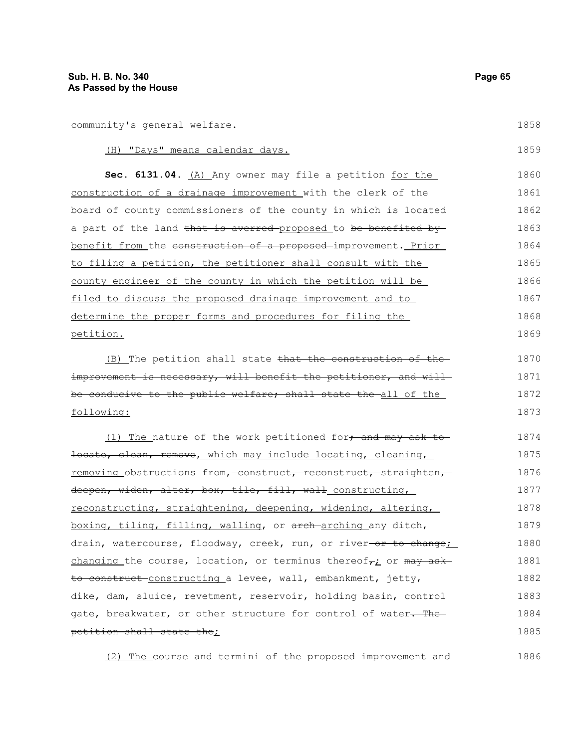community's general welfare.

1858

| (H) "Days" means calendar days.                                                        | 1859 |
|----------------------------------------------------------------------------------------|------|
| Sec. 6131.04. (A) Any owner may file a petition for the                                | 1860 |
| construction of a drainage improvement with the clerk of the                           | 1861 |
| board of county commissioners of the county in which is located                        | 1862 |
| a part of the land <del>that is averred proposed</del> to <del>be benefited by-</del>  | 1863 |
| benefit from the construction of a proposed improvement. Prior                         | 1864 |
| to filing a petition, the petitioner shall consult with the                            | 1865 |
| county engineer of the county in which the petition will be                            | 1866 |
| filed to discuss the proposed drainage improvement and to                              | 1867 |
| determine the proper forms and procedures for filing the                               | 1868 |
| <u>petition.</u>                                                                       | 1869 |
| (B) The petition shall state that the construction of the                              | 1870 |
| improvement is necessary, will benefit the petitioner, and will-                       | 1871 |
| be conducive to the public welfare; shall state the all of the .                       | 1872 |
| following:                                                                             | 1873 |
| (1) The nature of the work petitioned for, and may ask to                              | 1874 |
| <del>locate, clean, remove</del> , which may include locating, cleaning, <i>__</i>     | 1875 |
| removing obstructions from, construct, reconstruct, straighten,                        | 1876 |
| <del>deepen, widen, alter, box, tile, fill, wall</del> _constructing,_                 | 1877 |
| reconstructing, straightening, deepening, widening, altering,                          | 1878 |
| <u>boxing, tiling, filling, walling</u> , or <del>arch arching</del> any ditch,        | 1879 |
| drain, watercourse, floodway, creek, run, or river <del>-or to change</del> <u>;</u>   | 1880 |
| changing the course, location, or terminus thereof <sub>7:</sub> or <del>may ask</del> | 1881 |
| <del>to construct constructing a</del> levee, wall, embankment, jetty,                 | 1882 |
| dike, dam, sluice, revetment, reservoir, holding basin, control                        | 1883 |
| gate, breakwater, or other structure for control of water <del>. The -</del>           | 1884 |
| petition shall state the;                                                              | 1885 |
|                                                                                        |      |

(2) The course and termini of the proposed improvement and 1886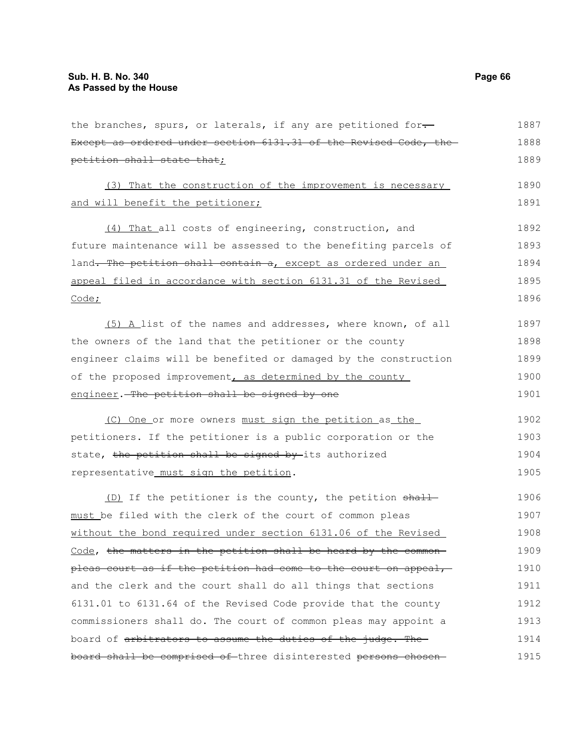the branches, spurs, or laterals, if any are petitioned for-Except as ordered under section 6131.31 of the Revised Code, the petition shall state that; (3) That the construction of the improvement is necessary and will benefit the petitioner; (4) That all costs of engineering, construction, and future maintenance will be assessed to the benefiting parcels of land. The petition shall contain a, except as ordered under an appeal filed in accordance with section 6131.31 of the Revised Code; (5) A list of the names and addresses, where known, of all the owners of the land that the petitioner or the county engineer claims will be benefited or damaged by the construction of the proposed improvement, as determined by the county engineer. The petition shall be signed by one (C) One or more owners must sign the petition as the petitioners. If the petitioner is a public corporation or the state, the petition shall be signed by its authorized representative must sign the petition. (D) If the petitioner is the county, the petition shall must be filed with the clerk of the court of common pleas without the bond required under section 6131.06 of the Revised Code, the matters in the petition shall be heard by the commonpleas court as if the petition had come to the court on appeal, and the clerk and the court shall do all things that sections 6131.01 to 6131.64 of the Revised Code provide that the county commissioners shall do. The court of common pleas may appoint a board of arbitrators to assume the duties of the judge. Theboard shall be comprised of three disinterested persons chosen-1887 1888 1889 1890 1891 1892 1893 1894 1895 1896 1897 1898 1899 1900 1901 1902 1903 1904 1905 1906 1907 1908 1909 1910 1911 1912 1913 1914 1915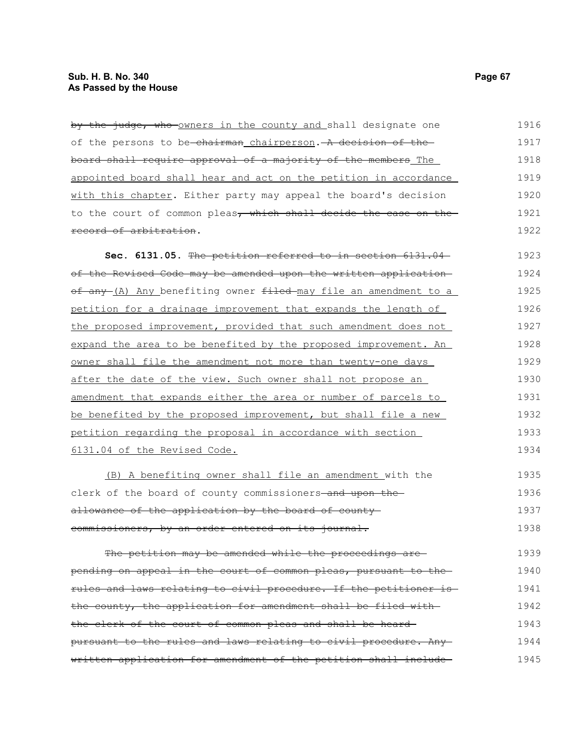| by the judge, who owners in the county and shall designate one               | 1916 |
|------------------------------------------------------------------------------|------|
| of the persons to be-chairman chairperson. - A decision of the-              | 1917 |
| board shall require approval of a majority of the members The                | 1918 |
| appointed board shall hear and act on the petition in accordance             | 1919 |
| with this chapter. Either party may appeal the board's decision              | 1920 |
| to the court of common pleas <del>, which shall decide the case on the</del> | 1921 |
| record of arbitration.                                                       | 1922 |
| Sec. 6131.05. The petition referred to in section 6131.04-                   | 1923 |
| of the Revised Code may be amended upon the written application-             | 1924 |

of any (A) Any benefiting owner filed may file an amendment to a petition for a drainage improvement that expands the length of the proposed improvement, provided that such amendment does not expand the area to be benefited by the proposed improvement. An owner shall file the amendment not more than twenty-one days after the date of the view. Such owner shall not propose an amendment that expands either the area or number of parcels to be benefited by the proposed improvement, but shall file a new petition regarding the proposal in accordance with section 6131.04 of the Revised Code. 1925 1926 1927 1928 1929 1930 1931 1932 1933 1934

(B) A benefiting owner shall file an amendment with the clerk of the board of county commissioners-and upon theallowance of the application by the board of countycommissioners, by an order entered on its journal. 1935 1936 1937 1938

The petition may be amended while the proceedings are pending on appeal in the court of common pleas, pursuant to the rules and laws relating to civil procedure. If the petitioner is the county, the application for amendment shall be filed with the clerk of the court of common pleas and shall be heard pursuant to the rules and laws relating to civil procedure. Any written application for amendment of the petition shall include 1939 1940 1941 1942 1943 1944 1945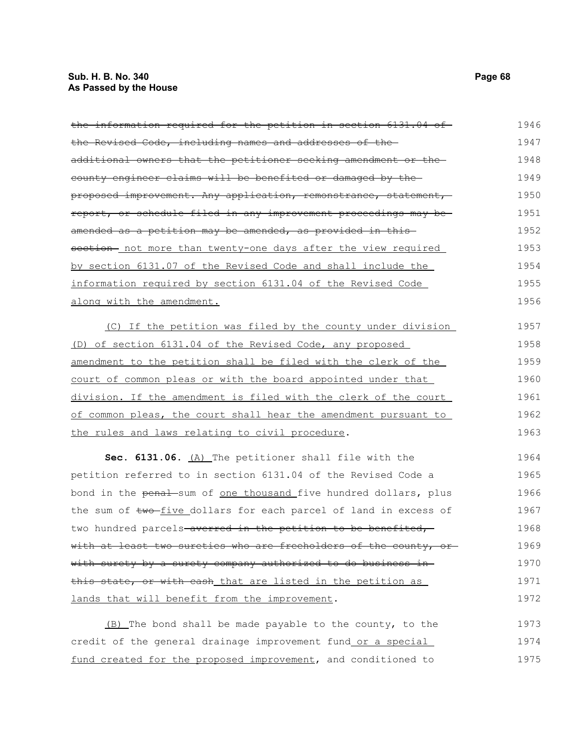# **Sub. H. B. No. 340 Page 68 As Passed by the House**

| the information required for the petition in section 6131.04 of                      | 1946 |
|--------------------------------------------------------------------------------------|------|
| the Revised Code, including names and addresses of the                               | 1947 |
| additional owners that the petitioner seeking amendment or the-                      | 1948 |
| county engineer claims will be benefited or damaged by the                           | 1949 |
| <del>proposed improvement. Any application, remonstrance, statement, -</del>         | 1950 |
| report, or schedule filed in any improvement proceedings may be-                     | 1951 |
| amended as a petition may be amended, as provided in this—                           | 1952 |
| section- not more than twenty-one days after the view required                       | 1953 |
| by section 6131.07 of the Revised Code and shall include the                         | 1954 |
| information required by section 6131.04 of the Revised Code                          | 1955 |
| along with the amendment.                                                            | 1956 |
| (C) If the petition was filed by the county under division                           | 1957 |
| (D) of section 6131.04 of the Revised Code, any proposed                             | 1958 |
| amendment to the petition shall be filed with the clerk of the                       | 1959 |
| court of common pleas or with the board appointed under that                         | 1960 |
| <u>division. If the amendment is filed with the clerk of the court </u>              | 1961 |
| of common pleas, the court shall hear the amendment pursuant to                      | 1962 |
| the rules and laws relating to civil procedure.                                      | 1963 |
| Sec. 6131.06. (A) The petitioner shall file with the                                 | 1964 |
| petition referred to in section 6131.04 of the Revised Code a                        | 1965 |
| bond in the <del>penal</del> -sum of <u>one thousand fi</u> ve hundred dollars, plus | 1966 |
| the sum of two-five_dollars for each parcel of land in excess of                     | 1967 |
| two hundred parcels <del> averred in the petition to be benefited,</del>             | 1968 |
| with at least two sureties who are freeholders of the county, or-                    | 1969 |
| with surety by a surety company authorized to do business in-                        | 1970 |
| <del>this state, or with cash_that are listed in the petition as_</del>              | 1971 |
| lands that will benefit from the improvement.                                        | 1972 |
| (B) The bond shall be made payable to the county, to the                             | 1973 |
|                                                                                      |      |

credit of the general drainage improvement fund or a special fund created for the proposed improvement, and conditioned to 1974 1975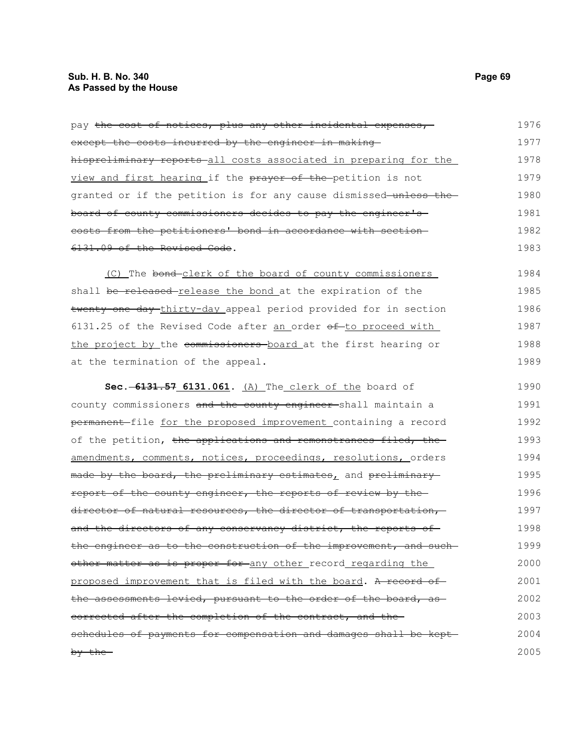| pay the cost of notices, plus any other incidental expenses,       | 1976 |
|--------------------------------------------------------------------|------|
| except the costs incurred by the engineer in making                | 1977 |
| hispreliminary reports all costs associated in preparing for the   | 1978 |
| view and first hearing if the prayer of the petition is not        | 1979 |
| granted or if the petition is for any cause dismissed-unless the-  | 1980 |
| board of county commissioners decides to pay the engineer's        | 1981 |
| costs from the petitioners' bond in accordance with section-       | 1982 |
| 6131.09 of the Revised Code.                                       | 1983 |
| (C) The bond-clerk of the board of county commissioners            | 1984 |
| shall be released release the bond at the expiration of the        | 1985 |
| twenty-one day thirty-day appeal period provided for in section    | 1986 |
| $6131.25$ of the Revised Code after an order $ef$ -to proceed with | 1987 |
| the project by the commissioners board at the first hearing or     | 1988 |
| at the termination of the appeal.                                  | 1989 |
| Sec. -6131.57 6131.061. (A) The clerk of the board of              | 1990 |
| county commissioners and the county engineer-shall maintain a      | 1991 |
| permanent-file for the proposed improvement containing a record    | 1992 |
| of the petition, the applications and remonstrances filed, the     | 1993 |
| amendments, comments, notices, proceedings, resolutions, orders    | 1994 |
| made by the board, the preliminary estimates, and preliminary      | 1995 |
| report of the county engineer, the reports of review by the        | 1996 |
| director of natural resources, the director of transportation,     | 1997 |
| and the directors of any conservancy district, the reports of      | 1998 |
| the engineer as to the construction of the improvement, and such-  | 1999 |
| other matter as is proper for any other record regarding the       | 2000 |
| proposed improvement that is filed with the board. A record of     | 2001 |
| the assessments levied, pursuant to the order of the board, as-    | 2002 |
| eorrected after the completion of the contract, and the            | 2003 |
| schedules of payments for compensation and damages shall be kept-  | 2004 |
| by the                                                             | 2005 |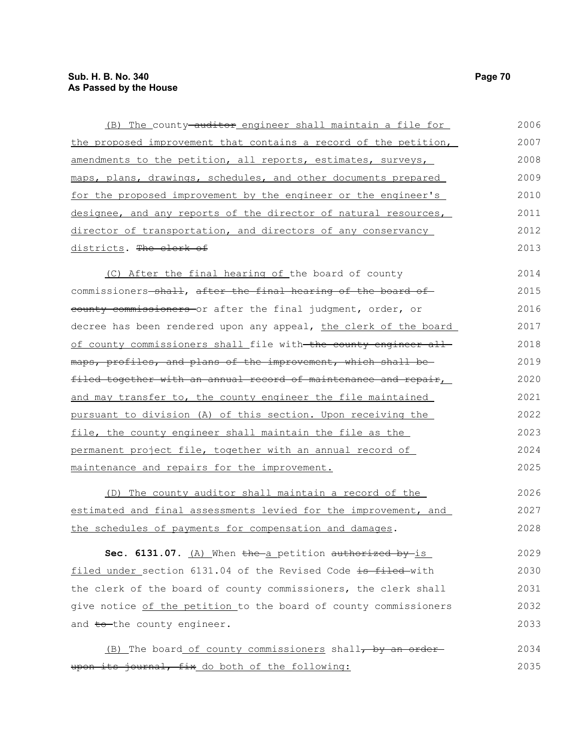| (B) The county-auditor engineer shall maintain a file for        | 2006 |
|------------------------------------------------------------------|------|
| the proposed improvement that contains a record of the petition, | 2007 |
| amendments to the petition, all reports, estimates, surveys,     | 2008 |
| maps, plans, drawings, schedules, and other documents prepared   | 2009 |
| for the proposed improvement by the engineer or the engineer's   | 2010 |
| designee, and any reports of the director of natural resources,  | 2011 |
| director of transportation, and directors of any conservancy     | 2012 |
| districts. The clerk of                                          | 2013 |
| (C) After the final hearing of the board of county               | 2014 |
| commissioners-shall, after the final hearing of the board of     | 2015 |
| eounty commissioners or after the final judgment, order, or      | 2016 |
| decree has been rendered upon any appeal, the clerk of the board | 2017 |
| of county commissioners shall file with the county engineer all  | 2018 |
| maps, profiles, and plans of the improvement, which shall be-    | 2019 |
| filed together with an annual record of maintenance and repair,  | 2020 |
| and may transfer to, the county engineer the file maintained     | 2021 |
| pursuant to division (A) of this section. Upon receiving the     | 2022 |
| file, the county engineer shall maintain the file as the         | 2023 |
| permanent project file, together with an annual record of        | 2024 |
| maintenance and repairs for the improvement.                     | 2025 |
| (D) The county auditor shall maintain a record of the            | 2026 |
| estimated and final assessments levied for the improvement, and  | 2027 |
| the schedules of payments for compensation and damages.          | 2028 |
| Sec. 6131.07. (A) When the a petition authorized by is           | 2029 |
| filed under section 6131.04 of the Revised Code is filed-with    | 2030 |
| the clerk of the board of county commissioners, the clerk shall  | 2031 |
| give notice of the petition to the board of county commissioners | 2032 |
| and to-the county engineer.                                      | 2033 |
| (B) The board of county commissioners shall, by an order         | 2034 |
| upon its journal, fix do both of the following:                  | 2035 |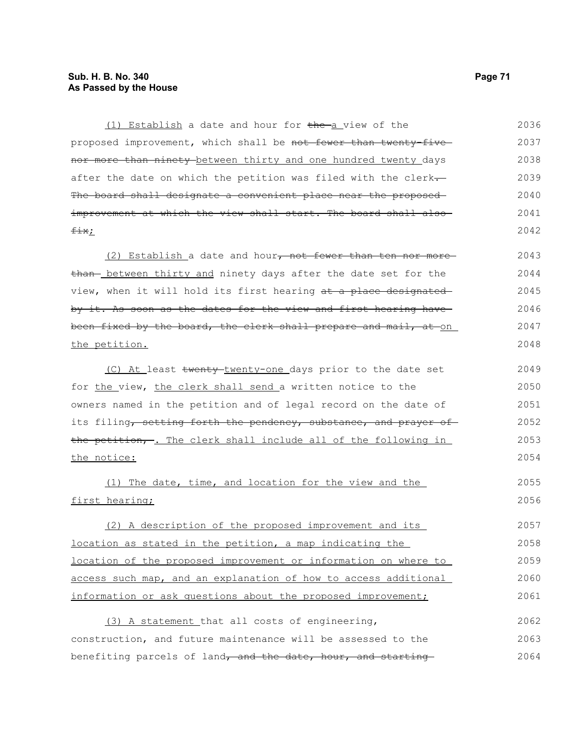### **Sub. H. B. No. 340 Page 71 As Passed by the House**

(1) Establish a date and hour for the a view of the proposed improvement, which shall be not fewer than twenty-fivenor more than ninety between thirty and one hundred twenty days after the date on which the petition was filed with the clerk-The board shall designate a convenient place near the proposedimprovement at which the view shall start. The board shall alsofix; 2036 2037 2038 2039 2040 2041 2042

(2) Establish a date and hour, not fewer than ten nor morethan- between thirty and ninety days after the date set for the view, when it will hold its first hearing at a place designated by it. As soon as the dates for the view and first hearing have been fixed by the board, the clerk shall prepare and mail, at on the petition. 2043 2044 2045 2046 2047 2048

(C) At least twenty-twenty-one days prior to the date set for the view, the clerk shall send a written notice to the owners named in the petition and of legal record on the date of its filing, setting forth the pendency, substance, and prayer of the petition, -. The clerk shall include all of the following in the notice: 2049 2050 2051 2052 2053 2054

(1) The date, time, and location for the view and the first hearing; 2055 2056

(2) A description of the proposed improvement and its location as stated in the petition, a map indicating the location of the proposed improvement or information on where to access such map, and an explanation of how to access additional information or ask questions about the proposed improvement; 2057 2058 2059 2060 2061

(3) A statement that all costs of engineering, construction, and future maintenance will be assessed to the benefiting parcels of land, and the date, hour, and starting 2062 2063 2064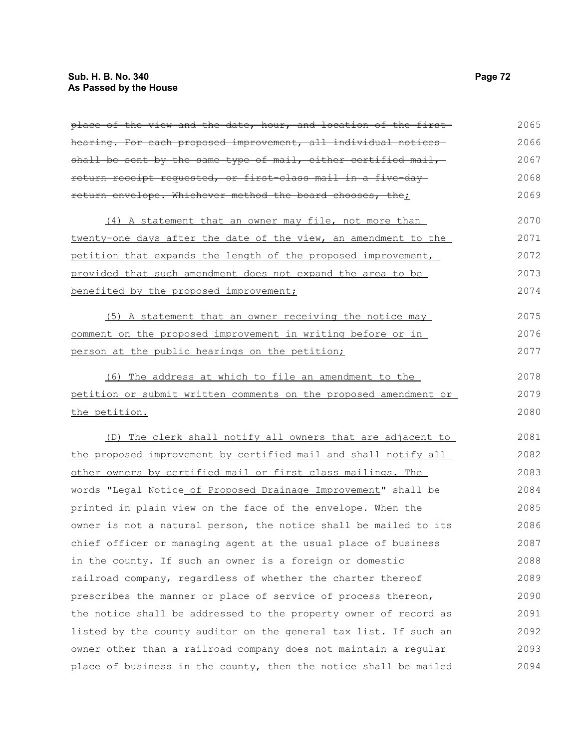# **Sub. H. B. No. 340 Page 72 As Passed by the House**

| place of the view and the date, hour, and location of the first- | 2065 |
|------------------------------------------------------------------|------|
| hearing. For each proposed improvement, all individual notices-  | 2066 |
| shall be sent by the same type of mail, either certified mail,   | 2067 |
| return receipt requested, or first-class mail in a five-day-     | 2068 |
| return envelope. Whichever method the board chooses, the;        | 2069 |
| (4) A statement that an owner may file, not more than            | 2070 |
| twenty-one days after the date of the view, an amendment to the  | 2071 |
| petition that expands the length of the proposed improvement,    | 2072 |
| provided that such amendment does not expand the area to be      | 2073 |
| benefited by the proposed improvement;                           | 2074 |
| (5) A statement that an owner receiving the notice may           | 2075 |
| comment on the proposed improvement in writing before or in      | 2076 |
| person at the public hearings on the petition;                   | 2077 |
| (6) The address at which to file an amendment to the             | 2078 |
| petition or submit written comments on the proposed amendment or | 2079 |
| the petition.                                                    | 2080 |
| (D) The clerk shall notify all owners that are adjacent to       | 2081 |
| the proposed improvement by certified mail and shall notify all  | 2082 |
| other owners by certified mail or first class mailings. The      | 2083 |
| words "Legal Notice of Proposed Drainage Improvement" shall be   | 2084 |
| printed in plain view on the face of the envelope. When the      | 2085 |
| owner is not a natural person, the notice shall be mailed to its | 2086 |
| chief officer or managing agent at the usual place of business   | 2087 |
| in the county. If such an owner is a foreign or domestic         | 2088 |
| railroad company, regardless of whether the charter thereof      | 2089 |
| prescribes the manner or place of service of process thereon,    | 2090 |
| the notice shall be addressed to the property owner of record as | 2091 |
| listed by the county auditor on the general tax list. If such an | 2092 |
| owner other than a railroad company does not maintain a regular  | 2093 |
| place of business in the county, then the notice shall be mailed | 2094 |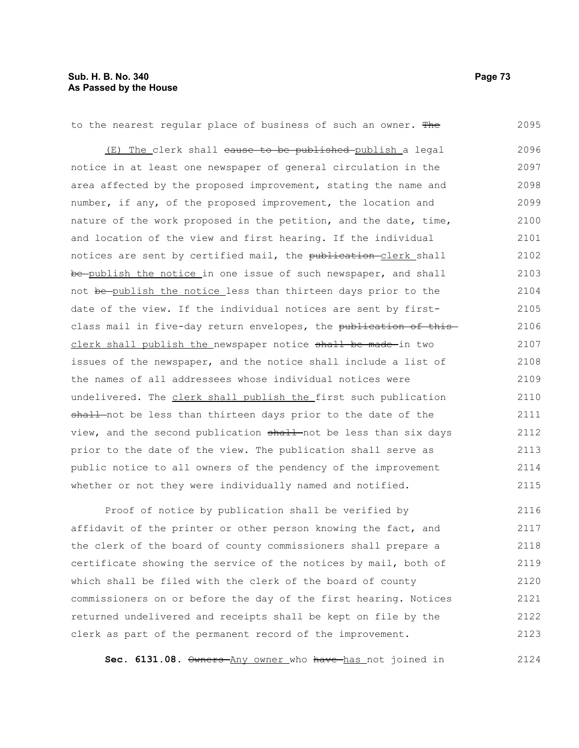to the nearest regular place of business of such an owner. The (E) The clerk shall cause to be published publish a legal notice in at least one newspaper of general circulation in the area affected by the proposed improvement, stating the name and number, if any, of the proposed improvement, the location and nature of the work proposed in the petition, and the date, time, and location of the view and first hearing. If the individual notices are sent by certified mail, the publication-clerk shall be publish the notice in one issue of such newspaper, and shall not be publish the notice less than thirteen days prior to the date of the view. If the individual notices are sent by firstclass mail in five-day return envelopes, the publication of thisclerk shall publish the newspaper notice shall be made-in two issues of the newspaper, and the notice shall include a list of the names of all addressees whose individual notices were undelivered. The clerk shall publish the first such publication shall not be less than thirteen days prior to the date of the view, and the second publication shall not be less than six days prior to the date of the view. The publication shall serve as public notice to all owners of the pendency of the improvement whether or not they were individually named and notified. 2095 2096 2097 2098 2099 2100 2101 2102 2103 2104 2105 2106 2107 2108 2109 2110 2111 2112 2113 2114 2115

Proof of notice by publication shall be verified by affidavit of the printer or other person knowing the fact, and the clerk of the board of county commissioners shall prepare a certificate showing the service of the notices by mail, both of which shall be filed with the clerk of the board of county commissioners on or before the day of the first hearing. Notices returned undelivered and receipts shall be kept on file by the clerk as part of the permanent record of the improvement. 2116 2117 2118 2119 2120 2121 2122 2123

Sec. 6131.08.  $\theta$ wners-Any owner who have-has not joined in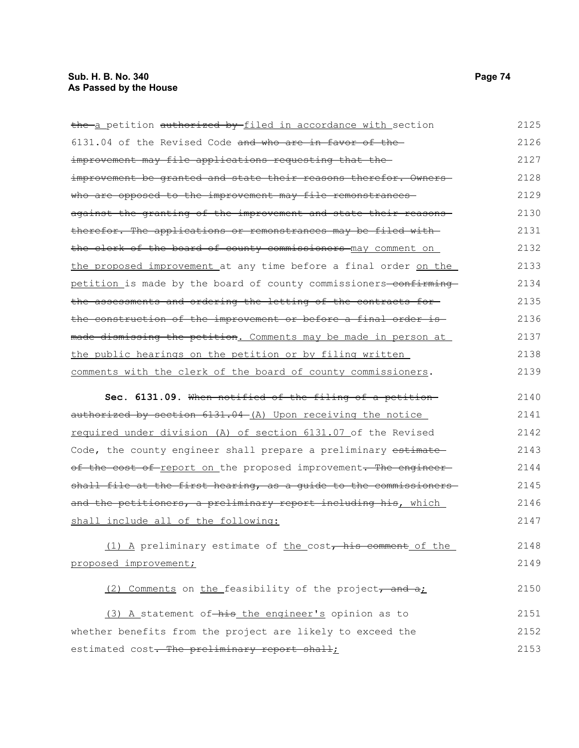| the a petition authorized by filed in accordance with section          | 2125 |
|------------------------------------------------------------------------|------|
| 6131.04 of the Revised Code and who are in favor of the-               | 2126 |
| improvement may file applications requesting that the-                 | 2127 |
| improvement be granted and state their reasons therefor. Owners-       | 2128 |
| who are opposed to the improvement may file remonstrances-             | 2129 |
| against the granting of the improvement and state their reasons-       | 2130 |
| therefor. The applications or remonstrances may be filed with-         | 2131 |
| the clerk of the board of county commissioners may comment on          | 2132 |
| the proposed improvement at any time before a final order on the       | 2133 |
| petition is made by the board of county commissioners-confirming       | 2134 |
| the assessments and ordering the letting of the contracts for-         | 2135 |
| <u>the construction of the improvement or before a final order is-</u> | 2136 |
| made dismissing the petition. Comments may be made in person at        | 2137 |
| the public hearings on the petition or by filing written               | 2138 |
| comments with the clerk of the board of county commissioners.          | 2139 |
| Sec. 6131.09. When notified of the filing of a petition                | 2140 |
| authorized by section 6131.04 (A) Upon receiving the notice            | 2141 |
| required under division (A) of section 6131.07 of the Revised          | 2142 |
| Code, the county engineer shall prepare a preliminary estimate         | 2143 |
| of the cost of report on the proposed improvement. The engineer-       | 2144 |
| shall file at the first hearing, as a guide to the commissioners       | 2145 |
| and the petitioners, a preliminary report including his, which         | 2146 |
| shall include all of the following:                                    | 2147 |
| (1) A preliminary estimate of the cost, his comment of the             | 2148 |
| proposed improvement;                                                  | 2149 |
| (2) Comments on the feasibility of the project, and a:                 | 2150 |

(3) A statement of-his the engineer's opinion as to whether benefits from the project are likely to exceed the estimated cost. The preliminary report shall; 2151 2152 2153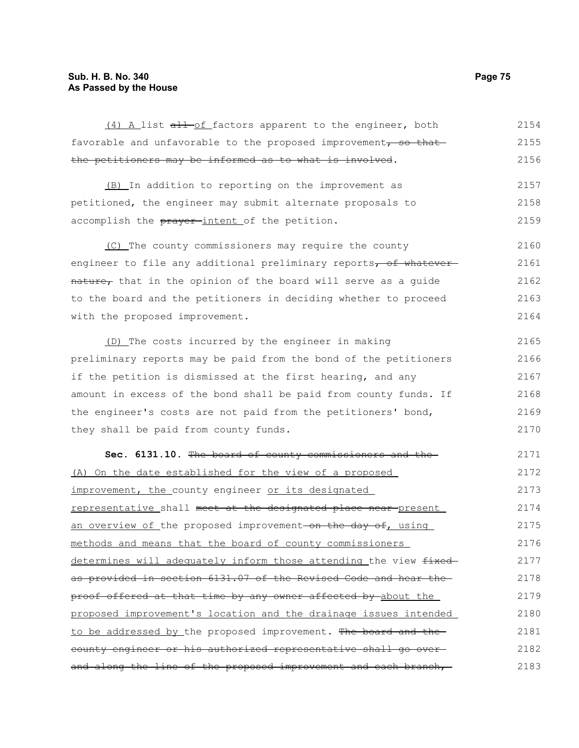## **Sub. H. B. No. 340 Page 75 As Passed by the House**

| (4) A list all of factors apparent to the engineer, both              | 2154 |
|-----------------------------------------------------------------------|------|
| favorable and unfavorable to the proposed improvement, so that        | 2155 |
| the petitioners may be informed as to what is involved.               | 2156 |
| (B) In addition to reporting on the improvement as                    | 2157 |
| petitioned, the engineer may submit alternate proposals to            | 2158 |
| accomplish the prayer-intent of the petition.                         | 2159 |
| (C) The county commissioners may require the county                   | 2160 |
| engineer to file any additional preliminary reports, of whatever      | 2161 |
| nature, that in the opinion of the board will serve as a guide        | 2162 |
| to the board and the petitioners in deciding whether to proceed       | 2163 |
| with the proposed improvement.                                        | 2164 |
| (D) The costs incurred by the engineer in making                      | 2165 |
| preliminary reports may be paid from the bond of the petitioners      | 2166 |
| if the petition is dismissed at the first hearing, and any            | 2167 |
| amount in excess of the bond shall be paid from county funds. If      | 2168 |
| the engineer's costs are not paid from the petitioners' bond,         | 2169 |
| they shall be paid from county funds.                                 | 2170 |
| Sec. 6131.10. The board of county commissioners and the-              | 2171 |
| (A) On the date established for the view of a proposed                | 2172 |
| improvement, the county engineer or its designated                    | 2173 |
| <u>representative</u> shall meet at the designated place near-present | 2174 |
| an overview of the proposed improvement on the day of, using          | 2175 |
| methods and means that the board of county commissioners              | 2176 |
| determines will adequately inform those attending the view fixed-     | 2177 |
| as provided in section 6131.07 of the Revised Code and hear the-      | 2178 |
| proof offered at that time by any owner affected by about the         | 2179 |
| proposed improvement's location and the drainage issues intended      | 2180 |
| to be addressed by the proposed improvement. The board and the-       | 2181 |
| county engineer or his authorized representative shall go over-       | 2182 |
| and along the line of the proposed improvement and each branch,       | 2183 |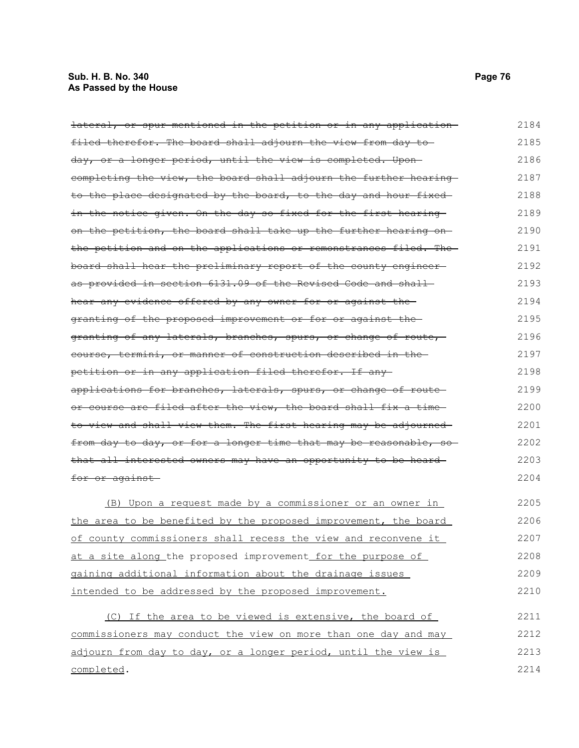## **Sub. H. B. No. 340 Page 76 As Passed by the House**

| <del>lateral, or spur mentioned in the petition or in any application-</del> | 2184 |
|------------------------------------------------------------------------------|------|
| filed therefor. The board shall adjourn the view from day to                 | 2185 |
| day, or a longer period, until the view is completed. Upon-                  | 2186 |
| completing the view, the board shall adjourn the further hearing             | 2187 |
| to the place designated by the board, to the day and hour fixed              | 2188 |
| in the notice given. On the day so fixed for the first hearing               | 2189 |
| on the petition, the board shall take up the further hearing on-             | 2190 |
| the petition and on the applications or remonstrances filed. The             | 2191 |
| board shall hear the preliminary report of the county engineer-              | 2192 |
| as provided in section 6131.09 of the Revised Code and shall                 | 2193 |
| hear any evidence offered by any owner for or against the                    | 2194 |
| granting of the proposed improvement or for or against the                   | 2195 |
| granting of any laterals, branches, spurs, or change of route,               | 2196 |
| course, termini, or manner of construction described in the                  | 2197 |
| petition or in any application filed therefor. If any-                       | 2198 |
| applications for branches, laterals, spurs, or change of route               | 2199 |
| or course are filed after the view, the board shall fix a time-              | 2200 |
| to view and shall view them. The first hearing may be adjourned              | 2201 |
| from day to day, or for a longer time that may be reasonable, so             | 2202 |
| that all interested owners may have an opportunity to be heard-              | 2203 |
| for or against                                                               | 2204 |
| (B) Upon a request made by a commissioner or an owner in                     | 2205 |
| <u>the area to be benefited by the proposed improvement, the board</u>       | 2206 |
| of county commissioners shall recess the view and reconvene it               | 2207 |
| at a site along the proposed improvement for the purpose of                  | 2208 |
| gaining additional information about the drainage issues                     | 2209 |
| intended to be addressed by the proposed improvement.                        | 2210 |
| (C) If the area to be viewed is extensive, the board of                      | 2211 |
| commissioners may conduct the view on more than one day and may              | 2212 |
| adjourn from day to day, or a longer period, until the view is               | 2213 |
| completed.                                                                   | 2214 |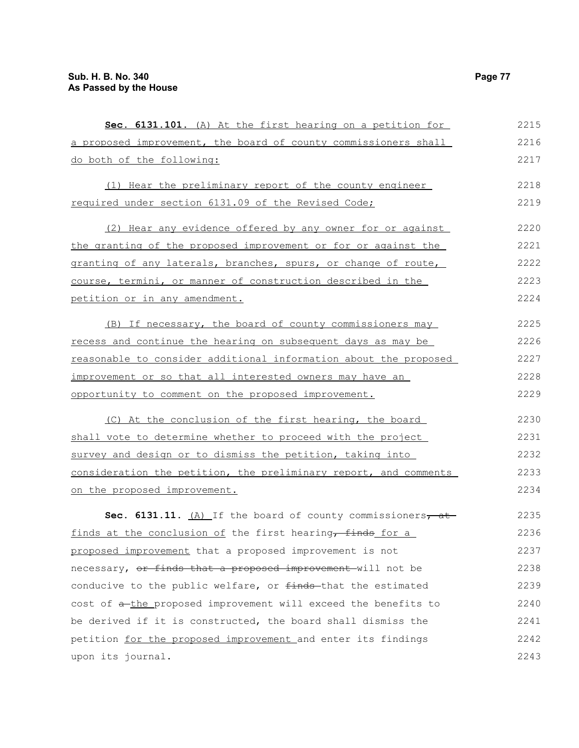| Sec. 6131.101. (A) At the first hearing on a petition for           | 2215 |
|---------------------------------------------------------------------|------|
| a proposed improvement, the board of county commissioners shall     | 2216 |
| do both of the following:                                           | 2217 |
| (1) Hear the preliminary report of the county engineer              | 2218 |
| required under section 6131.09 of the Revised Code;                 | 2219 |
| (2) Hear any evidence offered by any owner for or against           | 2220 |
| the granting of the proposed improvement or for or against the      | 2221 |
| granting of any laterals, branches, spurs, or change of route,      | 2222 |
| course, termini, or manner of construction described in the         | 2223 |
| petition or in any amendment.                                       | 2224 |
| (B) If necessary, the board of county commissioners may             | 2225 |
| recess and continue the hearing on subsequent days as may be        | 2226 |
| reasonable to consider additional information about the proposed    | 2227 |
| improvement or so that all interested owners may have an            | 2228 |
| opportunity to comment on the proposed improvement.                 | 2229 |
| (C) At the conclusion of the first hearing, the board               | 2230 |
| shall vote to determine whether to proceed with the project         | 2231 |
| survey and design or to dismiss the petition, taking into           | 2232 |
| consideration the petition, the preliminary report, and comments    | 2233 |
| on the proposed improvement.                                        | 2234 |
| <b>Sec. 6131.11.</b> $(A)$ If the board of county commissioners, at | 2235 |
| finds at the conclusion of the first hearing, finds for a           | 2236 |
| proposed improvement that a proposed improvement is not             | 2237 |
| necessary, or finds that a proposed improvement will not be         | 2238 |
| conducive to the public welfare, or finds-that the estimated        | 2239 |
| cost of a-the proposed improvement will exceed the benefits to      | 2240 |
| be derived if it is constructed, the board shall dismiss the        | 2241 |
| petition for the proposed improvement and enter its findings        | 2242 |
| upon its journal.                                                   | 2243 |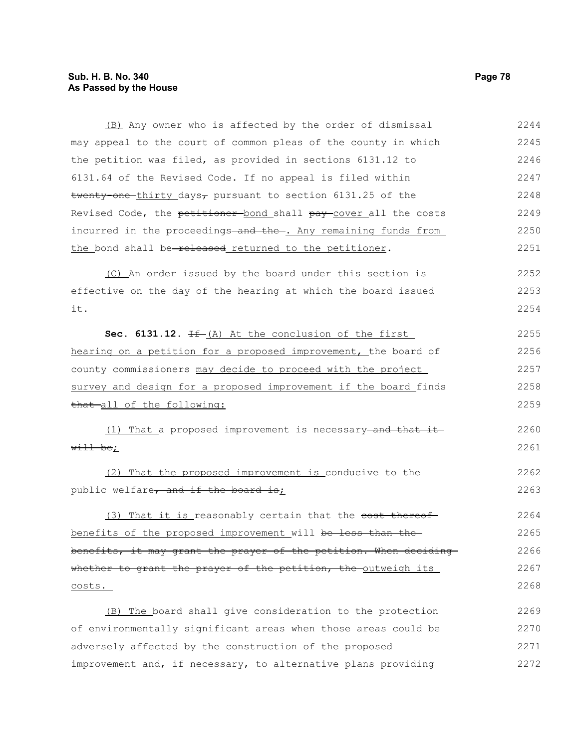### **Sub. H. B. No. 340 Page 78 As Passed by the House**

(B) Any owner who is affected by the order of dismissal may appeal to the court of common pleas of the county in which the petition was filed, as provided in sections 6131.12 to 6131.64 of the Revised Code. If no appeal is filed within twenty-one-thirty days<sub> $\tau$ </sub> pursuant to section 6131.25 of the Revised Code, the petitioner bond shall pay cover all the costs incurred in the proceedings and the . Any remaining funds from the bond shall be-released returned to the petitioner. (C) An order issued by the board under this section is effective on the day of the hearing at which the board issued it. **Sec. 6131.12.** If (A) At the conclusion of the first hearing on a petition for a proposed improvement, the board of county commissioners may decide to proceed with the project survey and design for a proposed improvement if the board finds that all of the following: (1) That a proposed improvement is necessary and that it will be; (2) That the proposed improvement is conducive to the public welfare, and if the board is; (3) That it is reasonably certain that the <del>cost thereof</del> benefits of the proposed improvement will be less than the benefits, it may grant the prayer of the petition. When deciding whether to grant the prayer of the petition, the outweigh its costs. (B) The board shall give consideration to the protection of environmentally significant areas when those areas could be adversely affected by the construction of the proposed 2244 2245 2246 2247 2248 2249 2250 2251 2252 2253 2254 2255 2256 2257 2258 2259 2260 2261 2262 2263 2264 2265 2266 2267 2268 2269 2270 2271

improvement and, if necessary, to alternative plans providing 2272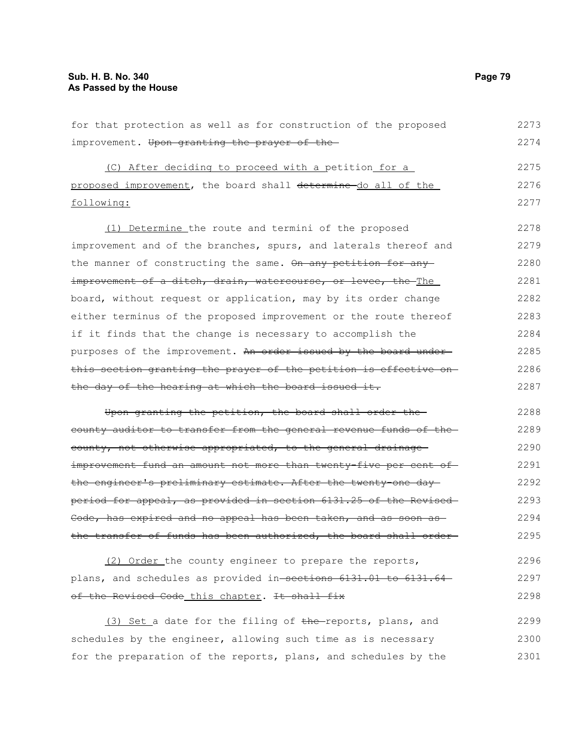for that protection as well as for construction of the proposed improvement. Upon granting the prayer of the (C) After deciding to proceed with a petition for a proposed improvement, the board shall determine do all of the following: (1) Determine the route and termini of the proposed improvement and of the branches, spurs, and laterals thereof and the manner of constructing the same. On any petition for any improvement of a ditch, drain, watercourse, or levee, the The board, without request or application, may by its order change either terminus of the proposed improvement or the route thereof if it finds that the change is necessary to accomplish the purposes of the improvement. An order issued by the board underthis section granting the prayer of the petition is effective on the day of the hearing at which the board issued it. Upon granting the petition, the board shall order the county auditor to transfer from the general revenue funds of the county, not otherwise appropriated, to the general drainage improvement fund an amount not more than twenty-five per cent of the engineer's preliminary estimate. After the twenty-one day period for appeal, as provided in section 6131.25 of the Revised Code, has expired and no appeal has been taken, and as soon as the transfer of funds has been authorized, the board shall order (2) Order the county engineer to prepare the reports, 2273 2274 2275 2276 2277 2278 2279 2280 2281 2282 2283 2284 2285 2286 2287 2288 2289 2290 2291 2292 2293 2294 2295 2296

plans, and schedules as provided in sections 6131.01 to 6131.64 of the Revised Code this chapter. It shall fix 2297 2298

(3) Set a date for the filing of the reports, plans, and schedules by the engineer, allowing such time as is necessary for the preparation of the reports, plans, and schedules by the 2299 2300 2301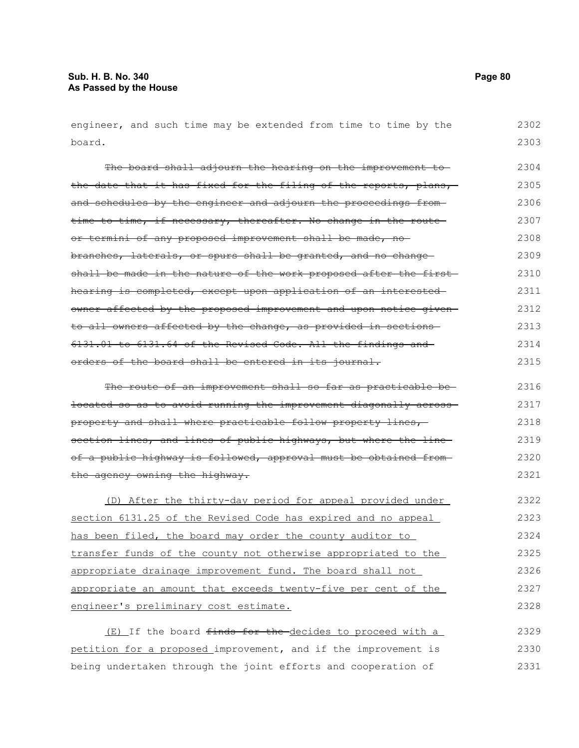engineer, and such time may be extended from time to time by the board. 2302 2303

The board shall adjourn the hearing on the improvement tothe date that it has fixed for the filing of the reports, plans, and schedules by the engineer and adjourn the proceedings fromtime to time, if necessary, thereafter. No change in the routeor termini of any proposed improvement shall be made, nobranches, laterals, or spurs shall be granted, and no change shall be made in the nature of the work proposed after the first hearing is completed, except upon application of an interested owner affected by the proposed improvement and upon notice given to all owners affected by the change, as provided in sections 6131.01 to 6131.64 of the Revised Code. All the findings and orders of the board shall be entered in its journal. The route of an improvement shall so far as practicable be-2304 2305 2306 2307 2308 2309 2310 2311 2312 2313 2314 2315 2316

located so as to avoid running the improvement diagonally across property and shall where practicable follow property lines, section lines, and lines of public highways, but where the lineof a public highway is followed, approval must be obtained from the agency owning the highway. 2317 2318 2319 2320 2321

(D) After the thirty-day period for appeal provided under section 6131.25 of the Revised Code has expired and no appeal has been filed, the board may order the county auditor to transfer funds of the county not otherwise appropriated to the appropriate drainage improvement fund. The board shall not appropriate an amount that exceeds twenty-five per cent of the engineer's preliminary cost estimate. 2322 2323 2324 2325 2326 2327 2328

(E) If the board <del>finds for the d</del>ecides to proceed with a petition for a proposed improvement, and if the improvement is being undertaken through the joint efforts and cooperation of 2329 2330 2331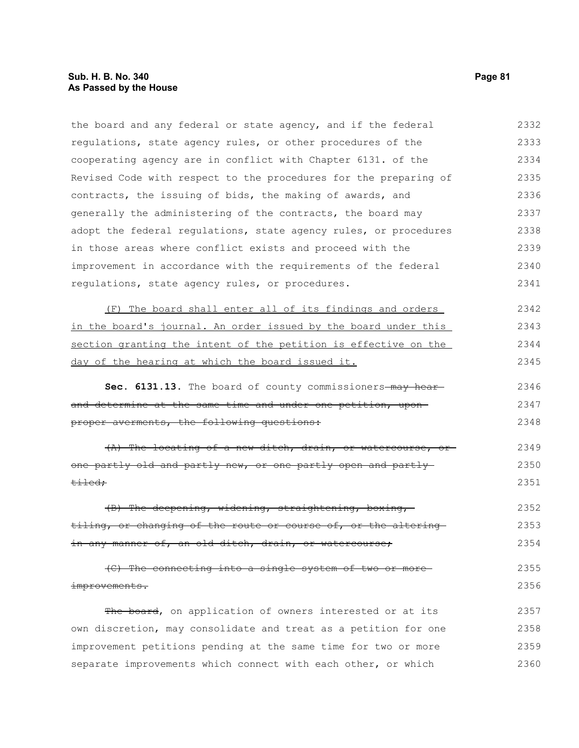the board and any federal or state agency, and if the federal regulations, state agency rules, or other procedures of the cooperating agency are in conflict with Chapter 6131. of the Revised Code with respect to the procedures for the preparing of contracts, the issuing of bids, the making of awards, and generally the administering of the contracts, the board may adopt the federal regulations, state agency rules, or procedures in those areas where conflict exists and proceed with the improvement in accordance with the requirements of the federal regulations, state agency rules, or procedures. 2332 2333 2334 2335 2336 2337 2338 2339 2340 2341

(F) The board shall enter all of its findings and orders in the board's journal. An order issued by the board under this section granting the intent of the petition is effective on the day of the hearing at which the board issued it. 2342 2343 2344 2345

Sec. 6131.13. The board of county commissioners-may hearand determine at the same time and under one petition, uponproper averments, the following questions: 2346 2347 2348

(A) The locating of a new ditch, drain, or watercourse, or one partly old and partly new, or one partly open and partly tiled; 2349 2350 2351

(B) The deepening, widening, straightening, boxing, tiling, or changing of the route or course of, or the altering in any manner of, an old ditch, drain, or watercourse; 2352 2353 2354

(C) The connecting into a single system of two or more improvements. 2355 2356

The board, on application of owners interested or at its own discretion, may consolidate and treat as a petition for one improvement petitions pending at the same time for two or more separate improvements which connect with each other, or which 2357 2358 2359 2360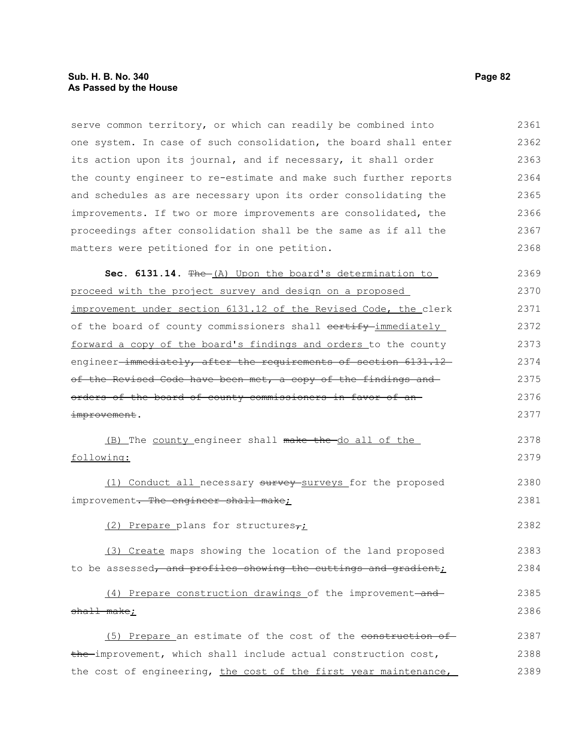serve common territory, or which can readily be combined into one system. In case of such consolidation, the board shall enter its action upon its journal, and if necessary, it shall order the county engineer to re-estimate and make such further reports and schedules as are necessary upon its order consolidating the improvements. If two or more improvements are consolidated, the proceedings after consolidation shall be the same as if all the matters were petitioned for in one petition. Sec. 6131.14. The (A) Upon the board's determination to proceed with the project survey and design on a proposed improvement under section 6131.12 of the Revised Code, the clerk of the board of county commissioners shall contify immediately forward a copy of the board's findings and orders to the county engineer-immediately, after the requirements of section 6131.12 of the Revised Code have been met, a copy of the findings and orders of the board of county commissioners in favor of an improvement. (B) The county engineer shall make the do all of the following: (1) Conduct all necessary survey surveys for the proposed improvement. The engineer shall make; (2) Prepare plans for structures $\tau_L$ (3) Create maps showing the location of the land proposed to be assessed, and profiles showing the cuttings and gradient;  $(4)$  Prepare construction drawings of the improvement-andshall make; (5) Prepare an estimate of the cost of the construction of the improvement, which shall include actual construction cost, 2361 2362 2363 2364 2365 2366 2367 2368 2369 2370 2371 2372 2373 2374 2375 2376 2377 2378 2379 2380 2381 2382 2383 2384 2385 2386 2387 2388

the cost of engineering, the cost of the first year maintenance, 2389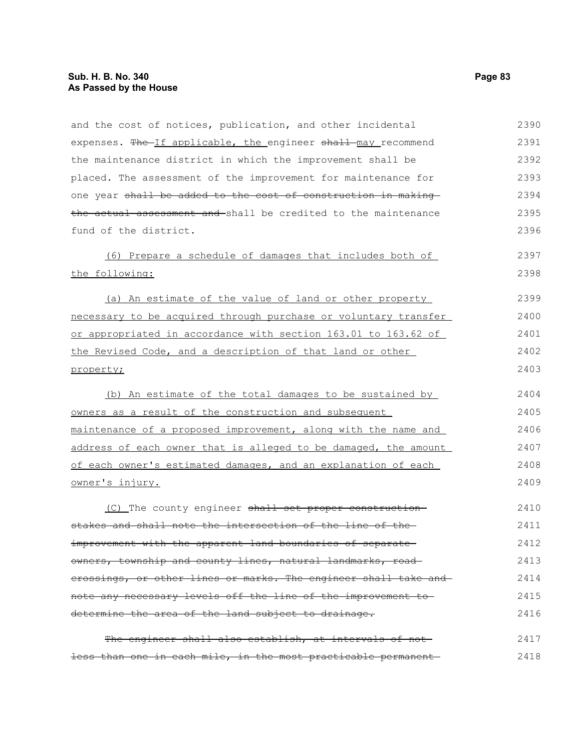| and the cost of notices, publication, and other incidental      | 2390 |
|-----------------------------------------------------------------|------|
| expenses. The If applicable, the engineer shall may recommend   | 2391 |
| the maintenance district in which the improvement shall be      | 2392 |
| placed. The assessment of the improvement for maintenance for   | 2393 |
| one year shall be added to the cost of construction in making   | 2394 |
| the actual assessment and shall be credited to the maintenance  | 2395 |
| fund of the district.                                           | 2396 |
| (6) Prepare a schedule of damages that includes both of         | 2397 |
| the following:                                                  | 2398 |
| (a) An estimate of the value of land or other property          | 2399 |
| necessary to be acquired through purchase or voluntary transfer | 2400 |
| or appropriated in accordance with section 163.01 to 163.62 of  | 2401 |
| the Revised Code, and a description of that land or other       | 2402 |
| property;                                                       | 2403 |
| (b) An estimate of the total damages to be sustained by         | 2404 |
| owners as a result of the construction and subsequent           | 2405 |
| maintenance of a proposed improvement, along with the name and  | 2406 |
| address of each owner that is alleged to be damaged, the amount | 2407 |
| of each owner's estimated damages, and an explanation of each   | 2408 |
| owner's injury.                                                 | 2409 |
| (C) The county engineer shall set proper construction-          | 2410 |
| stakes and shall note the intersection of the line of the-      | 2411 |
| improvement with the apparent land boundaries of separate       | 2412 |
| owners, township and county lines, natural landmarks, road-     | 2413 |
| erossings, or other lines or marks. The engineer shall take and | 2414 |
| note any necessary levels off the line of the improvement to-   | 2415 |
| determine the area of the land subject to drainage.             | 2416 |
| The engineer shall also establish, at intervals of not-         | 2417 |
| less than one in each mile, in the most practicable permanent-  | 2418 |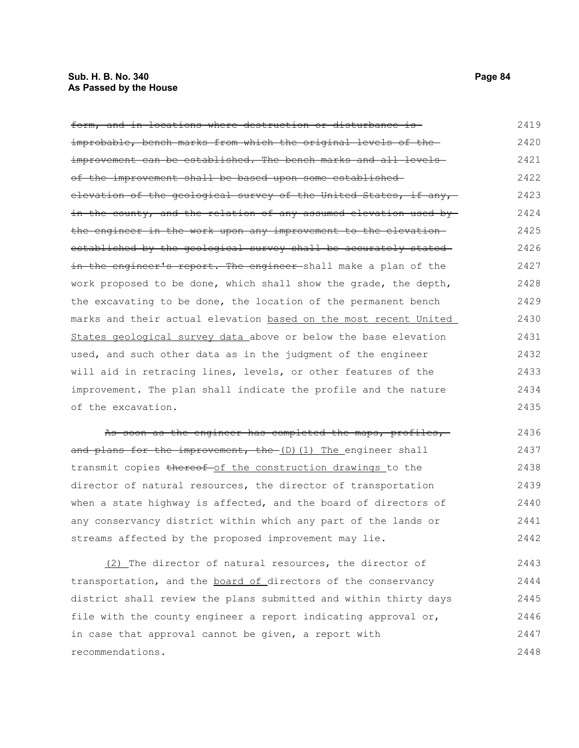#### **Sub. H. B. No. 340 Page 84 As Passed by the House**

form, and in locations where destruction or disturbance is improbable, bench marks from which the original levels of the improvement can be established. The bench marks and all levelsof the improvement shall be based upon some established elevation of the geological survey of the United States, if any, in the county, and the relation of any assumed elevation used by the engineer in the work upon any improvement to the elevation established by the geological survey shall be accurately stated in the engineer's report. The engineer shall make a plan of the work proposed to be done, which shall show the grade, the depth, the excavating to be done, the location of the permanent bench marks and their actual elevation based on the most recent United States geological survey data above or below the base elevation used, and such other data as in the judgment of the engineer will aid in retracing lines, levels, or other features of the improvement. The plan shall indicate the profile and the nature of the excavation. 2419 2420 2421 2422 2423 2424 2425 2426 2427 2428 2429 2430 2431 2432 2433 2434 2435

As soon as the engineer has completed the maps, profiles,and plans for the improvement, the (D)(1) The engineer shall transmit copies thereof of the construction drawings to the director of natural resources, the director of transportation when a state highway is affected, and the board of directors of any conservancy district within which any part of the lands or streams affected by the proposed improvement may lie. 2436 2437 2438 2439 2440 2441 2442

(2) The director of natural resources, the director of transportation, and the board of directors of the conservancy district shall review the plans submitted and within thirty days file with the county engineer a report indicating approval or, in case that approval cannot be given, a report with recommendations. 2443 2444 2445 2446 2447 2448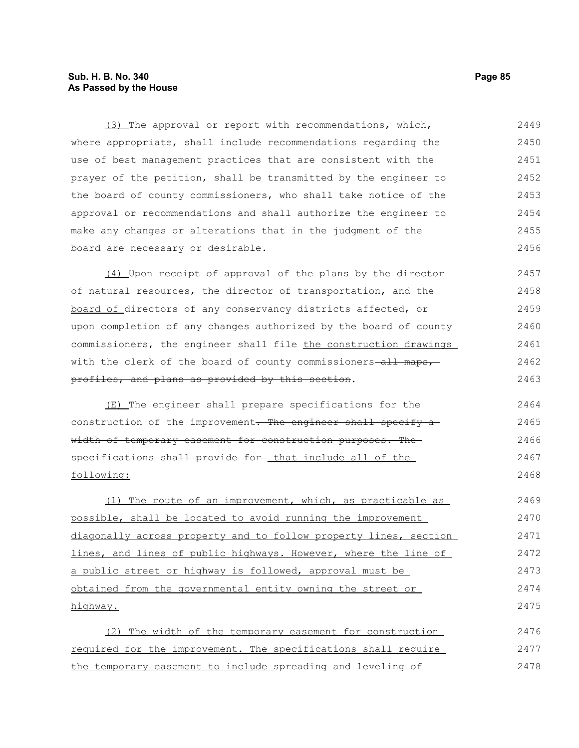### **Sub. H. B. No. 340 Page 85 As Passed by the House**

(3) The approval or report with recommendations, which, where appropriate, shall include recommendations regarding the use of best management practices that are consistent with the prayer of the petition, shall be transmitted by the engineer to the board of county commissioners, who shall take notice of the approval or recommendations and shall authorize the engineer to make any changes or alterations that in the judgment of the board are necessary or desirable. 2449 2450 2451 2452 2453 2454 2455 2456

(4) Upon receipt of approval of the plans by the director of natural resources, the director of transportation, and the board of directors of any conservancy districts affected, or upon completion of any changes authorized by the board of county commissioners, the engineer shall file the construction drawings with the clerk of the board of county commissioners-all maps, profiles, and plans as provided by this section. 2457 2458 2459 2460 2461 2462 2463

(E) The engineer shall prepare specifications for the construction of the improvement. The engineer shall specify awidth of temporary easement for construction purposes. The specifications shall provide for that include all of the following:

(1) The route of an improvement, which, as practicable as possible, shall be located to avoid running the improvement diagonally across property and to follow property lines, section lines, and lines of public highways. However, where the line of a public street or highway is followed, approval must be obtained from the governmental entity owning the street or highway. 2469 2470 2471 2472 2473 2474 2475

(2) The width of the temporary easement for construction required for the improvement. The specifications shall require the temporary easement to include spreading and leveling of 2476 2477 2478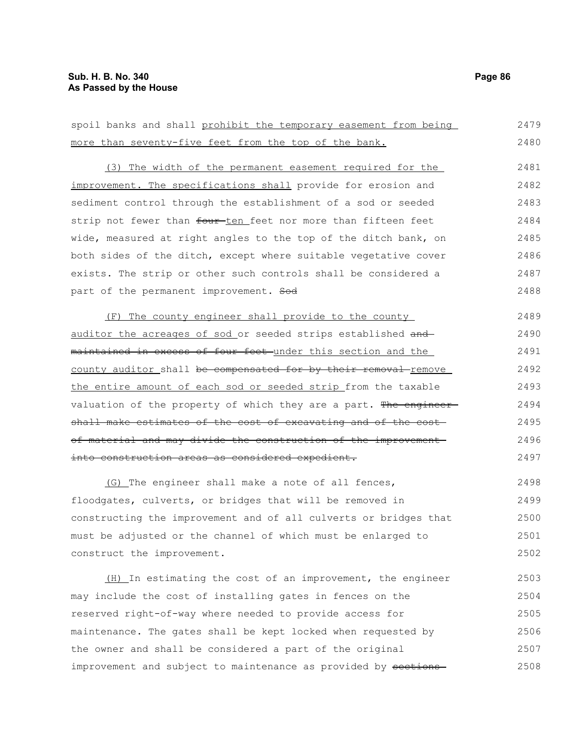| more than seventy-five feet from the top of the bank.                      | 2480 |
|----------------------------------------------------------------------------|------|
| (3) The width of the permanent easement required for the                   | 2481 |
| improvement. The specifications shall provide for erosion and              | 2482 |
| sediment control through the establishment of a sod or seeded              | 2483 |
| strip not fewer than four-ten feet nor more than fifteen feet              | 2484 |
| wide, measured at right angles to the top of the ditch bank, on            | 2485 |
| both sides of the ditch, except where suitable vegetative cover            | 2486 |
| exists. The strip or other such controls shall be considered a             | 2487 |
| part of the permanent improvement. Sod                                     | 2488 |
| (F) The county engineer shall provide to the county                        | 2489 |
| auditor the acreages of sod or seeded strips established and               | 2490 |
| maintained in excess of four feet under this section and the               | 2491 |
| county auditor shall <del>be compensated for by their removal</del> remove | 2492 |
| the entire amount of each sod or seeded strip from the taxable             | 2493 |
| valuation of the property of which they are a part. The engineer-          | 2494 |
| shall make estimates of the cost of excavating and of the cost-            | 2495 |
| of material and may divide the construction of the improvement-            | 2496 |
| into construction areas as considered expedient.                           | 2497 |
| (G) The engineer shall make a note of all fences,                          | 2498 |
| floodgates, culverts, or bridges that will be removed in                   | 2499 |
| constructing the improvement and of all culverts or bridges that           | 2500 |
| must be adjusted or the channel of which must be enlarged to               | 2501 |
| construct the improvement.                                                 | 2502 |
| (H) In estimating the cost of an improvement, the engineer                 | 2503 |
| may include the cost of installing gates in fences on the                  | 2504 |

spoil banks and shall prohibit the temporary easement from being

may ind reserved right-of-way where needed to provide access for maintenance. The gates shall be kept locked when requested by the owner and shall be considered a part of the original improvement and subject to maintenance as provided by sections-2505 2506 2507 2508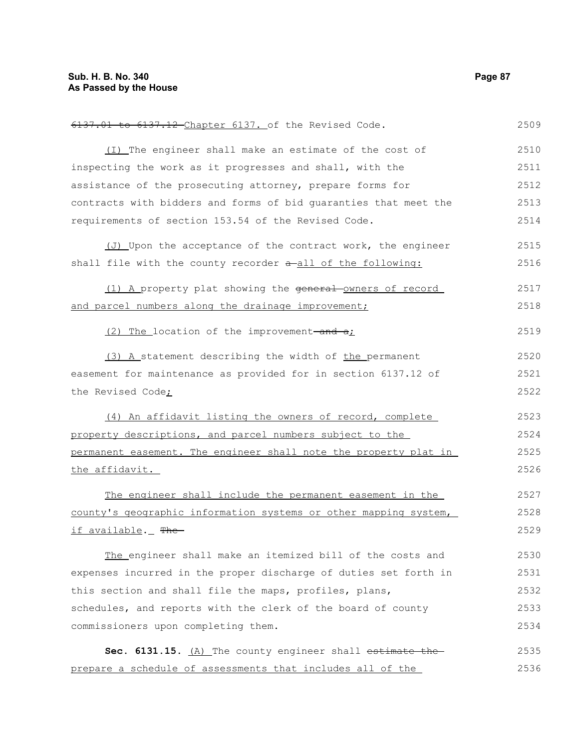6137.01 to 6137.12 Chapter 6137. of the Revised Code. (I) The engineer shall make an estimate of the cost of inspecting the work as it progresses and shall, with the assistance of the prosecuting attorney, prepare forms for contracts with bidders and forms of bid guaranties that meet the requirements of section 153.54 of the Revised Code. (J) Upon the acceptance of the contract work, the engineer shall file with the county recorder  $a$ -all of the following: (1) A property plat showing the general-owners of record and parcel numbers along the drainage improvement;  $(2)$  The location of the improvement-and  $a<sub>i</sub>$ (3) A statement describing the width of the permanent easement for maintenance as provided for in section 6137.12 of the Revised Code; (4) An affidavit listing the owners of record, complete property descriptions, and parcel numbers subject to the permanent easement. The engineer shall note the property plat in the affidavit. The engineer shall include the permanent easement in the county's geographic information systems or other mapping system, if available. The The engineer shall make an itemized bill of the costs and expenses incurred in the proper discharge of duties set forth in this section and shall file the maps, profiles, plans, schedules, and reports with the clerk of the board of county commissioners upon completing them. Sec. 6131.15. (A) The county engineer shall estimate the prepare a schedule of assessments that includes all of the 2509 2510 2511 2512 2513 2514 2515 2516 2517 2518 2519 2520 2521 2522 2523 2524 2525 2526 2527 2528 2529 2530 2531 2532 2533 2534 2535 2536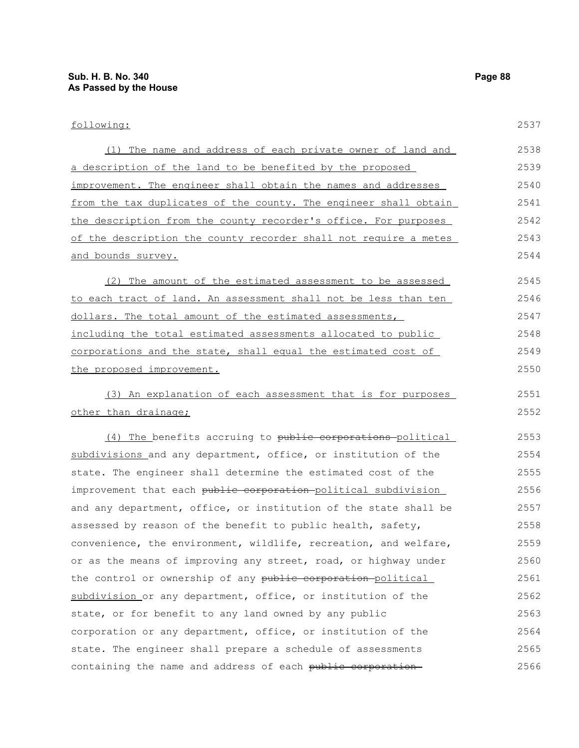| following:                                                       | 2537 |
|------------------------------------------------------------------|------|
| (1) The name and address of each private owner of land and       | 2538 |
| a description of the land to be benefited by the proposed        | 2539 |
| improvement. The engineer shall obtain the names and addresses   | 2540 |
| from the tax duplicates of the county. The engineer shall obtain | 2541 |
| the description from the county recorder's office. For purposes  | 2542 |
| of the description the county recorder shall not require a metes | 2543 |
| and bounds survey.                                               | 2544 |
| (2) The amount of the estimated assessment to be assessed        | 2545 |
| to each tract of land. An assessment shall not be less than ten  | 2546 |
| dollars. The total amount of the estimated assessments,          | 2547 |
| including the total estimated assessments allocated to public    | 2548 |
| corporations and the state, shall equal the estimated cost of    | 2549 |
| the proposed improvement.                                        | 2550 |
| (3) An explanation of each assessment that is for purposes       | 2551 |
| other than drainage;                                             | 2552 |
| (4) The benefits accruing to public corporations political       | 2553 |
| subdivisions and any department, office, or institution of the   | 2554 |
| state. The engineer shall determine the estimated cost of the    | 2555 |
| improvement that each public corporation political subdivision   | 2556 |
| and any department, office, or institution of the state shall be | 2557 |
| assessed by reason of the benefit to public health, safety,      | 2558 |
| convenience, the environment, wildlife, recreation, and welfare, | 2559 |
| or as the means of improving any street, road, or highway under  | 2560 |
| the control or ownership of any public corporation-political     | 2561 |
| subdivision or any department, office, or institution of the     | 2562 |
| state, or for benefit to any land owned by any public            | 2563 |
| corporation or any department, office, or institution of the     | 2564 |
| state. The engineer shall prepare a schedule of assessments      | 2565 |
| containing the name and address of each public corporation-      | 2566 |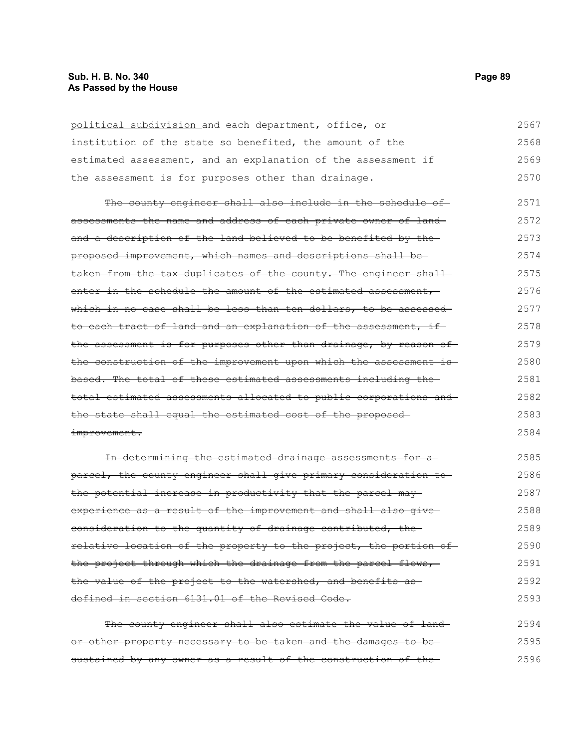political subdivision and each department, office, or institution of the state so benefited, the amount of the estimated assessment, and an explanation of the assessment if the assessment is for purposes other than drainage. The county engineer shall also include in the schedule ofassessments the name and address of each private owner of land and a description of the land believed to be benefited by the proposed improvement, which names and descriptions shall be taken from the tax duplicates of the county. The engineer shallenter in the schedule the amount of the estimated assessment, which in no case shall be less than ten dollars, to be assessed to each tract of land and an explanation of the assessment, if the assessment is for purposes other than drainage, by reason of the construction of the improvement upon which the assessment is based. The total of these estimated assessments including the total estimated assessments allocated to public corporations and the state shall equal the estimated cost of the proposed improvement. In determining the estimated drainage assessments for a parcel, the county engineer shall give primary consideration to the potential increase in productivity that the parcel may 2567 2568 2569 2570 2571 2572 2573 2574 2575 2576 2577 2578 2579 2580 2581 2582 2583 2584 2585 2586 2587

experience as a result of the improvement and shall also giveconsideration to the quantity of drainage contributed, the relative location of the property to the project, the portion of the project through which the drainage from the parcel flows, the value of the project to the watershed, and benefits asdefined in section 6131.01 of the Revised Code. 2588 2589 2590 2591 2592 2593

| The county engineer shall also estimate the value of land-     | 2594 |
|----------------------------------------------------------------|------|
| or other property necessary to be taken and the damages to be- | 2595 |
| sustained by any owner as a result of the construction of the- | 2596 |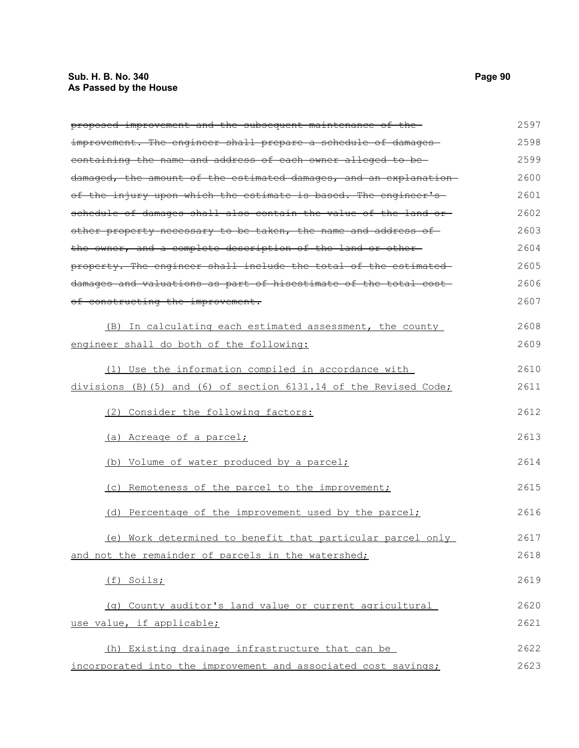## **Sub. H. B. No. 340 Page 90 As Passed by the House**

| proposed improvement and the subsequent maintenance of the-       | 2597 |
|-------------------------------------------------------------------|------|
| improvement. The engineer shall prepare a schedule of damages     | 2598 |
| containing the name and address of each owner alleged to be-      | 2599 |
| damaged, the amount of the estimated damages, and an explanation  | 2600 |
| of the injury upon which the estimate is based. The engineer's    | 2601 |
| schedule of damages shall also contain the value of the land or   | 2602 |
| other property necessary to be taken, the name and address of     | 2603 |
| the owner, and a complete description of the land or other-       | 2604 |
| property. The engineer shall include the total of the estimated   | 2605 |
| damages and valuations as part of hisestimate of the total cost-  | 2606 |
| of constructing the improvement.                                  | 2607 |
| (B) In calculating each estimated assessment, the county          | 2608 |
| engineer shall do both of the following:                          | 2609 |
| (1) Use the information compiled in accordance with               | 2610 |
| divisions (B) (5) and (6) of section 6131.14 of the Revised Code; | 2611 |
| (2) Consider the following factors:                               | 2612 |
| (a) Acreage of a parcel;                                          | 2613 |
| (b) Volume of water produced by a parcel;                         | 2614 |
| (c) Remoteness of the parcel to the improvement;                  | 2615 |
| (d) Percentage of the improvement used by the parcel;             | 2616 |
| (e) Work determined to benefit that particular parcel only        | 2617 |
| and not the remainder of parcels in the watershed;                | 2618 |
| (f) Soils;                                                        | 2619 |
| (g) County auditor's land value or current agricultural           | 2620 |
| use value, if applicable;                                         | 2621 |
| (h) Existing drainage infrastructure that can be                  | 2622 |
| incorporated into the improvement and associated cost savings;    | 2623 |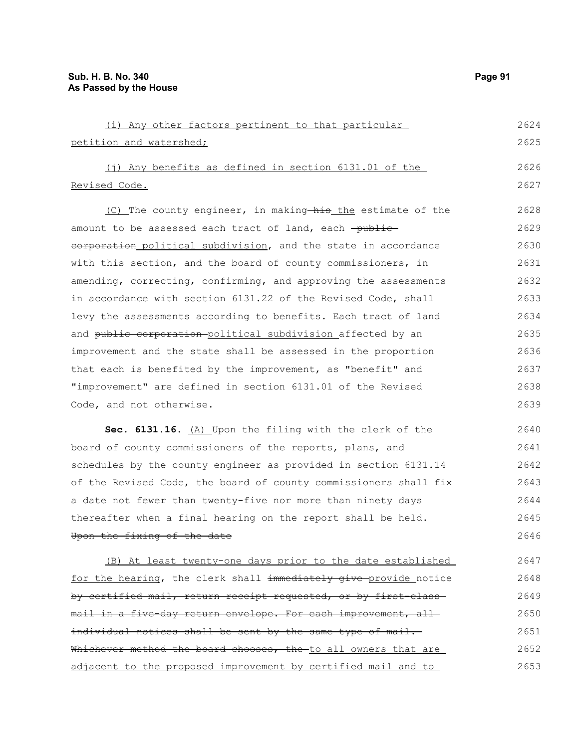| (i) Any other factors pertinent to that particular              | 2624 |
|-----------------------------------------------------------------|------|
| petition and watershed;                                         | 2625 |
| (j) Any benefits as defined in section $6131.01$ of the         | 2626 |
| Revised Code.                                                   | 2627 |
| (C) The county engineer, in making—his the estimate of the      | 2628 |
| amount to be assessed each tract of land, each -public-         | 2629 |
| corporation political subdivision, and the state in accordance  | 2630 |
| with this section, and the board of county commissioners, in    | 2631 |
| amending, correcting, confirming, and approving the assessments | 2632 |
| in accordance with section 6131.22 of the Revised Code, shall   | 2633 |

levy the assessments according to benefits. Each tract of land and public corporation-political subdivision affected by an improvement and the state shall be assessed in the proportion that each is benefited by the improvement, as "benefit" and "improvement" are defined in section 6131.01 of the Revised Code, and not otherwise. 2634 2635 2636 2637 2638 2639

Sec. 6131.16. (A) Upon the filing with the clerk of the board of county commissioners of the reports, plans, and schedules by the county engineer as provided in section 6131.14 of the Revised Code, the board of county commissioners shall fix a date not fewer than twenty-five nor more than ninety days thereafter when a final hearing on the report shall be held. Upon the fixing of the date 2640 2641 2642 2643 2644 2645 2646

(B) At least twenty-one days prior to the date established for the hearing, the clerk shall immediately give provide notice by certified mail, return receipt requested, or by first-classmail in a five-day return envelope. For each improvement, allindividual notices shall be sent by the same type of mail. Whichever method the board chooses, the to all owners that are adjacent to the proposed improvement by certified mail and to 2647 2648 2649 2650 2651 2652 2653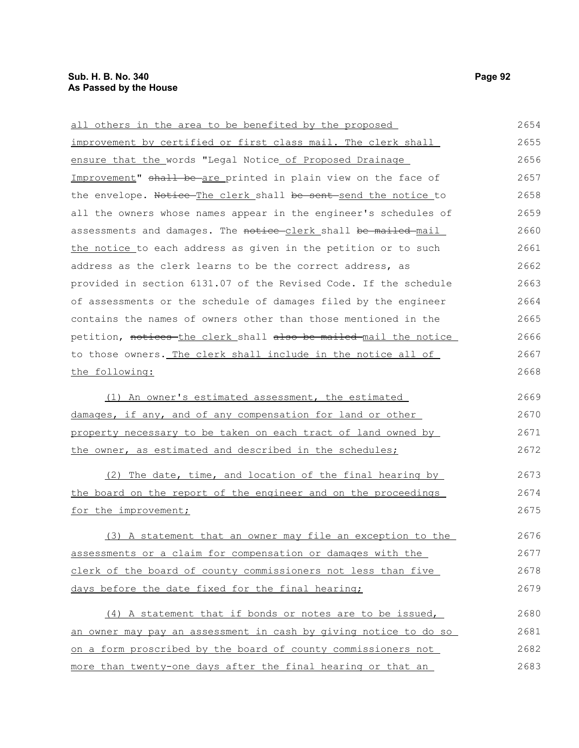all others in the area to be benefited by the proposed improvement by certified or first class mail. The clerk shall ensure that the words "Legal Notice of Proposed Drainage Improvement" shall be are printed in plain view on the face of the envelope. Notice The clerk shall be sent send the notice to all the owners whose names appear in the engineer's schedules of assessments and damages. The notice-clerk shall be mailed mail

the notice to each address as given in the petition or to such address as the clerk learns to be the correct address, as provided in section 6131.07 of the Revised Code. If the schedule of assessments or the schedule of damages filed by the engineer contains the names of owners other than those mentioned in the petition, notices the clerk shall also be mailed mail the notice to those owners. The clerk shall include in the notice all of the following: 2661 2662 2663 2664 2665 2666 2667 2668

(1) An owner's estimated assessment, the estimated damages, if any, and of any compensation for land or other property necessary to be taken on each tract of land owned by the owner, as estimated and described in the schedules; 2669 2670 2671 2672

(2) The date, time, and location of the final hearing by the board on the report of the engineer and on the proceedings for the improvement; 2673 2674 2675

(3) A statement that an owner may file an exception to the assessments or a claim for compensation or damages with the clerk of the board of county commissioners not less than five days before the date fixed for the final hearing; 2676 2677 2678 2679

(4) A statement that if bonds or notes are to be issued, an owner may pay an assessment in cash by giving notice to do so on a form proscribed by the board of county commissioners not more than twenty-one days after the final hearing or that an 2680 2681 2682 2683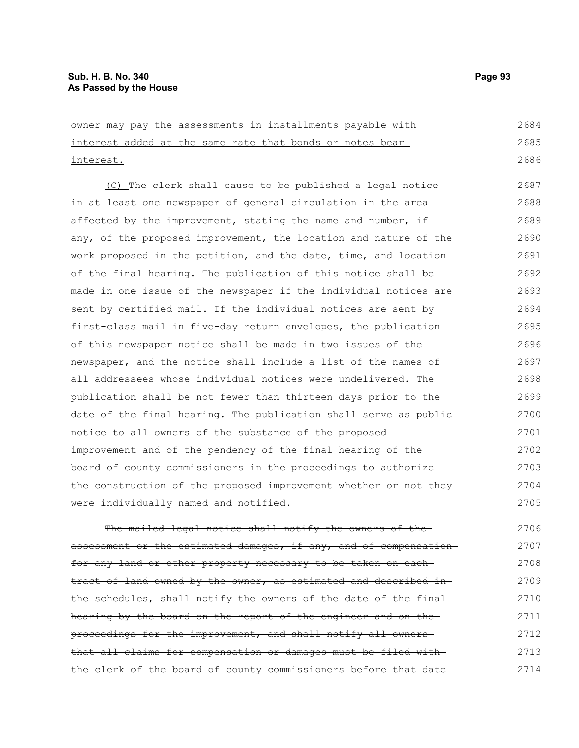owner may pay the assessments in installments payable with interest added at the same rate that bonds or notes bear interest. (C) The clerk shall cause to be published a legal notice in at least one newspaper of general circulation in the area affected by the improvement, stating the name and number, if any, of the proposed improvement, the location and nature of the work proposed in the petition, and the date, time, and location of the final hearing. The publication of this notice shall be 2684 2685 2686 2687 2688 2689 2690 2691 2692

made in one issue of the newspaper if the individual notices are sent by certified mail. If the individual notices are sent by first-class mail in five-day return envelopes, the publication of this newspaper notice shall be made in two issues of the newspaper, and the notice shall include a list of the names of all addressees whose individual notices were undelivered. The publication shall be not fewer than thirteen days prior to the date of the final hearing. The publication shall serve as public notice to all owners of the substance of the proposed improvement and of the pendency of the final hearing of the board of county commissioners in the proceedings to authorize the construction of the proposed improvement whether or not they were individually named and notified. 2693 2694 2695 2696 2697 2698 2699 2700 2701 2702 2703 2704 2705

The mailed legal notice shall notify the owners of theassessment or the estimated damages, if any, and of compensation for any land or other property necessary to be taken on eachtract of land owned by the owner, as estimated and described inthe schedules, shall notify the owners of the date of the final hearing by the board on the report of the engineer and on the proceedings for the improvement, and shall notify all owners that all claims for compensation or damages must be filed with the clerk of the board of county commissioners before that date 2706 2707 2708 2709 2710 2711 2712 2713 2714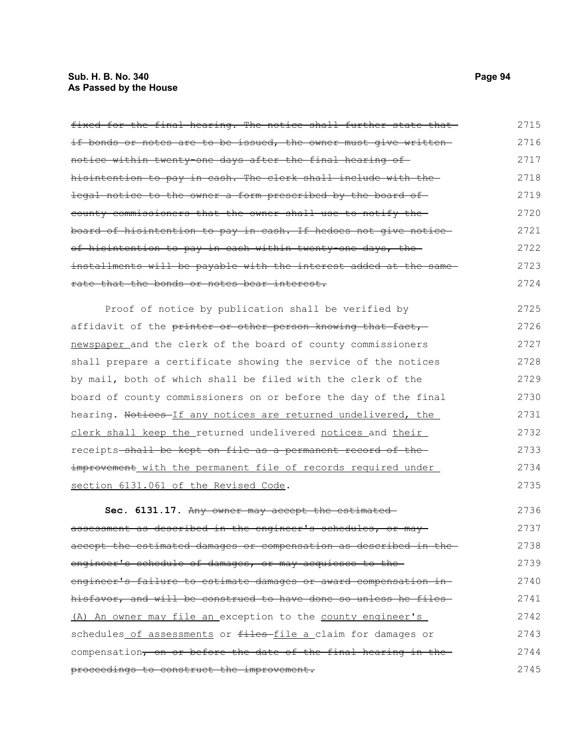# **Sub. H. B. No. 340 Page 94 As Passed by the House**

| fixed for the final hearing. The notice shall further state that | 2715 |
|------------------------------------------------------------------|------|
| if bonds or notes are to be issued, the owner must give written- | 2716 |
| notice within twenty-one days after the final hearing of-        | 2717 |
| hisintention to pay in cash. The clerk shall include with the-   | 2718 |
| legal notice to the owner a form prescribed by the board of      | 2719 |
| county commissioners that the owner shall use to notify the      | 2720 |
| board of hisintention to pay in cash. If hedoes not give notice- | 2721 |
| of hisintention to pay in cash within twenty one days, the       | 2722 |
| installments will be payable with the interest added at the same | 2723 |
| rate that the bonds or notes bear interest.                      | 2724 |
| Proof of notice by publication shall be verified by              | 2725 |
| affidavit of the printer or other person knowing that fact,      | 2726 |
| newspaper and the clerk of the board of county commissioners     | 2727 |
| shall prepare a certificate showing the service of the notices   | 2728 |
| by mail, both of which shall be filed with the clerk of the      | 2729 |
| board of county commissioners on or before the day of the final  | 2730 |
| hearing. Notices If any notices are returned undelivered, the    | 2731 |
| clerk shall keep the returned undelivered notices and their      | 2732 |
| receipts-shall be kept on file as a permanent record of the      | 2733 |
| improvement with the permanent file of records required under    | 2734 |
| section 6131.061 of the Revised Code.                            | 2735 |
| Sec. 6131.17. Any owner may accept the estimated-                | 2736 |
| assessment as described in the engineer's schedules, or may-     | 2737 |
| accept the estimated damages or compensation as described in the | 2738 |
| engineer's schedule of damages, or may acquiesce to the          | 2739 |
| engineer's failure to estimate damages or award compensation in- | 2740 |
| hisfavor, and will be construed to have done so unless he files- | 2741 |
| (A) An owner may file an exception to the county engineer's      | 2742 |
| schedules of assessments or files-file a claim for damages or    | 2743 |
| compensation, on or before the date of the final hearing in the  | 2744 |
| proceedings to construct the improvement.                        | 2745 |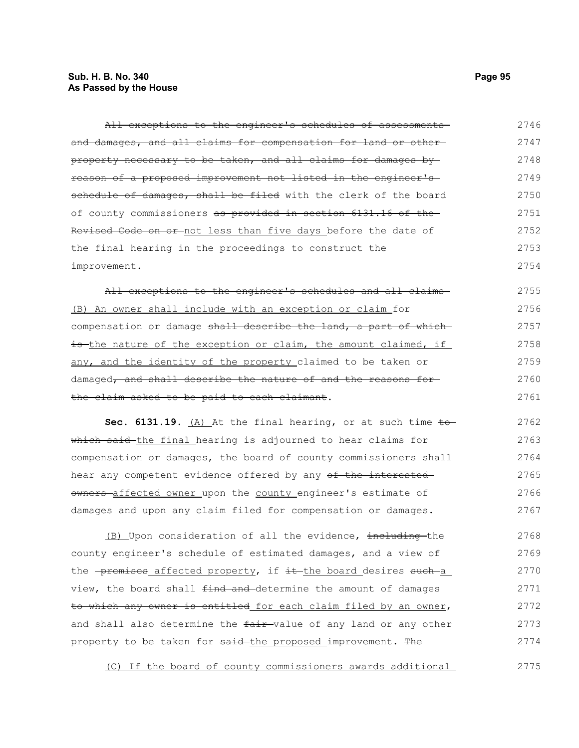## **Sub. H. B. No. 340 Page 95 As Passed by the House**

| All exceptions to the engineer's schedules of assessments                             | 2746 |
|---------------------------------------------------------------------------------------|------|
| and damages, and all claims for compensation for land or other-                       | 2747 |
| <del>property necessary to be taken, and all claims for damages by-</del>             | 2748 |
| reason of a proposed improvement not listed in the engineer's                         | 2749 |
| schedule of damages, shall be filed with the clerk of the board                       | 2750 |
| of county commissioners as provided in section 6131.16 of the                         | 2751 |
| Revised Code on or-not less than five days before the date of                         | 2752 |
| the final hearing in the proceedings to construct the                                 | 2753 |
| improvement.                                                                          | 2754 |
| All exceptions to the engineer's schedules and all claims-                            | 2755 |
| (B) An owner shall include with an exception or claim for                             | 2756 |
| compensation or damage shall describe the land, a part of which                       | 2757 |
| is the nature of the exception or claim, the amount claimed, if                       | 2758 |
| any, and the identity of the property claimed to be taken or                          | 2759 |
| damaged, and shall describe the nature of and the reasons for-                        | 2760 |
| the claim asked to be paid to each claimant.                                          | 2761 |
| Sec. 6131.19. $(A)$ At the final hearing, or at such time to                          | 2762 |
| which said the final hearing is adjourned to hear claims for                          | 2763 |
| compensation or damages, the board of county commissioners shall                      | 2764 |
| hear any competent evidence offered by any of the interested                          | 2765 |
| owners-affected owner upon the county engineer's estimate of                          | 2766 |
| damages and upon any claim filed for compensation or damages.                         | 2767 |
| (B) Upon consideration of all the evidence, including-the                             | 2768 |
| county engineer's schedule of estimated damages, and a view of                        | 2769 |
|                                                                                       |      |
| the <del>-premises affected property,</del> if <del>it the board desires such a</del> | 2770 |
| view, the board shall <del>find and </del> determine the amount of damages            | 2771 |
| <del>to which any owner is entitled</del> for each claim filed by an owner,           | 2772 |
| and shall also determine the <del>fair </del> value of any land or any other          | 2773 |
| property to be taken for <del>said the proposed improvement. The</del>                | 2774 |

(C) If the board of county commissioners awards additional 2775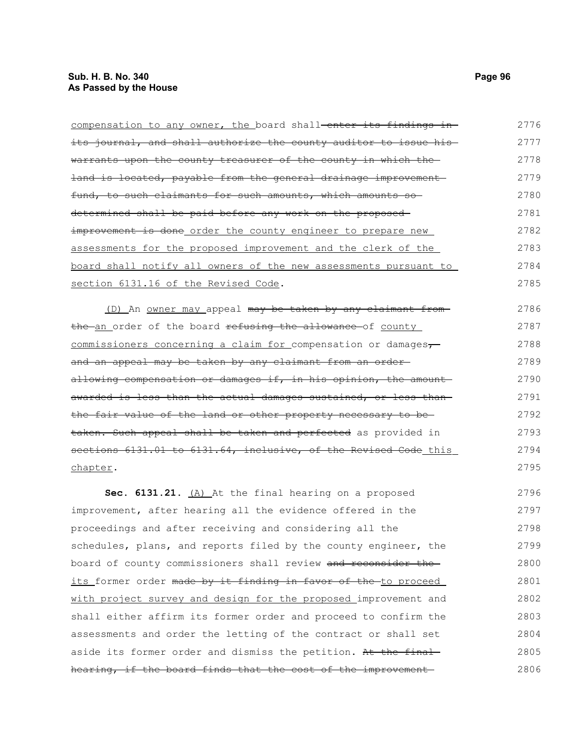| compensation to any owner, the board shall-enter its findings in-                 | 2776 |
|-----------------------------------------------------------------------------------|------|
| its journal, and shall authorize the county auditor to issue his-                 | 2777 |
| warrants upon the county treasurer of the county in which the                     | 2778 |
| land is located, payable from the general drainage improvement                    | 2779 |
| fund, to such claimants for such amounts, which amounts so                        | 2780 |
| determined shall be paid before any work on the proposed-                         | 2781 |
| improvement is done order the county engineer to prepare new                      | 2782 |
| assessments for the proposed improvement and the clerk of the                     | 2783 |
| board shall notify all owners of the new assessments pursuant to                  | 2784 |
| section 6131.16 of the Revised Code.                                              | 2785 |
| (D) An <u>owner may</u> appeal may be taken by any claimant from-                 | 2786 |
| the an order of the board refusing the allowance of county                        | 2787 |
| commissioners concerning a claim for compensation or damages,                     | 2788 |
| and an appeal may be taken by any claimant from an order-                         | 2789 |
| allowing compensation or damages if, in his opinion, the amount-                  | 2790 |
| awarded is less than the actual damages sustained, or less than-                  | 2791 |
| the fair value of the land or other property necessary to be-                     | 2792 |
| taken. Such appeal shall be taken and perfected as provided in                    | 2793 |
| sections 6131.01 to 6131.64, inclusive, of the Revised Code this                  | 2794 |
| chapter.                                                                          | 2795 |
| Sec. 6131.21. (A) At the final hearing on a proposed                              | 2796 |
| improvement, after hearing all the evidence offered in the                        | 2797 |
| proceedings and after receiving and considering all the                           | 2798 |
| schedules, plans, and reports filed by the county engineer, the                   | 2799 |
| board of county commissioners shall review and reconsider the                     | 2800 |
| <u>its former order <del>made by it finding in favor of the </del>to proceed </u> | 2801 |
| with project survey and design for the proposed improvement and                   | 2802 |
| shall either affirm its former order and proceed to confirm the                   | 2803 |
| assessments and order the letting of the contract or shall set                    | 2804 |
| aside its former order and dismiss the petition. At the final                     | 2805 |
| hearing, if the board finds that the cost of the improvement                      | 2806 |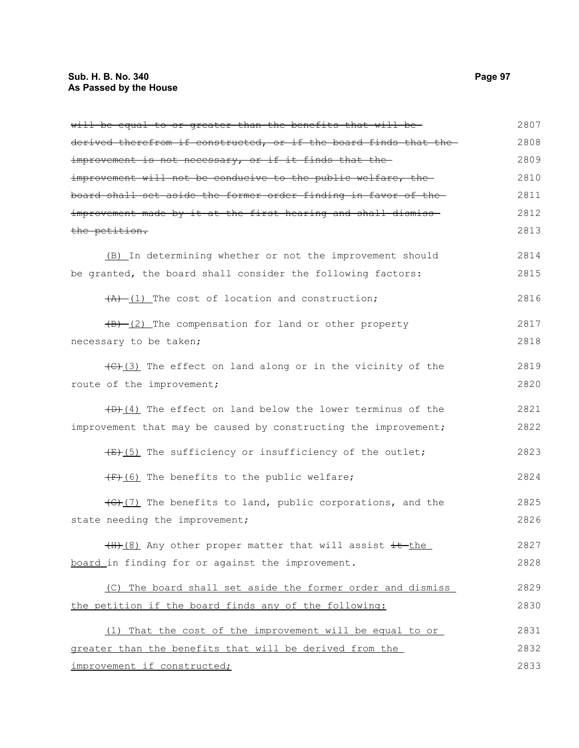## **Sub. H. B. No. 340 Page 97 As Passed by the House**

| will be equal to or greater than the benefits that will be-                         | 2807 |
|-------------------------------------------------------------------------------------|------|
| derived therefrom if constructed, or if the board finds that the-                   | 2808 |
| improvement is not necessary, or if it finds that the-                              | 2809 |
| improvement will not be conducive to the public welfare, the                        | 2810 |
| board shall set aside the former order finding in favor of the-                     | 2811 |
| improvement made by it at the first hearing and shall dismiss-                      | 2812 |
| the petition.                                                                       | 2813 |
| (B) In determining whether or not the improvement should                            | 2814 |
| be granted, the board shall consider the following factors:                         | 2815 |
| $(A)$ (1) The cost of location and construction;                                    | 2816 |
| $(B)$ (2) The compensation for land or other property                               | 2817 |
| necessary to be taken;                                                              | 2818 |
| $\left(\frac{f(x)}{f(x)}\right)$ The effect on land along or in the vicinity of the | 2819 |
| route of the improvement;                                                           | 2820 |
| $(D)$ (4) The effect on land below the lower terminus of the                        | 2821 |
| improvement that may be caused by constructing the improvement;                     | 2822 |
| $\overline{f(x)}$ (5) The sufficiency or insufficiency of the outlet;               | 2823 |
| (F) (6) The benefits to the public welfare;                                         | 2824 |
| $\left(\frac{1}{2}\right)$ The benefits to land, public corporations, and the       | 2825 |
| state needing the improvement;                                                      | 2826 |
| (H) (8) Any other proper matter that will assist it the                             | 2827 |
| board in finding for or against the improvement.                                    | 2828 |
| (C) The board shall set aside the former order and dismiss                          | 2829 |
| the petition if the board finds any of the following:                               | 2830 |
| (1) That the cost of the improvement will be equal to or                            | 2831 |
| greater than the benefits that will be derived from the                             | 2832 |
| improvement if constructed;                                                         | 2833 |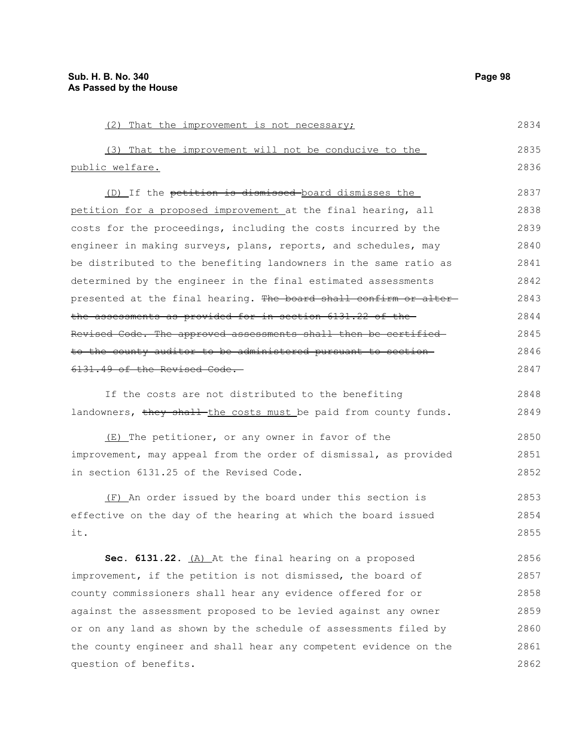question of benefits.

(2) That the improvement is not necessary; (3) That the improvement will not be conducive to the public welfare. (D) If the petition is dismissed board dismisses the petition for a proposed improvement at the final hearing, all costs for the proceedings, including the costs incurred by the engineer in making surveys, plans, reports, and schedules, may be distributed to the benefiting landowners in the same ratio as determined by the engineer in the final estimated assessments presented at the final hearing. The board shall confirm or alterthe assessments as provided for in section 6131.22 of the Revised Code. The approved assessments shall then be certified to the county auditor to be administered pursuant to section 6131.49 of the Revised Code. If the costs are not distributed to the benefiting landowners, they shall the costs must be paid from county funds. (E) The petitioner, or any owner in favor of the improvement, may appeal from the order of dismissal, as provided in section 6131.25 of the Revised Code. (F) An order issued by the board under this section is effective on the day of the hearing at which the board issued it. **Sec. 6131.22.** (A) At the final hearing on a proposed improvement, if the petition is not dismissed, the board of county commissioners shall hear any evidence offered for or against the assessment proposed to be levied against any owner or on any land as shown by the schedule of assessments filed by the county engineer and shall hear any competent evidence on the 2834 2835 2836 2837 2838 2839 2840 2841 2842 2843 2844 2845 2846 2847 2848 2849 2850 2851 2852 2853 2854 2855 2856 2857 2858 2859 2860 2861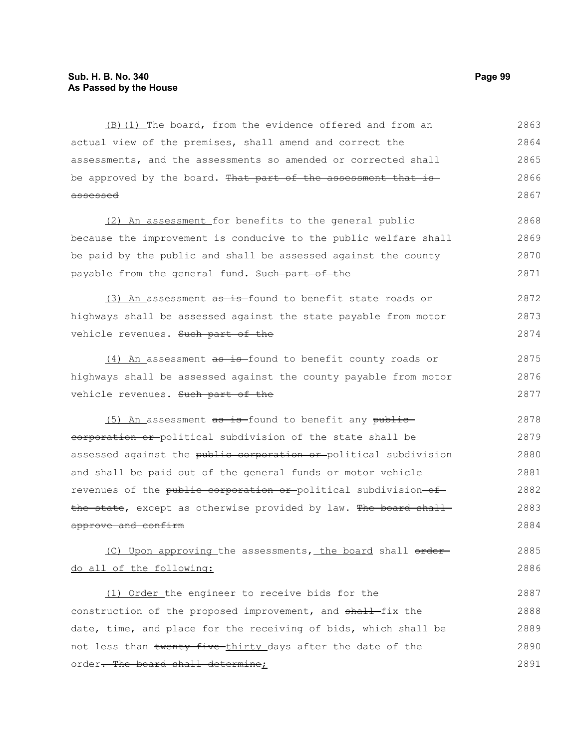(B)(1) The board, from the evidence offered and from an actual view of the premises, shall amend and correct the assessments, and the assessments so amended or corrected shall be approved by the board. That part of the assessment that is assessed 2863 2864 2865 2866 2867

(2) An assessment for benefits to the general public because the improvement is conducive to the public welfare shall be paid by the public and shall be assessed against the county payable from the general fund. Such part of the 2868 2869 2870 2871

(3) An assessment  $a\overline{b}$  is found to benefit state roads or highways shall be assessed against the state payable from motor vehicle revenues. Such part of the 2872 2873 2874

(4) An assessment as is found to benefit county roads or highways shall be assessed against the county payable from motor vehicle revenues. Such part of the 2875 2876 2877

(5) An assessment as is found to benefit any publiccorporation or political subdivision of the state shall be assessed against the public corporation or political subdivision and shall be paid out of the general funds or motor vehicle revenues of the public corporation or political subdivision of the state, except as otherwise provided by law. The board shall approve and confirm 2878 2879 2880 2881 2882 2883 2884

(C) Upon approving the assessments, the board shall orderdo all of the following: 2885 2886

(1) Order the engineer to receive bids for the construction of the proposed improvement, and shall-fix the date, time, and place for the receiving of bids, which shall be not less than twenty-five-thirty days after the date of the order. The board shall determine; 2887 2888 2889 2890 2891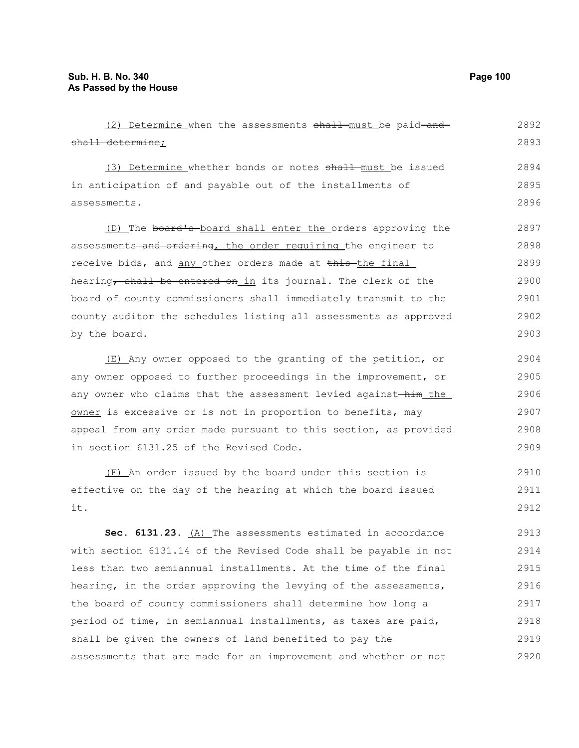(2) Determine when the assessments shall must be paid and shall determine; (3) Determine whether bonds or notes shall must be issued in anticipation of and payable out of the installments of assessments. (D) The board's board shall enter the orders approving the assessments-and ordering, the order requiring the engineer to receive bids, and any other orders made at this the final hearing, shall be entered on in its journal. The clerk of the board of county commissioners shall immediately transmit to the county auditor the schedules listing all assessments as approved by the board. (E) Any owner opposed to the granting of the petition, or any owner opposed to further proceedings in the improvement, or any owner who claims that the assessment levied against-him\_the\_ owner is excessive or is not in proportion to benefits, may appeal from any order made pursuant to this section, as provided 2892 2893 2894 2895 2896 2897 2898 2899 2900 2901 2902 2903 2904 2905 2906 2907 2908

(F) An order issued by the board under this section is effective on the day of the hearing at which the board issued it. 2910 2911 2912

in section 6131.25 of the Revised Code.

**Sec. 6131.23.** (A) The assessments estimated in accordance with section 6131.14 of the Revised Code shall be payable in not less than two semiannual installments. At the time of the final hearing, in the order approving the levying of the assessments, the board of county commissioners shall determine how long a period of time, in semiannual installments, as taxes are paid, shall be given the owners of land benefited to pay the assessments that are made for an improvement and whether or not 2913 2914 2915 2916 2917 2918 2919 2920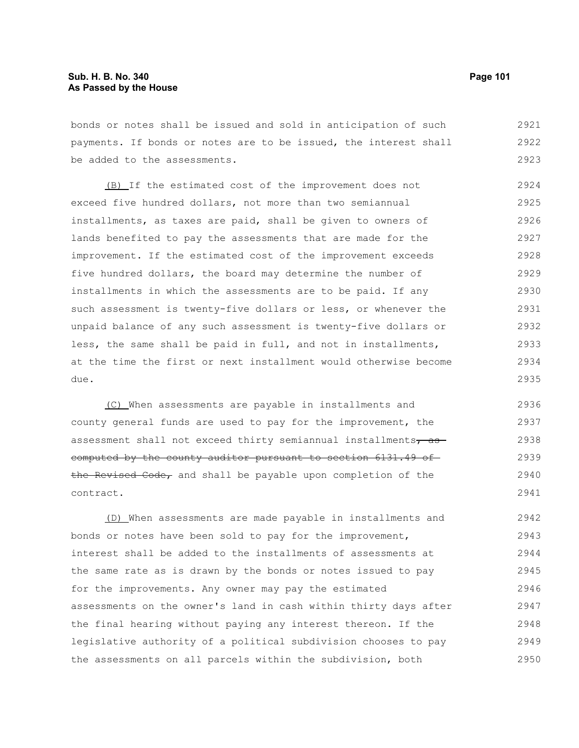bonds or notes shall be issued and sold in anticipation of such payments. If bonds or notes are to be issued, the interest shall be added to the assessments. 2921 2922 2923

(B) If the estimated cost of the improvement does not exceed five hundred dollars, not more than two semiannual installments, as taxes are paid, shall be given to owners of lands benefited to pay the assessments that are made for the improvement. If the estimated cost of the improvement exceeds five hundred dollars, the board may determine the number of installments in which the assessments are to be paid. If any such assessment is twenty-five dollars or less, or whenever the unpaid balance of any such assessment is twenty-five dollars or less, the same shall be paid in full, and not in installments, at the time the first or next installment would otherwise become due. 2924 2925 2926 2927 2928 2929 2930 2931 2932 2933 2934 2935

(C) When assessments are payable in installments and county general funds are used to pay for the improvement, the assessment shall not exceed thirty semiannual installments $\tau$  as computed by the county auditor pursuant to section 6131.49 of the Revised Code, and shall be payable upon completion of the contract. 2936 2937 2938 2939 2940 2941

(D) When assessments are made payable in installments and bonds or notes have been sold to pay for the improvement, interest shall be added to the installments of assessments at the same rate as is drawn by the bonds or notes issued to pay for the improvements. Any owner may pay the estimated assessments on the owner's land in cash within thirty days after the final hearing without paying any interest thereon. If the legislative authority of a political subdivision chooses to pay the assessments on all parcels within the subdivision, both 2942 2943 2944 2945 2946 2947 2948 2949 2950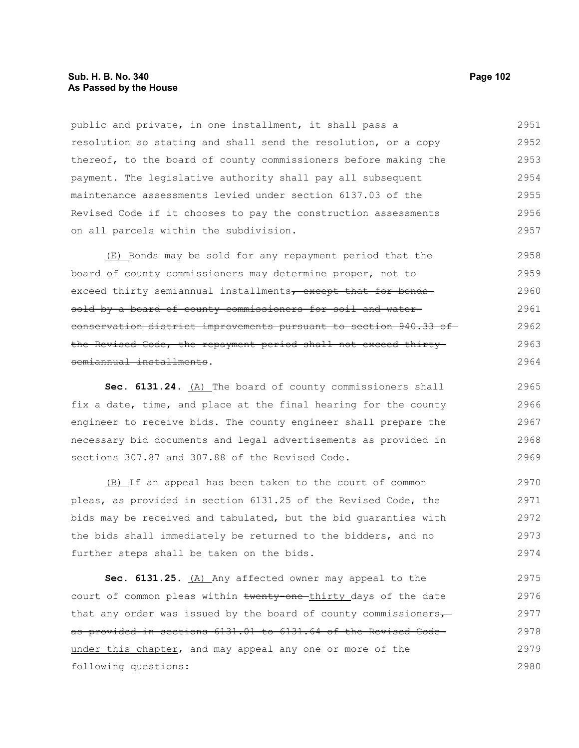### **Sub. H. B. No. 340 Page 102 As Passed by the House**

public and private, in one installment, it shall pass a resolution so stating and shall send the resolution, or a copy thereof, to the board of county commissioners before making the payment. The legislative authority shall pay all subsequent maintenance assessments levied under section 6137.03 of the Revised Code if it chooses to pay the construction assessments on all parcels within the subdivision. 2951 2952 2953 2954 2955 2956 2957

(E) Bonds may be sold for any repayment period that the board of county commissioners may determine proper, not to exceed thirty semiannual installments, except that for bonds sold by a board of county commissioners for soil and water conservation district improvements pursuant to section 940.33 of the Revised Code, the repayment period shall not exceed thirty semiannual installments. 2958 2959 2960 2961 2962 2963 2964

Sec. 6131.24. (A) The board of county commissioners shall fix a date, time, and place at the final hearing for the county engineer to receive bids. The county engineer shall prepare the necessary bid documents and legal advertisements as provided in sections 307.87 and 307.88 of the Revised Code. 2965 2966 2967 2968 2969

(B) If an appeal has been taken to the court of common pleas, as provided in section 6131.25 of the Revised Code, the bids may be received and tabulated, but the bid guaranties with the bids shall immediately be returned to the bidders, and no further steps shall be taken on the bids. 2970 2971 2972 2973 2974

Sec. 6131.25. (A) Any affected owner may appeal to the court of common pleas within twenty-one-thirty days of the date that any order was issued by the board of county commissioners $\tau$ as provided in sections 6131.01 to 6131.64 of the Revised Code under this chapter, and may appeal any one or more of the following questions: 2975 2976 2977 2978 2979 2980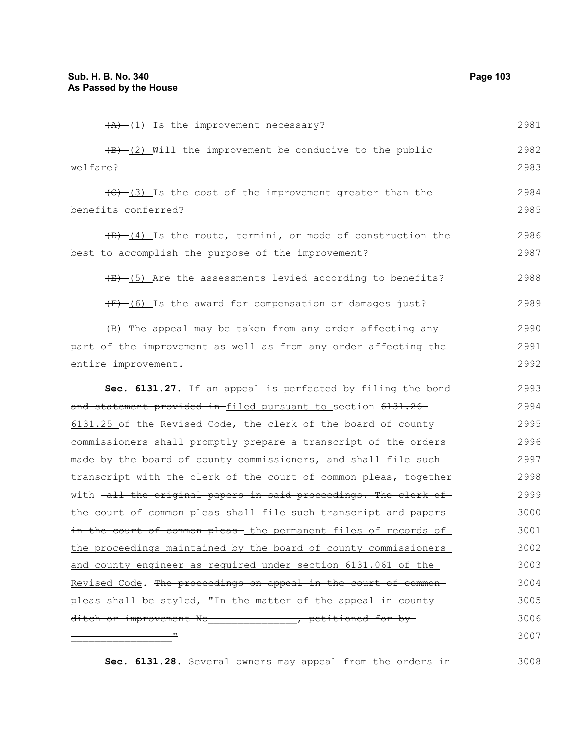| $(A)$ $(1)$ Is the improvement necessary?                                                | 2981 |
|------------------------------------------------------------------------------------------|------|
| $\overline{(B) - (2)}$ Will the improvement be conducive to the public                   | 2982 |
| welfare?                                                                                 | 2983 |
| $\left(\frac{1}{2} - \frac{1}{2}\right)$ Is the cost of the improvement greater than the | 2984 |
| benefits conferred?                                                                      | 2985 |
| $(D)$ $(4)$ Is the route, termini, or mode of construction the                           | 2986 |
| best to accomplish the purpose of the improvement?                                       | 2987 |
| $\overline{(E) - (5)}$ Are the assessments levied according to benefits?                 | 2988 |
| (F) (6) Is the award for compensation or damages just?                                   | 2989 |
| (B) The appeal may be taken from any order affecting any                                 | 2990 |
| part of the improvement as well as from any order affecting the                          | 2991 |
| entire improvement.                                                                      | 2992 |
| Sec. 6131.27. If an appeal is perfected by filing the bond-                              | 2993 |
| and statement provided in-filed pursuant to section 6131.26                              | 2994 |
| 6131.25 of the Revised Code, the clerk of the board of county                            | 2995 |
| commissioners shall promptly prepare a transcript of the orders                          | 2996 |
| made by the board of county commissioners, and shall file such                           | 2997 |
| transcript with the clerk of the court of common pleas, together                         | 2998 |
| with -all the original papers in said proceedings. The clerk of                          | 2999 |
| the court of common pleas shall file such transcript and papers-                         | 3000 |
| in the court of common pleas - the permanent files of records of                         | 3001 |
| the proceedings maintained by the board of county commissioners                          | 3002 |
| and county engineer as required under section 6131.061 of the                            | 3003 |
| Revised Code. The proceedings on appeal in the court of common-                          | 3004 |
| pleas shall be styled, "In the matter of the appeal in county-                           | 3005 |
| ditch or improvement No_______________, petitioned for by-                               | 3006 |
|                                                                                          | 3007 |
|                                                                                          |      |

**Sec. 6131.28.** Several owners may appeal from the orders in 3008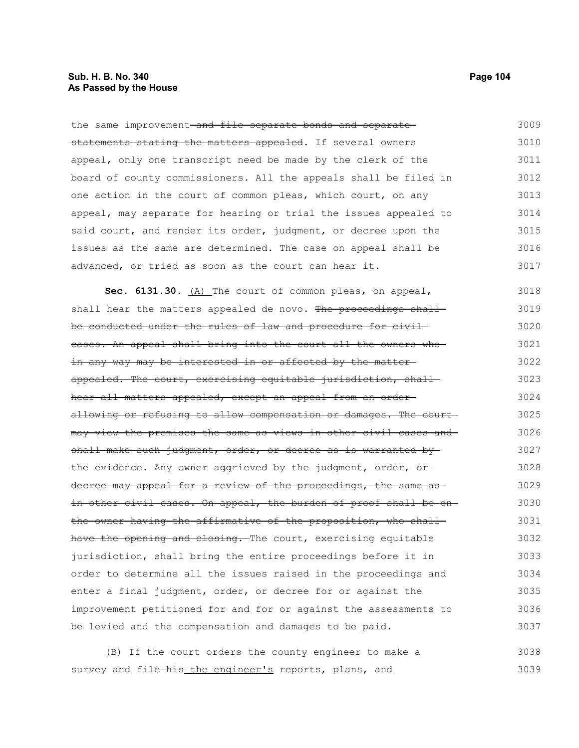### **Sub. H. B. No. 340 Page 104 As Passed by the House**

the same improvement-and file separate bonds and separatestatements stating the matters appealed. If several owners appeal, only one transcript need be made by the clerk of the board of county commissioners. All the appeals shall be filed in one action in the court of common pleas, which court, on any appeal, may separate for hearing or trial the issues appealed to said court, and render its order, judgment, or decree upon the issues as the same are determined. The case on appeal shall be advanced, or tried as soon as the court can hear it. 3009 3010 3011 3012 3013 3014 3015 3016 3017

Sec. 6131.30. (A) The court of common pleas, on appeal, shall hear the matters appealed de novo. The proceedings shall be conducted under the rules of law and procedure for civil cases. An appeal shall bring into the court all the owners who in any way may be interested in or affected by the matter appealed. The court, exercising equitable jurisdiction, shallhear all matters appealed, except an appeal from an orderallowing or refusing to allow compensation or damages. The court may view the premises the same as views in other civil cases and shall make such judgment, order, or decree as is warranted bythe evidence. Any owner aggrieved by the judgment, order, or decree may appeal for a review of the proceedings, the same asin other civil cases. On appeal, the burden of proof shall be on the owner having the affirmative of the proposition, who shallhave the opening and closing. The court, exercising equitable jurisdiction, shall bring the entire proceedings before it in order to determine all the issues raised in the proceedings and enter a final judgment, order, or decree for or against the improvement petitioned for and for or against the assessments to be levied and the compensation and damages to be paid. 3018 3019 3020 3021 3022 3023 3024 3025 3026 3027 3028 3029 3030 3031 3032 3033 3034 3035 3036 3037

(B) If the court orders the county engineer to make a survey and file-his the engineer's reports, plans, and 3038 3039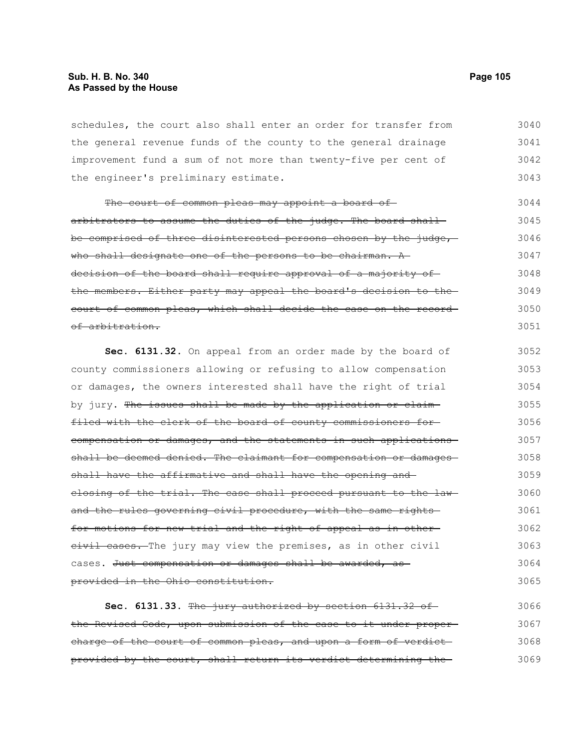schedules, the court also shall enter an order for transfer from the general revenue funds of the county to the general drainage improvement fund a sum of not more than twenty-five per cent of the engineer's preliminary estimate. 3040 3041 3042 3043

The court of common pleas may appoint a board ofarbitrators to assume the duties of the judge. The board shallbe comprised of three disinterested persons chosen by the judge, who shall designate one of the persons to be chairman. A decision of the board shall require approval of a majority of the members. Either party may appeal the board's decision to the court of common pleas, which shall decide the case on the record of arbitration. 3044 3045 3046 3047 3048 3049 3050 3051

**Sec. 6131.32.** On appeal from an order made by the board of county commissioners allowing or refusing to allow compensation or damages, the owners interested shall have the right of trial by jury. The issues shall be made by the application or claimfiled with the clerk of the board of county commissioners for compensation or damages, and the statements in such applications shall be deemed denied. The claimant for compensation or damagesshall have the affirmative and shall have the opening and closing of the trial. The case shall proceed pursuant to the lawand the rules governing civil procedure, with the same rightsfor motions for new trial and the right of appeal as in other eivil cases. The jury may view the premises, as in other civil cases. Just compensation or damages shall be awarded, as provided in the Ohio constitution. 3052 3053 3054 3055 3056 3057 3058 3059 3060 3061 3062 3063 3064 3065

**Sec. 6131.33.** The jury authorized by section 6131.32 of the Revised Code, upon submission of the case to it under proper charge of the court of common pleas, and upon a form of verdictprovided by the court, shall return its verdict determining the 3066 3067 3068 3069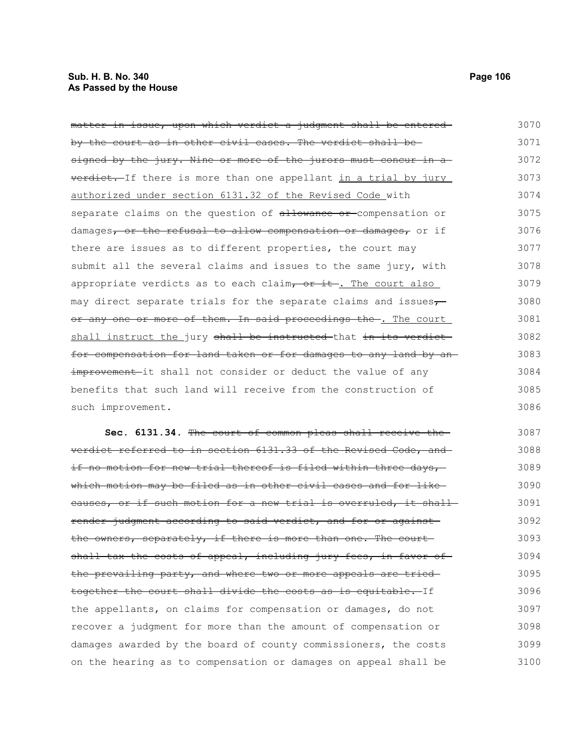| matter in issue, upon which verdict a judgment shall be entered   | 3070 |
|-------------------------------------------------------------------|------|
| by the court as in other civil cases. The verdict shall be-       | 3071 |
| signed by the jury. Nine or more of the jurors must concur in a   | 3072 |
| verdict. If there is more than one appellant in a trial by jury   | 3073 |
| authorized under section 6131.32 of the Revised Code with         | 3074 |
| separate claims on the question of allowance or compensation or   | 3075 |
| damages, or the refusal to allow compensation or damages, or if   | 3076 |
| there are issues as to different properties, the court may        | 3077 |
| submit all the several claims and issues to the same jury, with   | 3078 |
| appropriate verdicts as to each claim, or it. The court also      | 3079 |
| may direct separate trials for the separate claims and issues-    | 3080 |
| or any one or more of them. In said proceedings the. The court    | 3081 |
| shall instruct the jury shall be instructed that in its verdict   | 3082 |
| for compensation for land taken or for damages to any land by an- | 3083 |
| improvement-it shall not consider or deduct the value of any      | 3084 |
| benefits that such land will receive from the construction of     | 3085 |

such improvement.

**Sec. 6131.34.** The court of common pleas shall receive the verdict referred to in section 6131.33 of the Revised Code, and if no motion for new trial thereof is filed within three days, which motion may be filed as in other civil cases and for like causes, or if such motion for a new trial is overruled, it shall render judgment according to said verdict, and for or against the owners, separately, if there is more than one. The court shall tax the costs of appeal, including jury fees, in favor ofthe prevailing party, and where two or more appeals are tried together the court shall divide the costs as is equitable. If the appellants, on claims for compensation or damages, do not recover a judgment for more than the amount of compensation or damages awarded by the board of county commissioners, the costs on the hearing as to compensation or damages on appeal shall be 3087 3088 3089 3090 3091 3092 3093 3094 3095 3096 3097 3098 3099 3100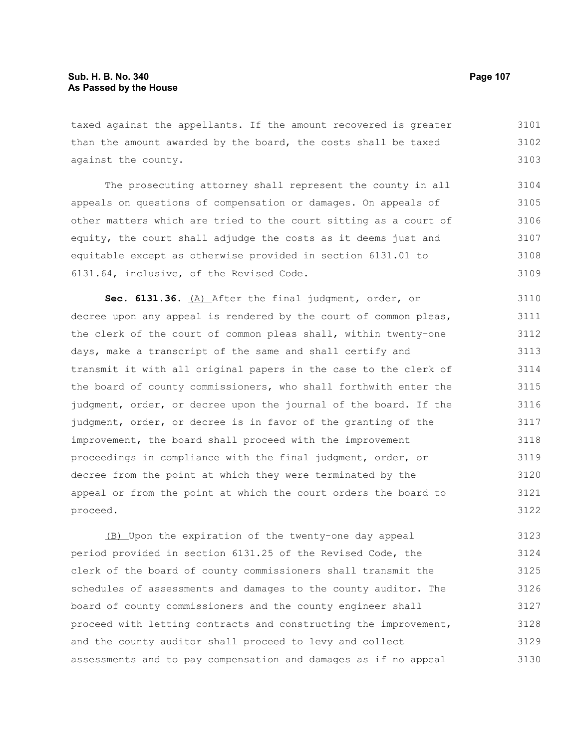taxed against the appellants. If the amount recovered is greater than the amount awarded by the board, the costs shall be taxed against the county. 3101 3102 3103

The prosecuting attorney shall represent the county in all appeals on questions of compensation or damages. On appeals of other matters which are tried to the court sitting as a court of equity, the court shall adjudge the costs as it deems just and equitable except as otherwise provided in section 6131.01 to 6131.64, inclusive, of the Revised Code. 3104 3105 3106 3107 3108 3109

**Sec. 6131.36.** (A) After the final judgment, order, or decree upon any appeal is rendered by the court of common pleas, the clerk of the court of common pleas shall, within twenty-one days, make a transcript of the same and shall certify and transmit it with all original papers in the case to the clerk of the board of county commissioners, who shall forthwith enter the judgment, order, or decree upon the journal of the board. If the judgment, order, or decree is in favor of the granting of the improvement, the board shall proceed with the improvement proceedings in compliance with the final judgment, order, or decree from the point at which they were terminated by the appeal or from the point at which the court orders the board to proceed. 3110 3111 3112 3113 3114 3115 3116 3117 3118 3119 3120 3121 3122

(B) Upon the expiration of the twenty-one day appeal period provided in section 6131.25 of the Revised Code, the clerk of the board of county commissioners shall transmit the schedules of assessments and damages to the county auditor. The board of county commissioners and the county engineer shall proceed with letting contracts and constructing the improvement, and the county auditor shall proceed to levy and collect assessments and to pay compensation and damages as if no appeal 3123 3124 3125 3126 3127 3128 3129 3130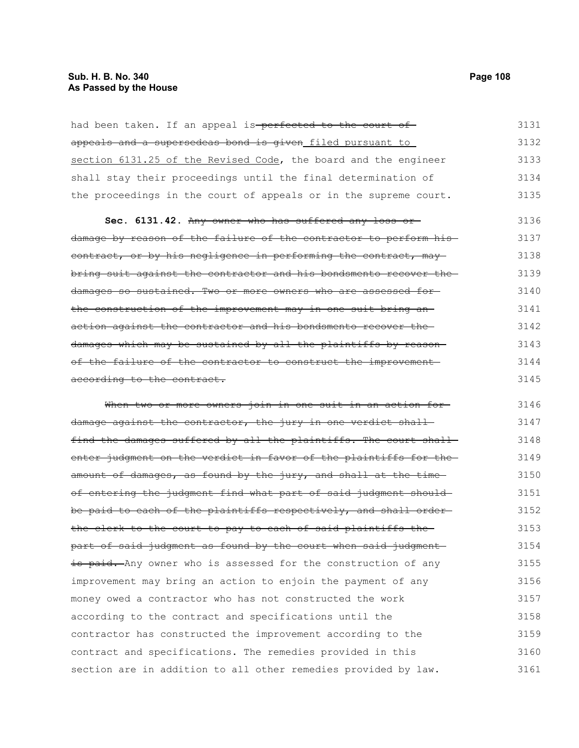had been taken. If an appeal is-perfected to the court ofappeals and a supersedeas bond is given filed pursuant to section 6131.25 of the Revised Code, the board and the engineer shall stay their proceedings until the final determination of the proceedings in the court of appeals or in the supreme court. 3131 3132 3133 3134 3135

**Sec. 6131.42.** Any owner who has suffered any loss or damage by reason of the failure of the contractor to perform his contract, or by his negligence in performing the contract, maybring suit against the contractor and his bondsmento recover the damages so sustained. Two or more owners who are assessed for the construction of the improvement may in one suit bring an action against the contractor and his bondsmento recover the damages which may be sustained by all the plaintiffs by reason of the failure of the contractor to construct the improvement according to the contract. 3136 3137 3138 3139 3140 3141 3142 3143 3144 3145

When two or more owners join in one suit in an action fordamage against the contractor, the jury in one verdict shallfind the damages suffered by all the plaintiffs. The court shall enter judgment on the verdict in favor of the plaintiffs for theamount of damages, as found by the jury, and shall at the timeof entering the judgment find what part of said judgment shouldbe paid to each of the plaintiffs respectively, and shall orderthe clerk to the court to pay to each of said plaintiffs the part of said judgment as found by the court when said judgment is paid. Any owner who is assessed for the construction of any improvement may bring an action to enjoin the payment of any money owed a contractor who has not constructed the work according to the contract and specifications until the contractor has constructed the improvement according to the contract and specifications. The remedies provided in this section are in addition to all other remedies provided by law. 3146 3147 3148 3149 3150 3151 3152 3153 3154 3155 3156 3157 3158 3159 3160 3161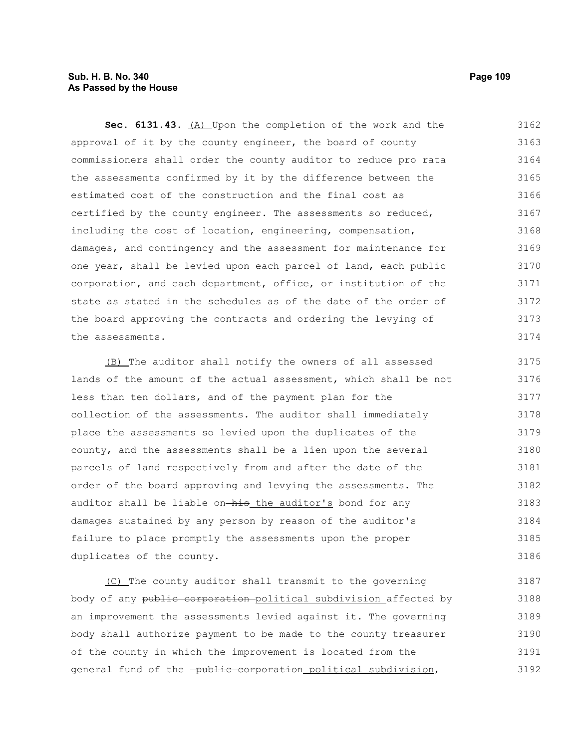# **Sub. H. B. No. 340 Page 109 As Passed by the House**

**Sec. 6131.43.** (A) Upon the completion of the work and the approval of it by the county engineer, the board of county commissioners shall order the county auditor to reduce pro rata the assessments confirmed by it by the difference between the estimated cost of the construction and the final cost as certified by the county engineer. The assessments so reduced, including the cost of location, engineering, compensation, damages, and contingency and the assessment for maintenance for one year, shall be levied upon each parcel of land, each public corporation, and each department, office, or institution of the state as stated in the schedules as of the date of the order of the board approving the contracts and ordering the levying of the assessments. 3162 3163 3164 3165 3166 3167 3168 3169 3170 3171 3172 3173 3174

(B) The auditor shall notify the owners of all assessed lands of the amount of the actual assessment, which shall be not less than ten dollars, and of the payment plan for the collection of the assessments. The auditor shall immediately place the assessments so levied upon the duplicates of the county, and the assessments shall be a lien upon the several parcels of land respectively from and after the date of the order of the board approving and levying the assessments. The auditor shall be liable on-his the auditor's bond for any damages sustained by any person by reason of the auditor's failure to place promptly the assessments upon the proper duplicates of the county. 3175 3176 3177 3178 3179 3180 3181 3182 3183 3184 3185 3186

(C) The county auditor shall transmit to the governing body of any public corporation political subdivision affected by an improvement the assessments levied against it. The governing body shall authorize payment to be made to the county treasurer of the county in which the improvement is located from the general fund of the -public corporation political subdivision, 3187 3188 3189 3190 3191 3192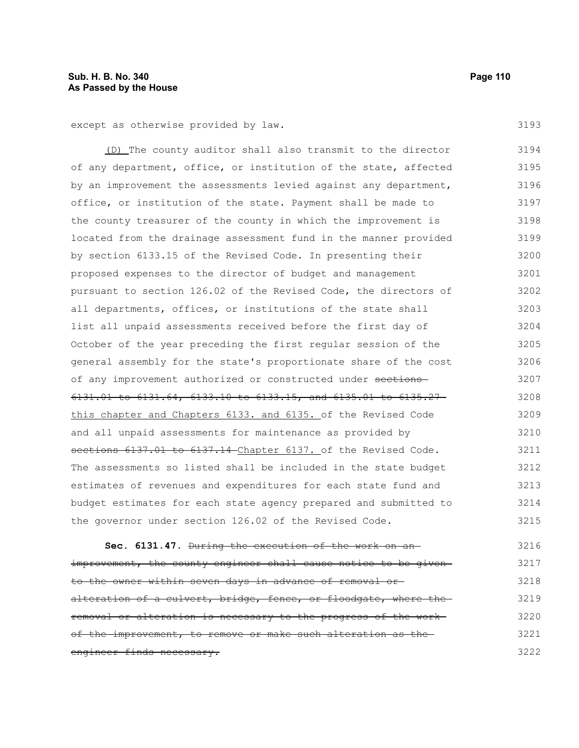except as otherwise provided by law.

(D) The county auditor shall also transmit to the director of any department, office, or institution of the state, affected by an improvement the assessments levied against any department, office, or institution of the state. Payment shall be made to the county treasurer of the county in which the improvement is located from the drainage assessment fund in the manner provided by section 6133.15 of the Revised Code. In presenting their proposed expenses to the director of budget and management pursuant to section 126.02 of the Revised Code, the directors of all departments, offices, or institutions of the state shall list all unpaid assessments received before the first day of October of the year preceding the first regular session of the general assembly for the state's proportionate share of the cost of any improvement authorized or constructed under sections 6131.01 to 6131.64, 6133.10 to 6133.15, and 6135.01 to 6135.27 this chapter and Chapters 6133. and 6135. of the Revised Code and all unpaid assessments for maintenance as provided by sections 6137.01 to 6137.14 Chapter 6137. of the Revised Code. The assessments so listed shall be included in the state budget estimates of revenues and expenditures for each state fund and budget estimates for each state agency prepared and submitted to the governor under section 126.02 of the Revised Code. 3194 3195 3196 3197 3198 3199 3200 3201 3202 3203 3204 3205 3206 3207 3208 3209 3210 3211 3212 3213 3214 3215

**Sec. 6131.47.** During the execution of the work on an improvement, the county engineer shall cause notice to be givento the owner within seven days in advance of removal or alteration of a culvert, bridge, fence, or floodgate, where theremoval or alteration is necessary to the progress of the work of the improvement, to remove or make such alteration as the engineer finds necessary. 3216 3217 3218 3219 3220 3221 3222

3193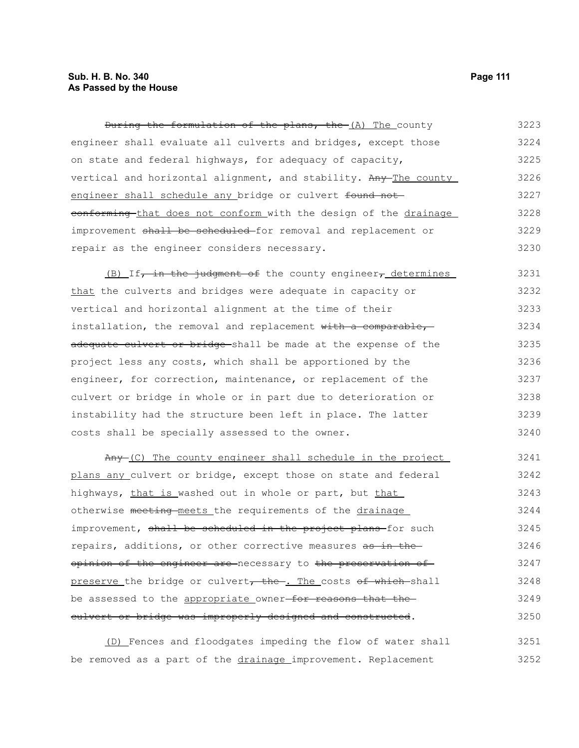# **Sub. H. B. No. 340 Page 111 As Passed by the House**

During the formulation of the plans, the (A) The county engineer shall evaluate all culverts and bridges, except those on state and federal highways, for adequacy of capacity, vertical and horizontal alignment, and stability. Any The county engineer shall schedule any bridge or culvert found not eonforming that does not conform with the design of the drainage improvement shall be scheduled for removal and replacement or repair as the engineer considers necessary. 3223 3224 3225 3226 3227 3228 3229 3230

(B) If, in the judgment of the county engineer, determines that the culverts and bridges were adequate in capacity or vertical and horizontal alignment at the time of their installation, the removal and replacement with a comparable, adequate culvert or bridge shall be made at the expense of the project less any costs, which shall be apportioned by the engineer, for correction, maintenance, or replacement of the culvert or bridge in whole or in part due to deterioration or instability had the structure been left in place. The latter costs shall be specially assessed to the owner. 3231 3232 3233 3234 3235 3236 3237 3238 3239 3240

Any (C) The county engineer shall schedule in the project plans any culvert or bridge, except those on state and federal highways, that is washed out in whole or part, but that otherwise meeting meets the requirements of the drainage improvement, shall be scheduled in the project plans-for such repairs, additions, or other corrective measures as in theopinion of the engineer are necessary to the preservation of preserve the bridge or culvert, the . The costs of which shall be assessed to the appropriate owner-for reasons that the culvert or bridge was improperly designed and constructed. 3241 3242 3243 3244 3245 3246 3247 3248 3249 3250

(D) Fences and floodgates impeding the flow of water shall be removed as a part of the drainage improvement. Replacement 3251 3252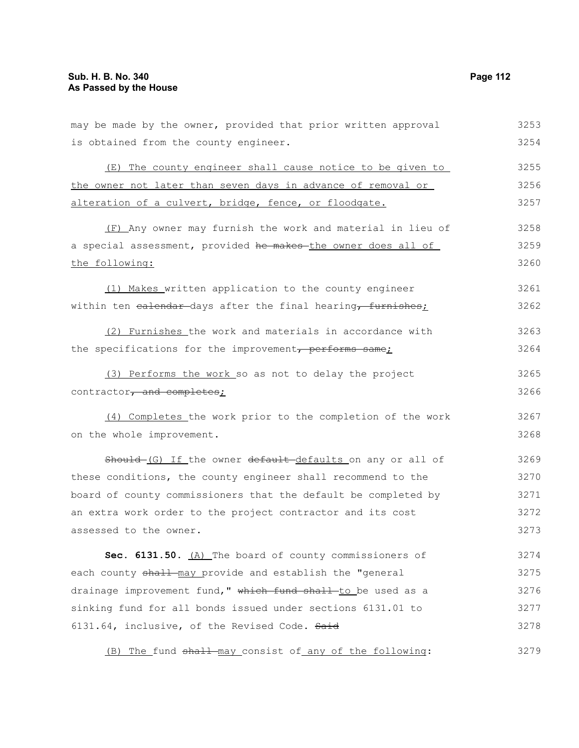is obtained from the county engineer.

may be made by the owner, provided that prior written approval (E) The county engineer shall cause notice to be given to

the owner not later than seven days in advance of removal or alteration of a culvert, bridge, fence, or floodgate. 3255 3256 3257

(F) Any owner may furnish the work and material in lieu of a special assessment, provided he makes the owner does all of the following: 3258 3259 3260

(1) Makes written application to the county engineer within ten ealendar-days after the final hearing, furnishes; 3261 3262

(2) Furnishes the work and materials in accordance with the specifications for the improvement, performs same; 3263 3264

(3) Performs the work so as not to delay the project contractor, and completes; 3265 3266

(4) Completes the work prior to the completion of the work on the whole improvement.

Should-(G) If the owner default-defaults on any or all of these conditions, the county engineer shall recommend to the board of county commissioners that the default be completed by an extra work order to the project contractor and its cost assessed to the owner. 3269 3270 3271 3272 3273

Sec. 6131.50. (A) The board of county commissioners of each county shall may provide and establish the "general drainage improvement fund," which fund shall to be used as a sinking fund for all bonds issued under sections 6131.01 to 6131.64, inclusive, of the Revised Code. Said 3274 3275 3276 3277 3278

(B) The fund  $shall$ -may consist of any of the following: 3279

3253 3254

3267 3268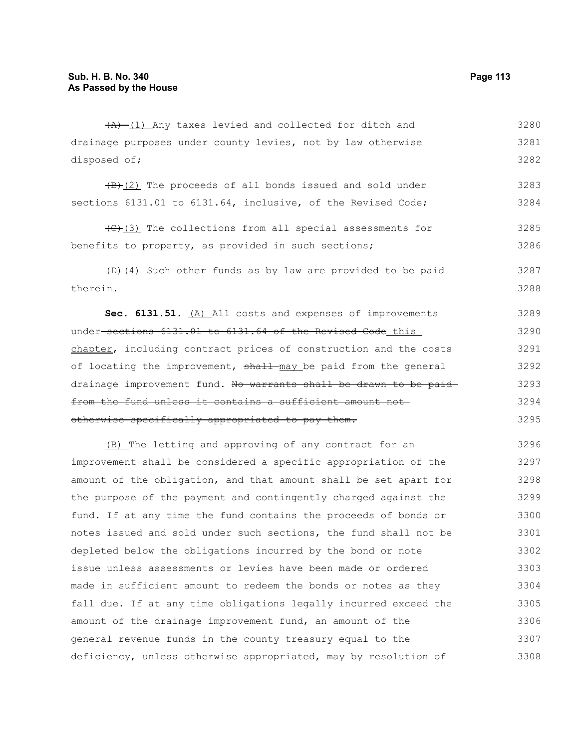$(A)$  (1) Any taxes levied and collected for ditch and drainage purposes under county levies, not by law otherwise disposed of; 3280 3281 3282

 $\frac{1}{B}(2)$  The proceeds of all bonds issued and sold under sections 6131.01 to 6131.64, inclusive, of the Revised Code; 3283 3284

 $(\theta)$ (3) The collections from all special assessments for benefits to property, as provided in such sections; 3285 3286

 $(D)$  (4) Such other funds as by law are provided to be paid therein. 3287 3288

**Sec. 6131.51.** (A) All costs and expenses of improvements under sections 6131.01 to 6131.64 of the Revised Code this chapter, including contract prices of construction and the costs of locating the improvement, shall may be paid from the general drainage improvement fund. No warrants shall be drawn to be paid from the fund unless it contains a sufficient amount not otherwise specifically appropriated to pay them. 3289 3290 3291 3292 3293 3294 3295

(B) The letting and approving of any contract for an improvement shall be considered a specific appropriation of the amount of the obligation, and that amount shall be set apart for the purpose of the payment and contingently charged against the fund. If at any time the fund contains the proceeds of bonds or notes issued and sold under such sections, the fund shall not be depleted below the obligations incurred by the bond or note issue unless assessments or levies have been made or ordered made in sufficient amount to redeem the bonds or notes as they fall due. If at any time obligations legally incurred exceed the amount of the drainage improvement fund, an amount of the general revenue funds in the county treasury equal to the deficiency, unless otherwise appropriated, may by resolution of 3296 3297 3298 3299 3300 3301 3302 3303 3304 3305 3306 3307 3308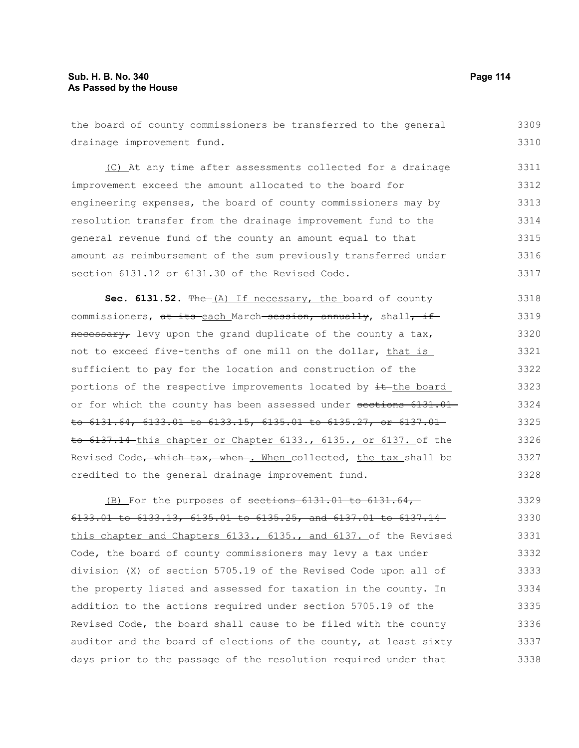| the board of county commissioners be transferred to the general  | 3309 |
|------------------------------------------------------------------|------|
| drainage improvement fund.                                       | 3310 |
| (C) At any time after assessments collected for a drainage       | 3311 |
| improvement exceed the amount allocated to the board for         | 3312 |
| engineering expenses, the board of county commissioners may by   | 3313 |
| resolution transfer from the drainage improvement fund to the    | 3314 |
| general revenue fund of the county an amount equal to that       | 3315 |
| amount as reimbursement of the sum previously transferred under  | 3316 |
| section 6131.12 or 6131.30 of the Revised Code.                  | 3317 |
| Sec. 6131.52. $Fhe-(A)$ If necessary, the board of county        | 3318 |
| commissioners, at its each March session, annually, shall, if    | 3319 |
| necessary, levy upon the grand duplicate of the county a tax,    | 3320 |
| not to exceed five-tenths of one mill on the dollar, that is     | 3321 |
| sufficient to pay for the location and construction of the       | 3322 |
| portions of the respective improvements located by it the board  | 3323 |
| or for which the county has been assessed under sections 6131.01 | 3324 |
| to 6131.64, 6133.01 to 6133.15, 6135.01 to 6135.27, or 6137.     | 3325 |

to 6131.64, 6133.01 to 6133.15, 6135.01 to 6135.27, or 6137.01 to 6137.14 this chapter or Chapter 6133., 6135., or 6137. of the Revised Code, which tax, when . When collected, the tax shall be credited to the general drainage improvement fund. 3326 3327 3328

(B) For the purposes of sections 6131.01 to 6131.64, 6133.01 to 6133.13, 6135.01 to 6135.25, and 6137.01 to 6137.14 this chapter and Chapters 6133., 6135., and 6137. of the Revised Code, the board of county commissioners may levy a tax under division (X) of section 5705.19 of the Revised Code upon all of the property listed and assessed for taxation in the county. In addition to the actions required under section 5705.19 of the Revised Code, the board shall cause to be filed with the county auditor and the board of elections of the county, at least sixty days prior to the passage of the resolution required under that 3329 3330 3331 3332 3333 3334 3335 3336 3337 3338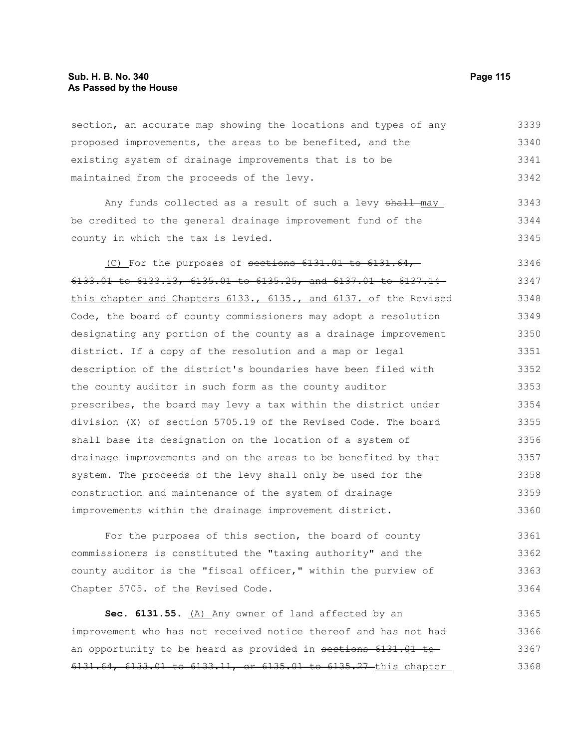section, an accurate map showing the locations and types of any proposed improvements, the areas to be benefited, and the existing system of drainage improvements that is to be maintained from the proceeds of the levy. 3339 3340 3341 3342

Any funds collected as a result of such a levy shall-may be credited to the general drainage improvement fund of the county in which the tax is levied. 3343 3344 3345

(C) For the purposes of sections 6131.01 to 6131.64, 6133.01 to 6133.13, 6135.01 to 6135.25, and 6137.01 to 6137.14 this chapter and Chapters 6133., 6135., and 6137. of the Revised Code, the board of county commissioners may adopt a resolution designating any portion of the county as a drainage improvement district. If a copy of the resolution and a map or legal description of the district's boundaries have been filed with the county auditor in such form as the county auditor prescribes, the board may levy a tax within the district under division (X) of section 5705.19 of the Revised Code. The board shall base its designation on the location of a system of drainage improvements and on the areas to be benefited by that system. The proceeds of the levy shall only be used for the construction and maintenance of the system of drainage improvements within the drainage improvement district. 3346 3347 3348 3349 3350 3351 3352 3353 3354 3355 3356 3357 3358 3359 3360

For the purposes of this section, the board of county commissioners is constituted the "taxing authority" and the county auditor is the "fiscal officer," within the purview of Chapter 5705. of the Revised Code. 3361 3362 3363 3364

Sec. 6131.55. (A) Any owner of land affected by an improvement who has not received notice thereof and has not had an opportunity to be heard as provided in sections 6131.01 to 6131.64, 6133.01 to 6133.11, or 6135.01 to 6135.27 this chapter 3365 3366 3367 3368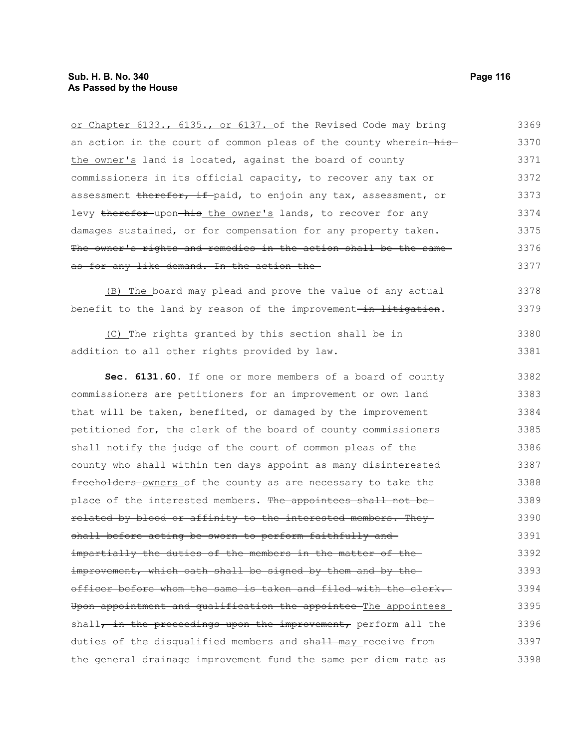| or Chapter 6133., 6135., or 6137. of the Revised Code may bring   | 3369 |
|-------------------------------------------------------------------|------|
| an action in the court of common pleas of the county wherein-his- | 3370 |
| the owner's land is located, against the board of county          | 3371 |
| commissioners in its official capacity, to recover any tax or     | 3372 |
| assessment therefor, if paid, to enjoin any tax, assessment, or   | 3373 |
| levy therefor upon his the owner's lands, to recover for any      | 3374 |
| damages sustained, or for compensation for any property taken.    | 3375 |
| The owner's rights and remedies in the action shall be the same   | 3376 |
| as for any like demand. In the action the                         | 3377 |
| The board may plead and prove the value of any actual<br>(B)      | 3378 |
| benefit to the land by reason of the improvement-in litigation.   | 3379 |
| (C) The rights granted by this section shall be in                | 3380 |
| addition to all other rights provided by law.                     | 3381 |
| Sec. 6131.60. If one or more members of a board of county         | 3382 |
| commissioners are petitioners for an improvement or own land      | 3383 |
| that will be taken, benefited, or damaged by the improvement      | 3384 |
| petitioned for, the clerk of the board of county commissioners    | 3385 |
| shall notify the judge of the court of common pleas of the        | 3386 |
| county who shall within ten days appoint as many disinterested    | 3387 |
| freeholders owners of the county as are necessary to take the     | 3388 |
| place of the interested members. The appointees shall not be-     | 3389 |
| related by blood or affinity to the interested members. They-     | 3390 |
| shall before acting be sworn to perform faithfully and            | 3391 |
| impartially the duties of the members in the matter of the-       | 3392 |
| improvement, which oath shall be signed by them and by the-       | 3393 |
| officer before whom the same is taken and filed with the clerk.   | 3394 |
| Upon appointment and qualification the appointee The appointees   | 3395 |
| shall, in the proceedings upon the improvement, perform all the   | 3396 |
| duties of the disqualified members and shall may receive from     | 3397 |
| the general drainage improvement fund the same per diem rate as   | 3398 |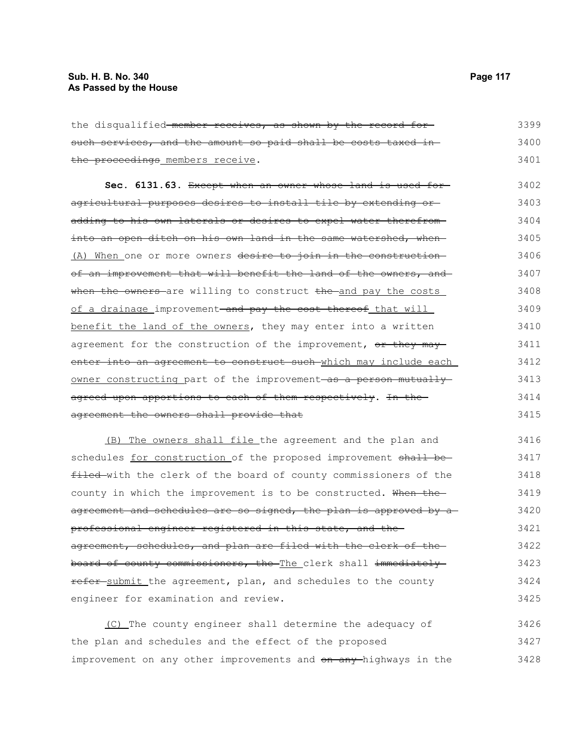| the disqualified-member receives, as shown by the record for             | 3399 |
|--------------------------------------------------------------------------|------|
| such services, and the amount so paid shall be costs taxed in-           | 3400 |
| the proceedings members receive.                                         | 3401 |
| Sec. 6131.63. Except when an owner whose land is used for-               | 3402 |
| agricultural purposes desires to install tile by extending or-           | 3403 |
| adding to his own laterals or desires to expel water therefrom-          | 3404 |
| into an open ditch on his own land in the same watershed, when-          | 3405 |
| (A) When one or more owners desire to join in the construction           | 3406 |
| of an improvement that will benefit the land of the owners, and          | 3407 |
| when the owners are willing to construct the and pay the costs           | 3408 |
| of a drainage improvement <del> and pay the cost thereof</del> that will | 3409 |
| benefit the land of the owners, they may enter into a written            | 3410 |
| agreement for the construction of the improvement, or they may           | 3411 |
| enter into an agreement to construct such which may include each         | 3412 |
| owner constructing part of the improvement as a person mutually          | 3413 |
| agreed upon apportions to each of them respectively. In the-             | 3414 |
| agreement the owners shall provide that                                  | 3415 |
| (B) The owners shall file the agreement and the plan and                 | 3416 |

schedules for construction of the proposed improvement shall befiled with the clerk of the board of county commissioners of the county in which the improvement is to be constructed. When theagreement and schedules are so signed, the plan is approved by aprofessional engineer registered in this state, and the agreement, schedules, and plan are filed with the clerk of the board of county commissioners, the The clerk shall immediately refer submit the agreement, plan, and schedules to the county engineer for examination and review. 3417 3418 3419 3420 3421 3422 3423 3424 3425

(C) The county engineer shall determine the adequacy of the plan and schedules and the effect of the proposed improvement on any other improvements and on any highways in the 3426 3427 3428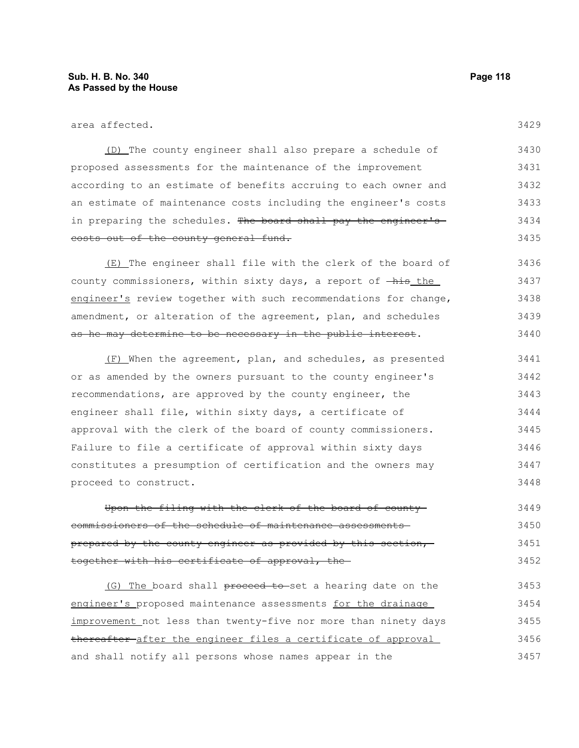| area affected.                                                                | 3429 |
|-------------------------------------------------------------------------------|------|
| (D) The county engineer shall also prepare a schedule of                      | 3430 |
| proposed assessments for the maintenance of the improvement                   | 3431 |
| according to an estimate of benefits accruing to each owner and               | 3432 |
| an estimate of maintenance costs including the engineer's costs               | 3433 |
| in preparing the schedules. The board shall pay the engineer's                | 3434 |
| costs out of the county general fund.                                         | 3435 |
| (E) The engineer shall file with the clerk of the board of                    | 3436 |
| county commissioners, within sixty days, a report of $-\text{his}\text{ the}$ | 3437 |
| engineer's review together with such recommendations for change,              | 3438 |
| amendment, or alteration of the agreement, plan, and schedules                | 3439 |
| as he may determine to be necessary in the public interest.                   | 3440 |
| (F) When the agreement, plan, and schedules, as presented                     | 3441 |
| or as amended by the owners pursuant to the county engineer's                 | 3442 |
| recommendations, are approved by the county engineer, the                     | 3443 |
| engineer shall file, within sixty days, a certificate of                      | 3444 |
| approval with the clerk of the board of county commissioners.                 | 3445 |
| Failure to file a certificate of approval within sixty days                   | 3446 |
| constitutes a presumption of certification and the owners may                 | 3447 |
| proceed to construct.                                                         | 3448 |
| Upon the filing with the clerk of the board of county-                        | 3449 |
| of the schedule of maintenance<br>ssioners<br><del>assessments</del>          | 3450 |

prepared by the county engineer as provided by this section, together with his certificate of approval, the 3451 3452

(G) The board shall proceed to set a hearing date on the engineer's proposed maintenance assessments for the drainage improvement not less than twenty-five nor more than ninety days thereafter after the engineer files a certificate of approval and shall notify all persons whose names appear in the 3453 3454 3455 3456 3457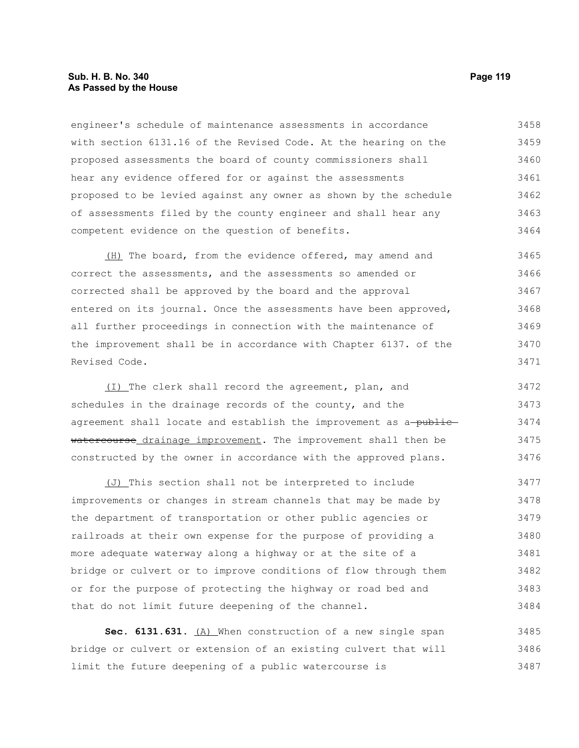# **Sub. H. B. No. 340 Page 119 As Passed by the House**

engineer's schedule of maintenance assessments in accordance with section 6131.16 of the Revised Code. At the hearing on the proposed assessments the board of county commissioners shall hear any evidence offered for or against the assessments proposed to be levied against any owner as shown by the schedule of assessments filed by the county engineer and shall hear any competent evidence on the question of benefits. 3458 3459 3460 3461 3462 3463 3464

(H) The board, from the evidence offered, may amend and correct the assessments, and the assessments so amended or corrected shall be approved by the board and the approval entered on its journal. Once the assessments have been approved, all further proceedings in connection with the maintenance of the improvement shall be in accordance with Chapter 6137. of the Revised Code. 3465 3466 3467 3468 3469 3470 3471

(I) The clerk shall record the agreement, plan, and schedules in the drainage records of the county, and the agreement shall locate and establish the improvement as a-publicwatercourse drainage improvement. The improvement shall then be constructed by the owner in accordance with the approved plans. 3472 3473 3474 3475 3476

(J) This section shall not be interpreted to include improvements or changes in stream channels that may be made by the department of transportation or other public agencies or railroads at their own expense for the purpose of providing a more adequate waterway along a highway or at the site of a bridge or culvert or to improve conditions of flow through them or for the purpose of protecting the highway or road bed and that do not limit future deepening of the channel. 3477 3478 3479 3480 3481 3482 3483 3484

Sec. 6131.631. (A) When construction of a new single span bridge or culvert or extension of an existing culvert that will limit the future deepening of a public watercourse is 3485 3486 3487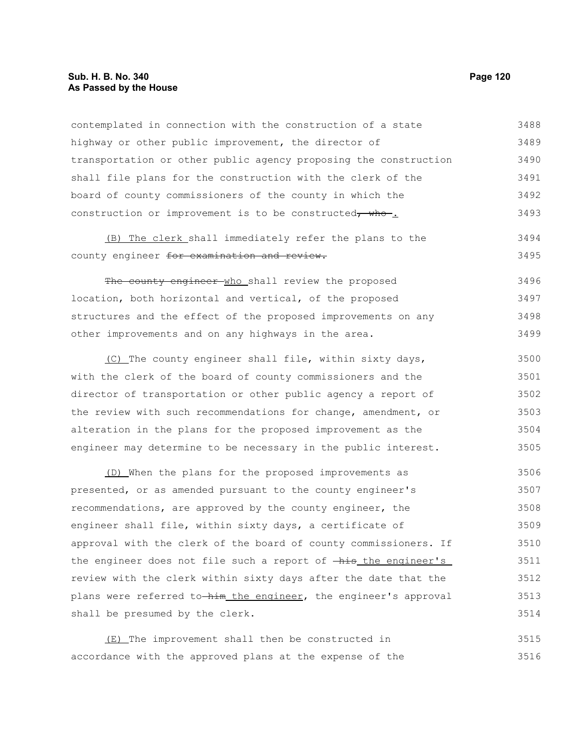# **Sub. H. B. No. 340 Page 120 As Passed by the House**

contemplated in connection with the construction of a state highway or other public improvement, the director of transportation or other public agency proposing the construction shall file plans for the construction with the clerk of the board of county commissioners of the county in which the construction or improvement is to be constructed, who-. 3488 3489 3490 3491 3492 3493

(B) The clerk shall immediately refer the plans to the county engineer for examination and review. 3494 3495

The county engineer who shall review the proposed location, both horizontal and vertical, of the proposed structures and the effect of the proposed improvements on any other improvements and on any highways in the area. 3496 3497 3498 3499

(C) The county engineer shall file, within sixty days, with the clerk of the board of county commissioners and the director of transportation or other public agency a report of the review with such recommendations for change, amendment, or alteration in the plans for the proposed improvement as the engineer may determine to be necessary in the public interest. 3500 3501 3502 3503 3504 3505

(D) When the plans for the proposed improvements as presented, or as amended pursuant to the county engineer's recommendations, are approved by the county engineer, the engineer shall file, within sixty days, a certificate of approval with the clerk of the board of county commissioners. If the engineer does not file such a report of  $-\frac{h}{h}$  the engineer's review with the clerk within sixty days after the date that the plans were referred to him the engineer, the engineer's approval shall be presumed by the clerk. 3506 3507 3508 3509 3510 3511 3512 3513 3514

(E) The improvement shall then be constructed in accordance with the approved plans at the expense of the 3515 3516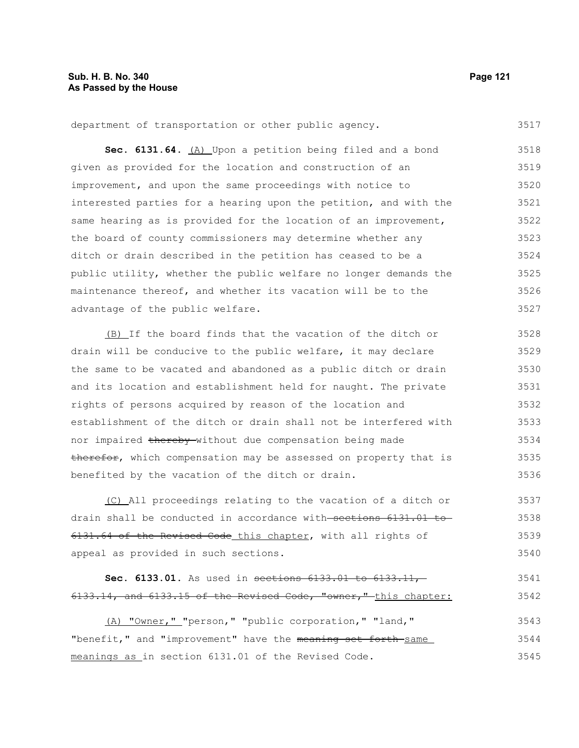department of transportation or other public agency. 3517

Sec. 6131.64. **(A)** Upon a petition being filed and a bond given as provided for the location and construction of an improvement, and upon the same proceedings with notice to interested parties for a hearing upon the petition, and with the same hearing as is provided for the location of an improvement, the board of county commissioners may determine whether any ditch or drain described in the petition has ceased to be a public utility, whether the public welfare no longer demands the maintenance thereof, and whether its vacation will be to the advantage of the public welfare. 3518 3519 3520 3521 3522 3523 3524 3525 3526 3527

(B) If the board finds that the vacation of the ditch or drain will be conducive to the public welfare, it may declare the same to be vacated and abandoned as a public ditch or drain and its location and establishment held for naught. The private rights of persons acquired by reason of the location and establishment of the ditch or drain shall not be interfered with nor impaired thereby without due compensation being made therefor, which compensation may be assessed on property that is benefited by the vacation of the ditch or drain. 3528 3529 3530 3531 3532 3533 3534 3535 3536

(C) All proceedings relating to the vacation of a ditch or drain shall be conducted in accordance with sections 6131.01 to 6131.64 of the Revised Code this chapter, with all rights of appeal as provided in such sections. 3537 3538 3539 3540

```
Sec. 6133.01. As used in sections 6133.01 to 6133.11,
6133.14, and 6133.15 of the Revised Code, "owner," this chapter:
                                                                          3541
                                                                          3542
```
(A) "Owner," "person," "public corporation," "land," "benefit," and "improvement" have the meaning set forth same meanings as in section 6131.01 of the Revised Code. 3543 3544 3545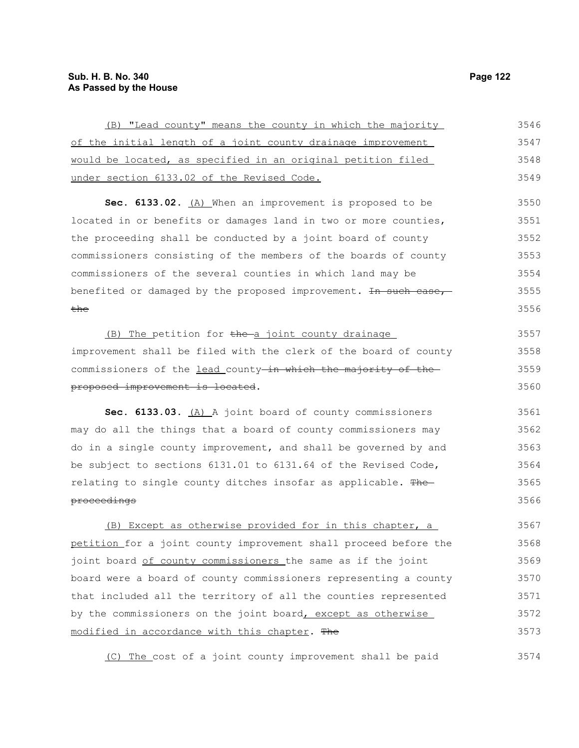| (B) "Lead county" means the county in which the majority         | 3546 |
|------------------------------------------------------------------|------|
| of the initial length of a joint county drainage improvement     | 3547 |
| would be located, as specified in an original petition filed     | 3548 |
| under section 6133.02 of the Revised Code.                       | 3549 |
| Sec. 6133.02. (A) When an improvement is proposed to be          | 3550 |
| located in or benefits or damages land in two or more counties,  | 3551 |
| the proceeding shall be conducted by a joint board of county     | 3552 |
| commissioners consisting of the members of the boards of county  | 3553 |
| commissioners of the several counties in which land may be       | 3554 |
| benefited or damaged by the proposed improvement. In such case,  | 3555 |
| the                                                              | 3556 |
| (B) The petition for the a joint county drainage                 | 3557 |
| improvement shall be filed with the clerk of the board of county | 3558 |
| commissioners of the lead county-in which the majority of the-   | 3559 |
| proposed improvement is located.                                 | 3560 |
| Sec. 6133.03. (A) A joint board of county commissioners          | 3561 |
|                                                                  |      |
| may do all the things that a board of county commissioners may   | 3562 |
| do in a single county improvement, and shall be governed by and  | 3563 |
| be subject to sections 6131.01 to 6131.64 of the Revised Code,   | 3564 |
| relating to single county ditches insofar as applicable. The     | 3565 |
| proceedings                                                      | 3566 |
| (B) Except as otherwise provided for in this chapter, a          | 3567 |
| petition for a joint county improvement shall proceed before the | 3568 |
| joint board of county commissioners the same as if the joint     | 3569 |
| board were a board of county commissioners representing a county | 3570 |
| that included all the territory of all the counties represented  | 3571 |
| by the commissioners on the joint board, except as otherwise     | 3572 |

(C) The cost of a joint county improvement shall be paid 3574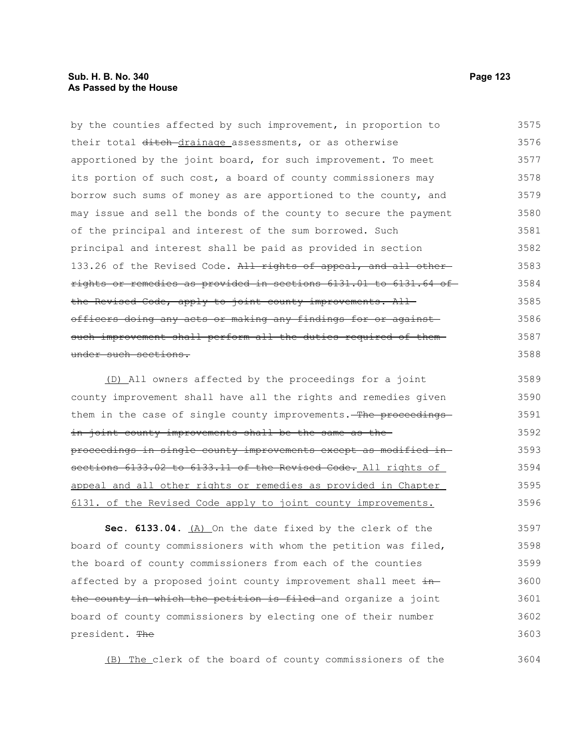# **Sub. H. B. No. 340 Page 123 As Passed by the House**

by the counties affected by such improvement, in proportion to their total ditch-drainage assessments, or as otherwise apportioned by the joint board, for such improvement. To meet its portion of such cost, a board of county commissioners may borrow such sums of money as are apportioned to the county, and may issue and sell the bonds of the county to secure the payment of the principal and interest of the sum borrowed. Such principal and interest shall be paid as provided in section 133.26 of the Revised Code. All rights of appeal, and all otherrights or remedies as provided in sections 6131.01 to 6131.64 of the Revised Code, apply to joint county improvements. Allofficers doing any acts or making any findings for or against such improvement shall perform all the duties required of them under such sections. 3575 3576 3577 3578 3579 3580 3581 3582 3583 3584 3585 3586 3587 3588

(D) All owners affected by the proceedings for a joint county improvement shall have all the rights and remedies given them in the case of single county improvements. The proceedingsin joint county improvements shall be the same as theproceedings in single county improvements except as modified in sections 6133.02 to 6133.11 of the Revised Code. All rights of appeal and all other rights or remedies as provided in Chapter 6131. of the Revised Code apply to joint county improvements. 3589 3590 3591 3592 3593 3594 3595 3596

**Sec. 6133.04.** (A) On the date fixed by the clerk of the board of county commissioners with whom the petition was filed, the board of county commissioners from each of the counties affected by a proposed joint county improvement shall meet inthe county in which the petition is filed and organize a joint board of county commissioners by electing one of their number president. The 3597 3598 3599 3600 3601 3602 3603

(B) The clerk of the board of county commissioners of the

3604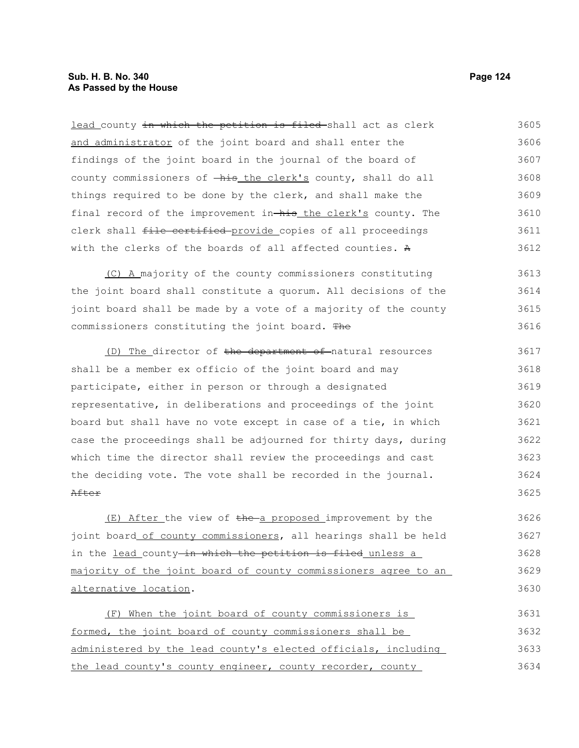lead county in which the petition is filed-shall act as clerk and administrator of the joint board and shall enter the findings of the joint board in the journal of the board of county commissioners of  $-\hbox{his}$  the clerk's county, shall do all things required to be done by the clerk, and shall make the final record of the improvement in-his the clerk's county. The clerk shall file certified provide copies of all proceedings with the clerks of the boards of all affected counties. A 3605 3606 3607 3608 3609 3610 3611 3612

(C) A majority of the county commissioners constituting the joint board shall constitute a quorum. All decisions of the joint board shall be made by a vote of a majority of the county commissioners constituting the joint board. The 3613 3614 3615 3616

(D) The director of the department of natural resources shall be a member ex officio of the joint board and may participate, either in person or through a designated representative, in deliberations and proceedings of the joint board but shall have no vote except in case of a tie, in which case the proceedings shall be adjourned for thirty days, during which time the director shall review the proceedings and cast the deciding vote. The vote shall be recorded in the journal. After 3617 3618 3619 3620 3621 3622 3623 3624 3625

 $(E)$  After the view of the a proposed improvement by the joint board of county commissioners, all hearings shall be held in the lead county-in which the petition is filed unless a majority of the joint board of county commissioners agree to an alternative location. 3626 3627 3628 3629 3630

(F) When the joint board of county commissioners is formed, the joint board of county commissioners shall be administered by the lead county's elected officials, including the lead county's county engineer, county recorder, county 3631 3632 3633 3634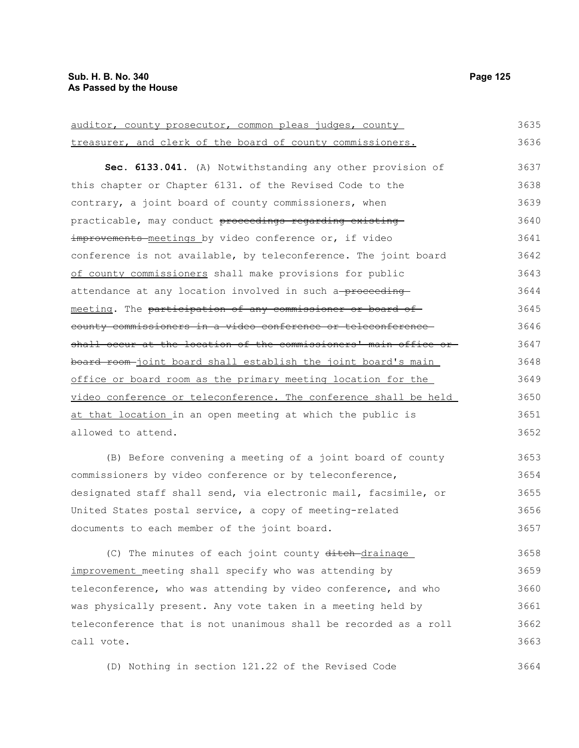| auditor, county prosecutor, common pleas judges, county          | 3635 |
|------------------------------------------------------------------|------|
| treasurer, and clerk of the board of county commissioners.       | 3636 |
| Sec. 6133.041. (A) Notwithstanding any other provision of        | 3637 |
| this chapter or Chapter 6131. of the Revised Code to the         | 3638 |
| contrary, a joint board of county commissioners, when            | 3639 |
| practicable, may conduct proceedings regarding existing          | 3640 |
| improvements meetings by video conference or, if video           | 3641 |
| conference is not available, by teleconference. The joint board  | 3642 |
| of county commissioners shall make provisions for public         | 3643 |
| attendance at any location involved in such a-proceeding-        | 3644 |
| meeting. The participation of any commissioner or board of       | 3645 |
| county commissioners in a video conference or teleconference     | 3646 |
| shall occur at the location of the commissioners' main office or | 3647 |
| board room-joint board shall establish the joint board's main    | 3648 |
| office or board room as the primary meeting location for the     | 3649 |
| video conference or teleconference. The conference shall be held | 3650 |
| at that location in an open meeting at which the public is       | 3651 |
| allowed to attend.                                               | 3652 |
| (B) Before convening a meeting of a joint board of county        | 3653 |
| commissioners by video conference or by teleconference,          | 3654 |
| designated staff shall send, via electronic mail, facsimile, or  | 3655 |
| United States postal service, a copy of meeting-related          | 3656 |
| documents to each member of the joint board.                     | 3657 |
| (C) The minutes of each joint county ditch-drainage              | 3658 |

improvement meeting shall specify who was attending by teleconference, who was attending by video conference, and who was physically present. Any vote taken in a meeting held by teleconference that is not unanimous shall be recorded as a roll call vote. 3659 3660 3661 3662 3663

(D) Nothing in section 121.22 of the Revised Code 3664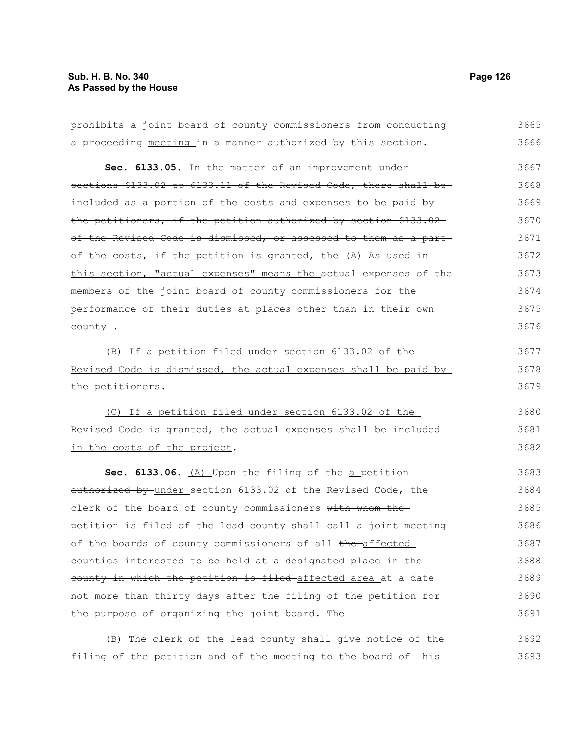| prohibits a joint board of county commissioners from conducting  | 3665 |
|------------------------------------------------------------------|------|
| a proceeding-meeting in a manner authorized by this section.     | 3666 |
| Sec. 6133.05. In the matter of an improvement under-             | 3667 |
| sections 6133.02 to 6133.11 of the Revised Code, there shall be- | 3668 |
| included as a portion of the costs and expenses to be paid by-   | 3669 |
| the petitioners, if the petition authorized by section 6133.02-  | 3670 |
| of the Revised Code is dismissed, or assessed to them as a part  | 3671 |
| of the costs, if the petition is granted, the (A) As used in     | 3672 |
| this section, "actual expenses" means the actual expenses of the | 3673 |
| members of the joint board of county commissioners for the       | 3674 |
| performance of their duties at places other than in their own    | 3675 |
| county .                                                         | 3676 |
| (B) If a petition filed under section 6133.02 of the             | 3677 |
| Revised Code is dismissed, the actual expenses shall be paid by  | 3678 |
| the petitioners.                                                 | 3679 |
| (C) If a petition filed under section 6133.02 of the             | 3680 |
| Revised Code is granted, the actual expenses shall be included   | 3681 |
| in the costs of the project.                                     | 3682 |
| Sec. 6133.06. $(A)$ Upon the filing of the a petition            | 3683 |
| authorized by under section 6133.02 of the Revised Code, the     | 3684 |
| clerk of the board of county commissioners with whom the-        | 3685 |
| petition is filed of the lead county shall call a joint meeting  | 3686 |
| of the boards of county commissioners of all the affected        | 3687 |
| counties interested-to be held at a designated place in the      | 3688 |
| county in which the petition is filed-affected area at a date    | 3689 |
| not more than thirty days after the filing of the petition for   | 3690 |
| the purpose of organizing the joint board. The                   | 3691 |
| The clerk of the lead county shall give notice of the<br>(B)     | 3692 |

filing of the petition and of the meeting to the board of  $-\text{his}-$  3693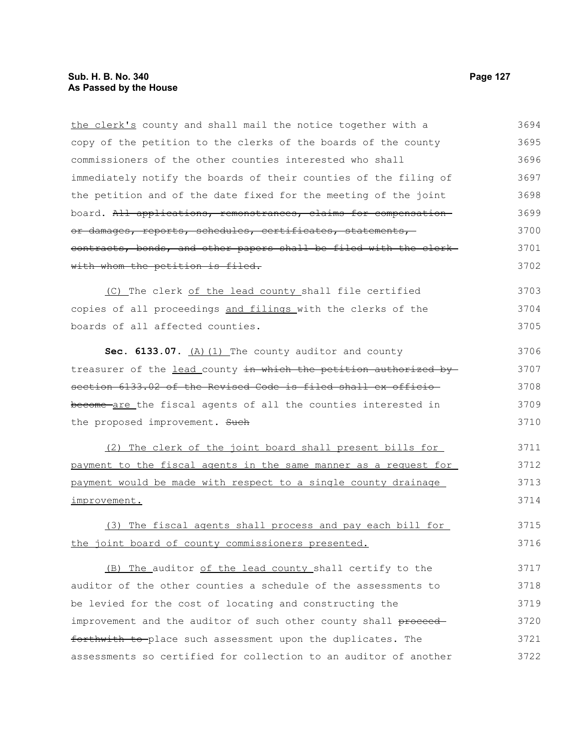the clerk's county and shall mail the notice together with a copy of the petition to the clerks of the boards of the county commissioners of the other counties interested who shall immediately notify the boards of their counties of the filing of the petition and of the date fixed for the meeting of the joint board. All applications, remonstrances, claims for compensation or damages, reports, schedules, certificates, statements, contracts, bonds, and other papers shall be filed with the clerk with whom the petition is filed. (C) The clerk of the lead county shall file certified copies of all proceedings and filings with the clerks of the boards of all affected counties. Sec. 6133.07. (A) (1) The county auditor and county treasurer of the lead county in which the petition authorized bysection 6133.02 of the Revised Code is filed shall ex officio become are the fiscal agents of all the counties interested in the proposed improvement. Such (2) The clerk of the joint board shall present bills for payment to the fiscal agents in the same manner as a request for payment would be made with respect to a single county drainage improvement. (3) The fiscal agents shall process and pay each bill for the joint board of county commissioners presented. (B) The auditor of the lead county shall certify to the auditor of the other counties a schedule of the assessments to be levied for the cost of locating and constructing the improvement and the auditor of such other county shall proceedforthwith to place such assessment upon the duplicates. The assessments so certified for collection to an auditor of another 3694 3695 3696 3697 3698 3699 3700 3701 3702 3703 3704 3705 3706 3707 3708 3709 3710 3711 3712 3713 3714 3715 3716 3717 3718 3719 3720 3721 3722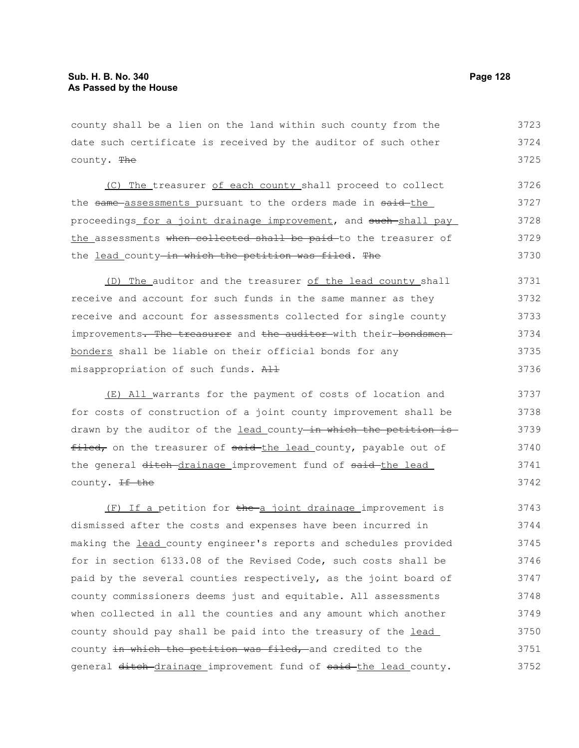county shall be a lien on the land within such county from the date such certificate is received by the auditor of such other county. The 3723 3724 3725

(C) The treasurer of each county shall proceed to collect the same assessments pursuant to the orders made in said-the proceedings for a joint drainage improvement, and such shall pay the assessments when collected shall be paid to the treasurer of the lead county-in which the petition was filed. The 3726 3727 3728 3729 3730

(D) The auditor and the treasurer of the lead county shall receive and account for such funds in the same manner as they receive and account for assessments collected for single county improvements. The treasurer and the auditor with their bondsmenbonders shall be liable on their official bonds for any misappropriation of such funds. All 3731 3732 3733 3734 3735 3736

(E) All warrants for the payment of costs of location and for costs of construction of a joint county improvement shall be drawn by the auditor of the lead county in which the petition is filed, on the treasurer of said the lead county, payable out of the general ditch drainage improvement fund of said the lead county. <del>If the</del> 3737 3738 3739 3740 3741 3742

(F) If a petition for the a joint drainage improvement is dismissed after the costs and expenses have been incurred in making the lead county engineer's reports and schedules provided for in section 6133.08 of the Revised Code, such costs shall be paid by the several counties respectively, as the joint board of county commissioners deems just and equitable. All assessments when collected in all the counties and any amount which another county should pay shall be paid into the treasury of the lead county in which the petition was filed, and credited to the general ditch-drainage improvement fund of said-the lead county. 3743 3744 3745 3746 3747 3748 3749 3750 3751 3752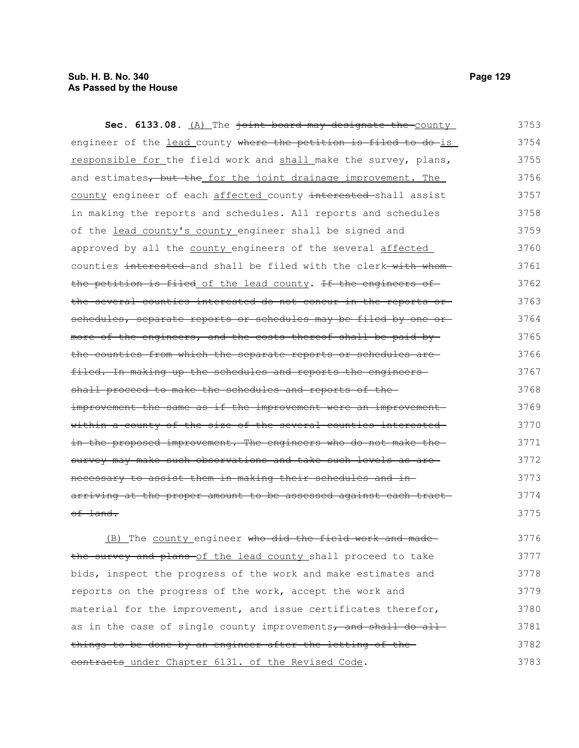# **Sub. H. B. No. 340 Page 129 As Passed by the House**

Sec. 6133.08. (A) The joint board may designate the county engineer of the lead county where the petition is filed to do-is responsible for the field work and shall make the survey, plans, and estimates, but the for the joint drainage improvement. The county engineer of each affected county interested shall assist in making the reports and schedules. All reports and schedules of the lead county's county engineer shall be signed and approved by all the county engineers of the several affected counties interested and shall be filed with the clerk with whomthe petition is filed of the lead county. If the engineers of the several counties interested do not concur in the reports or schedules, separate reports or schedules may be filed by one ormore of the engineers, and the costs thereof shall be paid by the counties from which the separate reports or schedules are filed. In making up the schedules and reports the engineersshall proceed to make the schedules and reports of theimprovement the same as if the improvement were an improvement within a county of the size of the several counties interested in the proposed improvement. The engineers who do not make thesurvey may make such observations and take such levels as arenecessary to assist them in making their schedules and in arriving at the proper amount to be assessed against each tract of land. 3753 3754 3755 3756 3757 3758 3759 3760 3761 3762 3763 3764 3765 3766 3767 3768 3769 3770 3771 3772 3773 3774 3775

(B) The county engineer who did the field work and made the survey and plans of the lead county shall proceed to take bids, inspect the progress of the work and make estimates and reports on the progress of the work, accept the work and material for the improvement, and issue certificates therefor, as in the case of single county improvements, and shall do all things to be done by an engineer after the letting of the contracts under Chapter 6131. of the Revised Code. 3776 3777 3778 3779 3780 3781 3782 3783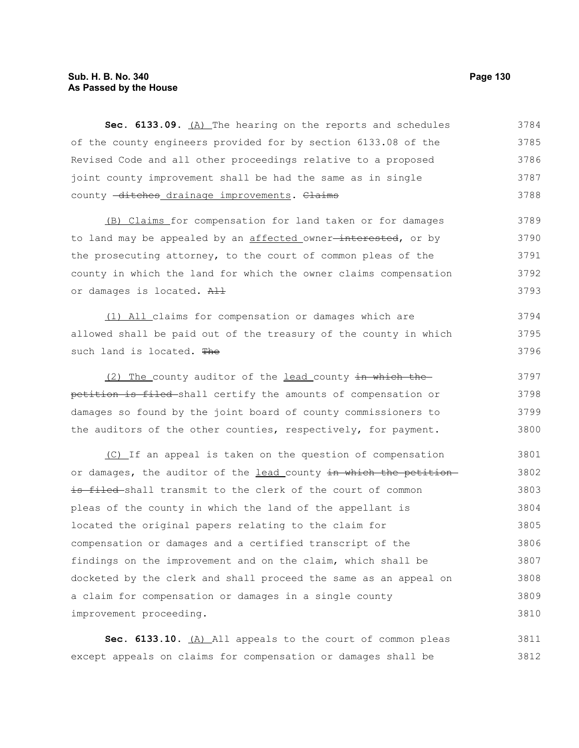# **Sub. H. B. No. 340 Page 130 As Passed by the House**

Sec. 6133.09. (A) The hearing on the reports and schedules of the county engineers provided for by section 6133.08 of the Revised Code and all other proceedings relative to a proposed joint county improvement shall be had the same as in single county -ditches drainage improvements. Claims 3784 3785 3786 3787 3788

(B) Claims for compensation for land taken or for damages to land may be appealed by an affected owner<del>-interested</del>, or by the prosecuting attorney, to the court of common pleas of the county in which the land for which the owner claims compensation or damages is located. All 3789 3790 3791 3792 3793

(1) All claims for compensation or damages which are allowed shall be paid out of the treasury of the county in which such land is located. The 3794 3795 3796

(2) The county auditor of the lead county in which the petition is filed shall certify the amounts of compensation or damages so found by the joint board of county commissioners to the auditors of the other counties, respectively, for payment. 3797 3798 3799 3800

(C) If an appeal is taken on the question of compensation or damages, the auditor of the lead county in which the petitionis filed shall transmit to the clerk of the court of common pleas of the county in which the land of the appellant is located the original papers relating to the claim for compensation or damages and a certified transcript of the findings on the improvement and on the claim, which shall be docketed by the clerk and shall proceed the same as an appeal on a claim for compensation or damages in a single county improvement proceeding. 3801 3802 3803 3804 3805 3806 3807 3808 3809 3810

Sec. 6133.10. (A) All appeals to the court of common pleas except appeals on claims for compensation or damages shall be 3811 3812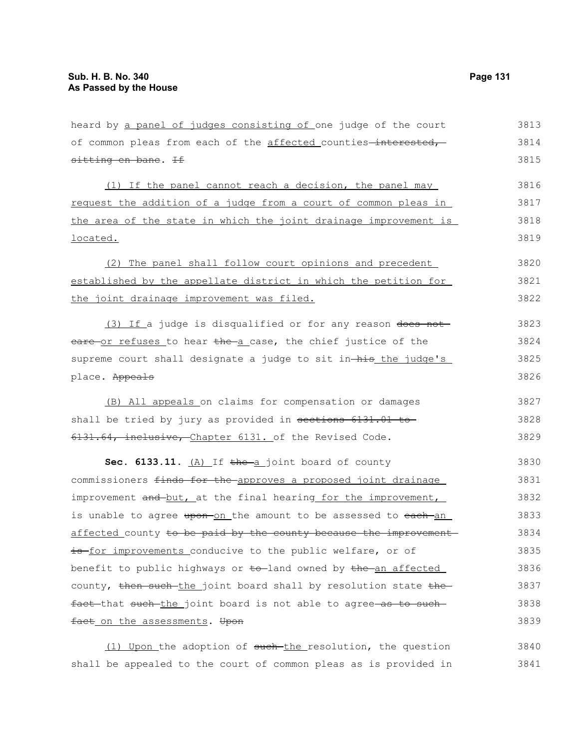| heard by a panel of judges consisting of one judge of the court  | 3813 |
|------------------------------------------------------------------|------|
| of common pleas from each of the affected counties-interested,   | 3814 |
| sitting en bane. If                                              | 3815 |
| (1) If the panel cannot reach a decision, the panel may          | 3816 |
| request the addition of a judge from a court of common pleas in  | 3817 |
| the area of the state in which the joint drainage improvement is | 3818 |
| located.                                                         | 3819 |
| (2) The panel shall follow court opinions and precedent          | 3820 |
| established by the appellate district in which the petition for  | 3821 |
| the joint drainage improvement was filed.                        | 3822 |
| (3) If a judge is disqualified or for any reason does not        | 3823 |
| eare or refuses to hear the a case, the chief justice of the     | 3824 |
| supreme court shall designate a judge to sit in-his the judge's  | 3825 |
| place. Appeals                                                   | 3826 |
| (B) All appeals on claims for compensation or damages            | 3827 |
| shall be tried by jury as provided in sections 6131.01 to        | 3828 |
| 6131.64, inclusive, Chapter 6131. of the Revised Code.           | 3829 |
| Sec. 6133.11. (A) If the a joint board of county                 | 3830 |
| commissioners finds for the approves a proposed joint drainage   | 3831 |
| improvement and but, at the final hearing for the improvement,   | 3832 |
| is unable to agree upon-on the amount to be assessed to each-an  | 3833 |
| affected county to be paid by the county because the improvement | 3834 |
| is for improvements conducive to the public welfare, or of       | 3835 |
| benefit to public highways or to-land owned by the an affected   | 3836 |
| county, then such the joint board shall by resolution state the  | 3837 |
| fact that such the joint board is not able to agree as to such   | 3838 |
| fact on the assessments. Upon                                    | 3839 |

(1) Upon the adoption of such the resolution, the question shall be appealed to the court of common pleas as is provided in 3840 3841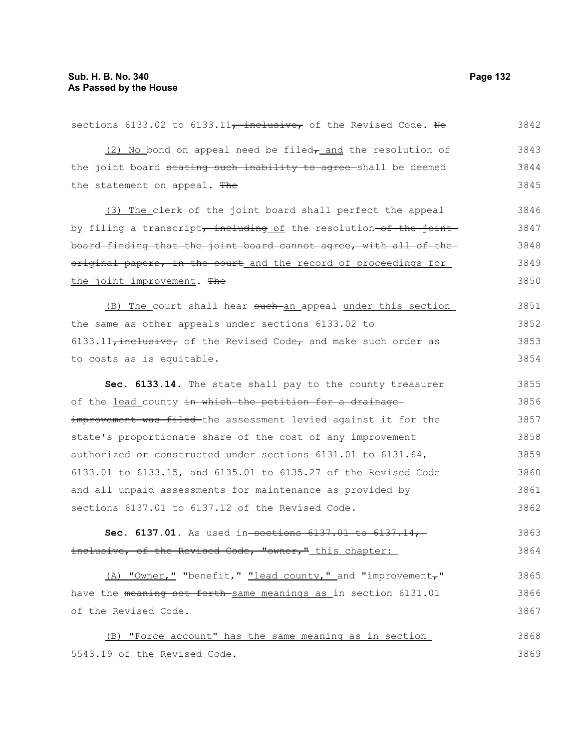| sections 6133.02 to 6133.11, inclusive, of the Revised Code. Ho          | 3842 |
|--------------------------------------------------------------------------|------|
| $(2)$ No bond on appeal need be filed <sub>7</sub> and the resolution of | 3843 |
| the joint board stating such inability to agree-shall be deemed          | 3844 |
| the statement on appeal. The                                             | 3845 |
| (3) The clerk of the joint board shall perfect the appeal                | 3846 |
| by filing a transcript, including of the resolution-of the joint         | 3847 |
| board finding that the joint board cannot agree, with all of the         | 3848 |
| original papers, in the court and the record of proceedings for          | 3849 |
| the joint improvement. The                                               | 3850 |
| (B) The court shall hear such an appeal under this section               | 3851 |
| the same as other appeals under sections 6133.02 to                      | 3852 |
| $6133.11$ , inclusive, of the Revised Code, and make such order as       | 3853 |
| to costs as is equitable.                                                | 3854 |
| Sec. 6133.14. The state shall pay to the county treasurer                | 3855 |
| of the <u>lead county in which the petition for a drainage</u>           | 3856 |
| improvement was filed the assessment levied against it for the           | 3857 |
| state's proportionate share of the cost of any improvement               | 3858 |
| authorized or constructed under sections 6131.01 to 6131.64,             | 3859 |
| 6133.01 to 6133.15, and 6135.01 to 6135.27 of the Revised Code           | 3860 |
| and all unpaid assessments for maintenance as provided by                | 3861 |
| sections 6137.01 to 6137.12 of the Revised Code.                         | 3862 |
| Sec. 6137.01. As used in-sections $6137.01$ to $6137.14$ ,               | 3863 |
| inclusive, of the Revised Code, "owner," this chapter:                   | 3864 |
| (A) "Owner," "benefit," "lead county," and "improvement,"                | 3865 |
| have the meaning set forth same meanings as in section 6131.01           | 3866 |
| of the Revised Code.                                                     | 3867 |
| (B) "Force account" has the same meaning as in section                   | 3868 |
| 5543.19 of the Revised Code.                                             | 3869 |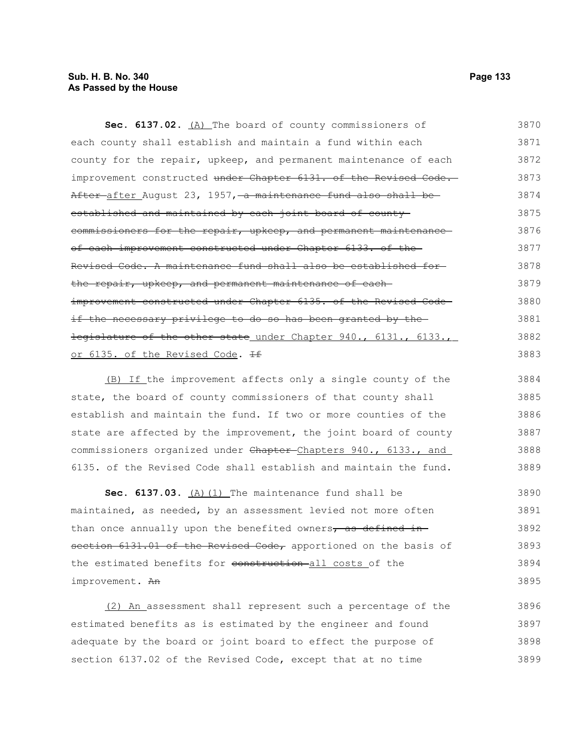# **Sub. H. B. No. 340 Page 133 As Passed by the House**

Sec. 6137.02. (A) The board of county commissioners of each county shall establish and maintain a fund within each county for the repair, upkeep, and permanent maintenance of each improvement constructed under Chapter 6131. of the Revised Code. After after August 23, 1957, a maintenance fund also shall be established and maintained by each joint board of countycommissioners for the repair, upkeep, and permanent maintenance of each improvement constructed under Chapter 6133. of the Revised Code. A maintenance fund shall also be established for the repair, upkeep, and permanent maintenance of eachimprovement constructed under Chapter 6135. of the Revised Codeif the necessary privilege to do so has been granted by the legislature of the other state under Chapter 940., 6131., 6133., or 6135. of the Revised Code. If 3870 3871 3872 3873 3874 3875 3876 3877 3878 3879 3880 3881 3882 3883

(B) If the improvement affects only a single county of the state, the board of county commissioners of that county shall establish and maintain the fund. If two or more counties of the state are affected by the improvement, the joint board of county commissioners organized under Chapter-Chapters 940., 6133., and 6135. of the Revised Code shall establish and maintain the fund. 3884 3885 3886 3887 3888 3889

Sec. 6137.03. (A) (1) The maintenance fund shall be maintained, as needed, by an assessment levied not more often than once annually upon the benefited owners, as defined insection 6131.01 of the Revised Code, apportioned on the basis of the estimated benefits for construction all costs of the improvement. An 3890 3891 3892 3893 3894 3895

(2) An assessment shall represent such a percentage of the estimated benefits as is estimated by the engineer and found adequate by the board or joint board to effect the purpose of section 6137.02 of the Revised Code, except that at no time 3896 3897 3898 3899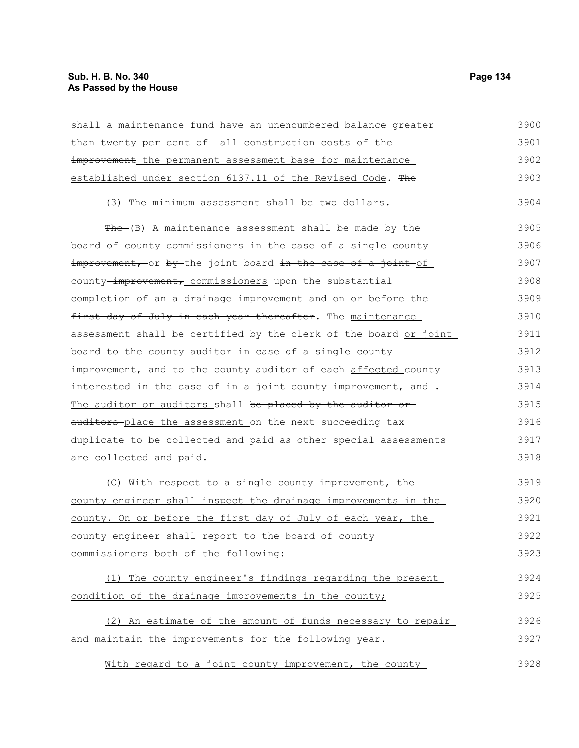| shall a maintenance fund have an unencumbered balance greater    | 3900 |
|------------------------------------------------------------------|------|
| than twenty per cent of -all construction costs of the-          | 3901 |
| improvement the permanent assessment base for maintenance        | 3902 |
| established under section 6137.11 of the Revised Code. The       | 3903 |
| (3) The minimum assessment shall be two dollars.                 | 3904 |
| $f^*$ (B) A maintenance assessment shall be made by the          | 3905 |
| board of county commissioners in the case of a single county     | 3906 |
| improvement, or by the joint board in the case of a joint of     | 3907 |
| county-improvement, commissioners upon the substantial           | 3908 |
| completion of an a drainage improvement and on or before the     | 3909 |
| first day of July in each year thereafter. The maintenance       | 3910 |
| assessment shall be certified by the clerk of the board or joint | 3911 |
| board to the county auditor in case of a single county           | 3912 |
| improvement, and to the county auditor of each affected county   | 3913 |
| interested in the case of-in a joint county improvement, and     | 3914 |
| The auditor or auditors shall be placed by the auditor or        | 3915 |
| auditors-place the assessment on the next succeeding tax         | 3916 |
| duplicate to be collected and paid as other special assessments  | 3917 |
| are collected and paid.                                          | 3918 |
| (C) With respect to a single county improvement, the             | 3919 |
| county engineer shall inspect the drainage improvements in the   | 3920 |
| county. On or before the first day of July of each year, the     | 3921 |
| county engineer shall report to the board of county              | 3922 |
| commissioners both of the following:                             | 3923 |
| (1) The county engineer's findings regarding the present         | 3924 |
| condition of the drainage improvements in the county;            | 3925 |
| (2) An estimate of the amount of funds necessary to repair       | 3926 |
| and maintain the improvements for the following year.            | 3927 |
| With regard to a joint county improvement, the county            | 3928 |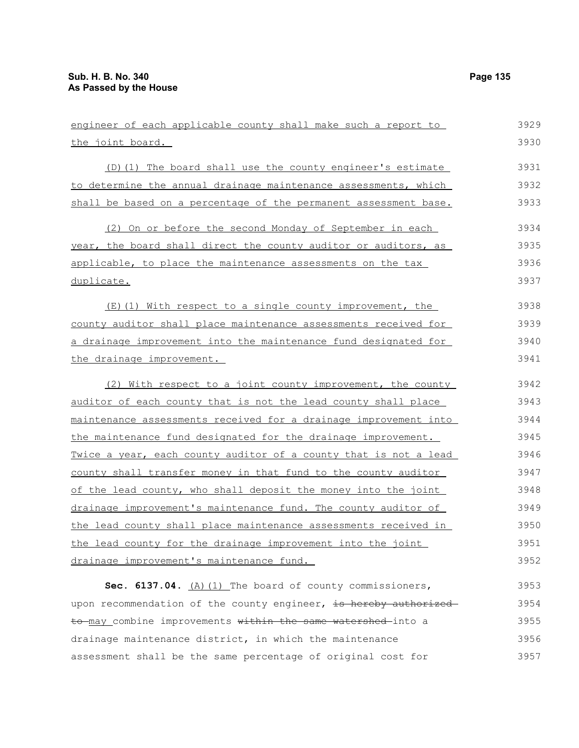| engineer of each applicable county shall make such a report to   | 3929 |
|------------------------------------------------------------------|------|
| the joint board.                                                 | 3930 |
| (D) (1) The board shall use the county engineer's estimate       | 3931 |
| to determine the annual drainage maintenance assessments, which  | 3932 |
| shall be based on a percentage of the permanent assessment base. | 3933 |
| (2) On or before the second Monday of September in each          | 3934 |
| year, the board shall direct the county auditor or auditors, as  | 3935 |
| applicable, to place the maintenance assessments on the tax      | 3936 |
| duplicate.                                                       | 3937 |
| (E)(1) With respect to a single county improvement, the          | 3938 |
| county auditor shall place maintenance assessments received for  | 3939 |
| a drainage improvement into the maintenance fund designated for  | 3940 |
| the drainage improvement.                                        | 3941 |
| (2) With respect to a joint county improvement, the county       | 3942 |
| auditor of each county that is not the lead county shall place   | 3943 |
| maintenance assessments received for a drainage improvement into | 3944 |
| the maintenance fund designated for the drainage improvement.    | 3945 |
| Twice a year, each county auditor of a county that is not a lead | 3946 |
| county shall transfer money in that fund to the county auditor   | 3947 |
| of the lead county, who shall deposit the money into the joint   | 3948 |
| drainage improvement's maintenance fund. The county auditor of   | 3949 |
| the lead county shall place maintenance assessments received in  | 3950 |
| the lead county for the drainage improvement into the joint      | 3951 |
| drainage improvement's maintenance fund.                         | 3952 |
| Sec. 6137.04. $(A)$ (1) The board of county commissioners,       | 3953 |
| upon recommendation of the county engineer, is hereby authorized | 3954 |
| to may combine improvements within the same watershed into a     | 3955 |
| drainage maintenance district, in which the maintenance          | 3956 |

assessment shall be the same percentage of original cost for 3957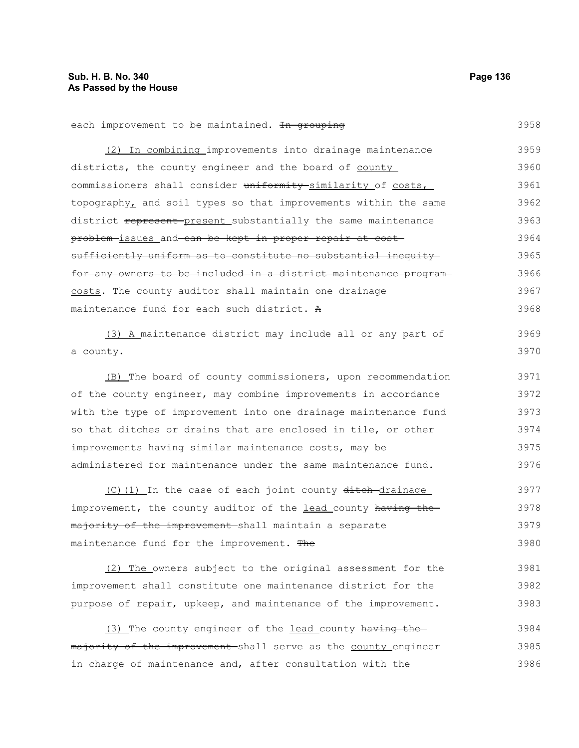| each improvement to be maintained. In grouping                   | 3958 |
|------------------------------------------------------------------|------|
| (2) In combining improvements into drainage maintenance          | 3959 |
| districts, the county engineer and the board of county           | 3960 |
| commissioners shall consider uniformity similarity of costs,     | 3961 |
| topography, and soil types so that improvements within the same  | 3962 |
| district represent-present substantially the same maintenance    | 3963 |
| problem-issues and can be kept in proper repair at cost-         | 3964 |
| sufficiently uniform as to constitute no substantial inequity    | 3965 |
| for any owners to be included in a district maintenance program- | 3966 |
| costs. The county auditor shall maintain one drainage            | 3967 |
| maintenance fund for each such district. A                       | 3968 |
| (3) A maintenance district may include all or any part of        | 3969 |
| a county.                                                        | 3970 |
|                                                                  |      |
| (B) The board of county commissioners, upon recommendation       | 3971 |
| of the county engineer, may combine improvements in accordance   | 3972 |
| with the type of improvement into one drainage maintenance fund  | 3973 |
| so that ditches or drains that are enclosed in tile, or other    | 3974 |
| improvements having similar maintenance costs, may be            | 3975 |
| administered for maintenance under the same maintenance fund.    | 3976 |
| (C) (1) In the case of each joint county ditch-drainage          | 3977 |
| improvement, the county auditor of the lead county having the    | 3978 |
| majority of the improvement shall maintain a separate            | 3979 |
| maintenance fund for the improvement. The                        | 3980 |
|                                                                  |      |
| (2) The owners subject to the original assessment for the        | 3981 |
| improvement shall constitute one maintenance district for the    | 3982 |
| purpose of repair, upkeep, and maintenance of the improvement.   | 3983 |
| (3) The county engineer of the lead county having the-           | 3984 |
| majority of the improvement shall serve as the county engineer   | 3985 |

in charge of maintenance and, after consultation with the 3986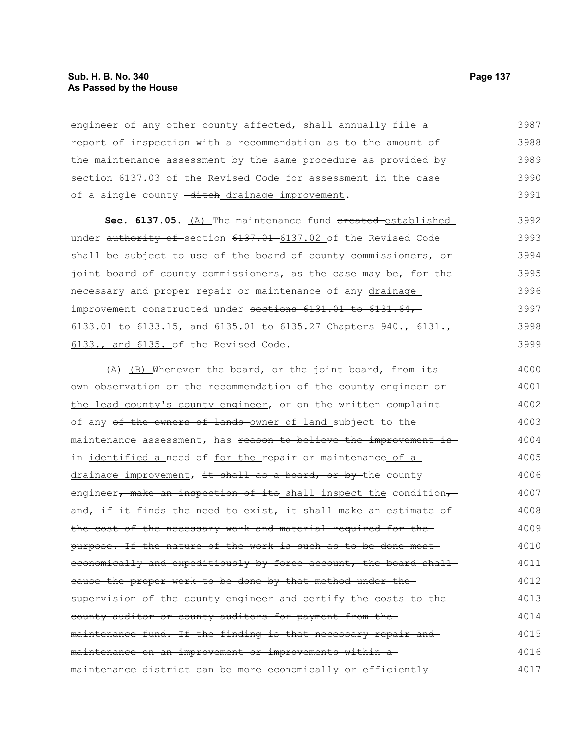## **Sub. H. B. No. 340 Page 137 As Passed by the House**

engineer of any other county affected, shall annually file a report of inspection with a recommendation as to the amount of the maintenance assessment by the same procedure as provided by section 6137.03 of the Revised Code for assessment in the case of a single county -ditch drainage improvement. 3987 3988 3989 3990 3991

Sec. 6137.05. (A) The maintenance fund ereated-established under authority of section 6137.01 6137.02 of the Revised Code shall be subject to use of the board of county commissioners $\tau$  or joint board of county commissioners, as the case may be, for the necessary and proper repair or maintenance of any drainage improvement constructed under sections 6131.01 to 6131.64, 6133.01 to 6133.15, and 6135.01 to 6135.27 Chapters 940., 6131., 6133., and 6135. of the Revised Code. 3992 3993 3994 3995 3996 3997 3998 3999

 $(A)$  (B) Whenever the board, or the joint board, from its own observation or the recommendation of the county engineer or the lead county's county engineer, or on the written complaint of any of the owners of lands owner of land subject to the maintenance assessment, has reason to believe the improvement isin-identified a need of for the repair or maintenance of a drainage improvement, it shall as a board, or by the county engineer, make an inspection of its shall inspect the condition, and, if it finds the need to exist, it shall make an estimate of the cost of the necessary work and material required for the purpose. If the nature of the work is such as to be done most economically and expeditiously by force account, the board shallcause the proper work to be done by that method under the supervision of the county engineer and certify the costs to thecounty auditor or county auditors for payment from the maintenance fund. If the finding is that necessary repair and maintenance on an improvement or improvements within a maintenance district can be more economically or efficiently 4000 4001 4002 4003 4004 4005 4006 4007 4008 4009 4010 4011 4012 4013 4014 4015 4016 4017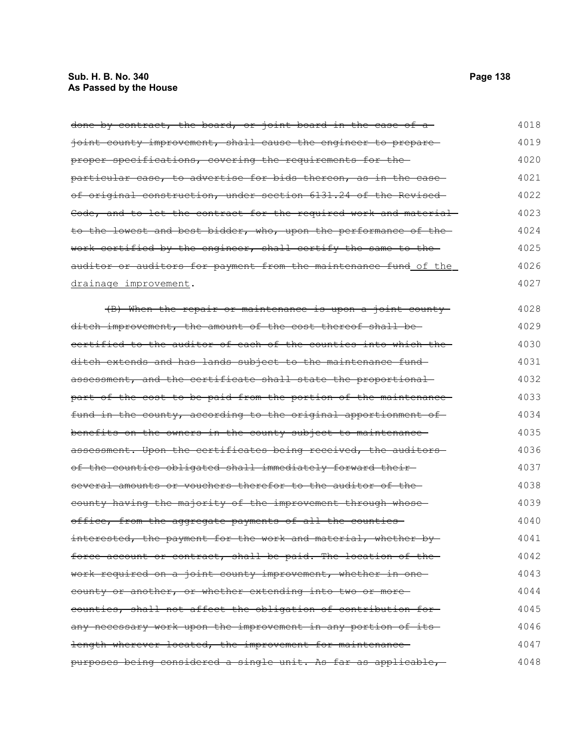# **Sub. H. B. No. 340 Page 138 As Passed by the House**

done by contract, the board, or joint board in the case of a ioint county improvement, shall cause the engineer to prepare proper specifications, covering the requirements for the particular case, to advertise for bids thereon, as in the caseof original construction, under section 6131.24 of the Revised Code, and to let the contract for the required work and material to the lowest and best bidder, who, upon the performance of the work certified by the engineer, shall certify the same to the auditor or auditors for payment from the maintenance fund of the drainage improvement. (B) When the repair or maintenance is upon a joint county ditch improvement, the amount of the cost thereof shall be certified to the auditor of each of the counties into which the ditch extends and has lands subject to the maintenance fund assessment, and the certificate shall state the proportional part of the cost to be paid from the portion of the maintenance fund in the county, according to the original apportionment of benefits on the owners in the county subject to maintenance assessment. Upon the certificates being received, the auditorsof the counties obligated shall immediately forward their several amounts or vouchers therefor to the auditor of the county having the majority of the improvement through whose office, from the aggregate payments of all the counties interested, the payment for the work and material, whether byforce account or contract, shall be paid. The location of the work required on a joint county improvement, whether in one county or another, or whether extending into two or more counties, shall not affect the obligation of contribution for 4018 4019 4020 4021 4022 4023 4024 4025 4026 4027 4028 4029 4030 4031 4032 4033 4034 4035 4036 4037 4038 4039 4040 4041 4042 4043 4044 4045

length wherever located, the improvement for maintenancepurposes being considered a single unit. As far as applicable, 4048

any necessary work upon the improvement in any portion of its

4046 4047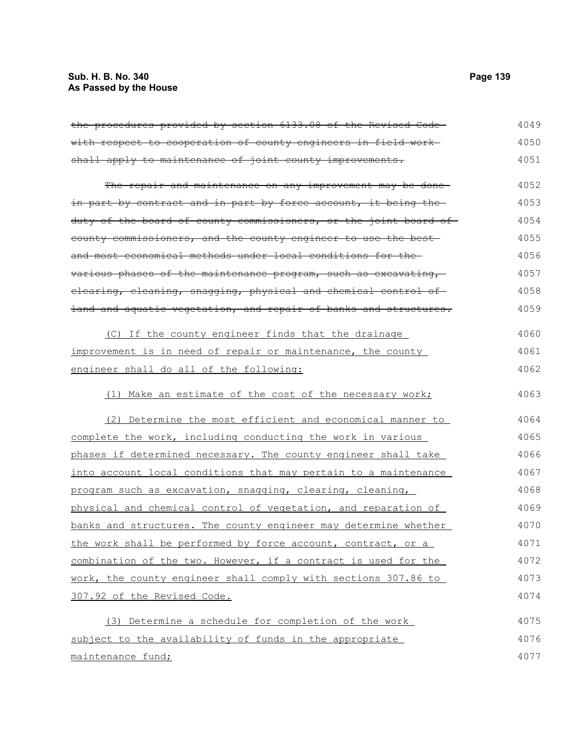# **Sub. H. B. No. 340 Page 139 As Passed by the House**

| the procedures provided by section 6133.08 of the Revised Code-  | 4049 |
|------------------------------------------------------------------|------|
| with respect to cooperation of county engineers in field work-   | 4050 |
| shall apply to maintenance of joint county improvements.         | 4051 |
| The repair and maintenance on any improvement may be done-       | 4052 |
| in part by contract and in part by force account, it being the-  | 4053 |
| duty of the board of county commissioners, or the joint board of | 4054 |
| county commissioners, and the county engineer to use the best    | 4055 |
| and most economical methods under local conditions for the-      | 4056 |
| various phases of the maintenance program, such as excavating,   | 4057 |
| elearing, eleaning, snagging, physical and chemical control of   | 4058 |
| land and aquatic vegetation, and repair of banks and structures. | 4059 |
| (C) If the county engineer finds that the drainage               | 4060 |
| improvement is in need of repair or maintenance, the county      | 4061 |
| engineer shall do all of the following:                          | 4062 |
| (1) Make an estimate of the cost of the necessary work;          | 4063 |
| (2) Determine the most efficient and economical manner to        | 4064 |
| complete the work, including conducting the work in various      | 4065 |
| phases if determined necessary. The county engineer shall take   | 4066 |
| into account local conditions that may pertain to a maintenance  | 4067 |
| program such as excavation, snagging, clearing, cleaning,        | 4068 |
| physical and chemical control of vegetation, and reparation of   | 4069 |
| banks and structures. The county engineer may determine whether  | 4070 |
| the work shall be performed by force account, contract, or a     | 4071 |
| combination of the two. However, if a contract is used for the   | 4072 |
| work, the county engineer shall comply with sections 307.86 to   | 4073 |
| 307.92 of the Revised Code.                                      | 4074 |
| (3) Determine a schedule for completion of the work              | 4075 |
| subject to the availability of funds in the appropriate          | 4076 |
| maintenance fund;                                                | 4077 |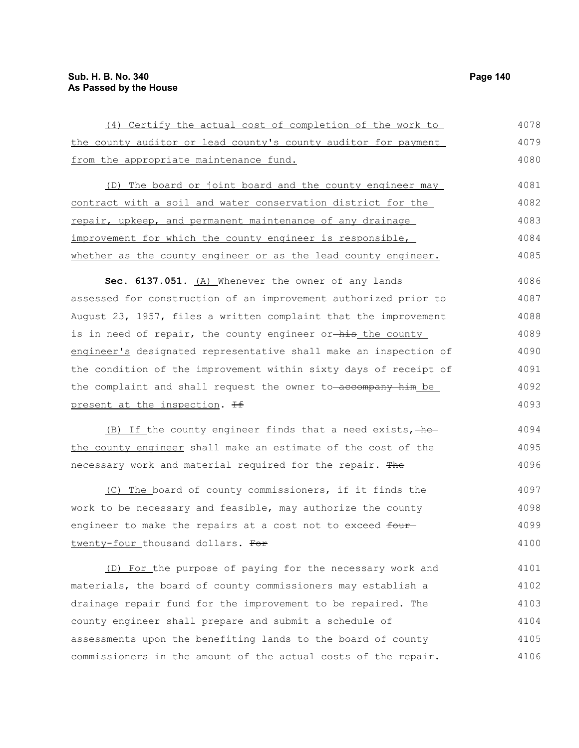the county auditor or lead county's county auditor for payment from the appropriate maintenance fund. (D) The board or joint board and the county engineer may contract with a soil and water conservation district for the repair, upkeep, and permanent maintenance of any drainage improvement for which the county engineer is responsible, whether as the county engineer or as the lead county engineer. Sec. 6137.051. (A) Whenever the owner of any lands assessed for construction of an improvement authorized prior to August 23, 1957, files a written complaint that the improvement is in need of repair, the county engineer or-his the county engineer's designated representative shall make an inspection of the condition of the improvement within sixty days of receipt of the complaint and shall request the owner to-accompany him be 4079 4080 4081 4082 4083 4084 4085 4086 4087 4088 4089 4090 4091 4092

(4) Certify the actual cost of completion of the work to

present at the inspection. <del>If</del>

 $(B)$  If the county engineer finds that a need exists,  $he$ the county engineer shall make an estimate of the cost of the necessary work and material required for the repair. The 4094 4095 4096

(C) The board of county commissioners, if it finds the work to be necessary and feasible, may authorize the county engineer to make the repairs at a cost not to exceed fourtwenty-four thousand dollars. For 4097 4098 4099 4100

(D) For the purpose of paying for the necessary work and materials, the board of county commissioners may establish a drainage repair fund for the improvement to be repaired. The county engineer shall prepare and submit a schedule of assessments upon the benefiting lands to the board of county commissioners in the amount of the actual costs of the repair. 4101 4102 4103 4104 4105 4106

4078

4093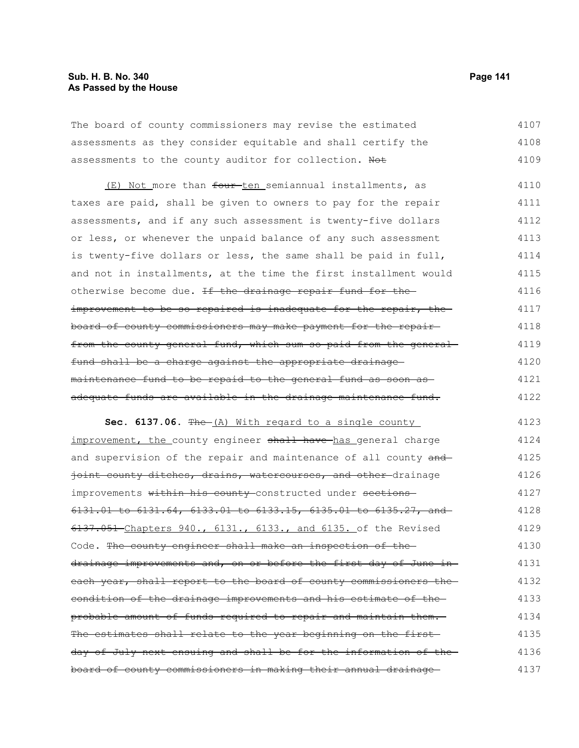# **Sub. H. B. No. 340 Page 141 As Passed by the House**

The board of county commissioners may revise the estimated assessments as they consider equitable and shall certify the assessments to the county auditor for collection. Not 4107 4108 4109

(E) Not more than four ten semiannual installments, as taxes are paid, shall be given to owners to pay for the repair assessments, and if any such assessment is twenty-five dollars or less, or whenever the unpaid balance of any such assessment is twenty-five dollars or less, the same shall be paid in full, and not in installments, at the time the first installment would otherwise become due. If the drainage repair fund for theimprovement to be so repaired is inadequate for the repair, the board of county commissioners may make payment for the repair from the county general fund, which sum so paid from the generalfund shall be a charge against the appropriate drainage maintenance fund to be repaid to the general fund as soon as adequate funds are available in the drainage maintenance fund. 4110 4111 4112 4113 4114 4115 4116 4117 4118 4119 4120 4121 4122

**Sec. 6137.06.** The (A) With regard to a single county improvement, the county engineer shall have has general charge and supervision of the repair and maintenance of all county and joint county ditches, drains, watercourses, and other-drainage improvements within his county-constructed under sections-6131.01 to 6131.64, 6133.01 to 6133.15, 6135.01 to 6135.27, and 6137.051 Chapters 940., 6131., 6133., and 6135. of the Revised Code. The county engineer shall make an inspection of thedrainage improvements and, on or before the first day of June in each year, shall report to the board of county commissioners the condition of the drainage improvements and his estimate of the probable amount of funds required to repair and maintain them. The estimates shall relate to the year beginning on the first day of July next ensuing and shall be for the information of the board of county commissioners in making their annual drainage 4123 4124 4125 4126 4127 4128 4129 4130 4131 4132 4133 4134 4135 4136 4137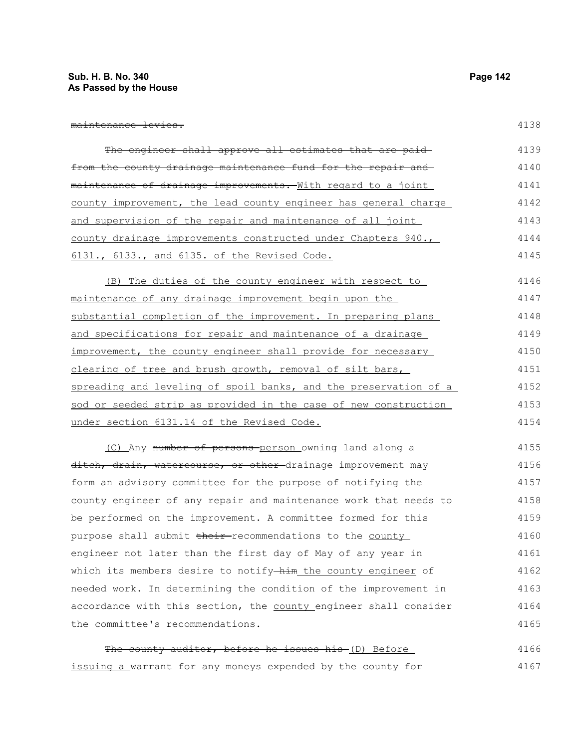| maintananga lawiga              |  |
|---------------------------------|--|
| m <del>aintenance levies.</del> |  |

| The engineer shall approve all estimates that are paid-                     | 4139 |
|-----------------------------------------------------------------------------|------|
| from the county drainage maintenance fund for the repair and                | 4140 |
| <del>maintenance of drainage improvements. </del> With regard to a joint    | 4141 |
| county improvement, the lead county engineer has general charge             | 4142 |
| <u>and supervision of the repair and maintenance of all joint</u>           | 4143 |
| county drainage improvements constructed under Chapters 940.,               | 4144 |
| 6131., 6133., and 6135. of the Revised Code.                                | 4145 |
| (B) The duties of the county engineer with respect to                       | 4146 |
| <u>maintenance of any drainage improvement begin upon the </u>              | 4147 |
| substantial completion of the improvement. In preparing plans               | 4148 |
| <u>and specifications for repair and maintenance of a drainage</u>          | 4149 |
| improvement, the county engineer shall provide for necessary                | 4150 |
| clearing of tree and brush growth, removal of silt bars,                    | 4151 |
| spreading and leveling of spoil banks, and the preservation of a            | 4152 |
| sod or seeded strip as provided in the case of new construction             | 4153 |
| under section 6131.14 of the Revised Code.                                  | 4154 |
| (C) Any number of persons-person owning land along a                        | 4155 |
| <del>ditch, drain, watercourse, or other</del> -drainage improvement may    | 4156 |
| form an advisory committee for the purpose of notifying the                 | 4157 |
| county engineer of any repair and maintenance work that needs to            | 4158 |
| be performed on the improvement. A committee formed for this                | 4159 |
| purpose shall submit <del>their</del> -recommendations to the <u>county</u> | 4160 |
| engineer not later than the first day of May of any year in                 | 4161 |
| which its members desire to notify-him the county engineer of               | 4162 |
| needed work. In determining the condition of the improvement in             | 4163 |
| accordance with this section, the county engineer shall consider            | 4164 |
| the committee's recommendations.                                            | 4165 |
| The county auditor, before he issues his (D) Before                         | 4166 |

issuing a warrant for any moneys expended by the county for 4167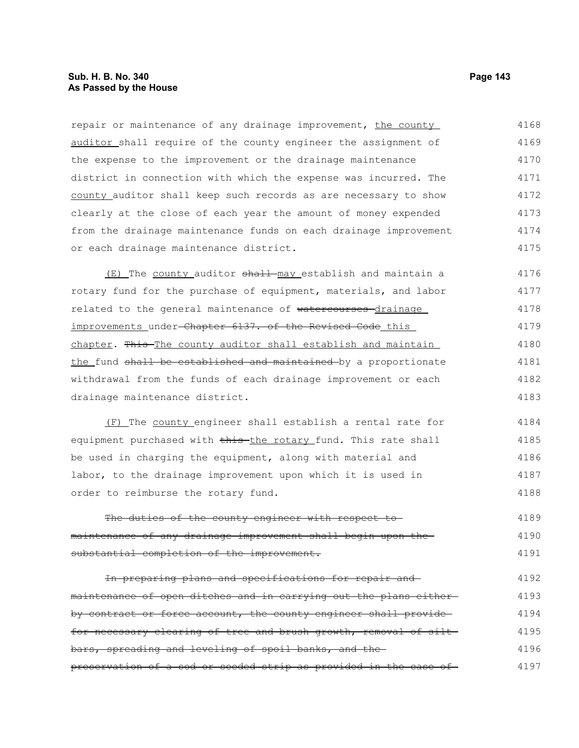# **Sub. H. B. No. 340 Page 143 As Passed by the House**

repair or maintenance of any drainage improvement, the county auditor shall require of the county engineer the assignment of the expense to the improvement or the drainage maintenance district in connection with which the expense was incurred. The county auditor shall keep such records as are necessary to show clearly at the close of each year the amount of money expended from the drainage maintenance funds on each drainage improvement or each drainage maintenance district. 4168 4169 4170 4171 4172 4173 4174 4175

(E) The county auditor shall may establish and maintain a rotary fund for the purchase of equipment, materials, and labor related to the general maintenance of watercourses drainage improvements under-Chapter 6137. of the Revised Code this chapter. This The county auditor shall establish and maintain the fund shall be established and maintained by a proportionate withdrawal from the funds of each drainage improvement or each drainage maintenance district. 4176 4177 4178 4179 4180 4181 4182 4183

(F) The county engineer shall establish a rental rate for equipment purchased with this the rotary fund. This rate shall be used in charging the equipment, along with material and labor, to the drainage improvement upon which it is used in order to reimburse the rotary fund. 4184 4185 4186 4187 4188

The duties of the county engineer with respect tomaintenance of any drainage improvement shall begin upon the substantial completion of the improvement. 4189 4190 4191

In preparing plans and specifications for repair and maintenance of open ditches and in carrying out the plans either by contract or force account, the county engineer shall providefor necessary clearing of tree and brush growth, removal of siltbars, spreading and leveling of spoil banks, and the preservation of a sod or seeded strip as provided in the case of 4192 4193 4194 4195 4196 4197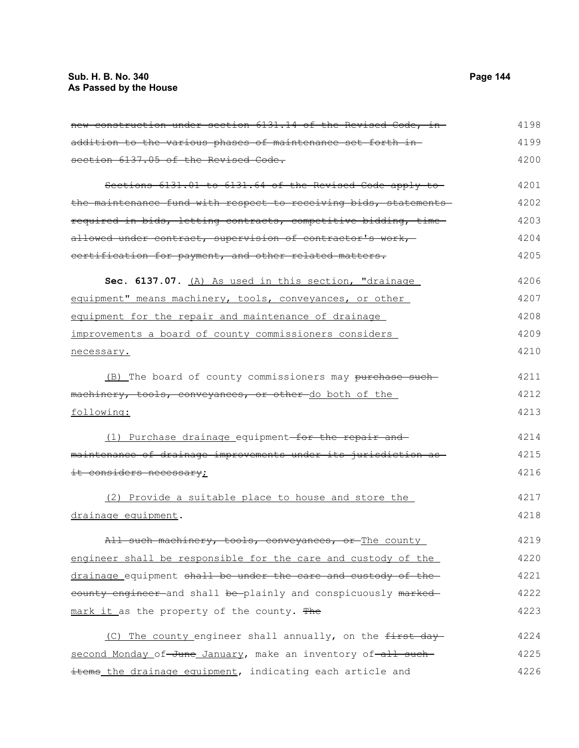# **Sub. H. B. No. 340 Page 144 As Passed by the House**

| new construction under section 6131.14 of the Revised Code, in- | 4198 |
|-----------------------------------------------------------------|------|
| addition to the various phases of maintenance set forth in-     | 4199 |
| section 6137.05 of the Revised Code.                            | 4200 |
| Sections 6131.01 to 6131.64 of the Revised Code apply to        | 4201 |
| the maintenance fund with respect to receiving bids, statements | 4202 |
| required in bids, letting contracts, competitive bidding, time  | 4203 |
| allowed under contract, supervision of contractor's work,       | 4204 |
| certification for payment, and other related matters.           | 4205 |
| Sec. 6137.07. (A) As used in this section, "drainage            | 4206 |
| equipment" means machinery, tools, conveyances, or other        | 4207 |
| equipment for the repair and maintenance of drainage            | 4208 |
| improvements a board of county commissioners considers          | 4209 |
| necessary.                                                      | 4210 |
| (B) The board of county commissioners may purchase such         | 4211 |
| machinery, tools, conveyances, or other-do both of the          | 4212 |
| following:                                                      | 4213 |
| (1) Purchase drainage equipment-for the repair and              | 4214 |
| maintenance of drainage improvements under its jurisdiction as  | 4215 |
| <del>it considers necessary</del> ;                             | 4216 |
| (2) Provide a suitable place to house and store the             | 4217 |
| drainage equipment.                                             | 4218 |
| All such machinery, tools, conveyances, or The county           | 4219 |
| engineer shall be responsible for the care and custody of the   | 4220 |
| drainage equipment shall be under the care and custody of the   | 4221 |
| eounty engineer and shall be plainly and conspicuously marked   | 4222 |
| mark it as the property of the county. The                      | 4223 |
| The county engineer shall annually, on the first day-<br>(C)    | 4224 |
| second Monday of June January, make an inventory of all such    | 4225 |
| items_the drainage equipment, indicating each article and       | 4226 |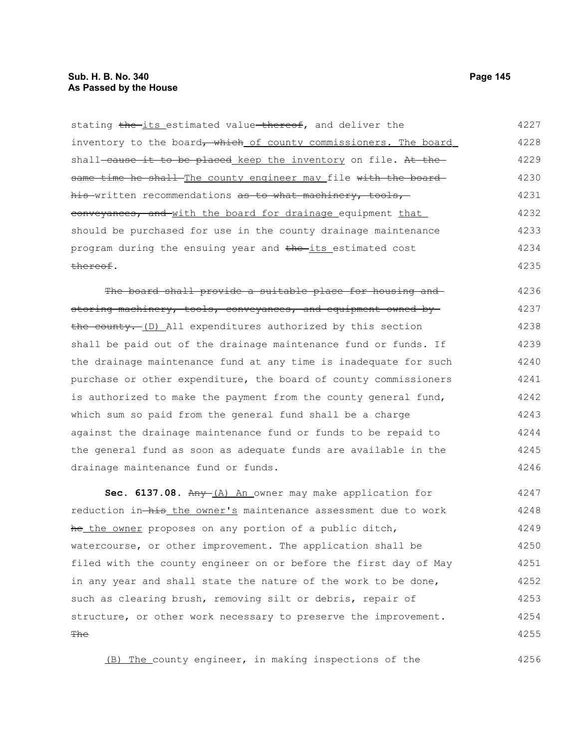## **Sub. H. B. No. 340 Page 145 As Passed by the House**

stating the its estimated value thereof, and deliver the inventory to the board, which of county commissioners. The board shall-cause it to be placed keep the inventory on file. At thesame time he shall The county engineer may file with the board his written recommendations as to what machinery, tools, conveyances, and with the board for drainage equipment that should be purchased for use in the county drainage maintenance program during the ensuing year and the its estimated cost thereof. 4227 4228 4229 4230 4231 4232 4233 4234 4235

The board shall provide a suitable place for housing and storing machinery, tools, conveyances, and equipment owned by the county. (D) All expenditures authorized by this section shall be paid out of the drainage maintenance fund or funds. If the drainage maintenance fund at any time is inadequate for such purchase or other expenditure, the board of county commissioners is authorized to make the payment from the county general fund, which sum so paid from the general fund shall be a charge against the drainage maintenance fund or funds to be repaid to the general fund as soon as adequate funds are available in the drainage maintenance fund or funds. 4236 4237 4238 4239 4240 4241 4242 4243 4244 4245 4246

Sec. 6137.08. Any (A) An owner may make application for reduction in-his the owner's maintenance assessment due to work he the owner proposes on any portion of a public ditch, watercourse, or other improvement. The application shall be filed with the county engineer on or before the first day of May in any year and shall state the nature of the work to be done, such as clearing brush, removing silt or debris, repair of structure, or other work necessary to preserve the improvement. **The** 4247 4248 4249 4250 4251 4252 4253 4254 4255

(B) The county engineer, in making inspections of the

4256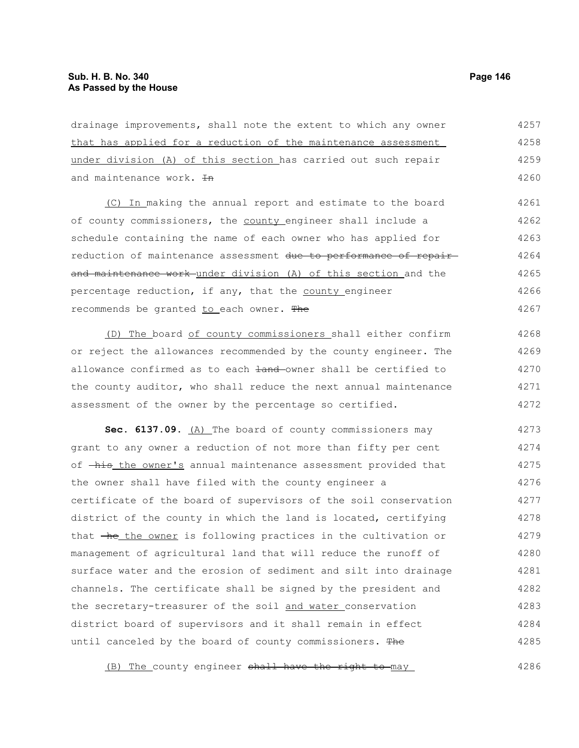drainage improvements, shall note the extent to which any owner that has applied for a reduction of the maintenance assessment under division (A) of this section has carried out such repair and maintenance work.  $H$ (C) In making the annual report and estimate to the board of county commissioners, the county engineer shall include a schedule containing the name of each owner who has applied for reduction of maintenance assessment due to performance of repairand maintenance work under division (A) of this section and the 4257 4258 4259 4260 4261 4262 4263 4264 4265

percentage reduction, if any, that the county engineer recommends be granted to each owner. The 4266 4267

(D) The board of county commissioners shall either confirm or reject the allowances recommended by the county engineer. The allowance confirmed as to each  $\frac{1}{2}$  and owner shall be certified to the county auditor, who shall reduce the next annual maintenance assessment of the owner by the percentage so certified. 4268 4269 4270 4271 4272

Sec. 6137.09. (A) The board of county commissioners may grant to any owner a reduction of not more than fifty per cent of  $-\text{his the owner's annual maintenance assessment provided that}$ the owner shall have filed with the county engineer a certificate of the board of supervisors of the soil conservation district of the county in which the land is located, certifying that  $\overline{h}$  the owner is following practices in the cultivation or management of agricultural land that will reduce the runoff of surface water and the erosion of sediment and silt into drainage channels. The certificate shall be signed by the president and the secretary-treasurer of the soil and water conservation district board of supervisors and it shall remain in effect until canceled by the board of county commissioners. The 4273 4274 4275 4276 4277 4278 4279 4280 4281 4282 4283 4284 4285

(B) The county engineer shall have the right to may 4286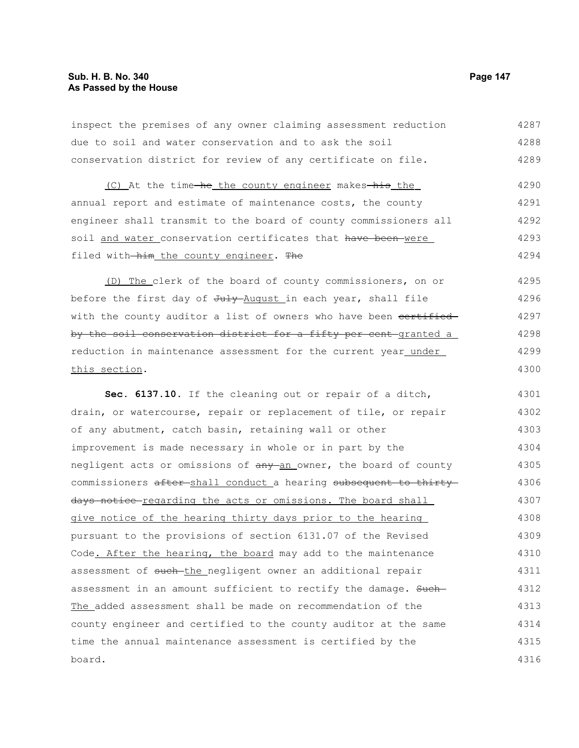board.

inspect the premises of any owner claiming assessment reduction due to soil and water conservation and to ask the soil conservation district for review of any certificate on file. (C) At the time-he the county engineer makes-his the annual report and estimate of maintenance costs, the county engineer shall transmit to the board of county commissioners all soil and water conservation certificates that have been were filed with-him the county engineer. The (D) The clerk of the board of county commissioners, on or before the first day of July August in each year, shall file with the county auditor a list of owners who have been certified by the soil conservation district for a fifty per cent-granted a reduction in maintenance assessment for the current year\_under\_ this section. **Sec. 6137.10.** If the cleaning out or repair of a ditch, drain, or watercourse, repair or replacement of tile, or repair of any abutment, catch basin, retaining wall or other improvement is made necessary in whole or in part by the negligent acts or omissions of any an owner, the board of county commissioners after shall conduct a hearing subsequent to thirty days notice regarding the acts or omissions. The board shall give notice of the hearing thirty days prior to the hearing pursuant to the provisions of section 6131.07 of the Revised Code. After the hearing, the board may add to the maintenance assessment of such-the negligent owner an additional repair assessment in an amount sufficient to rectify the damage. Such-The added assessment shall be made on recommendation of the county engineer and certified to the county auditor at the same time the annual maintenance assessment is certified by the 4287 4288 4289 4290 4291 4292 4293 4294 4295 4296 4297 4298 4299 4300 4301 4302 4303 4304 4305 4306 4307 4308 4309 4310 4311 4312 4313 4314 4315

4316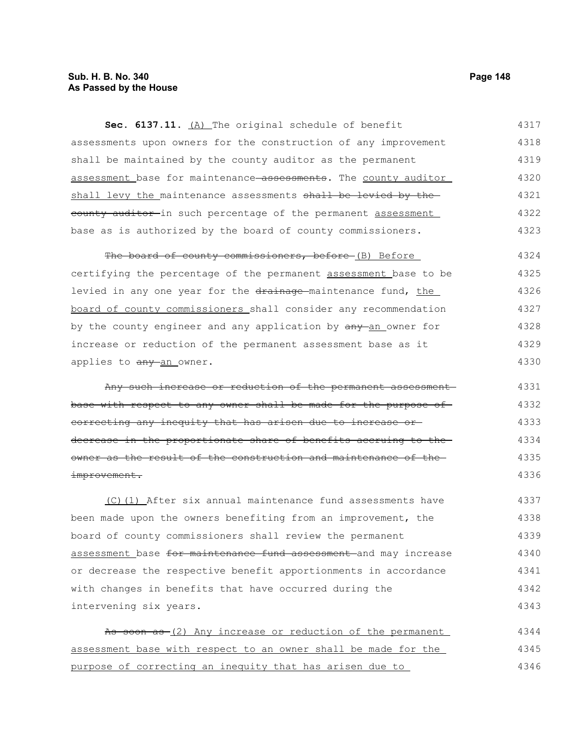# **Sub. H. B. No. 340 Page 148 As Passed by the House**

**Sec. 6137.11.** (A) The original schedule of benefit assessments upon owners for the construction of any improvement shall be maintained by the county auditor as the permanent assessment base for maintenance assessments. The county auditor shall levy the maintenance assessments shall be levied by the eounty auditor in such percentage of the permanent assessment base as is authorized by the board of county commissioners. 4317 4318 4319 4320 4321 4322 4323

The board of county commissioners, before (B) Before certifying the percentage of the permanent assessment base to be levied in any one year for the drainage-maintenance fund, the board of county commissioners shall consider any recommendation by the county engineer and any application by  $\frac{any - an}{bm}$  owner for increase or reduction of the permanent assessment base as it applies to any an owner. 4324 4325 4326 4327 4328 4329 4330

Any such increase or reduction of the permanent assessment base with respect to any owner shall be made for the purpose of correcting any inequity that has arisen due to increase or decrease in the proportionate share of benefits accruing to the owner as the result of the construction and maintenance of the improvement. 4331 4332 4333 4334 4335 4336

(C)(1) After six annual maintenance fund assessments have been made upon the owners benefiting from an improvement, the board of county commissioners shall review the permanent assessment base for maintenance fund assessment and may increase or decrease the respective benefit apportionments in accordance with changes in benefits that have occurred during the intervening six years. 4337 4338 4339 4340 4341 4342 4343

As soon as (2) Any increase or reduction of the permanent assessment base with respect to an owner shall be made for the purpose of correcting an inequity that has arisen due to 4344 4345 4346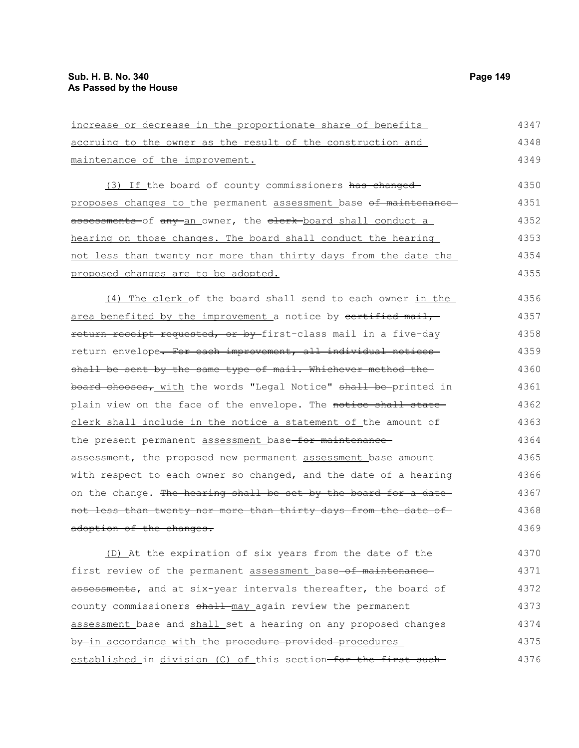4375

| increase or decrease in the proportionate share of benefits      | 4347 |
|------------------------------------------------------------------|------|
| accruing to the owner as the result of the construction and      | 4348 |
| maintenance of the improvement.                                  | 4349 |
| (3) If the board of county commissioners has changed             | 4350 |
| proposes changes to the permanent assessment base of maintenance | 4351 |
| assessments-of any-an_owner, the elerk-board shall conduct a     | 4352 |
| hearing on those changes. The board shall conduct the hearing    | 4353 |
| not less than twenty nor more than thirty days from the date the | 4354 |
| proposed changes are to be adopted.                              | 4355 |
| (4) The clerk of the board shall send to each owner in the       | 4356 |
| area benefited by the improvement a notice by certified mail,    | 4357 |
| return receipt requested, or by first-class mail in a five-day   | 4358 |
| return envelope. For each improvement, all individual notices    | 4359 |
| shall be sent by the same type of mail. Whichever method the     | 4360 |
| board chooses, with the words "Legal Notice" shall be-printed in | 4361 |
| plain view on the face of the envelope. The notice shall state-  | 4362 |
| clerk shall include in the notice a statement of the amount of   | 4363 |
| the present permanent assessment base for maintenance            | 4364 |
| assessment, the proposed new permanent assessment base amount    | 4365 |
| with respect to each owner so changed, and the date of a hearing | 4366 |
| on the change. The hearing shall be set by the board for a date  | 4367 |
| not less than twenty nor more than thirty days from the date of  | 4368 |
| adoption of the changes.                                         | 4369 |
| (D) At the expiration of six years from the date of the          | 4370 |
| first review of the permanent assessment base-of maintenance-    | 4371 |
| assessments, and at six-year intervals thereafter, the board of  | 4372 |
| county commissioners shall may again review the permanent        | 4373 |
| assessment base and shall set a hearing on any proposed changes  | 4374 |

established in division (C) of this section-for the first such-4376

by in accordance with the procedure provided procedures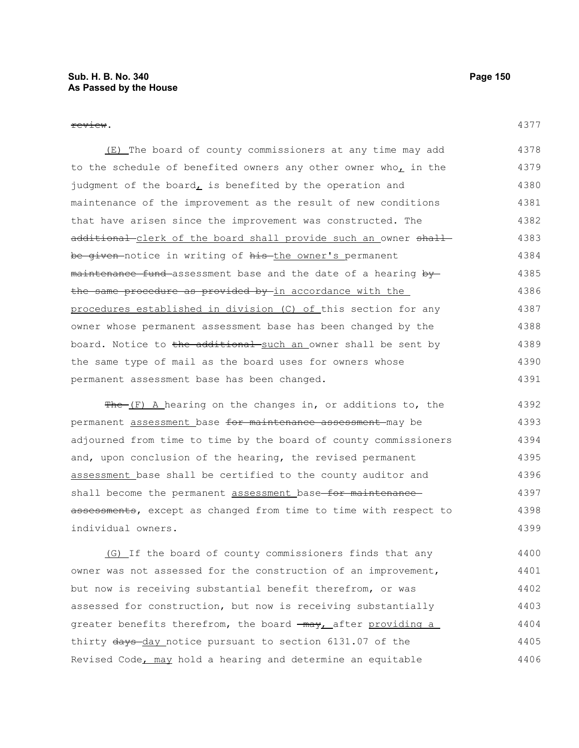| ×<br>۰.<br>۰, |  |
|---------------|--|
|               |  |

(E) The board of county commissioners at any time may add to the schedule of benefited owners any other owner who, in the judgment of the board $<sub>L</sub>$  is benefited by the operation and</sub> maintenance of the improvement as the result of new conditions that have arisen since the improvement was constructed. The additional clerk of the board shall provide such an owner shall be given-notice in writing of his-the owner's permanent maintenance fund assessment base and the date of a hearing by the same procedure as provided by in accordance with the procedures established in division (C) of this section for any owner whose permanent assessment base has been changed by the board. Notice to the additional such an owner shall be sent by the same type of mail as the board uses for owners whose permanent assessment base has been changed. 4378 4379 4380 4381 4382 4383 4384 4385 4386 4387 4388 4389 4390 4391

 $Fhe-(F)$  A hearing on the changes in, or additions to, the permanent assessment base for maintenance assessment may be adjourned from time to time by the board of county commissioners and, upon conclusion of the hearing, the revised permanent assessment base shall be certified to the county auditor and shall become the permanent assessment base-for maintenanceassessments, except as changed from time to time with respect to individual owners. 4392 4393 4394 4395 4396 4397 4398 4399

(G) If the board of county commissioners finds that any owner was not assessed for the construction of an improvement, but now is receiving substantial benefit therefrom, or was assessed for construction, but now is receiving substantially greater benefits therefrom, the board  $\frac{1}{2}$  may, after providing a thirty days-day notice pursuant to section 6131.07 of the Revised Code, may hold a hearing and determine an equitable 4400 4401 4402 4403 4404 4405 4406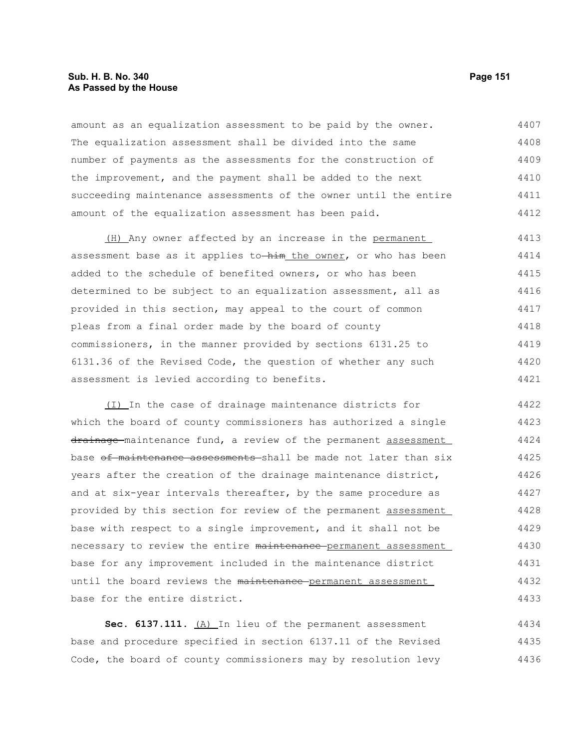## **Sub. H. B. No. 340 Page 151 As Passed by the House**

amount as an equalization assessment to be paid by the owner. The equalization assessment shall be divided into the same number of payments as the assessments for the construction of the improvement, and the payment shall be added to the next succeeding maintenance assessments of the owner until the entire amount of the equalization assessment has been paid. 4407 4408 4409 4410 4411 4412

(H) Any owner affected by an increase in the permanent assessment base as it applies to-him the owner, or who has been added to the schedule of benefited owners, or who has been determined to be subject to an equalization assessment, all as provided in this section, may appeal to the court of common pleas from a final order made by the board of county commissioners, in the manner provided by sections 6131.25 to 6131.36 of the Revised Code, the question of whether any such assessment is levied according to benefits. 4413 4414 4415 4416 4417 4418 4419 4420 4421

(I) In the case of drainage maintenance districts for which the board of county commissioners has authorized a single drainage maintenance fund, a review of the permanent assessment base of maintenance assessments shall be made not later than six years after the creation of the drainage maintenance district, and at six-year intervals thereafter, by the same procedure as provided by this section for review of the permanent assessment base with respect to a single improvement, and it shall not be necessary to review the entire maintenance permanent assessment base for any improvement included in the maintenance district until the board reviews the maintenance-permanent assessment base for the entire district. 4422 4423 4424 4425 4426 4427 4428 4429 4430 4431 4432 4433

Sec. 6137.111. (A) In lieu of the permanent assessment base and procedure specified in section 6137.11 of the Revised Code, the board of county commissioners may by resolution levy 4434 4435 4436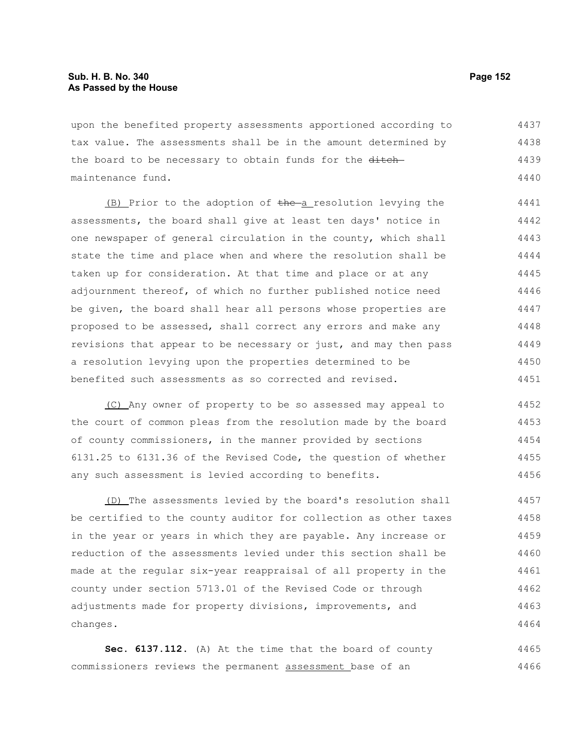upon the benefited property assessments apportioned according to tax value. The assessments shall be in the amount determined by the board to be necessary to obtain funds for the ditchmaintenance fund. 4437 4438 4439 4440

(B) Prior to the adoption of the a resolution levying the assessments, the board shall give at least ten days' notice in one newspaper of general circulation in the county, which shall state the time and place when and where the resolution shall be taken up for consideration. At that time and place or at any adjournment thereof, of which no further published notice need be given, the board shall hear all persons whose properties are proposed to be assessed, shall correct any errors and make any revisions that appear to be necessary or just, and may then pass a resolution levying upon the properties determined to be benefited such assessments as so corrected and revised. 4441 4442 4443 4444 4445 4446 4447 4448 4449 4450 4451

(C) Any owner of property to be so assessed may appeal to the court of common pleas from the resolution made by the board of county commissioners, in the manner provided by sections 6131.25 to 6131.36 of the Revised Code, the question of whether any such assessment is levied according to benefits. 4452 4453 4454 4455 4456

(D) The assessments levied by the board's resolution shall be certified to the county auditor for collection as other taxes in the year or years in which they are payable. Any increase or reduction of the assessments levied under this section shall be made at the regular six-year reappraisal of all property in the county under section 5713.01 of the Revised Code or through adjustments made for property divisions, improvements, and changes. 4457 4458 4459 4460 4461 4462 4463 4464

**Sec. 6137.112.** (A) At the time that the board of county commissioners reviews the permanent assessment base of an 4465 4466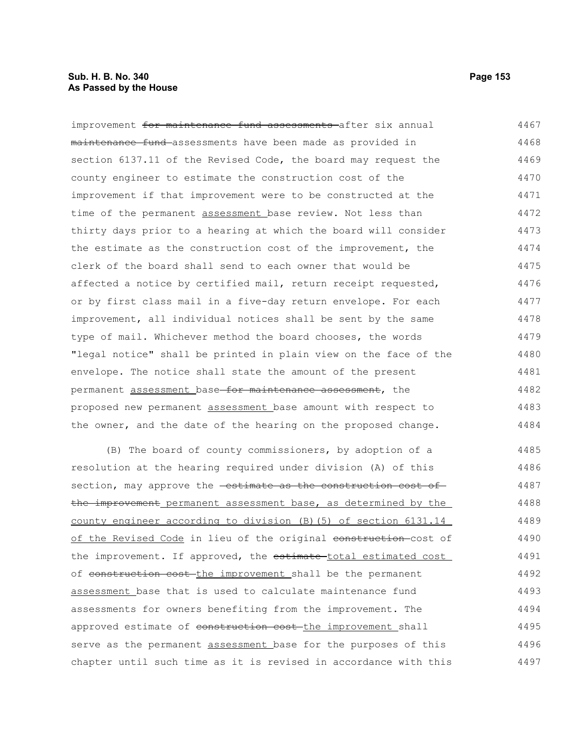## **Sub. H. B. No. 340 Page 153 As Passed by the House**

improvement for maintenance fund assessments after six annual maintenance fund assessments have been made as provided in section 6137.11 of the Revised Code, the board may request the county engineer to estimate the construction cost of the improvement if that improvement were to be constructed at the time of the permanent assessment base review. Not less than thirty days prior to a hearing at which the board will consider the estimate as the construction cost of the improvement, the clerk of the board shall send to each owner that would be affected a notice by certified mail, return receipt requested, or by first class mail in a five-day return envelope. For each improvement, all individual notices shall be sent by the same type of mail. Whichever method the board chooses, the words "legal notice" shall be printed in plain view on the face of the envelope. The notice shall state the amount of the present permanent assessment base for maintenance assessment, the proposed new permanent assessment base amount with respect to the owner, and the date of the hearing on the proposed change. 4467 4468 4469 4470 4471 4472 4473 4474 4475 4476 4477 4478 4479 4480 4481 4482 4483 4484

(B) The board of county commissioners, by adoption of a resolution at the hearing required under division (A) of this section, may approve the **estimate as the construction cost of** the improvement permanent assessment base, as determined by the county engineer according to division (B)(5) of section 6131.14 of the Revised Code in lieu of the original construction-cost of the improvement. If approved, the estimate-total estimated cost of construction cost the improvement shall be the permanent assessment base that is used to calculate maintenance fund assessments for owners benefiting from the improvement. The approved estimate of construction cost-the improvement shall serve as the permanent assessment base for the purposes of this chapter until such time as it is revised in accordance with this 4485 4486 4487 4488 4489 4490 4491 4492 4493 4494 4495 4496 4497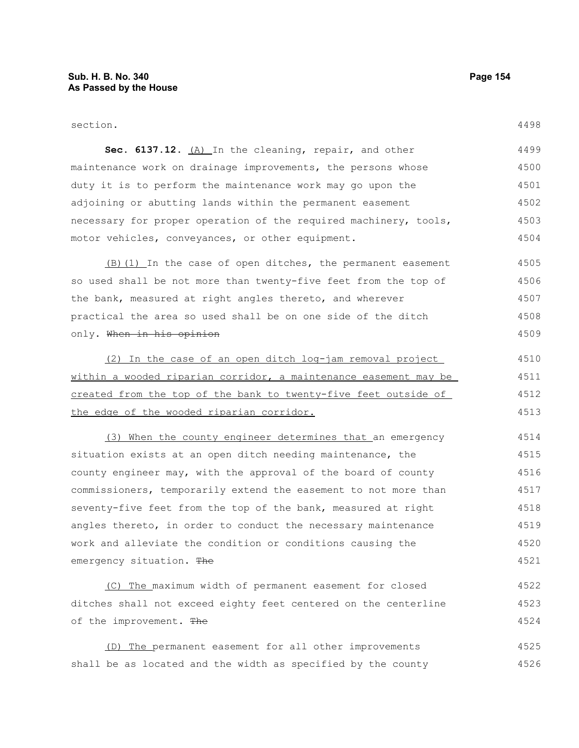#### section.

| Sec. 6137.12. (A) In the cleaning, repair, and other             | 4499 |
|------------------------------------------------------------------|------|
| maintenance work on drainage improvements, the persons whose     | 4500 |
| duty it is to perform the maintenance work may go upon the       | 4501 |
| adjoining or abutting lands within the permanent easement        | 4502 |
| necessary for proper operation of the required machinery, tools, | 4503 |
| motor vehicles, conveyances, or other equipment.                 | 4504 |

(B)(1) In the case of open ditches, the permanent easement so used shall be not more than twenty-five feet from the top of the bank, measured at right angles thereto, and wherever practical the area so used shall be on one side of the ditch only. When in his opinion 4505 4506 4507 4508 4509

(2) In the case of an open ditch log-jam removal project within a wooded riparian corridor, a maintenance easement may be created from the top of the bank to twenty-five feet outside of the edge of the wooded riparian corridor. 4510 4511 4512 4513

(3) When the county engineer determines that an emergency situation exists at an open ditch needing maintenance, the county engineer may, with the approval of the board of county commissioners, temporarily extend the easement to not more than seventy-five feet from the top of the bank, measured at right angles thereto, in order to conduct the necessary maintenance work and alleviate the condition or conditions causing the emergency situation. The 4514 4515 4516 4517 4518 4519 4520 4521

(C) The maximum width of permanent easement for closed ditches shall not exceed eighty feet centered on the centerline of the improvement. The 4522 4523 4524

(D) The permanent easement for all other improvements shall be as located and the width as specified by the county 4525 4526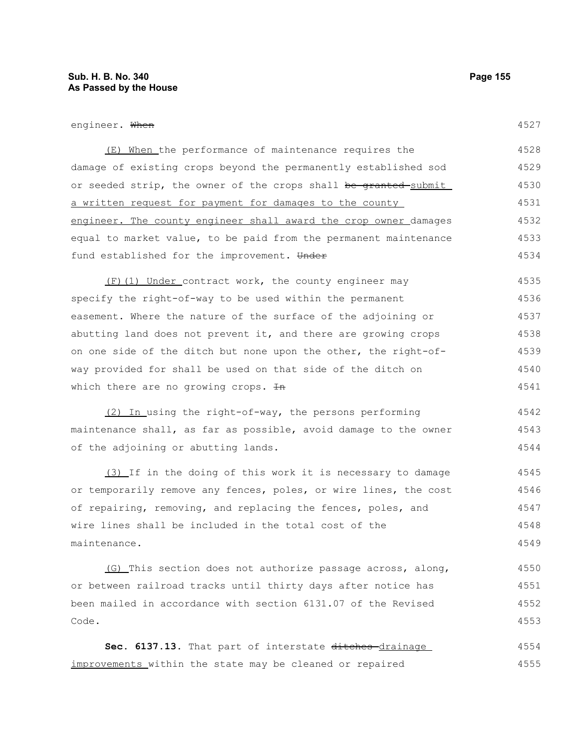#### engineer. When

| (E) When the performance of maintenance requires the                        | 4528 |
|-----------------------------------------------------------------------------|------|
| damage of existing crops beyond the permanently established sod             | 4529 |
| or seeded strip, the owner of the crops shall <del>be granted </del> submit | 4530 |
| a written request for payment for damages to the county                     | 4531 |
| engineer. The county engineer shall award the crop owner damages            | 4532 |
| equal to market value, to be paid from the permanent maintenance            | 4533 |
| fund established for the improvement. Under                                 | 4534 |

(F)(1) Under contract work, the county engineer may specify the right-of-way to be used within the permanent easement. Where the nature of the surface of the adjoining or abutting land does not prevent it, and there are growing crops on one side of the ditch but none upon the other, the right-ofway provided for shall be used on that side of the ditch on which there are no growing crops.  $\text{In}$ 4535 4536 4537 4538 4539 4540 4541

(2) In using the right-of-way, the persons performing maintenance shall, as far as possible, avoid damage to the owner of the adjoining or abutting lands. 4542 4543 4544

(3) If in the doing of this work it is necessary to damage or temporarily remove any fences, poles, or wire lines, the cost of repairing, removing, and replacing the fences, poles, and wire lines shall be included in the total cost of the maintenance. 4545 4546 4547 4548 4549

(G) This section does not authorize passage across, along, or between railroad tracks until thirty days after notice has been mailed in accordance with section 6131.07 of the Revised Code. 4550 4551 4552 4553

Sec. 6137.13. That part of interstate ditches-drainage improvements within the state may be cleaned or repaired 4554 4555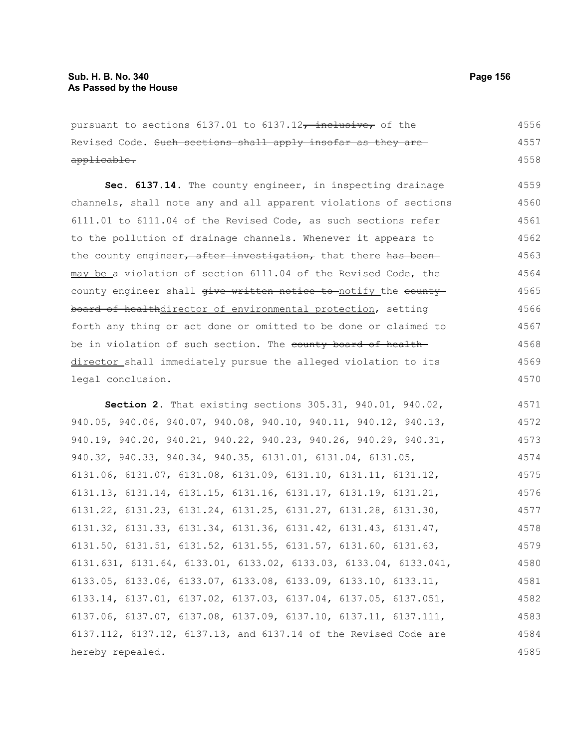| pursuant to sections 6137.01 to 6137.12, inclusive, of the                           | 4556 |
|--------------------------------------------------------------------------------------|------|
| Revised Code. Such sections shall apply insofar as they are                          | 4557 |
| applicable.                                                                          | 4558 |
| Sec. 6137.14. The county engineer, in inspecting drainage                            | 4559 |
| channels, shall note any and all apparent violations of sections                     | 4560 |
| 6111.01 to 6111.04 of the Revised Code, as such sections refer                       | 4561 |
|                                                                                      |      |
| to the pollution of drainage channels. Whenever it appears to                        | 4562 |
| the county engineer, after investigation, that there has been-                       | 4563 |
| may be a violation of section 6111.04 of the Revised Code, the                       | 4564 |
| county engineer shall give written notice to-notify the county                       | 4565 |
| board of healthdirector of environmental protection, setting                         | 4566 |
| forth any thing or act done or omitted to be done or claimed to                      | 4567 |
| be in violation of such section. The county board of health-                         | 4568 |
| director shall immediately pursue the alleged violation to its                       | 4569 |
| legal conclusion.                                                                    | 4570 |
|                                                                                      |      |
| Section 2. That existing sections 305.31, 940.01, 940.02,                            | 4571 |
| 940.05, 940.06, 940.07, 940.08, 940.10, 940.11, 940.12, 940.13,                      | 4572 |
| 940.19, 940.20, 940.21, 940.22, 940.23, 940.26, 940.29, 940.31,                      | 4573 |
| 940.32, 940.33, 940.34, 940.35, 6131.01, 6131.04, 6131.05,                           | 4574 |
| 6131.06, 6131.07, 6131.08, 6131.09, 6131.10, 6131.11, 6131.12,                       | 4575 |
| $6131.13$ , $6131.14$ , $6131.15$ , $6131.16$ , $6131.17$ , $6131.19$ , $6131.21$ ,  | 4576 |
| 6131.22, 6131.23, 6131.24, 6131.25, 6131.27, 6131.28, 6131.30,                       | 4577 |
| 6131.32, 6131.33, 6131.34, 6131.36, 6131.42, 6131.43, 6131.47,                       | 4578 |
| $6131.50$ , $6131.51$ , $6131.52$ , $6131.55$ , $6131.57$ , $6131.60$ , $6131.63$ ,  | 4579 |
| $6131.631, 6131.64, 6133.01, 6133.02, 6133.03, 6133.04, 6133.041,$                   | 4580 |
| 6133.05, 6133.06, 6133.07, 6133.08, 6133.09, 6133.10, 6133.11,                       | 4581 |
| $6133.14$ , $6137.01$ , $6137.02$ , $6137.03$ , $6137.04$ , $6137.05$ , $6137.051$ , | 4582 |
| 6137.06, 6137.07, 6137.08, 6137.09, 6137.10, 6137.11, 6137.111,                      | 4583 |
| 6137.112, 6137.12, 6137.13, and 6137.14 of the Revised Code are                      | 4584 |
| hereby repealed.                                                                     | 4585 |